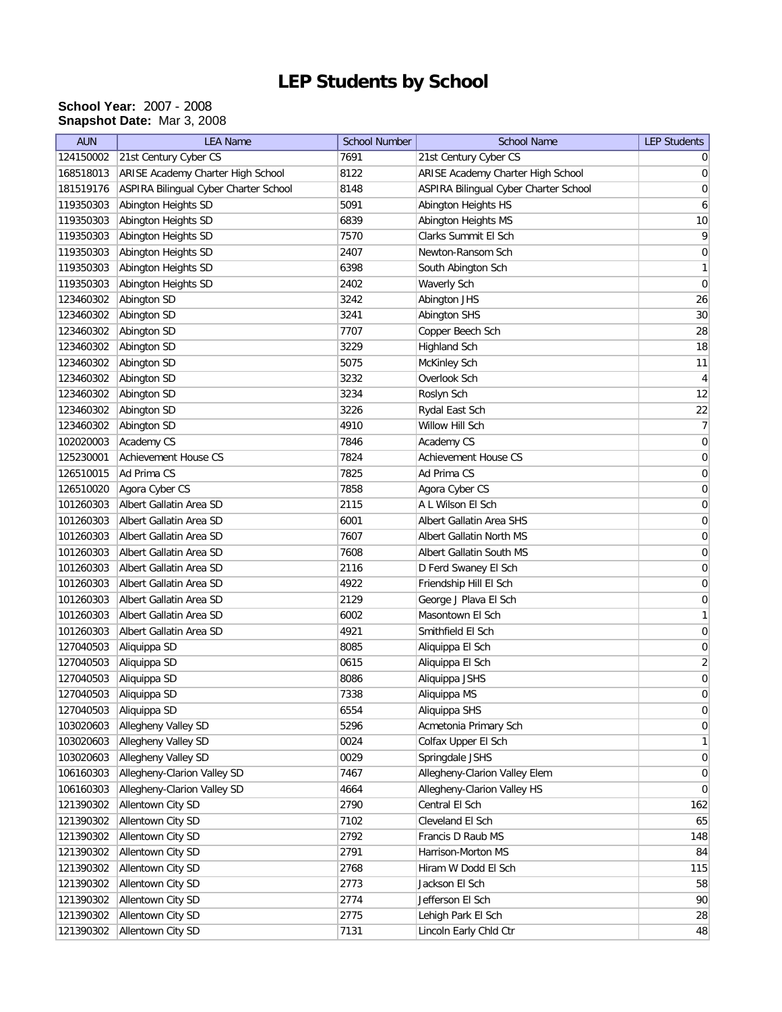## **LEP Students by School**

## **School Year:** 2007 - 2008 **Snapshot Date:** Mar 3, 2008

| <b>AUN</b> | <b>LEA Name</b>                       | <b>School Number</b> | <b>School Name</b>                    | <b>LEP Students</b> |
|------------|---------------------------------------|----------------------|---------------------------------------|---------------------|
| 124150002  | 21st Century Cyber CS                 | 7691                 | 21st Century Cyber CS                 | 0                   |
| 168518013  | ARISE Academy Charter High School     | 8122                 | ARISE Academy Charter High School     | 0                   |
| 181519176  | ASPIRA Bilingual Cyber Charter School | 8148                 | ASPIRA Bilingual Cyber Charter School | 0                   |
| 119350303  | Abington Heights SD                   | 5091                 | Abington Heights HS                   | 6                   |
| 119350303  | Abington Heights SD                   | 6839                 | Abington Heights MS                   | $10$                |
| 119350303  | Abington Heights SD                   | 7570                 | Clarks Summit El Sch                  | $\overline{9}$      |
| 119350303  | Abington Heights SD                   | 2407                 | Newton-Ransom Sch                     | 0                   |
| 119350303  | Abington Heights SD                   | 6398                 | South Abington Sch                    | 1                   |
| 119350303  | Abington Heights SD                   | 2402                 | Waverly Sch                           | 0                   |
| 123460302  | Abington SD                           | 3242                 | Abington JHS                          | 26                  |
| 123460302  | Abington SD                           | 3241                 | Abington SHS                          | $30\,$              |
| 123460302  | Abington SD                           | 7707                 | Copper Beech Sch                      | 28                  |
| 123460302  | Abington SD                           | 3229                 | Highland Sch                          | 18                  |
| 123460302  | Abington SD                           | 5075                 | McKinley Sch                          | 11                  |
| 123460302  | Abington SD                           | 3232                 | Overlook Sch                          | 4                   |
| 123460302  | Abington SD                           | 3234                 | Roslyn Sch                            | 12                  |
| 123460302  | Abington SD                           | 3226                 | Rydal East Sch                        | 22                  |
| 123460302  | Abington SD                           | 4910                 | Willow Hill Sch                       | 7                   |
| 102020003  | Academy CS                            | 7846                 | Academy CS                            | $\boldsymbol{0}$    |
| 125230001  | <b>Achievement House CS</b>           | 7824                 | <b>Achievement House CS</b>           | $\vert 0 \vert$     |
| 126510015  | Ad Prima CS                           | 7825                 | Ad Prima CS                           | 0                   |
| 126510020  | Agora Cyber CS                        | 7858                 | Agora Cyber CS                        | $\boldsymbol{0}$    |
| 101260303  | Albert Gallatin Area SD               | 2115                 | A L Wilson El Sch                     | 0                   |
| 101260303  | Albert Gallatin Area SD               | 6001                 | Albert Gallatin Area SHS              | 0                   |
| 101260303  | Albert Gallatin Area SD               | 7607                 | Albert Gallatin North MS              | $\boldsymbol{0}$    |
| 101260303  | Albert Gallatin Area SD               | 7608                 | Albert Gallatin South MS              | $\boldsymbol{0}$    |
| 101260303  | Albert Gallatin Area SD               | 2116                 | D Ferd Swaney El Sch                  | $\boldsymbol{0}$    |
| 101260303  | Albert Gallatin Area SD               | 4922                 | Friendship Hill El Sch                | $\boldsymbol{0}$    |
| 101260303  | Albert Gallatin Area SD               | 2129                 | George J Plava El Sch                 | 0                   |
| 101260303  | Albert Gallatin Area SD               | 6002                 | Masontown El Sch                      | $\mathbf{1}$        |
| 101260303  | Albert Gallatin Area SD               | 4921                 | Smithfield El Sch                     | $\boldsymbol{0}$    |
| 127040503  | Aliquippa SD                          | 8085                 | Aliquippa El Sch                      | 0                   |
| 127040503  | Aliquippa SD                          | 0615                 | Aliquippa El Sch                      | $\overline{2}$      |
| 127040503  | Aliquippa SD                          | 8086                 | Aliquippa JSHS                        | 0                   |
| 127040503  | Aliquippa SD                          | 7338                 | Aliquippa MS                          | 0                   |
| 127040503  | Aliquippa SD                          | 6554                 | Aliquippa SHS                         | $\overline{0}$      |
| 103020603  | Allegheny Valley SD                   | 5296                 | Acmetonia Primary Sch                 | 0                   |
| 103020603  | Allegheny Valley SD                   | 0024                 | Colfax Upper El Sch                   | 1                   |
| 103020603  | Allegheny Valley SD                   | 0029                 | Springdale JSHS                       | 0                   |
| 106160303  | Allegheny-Clarion Valley SD           | 7467                 | Allegheny-Clarion Valley Elem         | 0                   |
| 106160303  | Allegheny-Clarion Valley SD           | 4664                 | Allegheny-Clarion Valley HS           | $\overline{0}$      |
| 121390302  | Allentown City SD                     | 2790                 | Central El Sch                        | 162                 |
| 121390302  | Allentown City SD                     | 7102                 | Cleveland El Sch                      | 65                  |
| 121390302  | Allentown City SD                     | 2792                 | Francis D Raub MS                     | 148                 |
| 121390302  | Allentown City SD                     | 2791                 | Harrison-Morton MS                    | 84                  |
| 121390302  | Allentown City SD                     | 2768                 | Hiram W Dodd El Sch                   | 115                 |
| 121390302  | Allentown City SD                     | 2773                 | Jackson El Sch                        | 58                  |
| 121390302  | Allentown City SD                     | 2774                 | Jefferson El Sch                      | 90                  |
| 121390302  | Allentown City SD                     | 2775                 | Lehigh Park El Sch                    | 28                  |
| 121390302  | Allentown City SD                     | 7131                 | Lincoln Early Chld Ctr                | 48                  |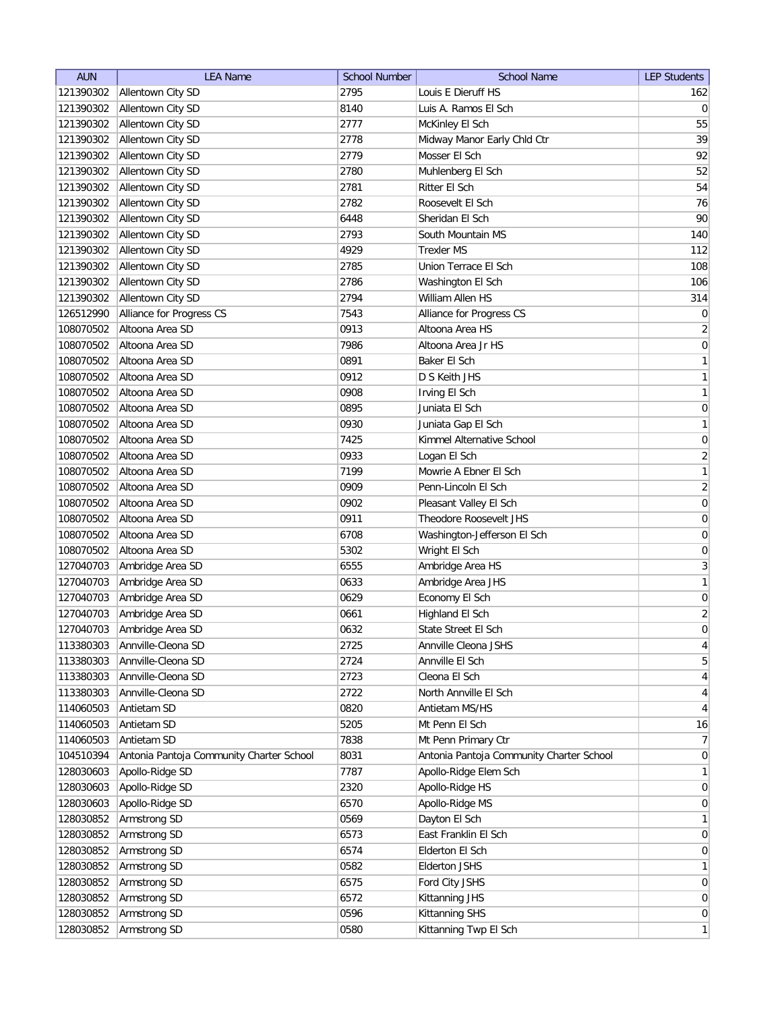| <b>AUN</b> | <b>LEA Name</b>                          | <b>School Number</b> | <b>School Name</b>                       | <b>LEP Students</b> |
|------------|------------------------------------------|----------------------|------------------------------------------|---------------------|
| 121390302  | Allentown City SD                        | 2795                 | Louis E Dieruff HS                       | 162                 |
| 121390302  | Allentown City SD                        | 8140                 | Luis A. Ramos El Sch                     | 0                   |
| 121390302  | Allentown City SD                        | 2777                 | McKinley El Sch                          | 55                  |
| 121390302  | Allentown City SD                        | 2778                 | Midway Manor Early Chld Ctr              | 39                  |
| 121390302  | Allentown City SD                        | 2779                 | Mosser El Sch                            | 92                  |
| 121390302  | Allentown City SD                        | 2780                 | Muhlenberg El Sch                        | 52                  |
| 121390302  | Allentown City SD                        | 2781                 | Ritter El Sch                            | 54                  |
| 121390302  | Allentown City SD                        | 2782                 | Roosevelt El Sch                         | 76                  |
| 121390302  | Allentown City SD                        | 6448                 | Sheridan El Sch                          | 90                  |
| 121390302  | Allentown City SD                        | 2793                 | South Mountain MS                        | 140                 |
|            | 121390302 Allentown City SD              | 4929                 | <b>Trexler MS</b>                        | 112                 |
| 121390302  | Allentown City SD                        | 2785                 | Union Terrace El Sch                     | 108                 |
| 121390302  | Allentown City SD                        | 2786                 | Washington El Sch                        | 106                 |
| 121390302  | Allentown City SD                        | 2794                 | William Allen HS                         | 314                 |
| 126512990  | Alliance for Progress CS                 | 7543                 | Alliance for Progress CS                 | $\overline{0}$      |
| 108070502  | Altoona Area SD                          | 0913                 | Altoona Area HS                          | $\overline{2}$      |
| 108070502  | Altoona Area SD                          | 7986                 | Altoona Area Jr HS                       | $\boldsymbol{0}$    |
| 108070502  | Altoona Area SD                          | 0891                 | Baker El Sch                             | 1                   |
| 108070502  | Altoona Area SD                          | 0912                 | D S Keith JHS                            | 1                   |
| 108070502  | Altoona Area SD                          | 0908                 | Irving El Sch                            | 1                   |
| 108070502  | Altoona Area SD                          | 0895                 | Juniata El Sch                           | 0                   |
| 108070502  | Altoona Area SD                          | 0930                 | Juniata Gap El Sch                       | 1                   |
| 108070502  | Altoona Area SD                          | 7425                 | Kimmel Alternative School                | 0                   |
| 108070502  | Altoona Area SD                          | 0933                 | Logan El Sch                             | $\overline{2}$      |
| 108070502  | Altoona Area SD                          | 7199                 | Mowrie A Ebner El Sch                    | 1                   |
| 108070502  | Altoona Area SD                          | 0909                 | Penn-Lincoln El Sch                      | $\overline{2}$      |
| 108070502  | Altoona Area SD                          | 0902                 | Pleasant Valley El Sch                   | $\boldsymbol{0}$    |
| 108070502  | Altoona Area SD                          | 0911                 | Theodore Roosevelt JHS                   | 0                   |
| 108070502  | Altoona Area SD                          | 6708                 | Washington-Jefferson El Sch              | 0                   |
| 108070502  | Altoona Area SD                          | 5302                 | Wright El Sch                            | 0                   |
| 127040703  | Ambridge Area SD                         | 6555                 | Ambridge Area HS                         | 3                   |
| 127040703  | Ambridge Area SD                         | 0633                 | Ambridge Area JHS                        | $\mathbf{1}$        |
| 127040703  | Ambridge Area SD                         | 0629                 | Economy El Sch                           | $\boldsymbol{0}$    |
| 127040703  | Ambridge Area SD                         | 0661                 | Highland El Sch                          | $\overline{2}$      |
| 127040703  | Ambridge Area SD                         | 0632                 | State Street El Sch                      | $\mathbf 0$         |
| 113380303  | Annville-Cleona SD                       | 2725                 | Annville Cleona JSHS                     | $\overline{4}$      |
| 113380303  | Annville-Cleona SD                       | 2724                 | Annville El Sch                          | $5\overline{)}$     |
| 113380303  | Annville-Cleona SD                       | 2723                 | Cleona El Sch                            | $\vert 4 \vert$     |
| 113380303  | Annville-Cleona SD                       | 2722                 | North Annville El Sch                    | $\overline{4}$      |
| 114060503  | Antietam SD                              | 0820                 | Antietam MS/HS                           | $\overline{4}$      |
| 114060503  | Antietam SD                              | 5205                 | Mt Penn El Sch                           | 16                  |
| 114060503  | Antietam SD                              | 7838                 | Mt Penn Primary Ctr                      | 7                   |
| 104510394  | Antonia Pantoja Community Charter School | 8031                 | Antonia Pantoja Community Charter School | $\overline{0}$      |
| 128030603  | Apollo-Ridge SD                          | 7787                 | Apollo-Ridge Elem Sch                    | $\mathbf{1}$        |
| 128030603  | Apollo-Ridge SD                          | 2320                 | Apollo-Ridge HS                          | 0                   |
| 128030603  | Apollo-Ridge SD                          | 6570                 | Apollo-Ridge MS                          | 0                   |
| 128030852  | Armstrong SD                             | 0569                 | Dayton El Sch                            | 1                   |
| 128030852  | Armstrong SD                             | 6573                 | East Franklin El Sch                     | 0                   |
| 128030852  | Armstrong SD                             | 6574                 | Elderton El Sch                          | 0                   |
| 128030852  | Armstrong SD                             | 0582                 | <b>Elderton JSHS</b>                     | 1                   |
| 128030852  | Armstrong SD                             | 6575                 | Ford City JSHS                           | $\overline{0}$      |
| 128030852  |                                          | 6572                 |                                          | $\overline{0}$      |
| 128030852  | Armstrong SD                             | 0596                 | Kittanning JHS<br>Kittanning SHS         | $\overline{0}$      |
|            | Armstrong SD<br>Armstrong SD             | 0580                 | Kittanning Twp El Sch                    | $\mathbf{1}$        |
| 128030852  |                                          |                      |                                          |                     |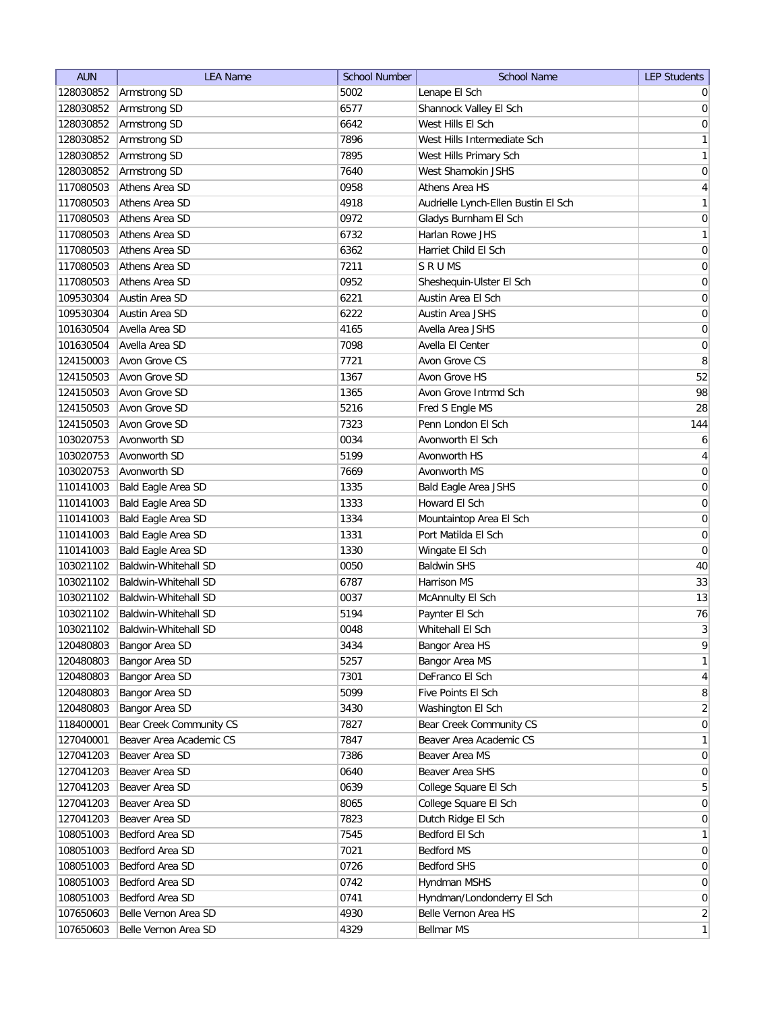| <b>AUN</b>             | <b>LEA Name</b>                            | <b>School Number</b> | <b>School Name</b>                    | <b>LEP Students</b> |
|------------------------|--------------------------------------------|----------------------|---------------------------------------|---------------------|
| 128030852              | Armstrong SD                               | 5002                 | Lenape El Sch                         | $\overline{0}$      |
| 128030852              | Armstrong SD                               | 6577                 | Shannock Valley El Sch                | 0                   |
| 128030852              | Armstrong SD                               | 6642                 | West Hills El Sch                     | $\vert 0 \vert$     |
| 128030852              | Armstrong SD                               | 7896                 | West Hills Intermediate Sch           | $\mathbf{1}$        |
| 128030852              | Armstrong SD                               | 7895                 | West Hills Primary Sch                | $\mathbf{1}$        |
| 128030852              | Armstrong SD                               | 7640                 | West Shamokin JSHS                    | $\vert 0 \vert$     |
| 117080503              | Athens Area SD                             | 0958                 | Athens Area HS                        | $\overline{4}$      |
| 117080503              | Athens Area SD                             | 4918                 | Audrielle Lynch-Ellen Bustin El Sch   | $\mathbf{1}$        |
| 117080503              | Athens Area SD                             | 0972                 | Gladys Burnham El Sch                 | 0                   |
| 117080503              | Athens Area SD                             | 6732                 | Harlan Rowe JHS                       | $\mathbf{1}$        |
| 117080503              | Athens Area SD                             | 6362                 | Harriet Child El Sch                  | 0                   |
| 117080503              | Athens Area SD                             | 7211                 | SRUMS                                 | 0                   |
| 117080503              | Athens Area SD                             | 0952                 | Sheshequin-Ulster El Sch              | 0                   |
| 109530304              | Austin Area SD                             | 6221                 | Austin Area El Sch                    | 0                   |
| 109530304              | Austin Area SD                             | 6222                 | Austin Area JSHS                      | 0                   |
| 101630504              | Avella Area SD                             | 4165                 | Avella Area JSHS                      | 0                   |
| 101630504              | Avella Area SD                             | 7098                 | Avella El Center                      | 0                   |
| 124150003              | Avon Grove CS                              | 7721                 | Avon Grove CS                         | 8                   |
| 124150503              | Avon Grove SD                              | 1367                 | Avon Grove HS                         | 52                  |
| 124150503              | Avon Grove SD                              | 1365                 | Avon Grove Intrmd Sch                 | 98                  |
| 124150503              | Avon Grove SD                              | 5216                 | Fred S Engle MS                       | 28                  |
| 124150503              | Avon Grove SD                              | 7323                 | Penn London El Sch                    | 144                 |
| 103020753              | Avonworth SD                               | 0034                 | Avonworth El Sch                      | 6                   |
| 103020753              | Avonworth SD                               | 5199                 | Avonworth HS                          | $\overline{4}$      |
| 103020753              | Avonworth SD                               | 7669                 | Avonworth MS                          | $\boldsymbol{0}$    |
| 110141003              | Bald Eagle Area SD                         | 1335                 | <b>Bald Eagle Area JSHS</b>           | $\boldsymbol{0}$    |
| 110141003              | Bald Eagle Area SD                         | 1333                 | Howard El Sch                         | $\boldsymbol{0}$    |
| 110141003              | Bald Eagle Area SD                         | 1334                 | Mountaintop Area El Sch               | 0                   |
| 110141003              |                                            | 1331                 | Port Matilda El Sch                   |                     |
|                        | Bald Eagle Area SD                         | 1330                 |                                       | 0<br>$\overline{0}$ |
| 110141003<br>103021102 | Bald Eagle Area SD<br>Baldwin-Whitehall SD | 0050                 | Wingate El Sch<br><b>Baldwin SHS</b>  | 40                  |
| 103021102              | Baldwin-Whitehall SD                       | 6787                 |                                       | 33                  |
|                        | Baldwin-Whitehall SD                       | 0037                 | Harrison MS                           | 13                  |
| 103021102<br>103021102 | Baldwin-Whitehall SD                       |                      | McAnnulty El Sch                      | 76                  |
| 103021102              |                                            | 5194                 | Paynter El Sch                        | 3                   |
|                        | Baldwin-Whitehall SD                       | 0048                 | Whitehall El Sch                      |                     |
| 120480803              | Bangor Area SD                             | 3434                 | Bangor Area HS                        | 9<br>1              |
| 120480803              | Bangor Area SD                             | 5257<br>7301         | Bangor Area MS                        |                     |
| 120480803              | Bangor Area SD                             | 5099                 | DeFranco El Sch<br>Five Points El Sch | $\vert 4 \vert$     |
| 120480803              | Bangor Area SD                             |                      |                                       | 8                   |
| 120480803              | Bangor Area SD                             | 3430<br>7827         | Washington El Sch                     | $\overline{2}$      |
| 118400001              | Bear Creek Community CS                    |                      | Bear Creek Community CS               | 0                   |
| 127040001              | Beaver Area Academic CS                    | 7847                 | Beaver Area Academic CS               | $\mathbf{1}$        |
| 127041203              | Beaver Area SD                             | 7386                 | Beaver Area MS                        | 0                   |
| 127041203              | Beaver Area SD                             | 0640                 | Beaver Area SHS                       | $\overline{0}$      |
| 127041203              | Beaver Area SD                             | 0639                 | College Square El Sch                 | $5\overline{)}$     |
| 127041203              | Beaver Area SD                             | 8065                 | College Square El Sch                 | 0                   |
| 127041203              | Beaver Area SD                             | 7823                 | Dutch Ridge El Sch                    | $\overline{0}$      |
| 108051003              | Bedford Area SD                            | 7545                 | Bedford El Sch                        | 1                   |
| 108051003              | Bedford Area SD                            | 7021                 | Bedford MS                            | $\overline{0}$      |
| 108051003              | Bedford Area SD                            | 0726                 | <b>Bedford SHS</b>                    | $\overline{0}$      |
| 108051003              | Bedford Area SD                            | 0742                 | Hyndman MSHS                          | $\overline{0}$      |
| 108051003              | Bedford Area SD                            | 0741                 | Hyndman/Londonderry El Sch            | $\overline{0}$      |
| 107650603              | Belle Vernon Area SD                       | 4930                 | Belle Vernon Area HS                  | $\overline{2}$      |
| 107650603              | Belle Vernon Area SD                       | 4329                 | Bellmar MS                            | 1                   |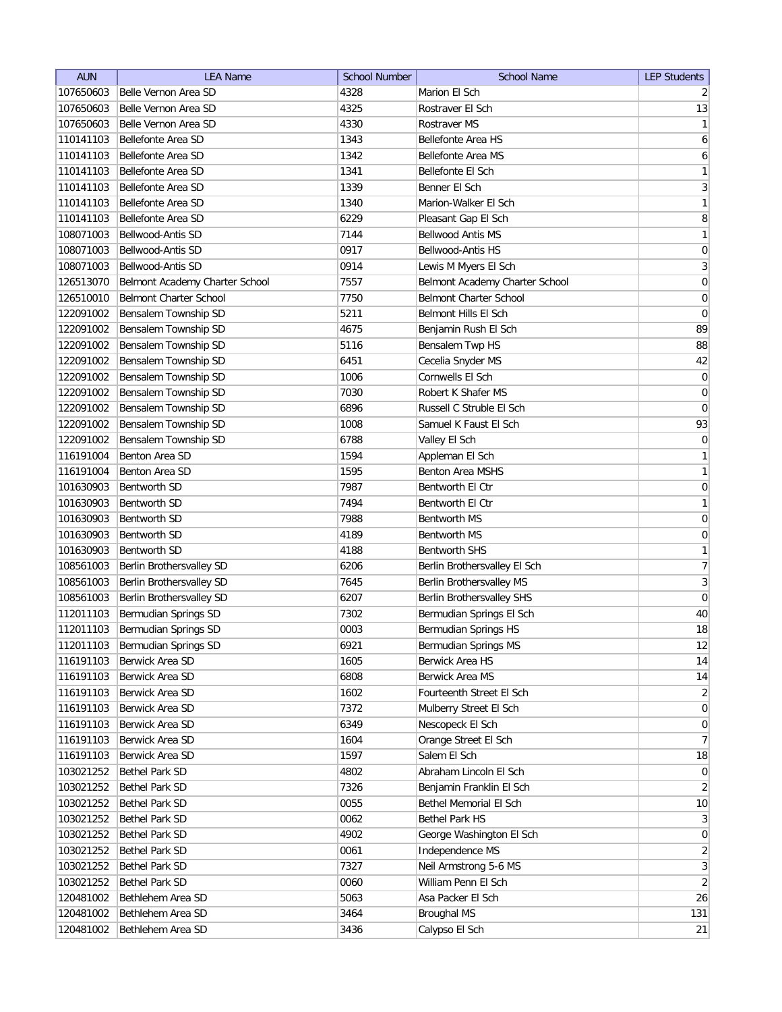| <b>AUN</b> | <b>LEA Name</b>                | <b>School Number</b> | <b>School Name</b>             | <b>LEP Students</b> |
|------------|--------------------------------|----------------------|--------------------------------|---------------------|
| 107650603  | Belle Vernon Area SD           | 4328                 | Marion El Sch                  | $\overline{2}$      |
| 107650603  | Belle Vernon Area SD           | 4325                 | Rostraver El Sch               | 13                  |
| 107650603  | Belle Vernon Area SD           | 4330                 | Rostraver MS                   | 1                   |
| 110141103  | Bellefonte Area SD             | 1343                 | Bellefonte Area HS             | $\boldsymbol{6}$    |
| 110141103  | Bellefonte Area SD             | 1342                 | Bellefonte Area MS             | $6\vert$            |
| 110141103  | Bellefonte Area SD             | 1341                 | Bellefonte El Sch              | $\mathbf{1}$        |
| 110141103  | Bellefonte Area SD             | 1339                 | Benner El Sch                  | $3\vert$            |
| 110141103  | Bellefonte Area SD             | 1340                 | Marion-Walker El Sch           | 1                   |
| 110141103  | Bellefonte Area SD             | 6229                 | Pleasant Gap El Sch            | 8                   |
| 108071003  | Bellwood-Antis SD              | 7144                 | <b>Bellwood Antis MS</b>       | 1                   |
| 108071003  | Bellwood-Antis SD              | 0917                 | Bellwood-Antis HS              | $\boldsymbol{0}$    |
| 108071003  | Bellwood-Antis SD              | 0914                 | Lewis M Myers El Sch           | $\overline{3}$      |
| 126513070  | Belmont Academy Charter School | 7557                 | Belmont Academy Charter School | $\boldsymbol{0}$    |
| 126510010  | <b>Belmont Charter School</b>  | 7750                 | Belmont Charter School         | 0                   |
| 122091002  | Bensalem Township SD           | 5211                 | Belmont Hills El Sch           | 0                   |
| 122091002  | Bensalem Township SD           | 4675                 | Benjamin Rush El Sch           | 89                  |
| 122091002  | Bensalem Township SD           | 5116                 | Bensalem Twp HS                | 88                  |
| 122091002  | Bensalem Township SD           | 6451                 | Cecelia Snyder MS              | 42                  |
| 122091002  | Bensalem Township SD           | 1006                 | Cornwells El Sch               | 0                   |
| 122091002  | Bensalem Township SD           | 7030                 | Robert K Shafer MS             | 0                   |
| 122091002  | Bensalem Township SD           | 6896                 | Russell C Struble El Sch       | $\pmb{0}$           |
| 122091002  | Bensalem Township SD           | 1008                 | Samuel K Faust El Sch          | 93                  |
| 122091002  | Bensalem Township SD           | 6788                 | Valley El Sch                  | $\vert 0 \vert$     |
| 116191004  | Benton Area SD                 | 1594                 | Appleman El Sch                | $\mathbf{1}$        |
| 116191004  | Benton Area SD                 | 1595                 | <b>Benton Area MSHS</b>        | 1                   |
| 101630903  | <b>Bentworth SD</b>            | 7987                 | Bentworth El Ctr               | $\boldsymbol{0}$    |
| 101630903  | <b>Bentworth SD</b>            | 7494                 | Bentworth El Ctr               | 1                   |
| 101630903  | <b>Bentworth SD</b>            | 7988                 | Bentworth MS                   | $\boldsymbol{0}$    |
| 101630903  | <b>Bentworth SD</b>            | 4189                 | Bentworth MS                   | $\boldsymbol{0}$    |
| 101630903  | <b>Bentworth SD</b>            | 4188                 | <b>Bentworth SHS</b>           | $\mathbf{1}$        |
| 108561003  | Berlin Brothersvalley SD       | 6206                 | Berlin Brothersvalley El Sch   | $\overline{7}$      |
| 108561003  | Berlin Brothersvalley SD       | 7645                 | Berlin Brothersvalley MS       | $\overline{3}$      |
| 108561003  | Berlin Brothersvalley SD       | 6207                 | Berlin Brothersvalley SHS      | $\pmb{0}$           |
| 112011103  | Bermudian Springs SD           | 7302                 | Bermudian Springs El Sch       | 40                  |
| 112011103  | Bermudian Springs SD           | 0003                 | Bermudian Springs HS           | 18                  |
| 112011103  | Bermudian Springs SD           | 6921                 | Bermudian Springs MS           | 12                  |
| 116191103  | Berwick Area SD                | 1605                 | Berwick Area HS                | 14                  |
| 116191103  | Berwick Area SD                | 6808                 | Berwick Area MS                | 14                  |
| 116191103  | Berwick Area SD                | 1602                 | Fourteenth Street El Sch       | $\overline{2}$      |
| 116191103  | Berwick Area SD                | 7372                 | Mulberry Street El Sch         | 0                   |
| 116191103  | Berwick Area SD                | 6349                 | Nescopeck El Sch               | 0                   |
| 116191103  | Berwick Area SD                | 1604                 | Orange Street El Sch           | 7                   |
| 116191103  | Berwick Area SD                | 1597                 | Salem El Sch                   | 18                  |
| 103021252  | Bethel Park SD                 | 4802                 | Abraham Lincoln El Sch         | 0                   |
| 103021252  | Bethel Park SD                 | 7326                 | Benjamin Franklin El Sch       | $\overline{2}$      |
| 103021252  | Bethel Park SD                 | 0055                 | Bethel Memorial El Sch         | 10                  |
| 103021252  | Bethel Park SD                 | 0062                 | <b>Bethel Park HS</b>          | 3                   |
| 103021252  | Bethel Park SD                 | 4902                 | George Washington El Sch       | 0                   |
| 103021252  | Bethel Park SD                 | 0061                 | Independence MS                | $\overline{2}$      |
| 103021252  | Bethel Park SD                 | 7327                 | Neil Armstrong 5-6 MS          | $\overline{3}$      |
| 103021252  | <b>Bethel Park SD</b>          | 0060                 | William Penn El Sch            | $\overline{2}$      |
| 120481002  | Bethlehem Area SD              | 5063                 | Asa Packer El Sch              | 26                  |
| 120481002  | Bethlehem Area SD              | 3464                 | Broughal MS                    | 131                 |
| 120481002  | Bethlehem Area SD              | 3436                 | Calypso El Sch                 | 21                  |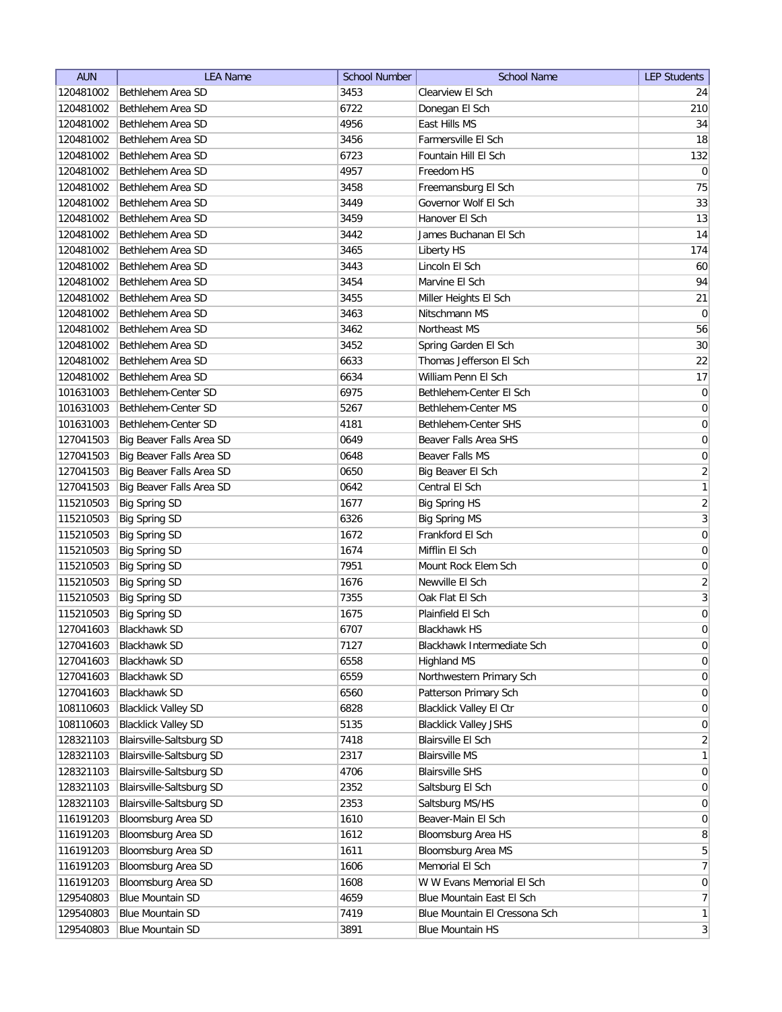| <b>AUN</b> | <b>LEA Name</b>            | <b>School Number</b> | <b>School Name</b>             | <b>LEP Students</b>     |
|------------|----------------------------|----------------------|--------------------------------|-------------------------|
| 120481002  | Bethlehem Area SD          | 3453                 | Clearview El Sch               | 24                      |
| 120481002  | Bethlehem Area SD          | 6722                 | Donegan El Sch                 | 210                     |
| 120481002  | Bethlehem Area SD          | 4956                 | East Hills MS                  | 34                      |
| 120481002  | Bethlehem Area SD          | 3456                 | Farmersville El Sch            | 18                      |
| 120481002  | Bethlehem Area SD          | 6723                 | Fountain Hill El Sch           | 132                     |
| 120481002  | Bethlehem Area SD          | 4957                 | Freedom HS                     | $\overline{0}$          |
| 120481002  | Bethlehem Area SD          | 3458                 | Freemansburg El Sch            | 75                      |
| 120481002  | Bethlehem Area SD          | 3449                 | Governor Wolf El Sch           | 33                      |
| 120481002  | Bethlehem Area SD          | 3459                 | Hanover El Sch                 | 13                      |
| 120481002  | Bethlehem Area SD          | 3442                 | James Buchanan El Sch          | 14                      |
| 120481002  | Bethlehem Area SD          | 3465                 | Liberty HS                     | 174                     |
| 120481002  | Bethlehem Area SD          | 3443                 | Lincoln El Sch                 | 60                      |
| 120481002  | Bethlehem Area SD          | 3454                 | Marvine El Sch                 | 94                      |
| 120481002  | Bethlehem Area SD          | 3455                 | Miller Heights El Sch          | 21                      |
| 120481002  | Bethlehem Area SD          | 3463                 | Nitschmann MS                  | $\overline{0}$          |
| 120481002  | Bethlehem Area SD          | 3462                 | Northeast MS                   | 56                      |
| 120481002  | Bethlehem Area SD          | 3452                 | Spring Garden El Sch           | 30                      |
| 120481002  | Bethlehem Area SD          | 6633                 | Thomas Jefferson El Sch        | 22                      |
| 120481002  | Bethlehem Area SD          | 6634                 | William Penn El Sch            | 17                      |
| 101631003  | Bethlehem-Center SD        | 6975                 | Bethlehem-Center El Sch        | $\vert 0 \vert$         |
| 101631003  | Bethlehem-Center SD        | 5267                 | Bethlehem-Center MS            | 0                       |
| 101631003  | Bethlehem-Center SD        | 4181                 | Bethlehem-Center SHS           | 0                       |
| 127041503  | Big Beaver Falls Area SD   | 0649                 | Beaver Falls Area SHS          | 0                       |
| 127041503  | Big Beaver Falls Area SD   | 0648                 | Beaver Falls MS                | $\boldsymbol{0}$        |
| 127041503  | Big Beaver Falls Area SD   | 0650                 | Big Beaver El Sch              | $\overline{2}$          |
| 127041503  | Big Beaver Falls Area SD   | 0642                 | Central El Sch                 | 1                       |
| 115210503  | <b>Big Spring SD</b>       | 1677                 | <b>Big Spring HS</b>           | $\overline{2}$          |
| 115210503  | <b>Big Spring SD</b>       | 6326                 | <b>Big Spring MS</b>           | $\overline{3}$          |
| 115210503  | <b>Big Spring SD</b>       | 1672                 | Frankford El Sch               | $\boldsymbol{0}$        |
| 115210503  | <b>Big Spring SD</b>       | 1674                 | Mifflin El Sch                 | $\boldsymbol{0}$        |
| 115210503  | <b>Big Spring SD</b>       | 7951                 | Mount Rock Elem Sch            | $\boldsymbol{0}$        |
| 115210503  | <b>Big Spring SD</b>       | 1676                 | Newville El Sch                | $\overline{2}$          |
| 115210503  | <b>Big Spring SD</b>       | 7355                 | Oak Flat El Sch                | $\overline{\mathbf{3}}$ |
| 115210503  | <b>Big Spring SD</b>       | 1675                 | Plainfield El Sch              | $\boldsymbol{0}$        |
| 127041603  | <b>Blackhawk SD</b>        | 6707                 | <b>Blackhawk HS</b>            | $\overline{0}$          |
| 127041603  | <b>Blackhawk SD</b>        | 7127                 | Blackhawk Intermediate Sch     | $\overline{0}$          |
| 127041603  | Blackhawk SD               | 6558                 | <b>Highland MS</b>             | 0                       |
| 127041603  | <b>Blackhawk SD</b>        | 6559                 | Northwestern Primary Sch       | 0                       |
| 127041603  | <b>Blackhawk SD</b>        | 6560                 | Patterson Primary Sch          | $\vert 0 \vert$         |
| 108110603  | <b>Blacklick Valley SD</b> | 6828                 | <b>Blacklick Valley El Ctr</b> | $\overline{0}$          |
| 108110603  | <b>Blacklick Valley SD</b> | 5135                 | <b>Blacklick Valley JSHS</b>   | 0                       |
| 128321103  | Blairsville-Saltsburg SD   | 7418                 | Blairsville El Sch             | $\overline{2}$          |
| 128321103  | Blairsville-Saltsburg SD   | 2317                 | <b>Blairsville MS</b>          | $\mathbf{1}$            |
| 128321103  | Blairsville-Saltsburg SD   | 4706                 | <b>Blairsville SHS</b>         | $\overline{0}$          |
| 128321103  | Blairsville-Saltsburg SD   | 2352                 | Saltsburg El Sch               | 0                       |
| 128321103  | Blairsville-Saltsburg SD   | 2353                 | Saltsburg MS/HS                | 0                       |
| 116191203  | Bloomsburg Area SD         | 1610                 | Beaver-Main El Sch             | $\overline{0}$          |
| 116191203  | Bloomsburg Area SD         | 1612                 | Bloomsburg Area HS             | 8                       |
| 116191203  | Bloomsburg Area SD         | 1611                 | Bloomsburg Area MS             | $\overline{5}$          |
| 116191203  | Bloomsburg Area SD         | 1606                 | Memorial El Sch                | $\overline{7}$          |
| 116191203  | Bloomsburg Area SD         | 1608                 | W W Evans Memorial El Sch      | 0                       |
| 129540803  | <b>Blue Mountain SD</b>    | 4659                 | Blue Mountain East El Sch      | 7                       |
| 129540803  | <b>Blue Mountain SD</b>    | 7419                 | Blue Mountain El Cressona Sch  | $\mathbf{1}$            |
| 129540803  | <b>Blue Mountain SD</b>    | 3891                 | <b>Blue Mountain HS</b>        | $\vert 3 \vert$         |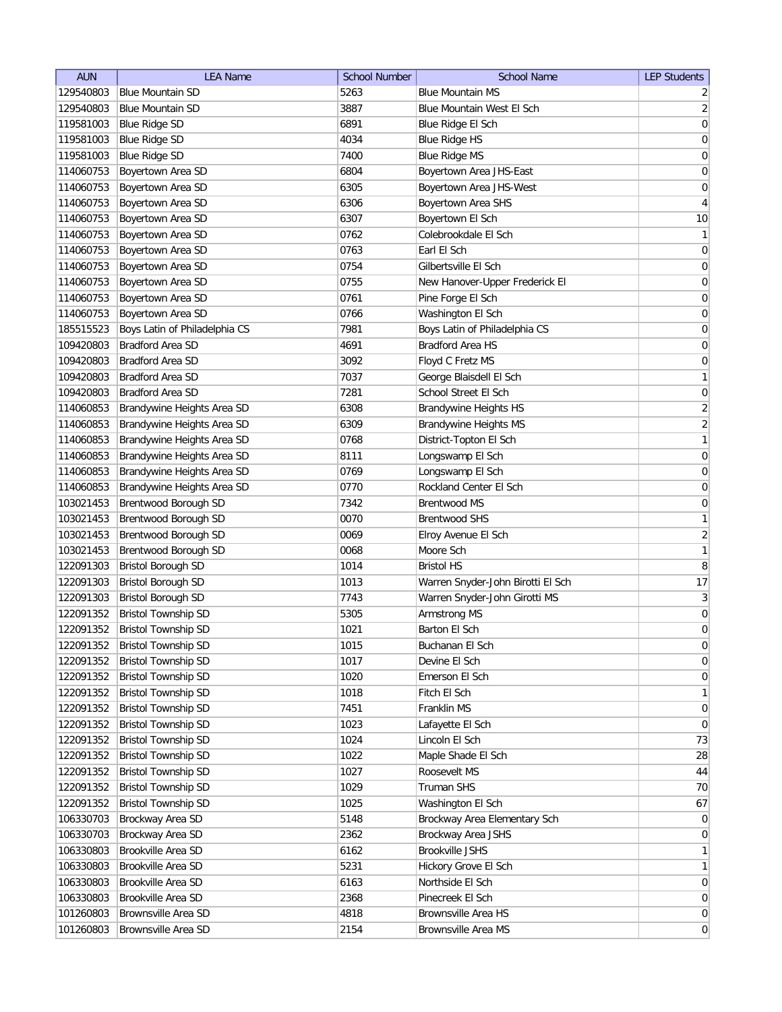| <b>AUN</b> | <b>LEA Name</b>               | <b>School Number</b> | <b>School Name</b>                | <b>LEP Students</b> |
|------------|-------------------------------|----------------------|-----------------------------------|---------------------|
| 129540803  | <b>Blue Mountain SD</b>       | 5263                 | <b>Blue Mountain MS</b>           | $\overline{2}$      |
| 129540803  | <b>Blue Mountain SD</b>       | 3887                 | Blue Mountain West El Sch         | $\overline{2}$      |
| 119581003  | <b>Blue Ridge SD</b>          | 6891                 | Blue Ridge El Sch                 | $\boldsymbol{0}$    |
| 119581003  | <b>Blue Ridge SD</b>          | 4034                 | <b>Blue Ridge HS</b>              | $\boldsymbol{0}$    |
| 119581003  | <b>Blue Ridge SD</b>          | 7400                 | <b>Blue Ridge MS</b>              | $\boldsymbol{0}$    |
| 114060753  | Boyertown Area SD             | 6804                 | Boyertown Area JHS-East           | $\boldsymbol{0}$    |
| 114060753  | Boyertown Area SD             | 6305                 | Boyertown Area JHS-West           | $\boldsymbol{0}$    |
| 114060753  | Boyertown Area SD             | 6306                 | Boyertown Area SHS                | $\overline{4}$      |
| 114060753  | Boyertown Area SD             | 6307                 | Boyertown El Sch                  | 10                  |
| 114060753  | Boyertown Area SD             | 0762                 | Colebrookdale El Sch              | $\mathbf{1}$        |
| 114060753  | Boyertown Area SD             | 0763                 | Earl El Sch                       | 0                   |
| 114060753  | Boyertown Area SD             | 0754                 | Gilbertsville El Sch              | 0                   |
| 114060753  | Boyertown Area SD             | 0755                 | New Hanover-Upper Frederick El    | 0                   |
| 114060753  | Boyertown Area SD             | 0761                 | Pine Forge El Sch                 | 0                   |
| 114060753  | Boyertown Area SD             | 0766                 | Washington El Sch                 | $\boldsymbol{0}$    |
| 185515523  | Boys Latin of Philadelphia CS | 7981                 | Boys Latin of Philadelphia CS     | $\boldsymbol{0}$    |
| 109420803  | <b>Bradford Area SD</b>       | 4691                 | <b>Bradford Area HS</b>           | $\mathsf{O}\xspace$ |
| 109420803  | <b>Bradford Area SD</b>       | 3092                 | Floyd C Fretz MS                  | $\boldsymbol{0}$    |
| 109420803  | <b>Bradford Area SD</b>       | 7037                 | George Blaisdell El Sch           | $\mathbf{1}$        |
| 109420803  | <b>Bradford Area SD</b>       | 7281                 | School Street El Sch              |                     |
|            |                               |                      |                                   | $\mathsf{O}\xspace$ |
| 114060853  | Brandywine Heights Area SD    | 6308                 | Brandywine Heights HS             | $\overline{2}$      |
| 114060853  | Brandywine Heights Area SD    | 6309                 | Brandywine Heights MS             | $\overline{2}$      |
| 114060853  | Brandywine Heights Area SD    | 0768                 | District-Topton El Sch            | $\mathbf{1}$        |
| 114060853  | Brandywine Heights Area SD    | 8111                 | Longswamp El Sch                  | $\mathsf{O}\xspace$ |
| 114060853  | Brandywine Heights Area SD    | 0769                 | Longswamp El Sch                  | $\boldsymbol{0}$    |
| 114060853  | Brandywine Heights Area SD    | 0770                 | Rockland Center El Sch            | $\boldsymbol{0}$    |
| 103021453  | Brentwood Borough SD          | 7342                 | <b>Brentwood MS</b>               | 0                   |
| 103021453  | Brentwood Borough SD          | 0070                 | <b>Brentwood SHS</b>              | $\mathbf{1}$        |
| 103021453  | Brentwood Borough SD          | 0069                 | Elroy Avenue El Sch               | $\overline{2}$      |
| 103021453  | Brentwood Borough SD          | 0068                 | Moore Sch                         | $\mathbf{1}$        |
| 122091303  | <b>Bristol Borough SD</b>     | 1014                 | <b>Bristol HS</b>                 | 8                   |
| 122091303  | <b>Bristol Borough SD</b>     | 1013                 | Warren Snyder-John Birotti El Sch | 17                  |
| 122091303  | <b>Bristol Borough SD</b>     | 7743                 | Warren Snyder-John Girotti MS     | $\mathbf{3}$        |
| 122091352  | <b>Bristol Township SD</b>    | 5305                 | Armstrong MS                      | $\mathsf{O}\xspace$ |
| 122091352  | Bristol Township SD           | 1021                 | Barton El Sch                     | $\overline{0}$      |
| 122091352  | <b>Bristol Township SD</b>    | 1015                 | Buchanan El Sch                   | $\mathsf{O}\xspace$ |
| 122091352  | <b>Bristol Township SD</b>    | 1017                 | Devine El Sch                     | $\mathsf{O}\xspace$ |
| 122091352  | <b>Bristol Township SD</b>    | 1020                 | Emerson El Sch                    | $\boldsymbol{0}$    |
| 122091352  | <b>Bristol Township SD</b>    | 1018                 | Fitch El Sch                      | $\mathbf{1}$        |
| 122091352  | <b>Bristol Township SD</b>    | 7451                 | Franklin MS                       | $\boldsymbol{0}$    |
| 122091352  | <b>Bristol Township SD</b>    | 1023                 | Lafayette El Sch                  | $\boldsymbol{0}$    |
| 122091352  | <b>Bristol Township SD</b>    | 1024                 | Lincoln El Sch                    | 73                  |
| 122091352  | <b>Bristol Township SD</b>    | 1022                 | Maple Shade El Sch                | 28                  |
| 122091352  | <b>Bristol Township SD</b>    | 1027                 | Roosevelt MS                      | $\bf 44$            |
| 122091352  | <b>Bristol Township SD</b>    | 1029                 | Truman SHS                        | 70                  |
| 122091352  | <b>Bristol Township SD</b>    | 1025                 | Washington El Sch                 | 67                  |
| 106330703  | Brockway Area SD              | 5148                 | Brockway Area Elementary Sch      | $\overline{0}$      |
| 106330703  | Brockway Area SD              | 2362                 | Brockway Area JSHS                | $\boldsymbol{0}$    |
| 106330803  | Brookville Area SD            | 6162                 | Brookville JSHS                   | $\mathbf{1}$        |
| 106330803  | Brookville Area SD            | 5231                 | Hickory Grove El Sch              | $\mathbf{1}$        |
| 106330803  | Brookville Area SD            | 6163                 | Northside El Sch                  | $\overline{0}$      |
| 106330803  | Brookville Area SD            | 2368                 | Pinecreek El Sch                  | $\boldsymbol{0}$    |
| 101260803  | <b>Brownsville Area SD</b>    | 4818                 | <b>Brownsville Area HS</b>        | $\overline{0}$      |
| 101260803  | Brownsville Area SD           | 2154                 | Brownsville Area MS               | $\boldsymbol{0}$    |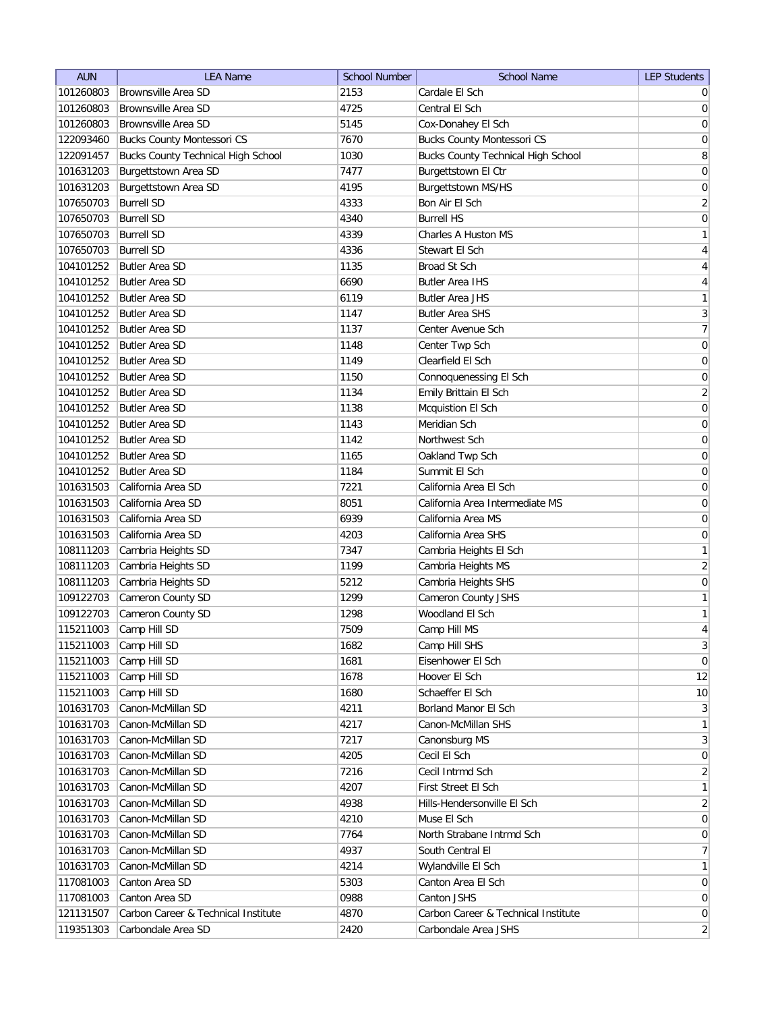| <b>AUN</b> | <b>LEA Name</b>                           | <b>School Number</b> | <b>School Name</b>                        | <b>LEP Students</b> |
|------------|-------------------------------------------|----------------------|-------------------------------------------|---------------------|
| 101260803  | Brownsville Area SD                       | 2153                 | Cardale El Sch                            | $\overline{0}$      |
| 101260803  | <b>Brownsville Area SD</b>                | 4725                 | Central El Sch                            | 0                   |
| 101260803  | <b>Brownsville Area SD</b>                | 5145                 | Cox-Donahey El Sch                        | 0                   |
| 122093460  | <b>Bucks County Montessori CS</b>         | 7670                 | <b>Bucks County Montessori CS</b>         | 0                   |
| 122091457  | <b>Bucks County Technical High School</b> | 1030                 | <b>Bucks County Technical High School</b> | 8                   |
| 101631203  | Burgettstown Area SD                      | 7477                 | Burgettstown El Ctr                       | 0                   |
| 101631203  | Burgettstown Area SD                      | 4195                 | Burgettstown MS/HS                        | 0                   |
| 107650703  | <b>Burrell SD</b>                         | 4333                 | Bon Air El Sch                            | $\overline{2}$      |
| 107650703  | <b>Burrell SD</b>                         | 4340                 | <b>Burrell HS</b>                         | 0                   |
| 107650703  | <b>Burrell SD</b>                         | 4339                 | Charles A Huston MS                       | $\mathbf{1}$        |
| 107650703  | <b>Burrell SD</b>                         | 4336                 | Stewart El Sch                            | 4                   |
| 104101252  | Butler Area SD                            | 1135                 | Broad St Sch                              | 4                   |
| 104101252  | Butler Area SD                            | 6690                 | <b>Butler Area IHS</b>                    | 4                   |
| 104101252  | Butler Area SD                            | 6119                 | <b>Butler Area JHS</b>                    | $\mathbf{1}$        |
| 104101252  | <b>Butler Area SD</b>                     | 1147                 | <b>Butler Area SHS</b>                    | $\overline{3}$      |
| 104101252  | <b>Butler Area SD</b>                     | 1137                 | Center Avenue Sch                         | 7                   |
| 104101252  | <b>Butler Area SD</b>                     | 1148                 | Center Twp Sch                            | $\boldsymbol{0}$    |
| 104101252  | <b>Butler Area SD</b>                     | 1149                 | Clearfield El Sch                         | $\boldsymbol{0}$    |
| 104101252  | <b>Butler Area SD</b>                     | 1150                 | Connoquenessing El Sch                    | 0                   |
| 104101252  | <b>Butler Area SD</b>                     | 1134                 | Emily Brittain El Sch                     | $\overline{2}$      |
| 104101252  | Butler Area SD                            | 1138                 | Mcquistion El Sch                         | 0                   |
| 104101252  | <b>Butler Area SD</b>                     | 1143                 | Meridian Sch                              | $\boldsymbol{0}$    |
| 104101252  | <b>Butler Area SD</b>                     | 1142                 | Northwest Sch                             | 0                   |
| 104101252  | <b>Butler Area SD</b>                     | 1165                 | Oakland Twp Sch                           | $\boldsymbol{0}$    |
| 104101252  | <b>Butler Area SD</b>                     | 1184                 | Summit El Sch                             | $\boldsymbol{0}$    |
| 101631503  | California Area SD                        | 7221                 | California Area El Sch                    | $\boldsymbol{0}$    |
| 101631503  | California Area SD                        | 8051                 | California Area Intermediate MS           | $\boldsymbol{0}$    |
| 101631503  | California Area SD                        | 6939                 | California Area MS                        | 0                   |
| 101631503  | California Area SD                        | 4203                 | California Area SHS                       | 0                   |
| 108111203  | Cambria Heights SD                        | 7347                 | Cambria Heights El Sch                    | $\mathbf{1}$        |
| 108111203  | Cambria Heights SD                        | 1199                 | Cambria Heights MS                        | $\overline{2}$      |
| 108111203  | Cambria Heights SD                        | 5212                 | Cambria Heights SHS                       | 0                   |
| 109122703  | Cameron County SD                         | 1299                 | Cameron County JSHS                       | $\mathbf{1}$        |
| 109122703  | Cameron County SD                         | 1298                 | Woodland El Sch                           | $\mathbf{1}$        |
| 115211003  | Camp Hill SD                              | 7509                 | Camp Hill MS                              | $\overline{4}$      |
| 115211003  | Camp Hill SD                              | 1682                 | Camp Hill SHS                             | 3 <sup>2</sup>      |
| 115211003  | Camp Hill SD                              | 1681                 | Eisenhower El Sch                         | 0                   |
| 115211003  | Camp Hill SD                              | 1678                 | Hoover El Sch                             | 12                  |
| 115211003  | Camp Hill SD                              | 1680                 | Schaeffer El Sch                          | 10                  |
| 101631703  | Canon-McMillan SD                         | 4211                 | Borland Manor El Sch                      | 3                   |
| 101631703  | Canon-McMillan SD                         | 4217                 | Canon-McMillan SHS                        | $\mathbf{1}$        |
| 101631703  | Canon-McMillan SD                         | 7217                 | Canonsburg MS                             | $\vert 3 \vert$     |
| 101631703  | Canon-McMillan SD                         | 4205                 | Cecil El Sch                              | 0                   |
| 101631703  | Canon-McMillan SD                         | 7216                 | Cecil Intrmd Sch                          | $\overline{2}$      |
| 101631703  | Canon-McMillan SD                         | 4207                 | First Street El Sch                       | 1                   |
| 101631703  | Canon-McMillan SD                         | 4938                 | Hills-Hendersonville El Sch               | $\overline{2}$      |
| 101631703  | Canon-McMillan SD                         | 4210                 | Muse El Sch                               | 0                   |
| 101631703  | Canon-McMillan SD                         | 7764                 | North Strabane Intrmd Sch                 | $\overline{0}$      |
| 101631703  | Canon-McMillan SD                         | 4937                 | South Central El                          | 7                   |
| 101631703  | Canon-McMillan SD                         | 4214                 | Wylandville El Sch                        | $\mathbf{1}$        |
| 117081003  | Canton Area SD                            | 5303                 | Canton Area El Sch                        | $\overline{0}$      |
| 117081003  | Canton Area SD                            | 0988                 | Canton JSHS                               | $\overline{0}$      |
| 121131507  | Carbon Career & Technical Institute       | 4870                 | Carbon Career & Technical Institute       | $\overline{0}$      |
| 119351303  | Carbondale Area SD                        | 2420                 | Carbondale Area JSHS                      | $\overline{2}$      |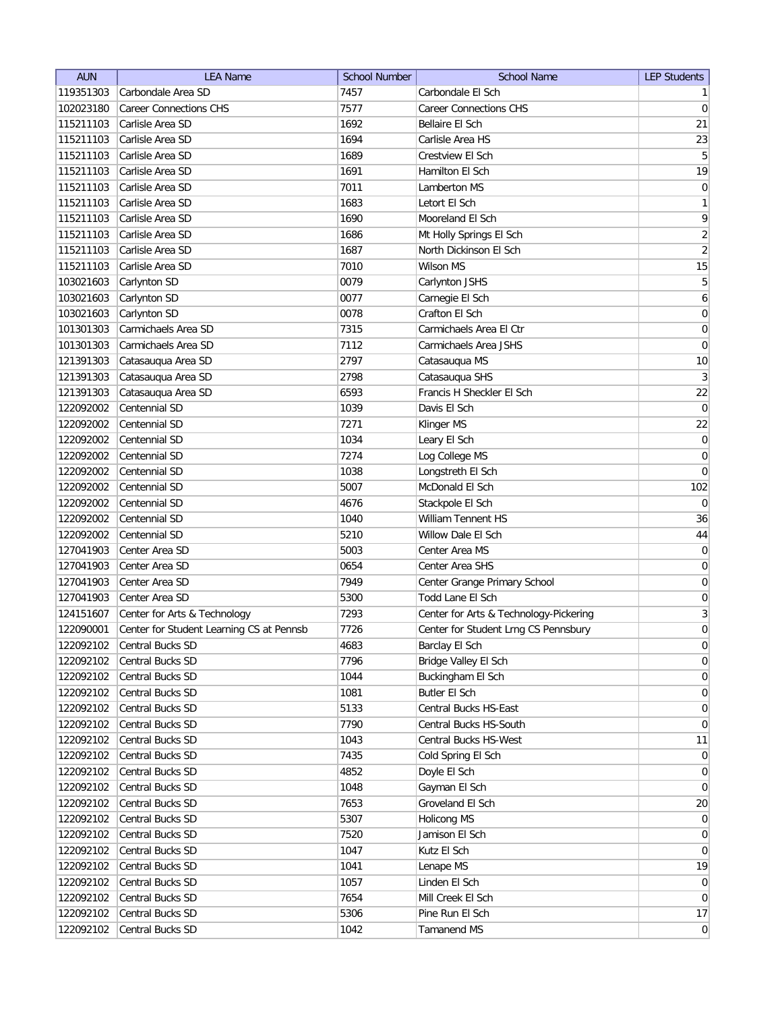| <b>AUN</b> | <b>LEA Name</b>                          | <b>School Number</b> | <b>School Name</b>                     | <b>LEP Students</b>              |
|------------|------------------------------------------|----------------------|----------------------------------------|----------------------------------|
| 119351303  | Carbondale Area SD                       | 7457                 | Carbondale El Sch                      | 1                                |
| 102023180  | <b>Career Connections CHS</b>            | 7577                 | <b>Career Connections CHS</b>          | 0                                |
| 115211103  | Carlisle Area SD                         | 1692                 | Bellaire El Sch                        | 21                               |
| 115211103  | Carlisle Area SD                         | 1694                 | Carlisle Area HS                       | 23                               |
| 115211103  | Carlisle Area SD                         | 1689                 | Crestview El Sch                       | $\overline{5}$                   |
| 115211103  | Carlisle Area SD                         | 1691                 | Hamilton El Sch                        | 19                               |
| 115211103  | Carlisle Area SD                         | 7011                 | Lamberton MS                           | $\overline{0}$                   |
| 115211103  | Carlisle Area SD                         | 1683                 | Letort El Sch                          | $\mathbf{1}$                     |
| 115211103  | Carlisle Area SD                         | 1690                 | Mooreland El Sch                       | 9                                |
| 115211103  | Carlisle Area SD                         | 1686                 | Mt Holly Springs El Sch                | $\overline{2}$                   |
| 115211103  | Carlisle Area SD                         | 1687                 | North Dickinson El Sch                 | $\overline{2}$                   |
| 115211103  | Carlisle Area SD                         | 7010                 | Wilson MS                              | 15                               |
| 103021603  | Carlynton SD                             | 0079                 | Carlynton JSHS                         | 5                                |
| 103021603  | Carlynton SD                             | 0077                 | Carnegie El Sch                        | 6                                |
| 103021603  | Carlynton SD                             | 0078                 | Crafton El Sch                         | 0                                |
| 101301303  | Carmichaels Area SD                      | 7315                 | Carmichaels Area El Ctr                | 0                                |
| 101301303  | Carmichaels Area SD                      | 7112                 | Carmichaels Area JSHS                  | 0                                |
| 121391303  | Catasauqua Area SD                       | 2797                 | Catasauqua MS                          | 10                               |
| 121391303  | Catasauqua Area SD                       | 2798                 | Catasauqua SHS                         | $\vert 3 \vert$                  |
| 121391303  | Catasauqua Area SD                       | 6593                 | Francis H Sheckler El Sch              | $22\,$                           |
| 122092002  | Centennial SD                            | 1039                 | Davis El Sch                           | $\overline{0}$                   |
| 122092002  | Centennial SD                            | 7271                 | Klinger MS                             | 22                               |
| 122092002  | Centennial SD                            | 1034                 | Leary El Sch                           | 0                                |
| 122092002  | Centennial SD                            | 7274                 | Log College MS                         | $\boldsymbol{0}$                 |
| 122092002  | Centennial SD                            | 1038                 | Longstreth El Sch                      | $\vert 0 \vert$                  |
| 122092002  | Centennial SD                            | 5007                 | McDonald El Sch                        | 102                              |
| 122092002  | Centennial SD                            | 4676                 | Stackpole El Sch                       | $\overline{0}$                   |
| 122092002  | Centennial SD                            | 1040                 | William Tennent HS                     | 36                               |
| 122092002  | Centennial SD                            | 5210                 | Willow Dale El Sch                     | 44                               |
| 127041903  | Center Area SD                           | 5003                 | Center Area MS                         | 0                                |
| 127041903  | Center Area SD                           | 0654                 | Center Area SHS                        | 0                                |
| 127041903  | Center Area SD                           | 7949                 | Center Grange Primary School           | 0                                |
| 127041903  | Center Area SD                           | 5300                 | Todd Lane El Sch                       | $\overline{0}$                   |
| 124151607  | Center for Arts & Technology             | 7293                 | Center for Arts & Technology-Pickering | $\vert 3 \vert$                  |
| 122090001  | Center for Student Learning CS at Pennsb | 7726                 | Center for Student Lrng CS Pennsbury   | $\mathbf 0$                      |
| 122092102  | Central Bucks SD                         | 4683                 | Barclay El Sch                         | $\overline{0}$                   |
| 122092102  | Central Bucks SD                         | 7796                 | Bridge Valley El Sch                   | $\overline{0}$                   |
| 122092102  | Central Bucks SD                         | 1044                 | Buckingham El Sch                      | 0                                |
| 122092102  | Central Bucks SD                         | 1081                 | <b>Butler El Sch</b>                   | $\vert 0 \vert$                  |
| 122092102  | Central Bucks SD                         | 5133                 | Central Bucks HS-East                  | $\overline{0}$                   |
| 122092102  | Central Bucks SD                         | 7790                 | Central Bucks HS-South                 | $\overline{0}$                   |
| 122092102  | Central Bucks SD                         | 1043                 | Central Bucks HS-West                  | 11                               |
| 122092102  | Central Bucks SD                         | 7435                 | Cold Spring El Sch                     | $\overline{0}$                   |
| 122092102  | Central Bucks SD                         | 4852                 | Doyle El Sch                           | $\overline{0}$                   |
| 122092102  | Central Bucks SD                         | 1048                 |                                        | $\overline{0}$                   |
|            | Central Bucks SD                         | 7653                 | Gayman El Sch<br>Groveland El Sch      | 20                               |
| 122092102  |                                          |                      | Holicong MS                            |                                  |
| 122092102  | Central Bucks SD<br>Central Bucks SD     | 5307<br>7520         |                                        | $\overline{0}$<br>$\overline{0}$ |
| 122092102  | Central Bucks SD                         | 1047                 | Jamison El Sch<br>Kutz El Sch          | $\overline{0}$                   |
| 122092102  |                                          |                      |                                        |                                  |
| 122092102  | Central Bucks SD                         | 1041<br>1057         | Lenape MS                              | 19                               |
| 122092102  | Central Bucks SD                         |                      | Linden El Sch                          | $\overline{0}$                   |
| 122092102  | Central Bucks SD                         | 7654                 | Mill Creek El Sch                      | $\overline{0}$                   |
| 122092102  | Central Bucks SD                         | 5306                 | Pine Run El Sch                        | 17                               |
| 122092102  | Central Bucks SD                         | 1042                 | Tamanend MS                            | 0                                |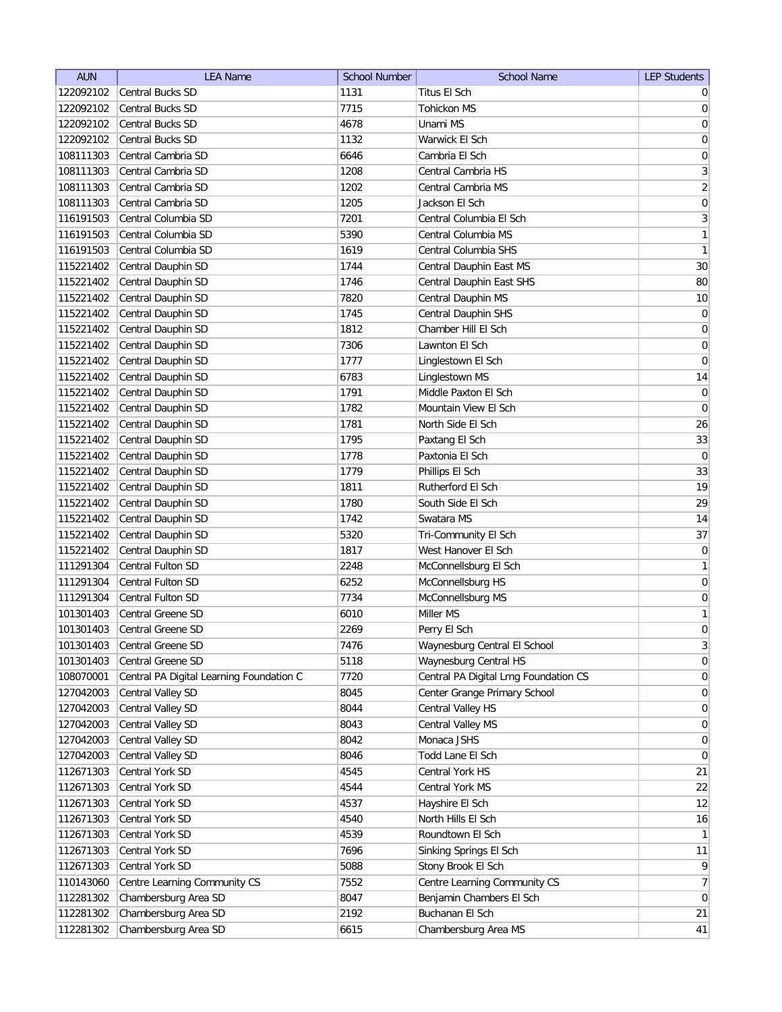| <b>AUN</b>             | <b>LEA Name</b>                              | <b>School Number</b> | <b>School Name</b>                    | <b>LEP Students</b> |
|------------------------|----------------------------------------------|----------------------|---------------------------------------|---------------------|
| 122092102              | <b>Central Bucks SD</b>                      | 1131                 | Titus El Sch                          | $\overline{0}$      |
| 122092102              | <b>Central Bucks SD</b>                      | 7715                 | <b>Tohickon MS</b>                    | 0                   |
| 122092102              | Central Bucks SD                             | 4678                 | Unami MS                              | 0                   |
| 122092102              | <b>Central Bucks SD</b>                      | 1132                 | Warwick El Sch                        | 0                   |
| 108111303              | Central Cambria SD                           | 6646                 | Cambria El Sch                        | $\boldsymbol{0}$    |
| 108111303              | Central Cambria SD                           | 1208                 | Central Cambria HS                    | $\overline{3}$      |
| 108111303              | Central Cambria SD                           | 1202                 | Central Cambria MS                    | $\overline{2}$      |
| 108111303              | Central Cambria SD                           | 1205                 | Jackson El Sch                        | 0                   |
| 116191503              | Central Columbia SD                          | 7201                 | Central Columbia El Sch               | 3                   |
| 116191503              | Central Columbia SD                          | 5390                 | Central Columbia MS                   | 1                   |
| 116191503              | Central Columbia SD                          | 1619                 | Central Columbia SHS                  | $\mathbf{1}$        |
| 115221402              | Central Dauphin SD                           | 1744                 | Central Dauphin East MS               | 30                  |
| 115221402              | Central Dauphin SD                           | 1746                 | Central Dauphin East SHS              | 80                  |
| 115221402              | Central Dauphin SD                           | 7820                 | Central Dauphin MS                    | 10                  |
| 115221402              | Central Dauphin SD                           | 1745                 | Central Dauphin SHS                   | $\overline{0}$      |
| 115221402              | Central Dauphin SD                           | 1812                 | Chamber Hill El Sch                   | $\overline{0}$      |
| 115221402              | Central Dauphin SD                           | 7306                 | Lawnton El Sch                        | $\overline{0}$      |
| 115221402              | Central Dauphin SD                           | 1777                 | Linglestown El Sch                    | $\mathbf 0$         |
| 115221402              | Central Dauphin SD                           | 6783                 | Linglestown MS                        | 14                  |
| 115221402              | Central Dauphin SD                           | 1791                 | Middle Paxton El Sch                  | 0                   |
| 115221402              | Central Dauphin SD                           | 1782                 | Mountain View El Sch                  | $\overline{0}$      |
| 115221402              | Central Dauphin SD                           | 1781                 | North Side El Sch                     | 26                  |
| 115221402              | Central Dauphin SD                           | 1795                 | Paxtang El Sch                        | 33                  |
| 115221402              | Central Dauphin SD                           | 1778                 | Paxtonia El Sch                       | $\overline{0}$      |
| 115221402              | Central Dauphin SD                           | 1779                 | Phillips El Sch                       | 33                  |
| 115221402              | Central Dauphin SD                           | 1811                 | Rutherford El Sch                     | 19                  |
| 115221402              | Central Dauphin SD                           | 1780                 | South Side El Sch                     | 29                  |
| 115221402              | Central Dauphin SD                           | 1742                 | Swatara MS                            | 14                  |
| 115221402              | Central Dauphin SD                           | 5320                 | Tri-Community El Sch                  | 37                  |
| 115221402              | Central Dauphin SD                           | 1817                 | West Hanover El Sch                   | $\overline{0}$      |
| 111291304              | Central Fulton SD                            | 2248                 | McConnellsburg El Sch                 | 1                   |
| 111291304              | Central Fulton SD                            | 6252                 | McConnellsburg HS                     | $\overline{0}$      |
| 111291304              | Central Fulton SD                            | 7734                 | McConnellsburg MS                     | $\overline{0}$      |
| 101301403              | Central Greene SD                            | 6010                 | Miller MS                             | 1                   |
| 101301403              | Central Greene SD                            | 2269                 | Perry El Sch                          | 0                   |
| 101301403              | Central Greene SD                            | 7476                 | Waynesburg Central El School          | 3 <sup>2</sup>      |
| 101301403              | <b>Central Greene SD</b>                     | 5118                 | Waynesburg Central HS                 | 0                   |
| 108070001              | Central PA Digital Learning Foundation C     | 7720                 | Central PA Digital Lrng Foundation CS | 0                   |
| 127042003              | Central Valley SD                            | 8045                 | Center Grange Primary School          | $\vert 0 \vert$     |
| 127042003              | Central Valley SD                            | 8044                 | Central Valley HS                     | $\overline{0}$      |
| 127042003              | Central Valley SD                            | 8043                 | Central Valley MS                     | $\overline{0}$      |
| 127042003              | Central Valley SD                            | 8042                 | Monaca JSHS                           | $\overline{0}$      |
| 127042003              | Central Valley SD                            | 8046                 | Todd Lane El Sch                      | $\overline{0}$      |
| 112671303              | Central York SD                              | 4545                 | Central York HS                       | 21                  |
| 112671303              | Central York SD                              | 4544                 | Central York MS                       | 22                  |
| 112671303              | Central York SD                              | 4537                 | Hayshire El Sch                       | 12                  |
| 112671303              | Central York SD                              | 4540                 | North Hills El Sch                    | 16                  |
|                        | Central York SD                              | 4539                 | Roundtown El Sch                      | 1                   |
| 112671303<br>112671303 | Central York SD                              | 7696                 | Sinking Springs El Sch                | 11                  |
| 112671303              | Central York SD                              | 5088                 | Stony Brook El Sch                    | $\vert 9 \vert$     |
| 110143060              | Centre Learning Community CS                 | 7552                 | Centre Learning Community CS          | 7 <sup>1</sup>      |
|                        |                                              | 8047                 | Benjamin Chambers El Sch              | $\overline{0}$      |
| 112281302<br>112281302 | Chambersburg Area SD<br>Chambersburg Area SD | 2192                 | Buchanan El Sch                       | 21                  |
|                        | Chambersburg Area SD                         |                      |                                       | 41                  |
| 112281302              |                                              | 6615                 | Chambersburg Area MS                  |                     |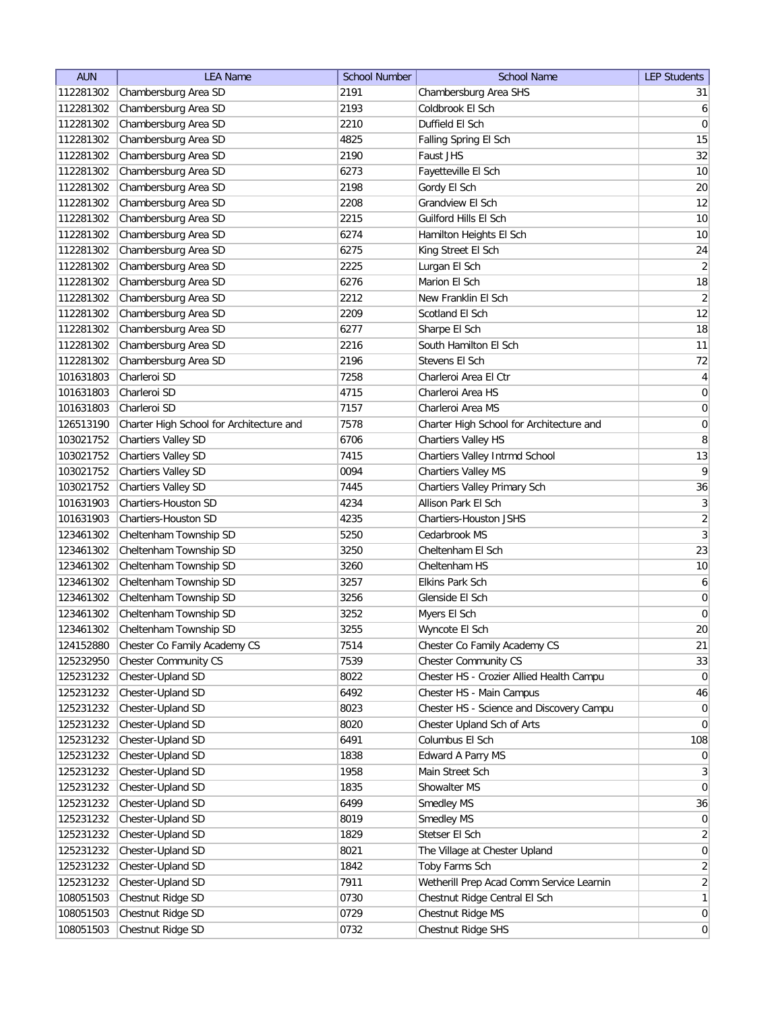| <b>AUN</b>             | <b>LEA Name</b>                                  | <b>School Number</b> | <b>School Name</b>                       | <b>LEP Students</b>          |
|------------------------|--------------------------------------------------|----------------------|------------------------------------------|------------------------------|
| 112281302              | Chambersburg Area SD                             | 2191                 | Chambersburg Area SHS                    | 31                           |
| 112281302              | Chambersburg Area SD                             | 2193                 | Coldbrook El Sch                         | $6 \mid$                     |
| 112281302              | Chambersburg Area SD                             | 2210                 | Duffield El Sch                          | 0                            |
| 112281302              | Chambersburg Area SD                             | 4825                 | Falling Spring El Sch                    | 15                           |
| 112281302              | Chambersburg Area SD                             | 2190                 | Faust JHS                                | 32                           |
| 112281302              | Chambersburg Area SD                             | 6273                 | Fayetteville El Sch                      | 10                           |
| 112281302              | Chambersburg Area SD                             | 2198                 | Gordy El Sch                             | 20                           |
| 112281302              | Chambersburg Area SD                             | 2208                 | <b>Grandview El Sch</b>                  | 12                           |
| 112281302              | Chambersburg Area SD                             | 2215                 | Guilford Hills El Sch                    | 10                           |
| 112281302              | Chambersburg Area SD                             | 6274                 | Hamilton Heights El Sch                  | 10                           |
| 112281302              | Chambersburg Area SD                             | 6275                 | King Street El Sch                       | 24                           |
| 112281302              | Chambersburg Area SD                             | 2225                 | Lurgan El Sch                            | $\left  \right $             |
| 112281302              | Chambersburg Area SD                             | 6276                 | Marion El Sch                            | 18                           |
| 112281302              | Chambersburg Area SD                             | 2212                 | New Franklin El Sch                      | $\left  \right $             |
| 112281302              | Chambersburg Area SD                             | 2209                 | Scotland El Sch                          | 12                           |
| 112281302              | Chambersburg Area SD                             | 6277                 | Sharpe El Sch                            | 18                           |
| 112281302              | Chambersburg Area SD                             | 2216                 | South Hamilton El Sch                    | 11                           |
| 112281302              | Chambersburg Area SD                             | 2196                 | Stevens El Sch                           | 72                           |
| 101631803              | Charleroi SD                                     | 7258                 | Charleroi Area El Ctr                    | $\vert 4 \vert$              |
| 101631803              | Charleroi SD                                     | 4715                 | Charleroi Area HS                        | $\overline{0}$               |
| 101631803              | Charleroi SD                                     | 7157                 | Charleroi Area MS                        | 0                            |
| 126513190              | Charter High School for Architecture and         | 7578                 | Charter High School for Architecture and | $\boldsymbol{0}$             |
| 103021752              | <b>Chartiers Valley SD</b>                       | 6706                 | Chartiers Valley HS                      | 8                            |
| 103021752              | <b>Chartiers Valley SD</b>                       | 7415                 | Chartiers Valley Intrmd School           | 13                           |
| 103021752              | Chartiers Valley SD                              | 0094                 | Chartiers Valley MS                      | $\overline{9}$               |
| 103021752              | Chartiers Valley SD                              | 7445                 | Chartiers Valley Primary Sch             | 36                           |
| 101631903              | Chartiers-Houston SD                             | 4234                 | Allison Park El Sch                      | 3                            |
| 101631903              | Chartiers-Houston SD                             | 4235                 | Chartiers-Houston JSHS                   | $\left  \right $             |
|                        |                                                  | 5250                 | Cedarbrook MS                            | 3                            |
| 123461302<br>123461302 | Cheltenham Township SD                           | 3250                 |                                          | 23                           |
| 123461302              | Cheltenham Township SD<br>Cheltenham Township SD | 3260                 | Cheltenham El Sch<br>Cheltenham HS       | 10                           |
| 123461302              | Cheltenham Township SD                           | 3257                 | Elkins Park Sch                          | $\boldsymbol{6}$             |
|                        | Cheltenham Township SD                           | 3256                 | Glenside El Sch                          | $\pmb{0}$                    |
| 123461302              |                                                  |                      |                                          |                              |
| 123461302              | Cheltenham Township SD                           | 3252                 | Myers El Sch                             | 0 <br>20                     |
| 123461302              | Cheltenham Township SD                           | 3255                 | Wyncote El Sch                           |                              |
| 124152880              | Chester Co Family Academy CS                     | 7514                 | Chester Co Family Academy CS             | 21                           |
| 125232950              | Chester Community CS                             | 7539                 | <b>Chester Community CS</b>              | 33                           |
| 125231232              | Chester-Upland SD                                | 8022                 | Chester HS - Crozier Allied Health Campu | $\overline{0}$               |
| 125231232              | Chester-Upland SD                                | 6492                 | Chester HS - Main Campus                 | 46                           |
| 125231232              | Chester-Upland SD                                | 8023                 | Chester HS - Science and Discovery Campu | $\overline{0}$               |
| 125231232              | Chester-Upland SD                                | 8020                 | Chester Upland Sch of Arts               | $\overline{0}$               |
| 125231232              | Chester-Upland SD                                | 6491                 | Columbus El Sch                          | 108                          |
| 125231232              | Chester-Upland SD                                | 1838                 | Edward A Parry MS                        | $\overline{0}$               |
| 125231232              | Chester-Upland SD                                | 1958                 | Main Street Sch                          | $\left  \frac{3}{2} \right $ |
| 125231232              | Chester-Upland SD                                | 1835                 | Showalter MS                             | 0                            |
| 125231232              | Chester-Upland SD                                | 6499                 | Smedley MS                               | 36                           |
| 125231232              | Chester-Upland SD                                | 8019                 | Smedley MS                               | 0                            |
| 125231232              | Chester-Upland SD                                | 1829                 | Stetser El Sch                           | $\left  \right $             |
| 125231232              | Chester-Upland SD                                | 8021                 | The Village at Chester Upland            | 0                            |
| 125231232              | Chester-Upland SD                                | 1842                 | Toby Farms Sch                           | $\overline{2}$               |
| 125231232              | Chester-Upland SD                                | 7911                 | Wetherill Prep Acad Comm Service Learnin | $\overline{2}$               |
| 108051503              | Chestnut Ridge SD                                | 0730                 | Chestnut Ridge Central El Sch            | 1                            |
| 108051503              | Chestnut Ridge SD                                | 0729                 | Chestnut Ridge MS                        | $\overline{0}$               |
| 108051503              | Chestnut Ridge SD                                | 0732                 | Chestnut Ridge SHS                       | $\vert 0 \vert$              |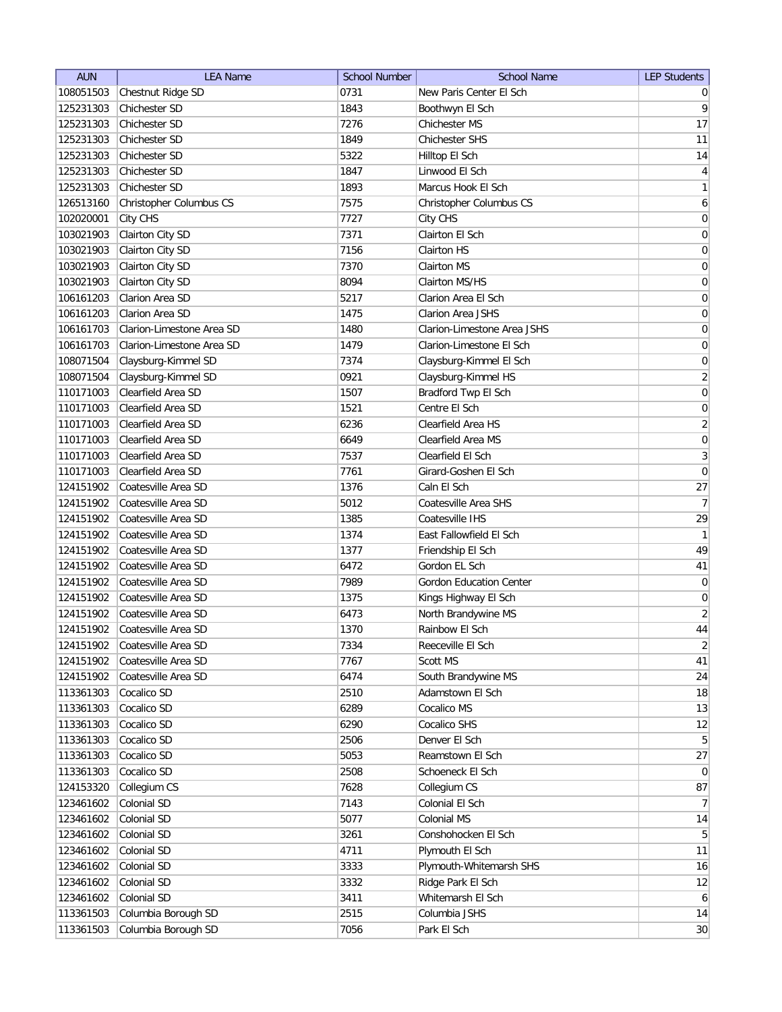| <b>AUN</b><br><b>LEA Name</b>                  | <b>School Name</b><br><b>LEP Students</b><br><b>School Number</b> |
|------------------------------------------------|-------------------------------------------------------------------|
| Chestnut Ridge SD<br>0731<br>108051503         | New Paris Center El Sch<br>$\overline{0}$                         |
| Chichester SD<br>125231303<br>1843             | 9<br>Boothwyn El Sch                                              |
| Chichester SD<br>7276<br>125231303             | 17<br>Chichester MS                                               |
| 125231303<br>1849<br>Chichester SD             | 11<br>Chichester SHS                                              |
| 125231303<br>Chichester SD<br>5322             | 14<br>Hilltop El Sch                                              |
| 125231303<br>Chichester SD<br>1847             | $\overline{4}$<br>Linwood El Sch                                  |
| 125231303<br>Chichester SD<br>1893             | Marcus Hook El Sch<br>$\mathbf{1}$                                |
| 126513160<br>7575<br>Christopher Columbus CS   | 6<br>Christopher Columbus CS                                      |
| 7727<br>102020001<br>City CHS                  | $\boldsymbol{0}$<br>City CHS                                      |
| Clairton City SD<br>103021903<br>7371          | Clairton El Sch<br>$\boldsymbol{0}$                               |
| Clairton City SD<br>103021903<br>7156          | Clairton HS<br>0                                                  |
| Clairton City SD<br>7370<br>103021903          | 0<br>Clairton MS                                                  |
| Clairton City SD<br>8094<br>103021903          | $\overline{0}$<br>Clairton MS/HS                                  |
| Clarion Area SD<br>106161203<br>5217           | 0<br>Clarion Area El Sch                                          |
| Clarion Area SD<br>106161203<br>1475           | Clarion Area JSHS<br>0                                            |
| 106161703<br>Clarion-Limestone Area SD<br>1480 | Clarion-Limestone Area JSHS<br>0                                  |
| 106161703<br>Clarion-Limestone Area SD<br>1479 | $\boldsymbol{0}$<br>Clarion-Limestone El Sch                      |
| 108071504<br>Claysburg-Kimmel SD<br>7374       | $\boldsymbol{0}$<br>Claysburg-Kimmel El Sch                       |
| 0921<br>108071504<br>Claysburg-Kimmel SD       | $\overline{2}$<br>Claysburg-Kimmel HS                             |
| Clearfield Area SD<br>110171003<br>1507        | $\sigma$<br>Bradford Twp El Sch                                   |
| Clearfield Area SD<br>110171003<br>1521        | $\mathsf{O}\xspace$<br>Centre El Sch                              |
| Clearfield Area SD<br>110171003<br>6236        | $\overline{2}$<br>Clearfield Area HS                              |
| Clearfield Area SD<br>110171003<br>6649        | $\boldsymbol{0}$<br>Clearfield Area MS                            |
| Clearfield Area SD<br>110171003<br>7537        | $\overline{3}$<br>Clearfield El Sch                               |
| Clearfield Area SD<br>7761<br>110171003        | $\boldsymbol{0}$<br>Girard-Goshen El Sch                          |
| 124151902<br>Coatesville Area SD<br>1376       | Caln El Sch<br>27                                                 |
| Coatesville Area SD<br>124151902<br>5012       | 7<br>Coatesville Area SHS                                         |
| 124151902<br>Coatesville Area SD<br>1385       | Coatesville IHS<br>29                                             |
| 1374<br>124151902<br>Coatesville Area SD       | $\mathbf{1}$<br>East Fallowfield El Sch                           |
| Coatesville Area SD<br>1377<br>124151902       | 49<br>Friendship El Sch                                           |
| 124151902<br>Coatesville Area SD<br>6472       | 41<br>Gordon EL Sch                                               |
| 124151902<br>Coatesville Area SD<br>7989       | <b>Gordon Education Center</b><br>$\overline{0}$                  |
| 124151902<br>Coatesville Area SD<br>1375       | $\boldsymbol{0}$<br>Kings Highway El Sch                          |
| 124151902<br>Coatesville Area SD<br>6473       | $\overline{2}$<br>North Brandywine MS                             |
| 124151902<br>Coatesville Area SD<br>1370       | 44<br>Rainbow El Sch                                              |
| 124151902<br>Coatesville Area SD<br>7334       | Reeceville El Sch<br>$\overline{2}$                               |
| Coatesville Area SD<br>124151902<br>7767       | 41<br>Scott MS                                                    |
| Coatesville Area SD<br>6474<br>124151902       | South Brandywine MS<br>24                                         |
| Cocalico SD<br>2510<br>113361303               | 18<br>Adamstown El Sch                                            |
| 113361303<br>Cocalico SD<br>6289               | Cocalico MS<br>13                                                 |
| 113361303<br>Cocalico SD<br>6290               | Cocalico SHS<br>12                                                |
| Cocalico SD<br>113361303<br>2506               | 5 <sup>1</sup><br>Denver El Sch                                   |
| Cocalico SD<br>5053<br>113361303               | 27<br>Reamstown El Sch                                            |
| Cocalico SD<br>113361303<br>2508               | Schoeneck El Sch<br>$\overline{0}$                                |
| 124153320<br>7628<br>Collegium CS              | 87<br>Collegium CS                                                |
| 123461602<br>Colonial SD<br>7143               | 7<br>Colonial El Sch                                              |
| Colonial SD<br>123461602<br>5077               | Colonial MS<br>14                                                 |
| 123461602<br>Colonial SD<br>3261               | 5 <sup>1</sup><br>Conshohocken El Sch                             |
| 123461602<br>Colonial SD<br>4711               | 11<br>Plymouth El Sch                                             |
| Colonial SD<br>123461602<br>3333               | Plymouth-Whitemarsh SHS<br>16                                     |
| Colonial SD<br>123461602<br>3332               | Ridge Park El Sch<br>12                                           |
| Colonial SD<br>123461602<br>3411               | Whitemarsh El Sch<br>$6 \mid$                                     |
| 113361503<br>Columbia Borough SD<br>2515       | Columbia JSHS<br> 14                                              |
| 113361503<br>Columbia Borough SD<br>7056       | Park El Sch<br>30                                                 |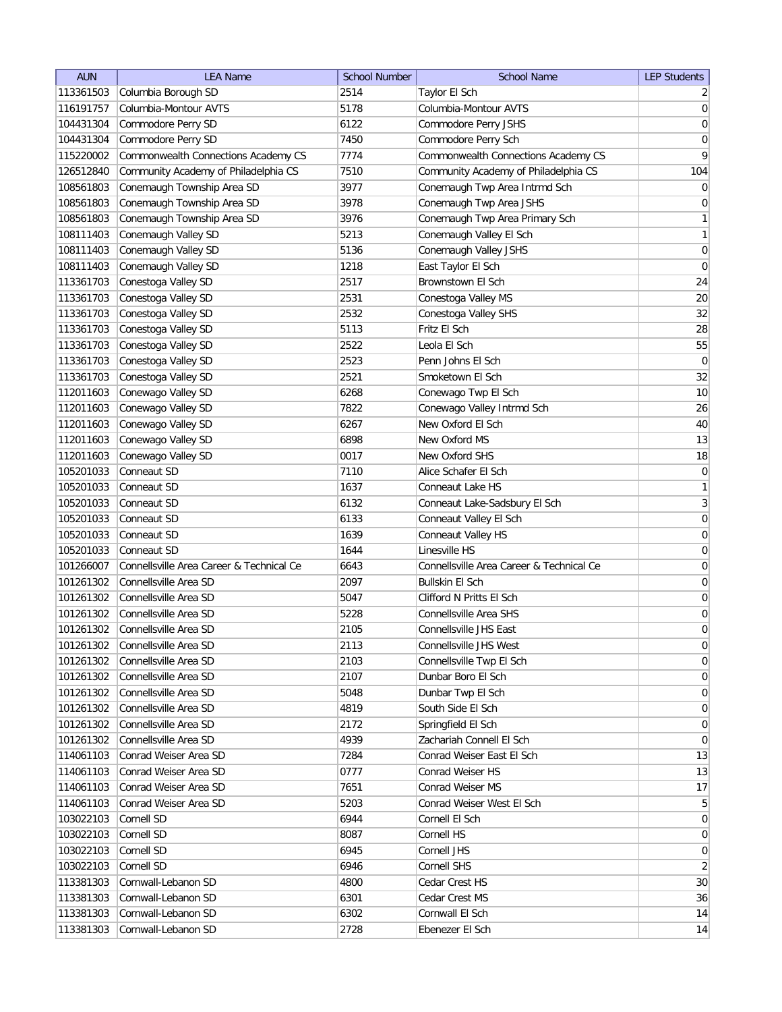| <b>AUN</b>             | <b>LEA Name</b>                          | <b>School Number</b> | <b>School Name</b>                              | <b>LEP Students</b> |
|------------------------|------------------------------------------|----------------------|-------------------------------------------------|---------------------|
| 113361503              | Columbia Borough SD                      | 2514                 | Taylor El Sch                                   | $\overline{2}$      |
| 116191757              | Columbia-Montour AVTS                    | 5178                 | Columbia-Montour AVTS                           | $\vert 0 \vert$     |
| 104431304              | Commodore Perry SD                       | 6122                 | Commodore Perry JSHS                            | 0                   |
| 104431304              | Commodore Perry SD                       | 7450                 | Commodore Perry Sch                             | $\boldsymbol{0}$    |
| 115220002              | Commonwealth Connections Academy CS      | 7774                 | Commonwealth Connections Academy CS             | 9                   |
| 126512840              | Community Academy of Philadelphia CS     | 7510                 | Community Academy of Philadelphia CS            | 104                 |
| 108561803              | Conemaugh Township Area SD               | 3977                 | Conemaugh Twp Area Intrmd Sch                   | $\overline{0}$      |
| 108561803              | Conemaugh Township Area SD               | 3978                 | Conemaugh Twp Area JSHS                         | $\boldsymbol{0}$    |
| 108561803              | Conemaugh Township Area SD               | 3976                 | Conemaugh Twp Area Primary Sch                  | $\mathbf{1}$        |
| 108111403              | Conemaugh Valley SD                      | 5213                 | Conemaugh Valley El Sch                         | $\mathbf{1}$        |
| 108111403              | Conemaugh Valley SD                      | 5136                 | Conemaugh Valley JSHS                           | 0                   |
| 108111403              | Conemaugh Valley SD                      | 1218                 | East Taylor El Sch                              | $\overline{0}$      |
| 113361703              | Conestoga Valley SD                      | 2517                 | Brownstown El Sch                               | 24                  |
| 113361703              | Conestoga Valley SD                      | 2531                 | Conestoga Valley MS                             | 20                  |
| 113361703              | Conestoga Valley SD                      | 2532                 | Conestoga Valley SHS                            | 32                  |
| 113361703              | Conestoga Valley SD                      | 5113                 | Fritz El Sch                                    | 28                  |
| 113361703              | Conestoga Valley SD                      | 2522                 | Leola El Sch                                    | 55                  |
| 113361703              | Conestoga Valley SD                      | 2523                 | Penn Johns El Sch                               | $\boldsymbol{0}$    |
| 113361703              | Conestoga Valley SD                      | 2521                 | Smoketown El Sch                                | 32                  |
| 112011603              | Conewago Valley SD                       | 6268                 | Conewago Twp El Sch                             | 10                  |
| 112011603              |                                          | 7822                 |                                                 | 26                  |
|                        | Conewago Valley SD                       |                      | Conewago Valley Intrmd Sch<br>New Oxford El Sch | 40                  |
| 112011603<br>112011603 | Conewago Valley SD<br>Conewago Valley SD | 6267<br>6898         | New Oxford MS                                   | 13                  |
|                        |                                          |                      |                                                 | 18                  |
| 112011603              | Conewago Valley SD<br>Conneaut SD        | 0017                 | New Oxford SHS                                  |                     |
| 105201033              |                                          | 7110                 | Alice Schafer El Sch                            | $\boldsymbol{0}$    |
| 105201033              | Conneaut SD                              | 1637                 | Conneaut Lake HS                                | 1                   |
| 105201033              | Conneaut SD                              | 6132                 | Conneaut Lake-Sadsbury El Sch                   | 3                   |
| 105201033              | Conneaut SD                              | 6133                 | Conneaut Valley El Sch                          | $\boldsymbol{0}$    |
| 105201033              | Conneaut SD                              | 1639                 | Conneaut Valley HS                              | $\boldsymbol{0}$    |
| 105201033              | Conneaut SD                              | 1644                 | Linesville HS                                   | $\boldsymbol{0}$    |
| 101266007              | Connellsville Area Career & Technical Ce | 6643                 | Connellsville Area Career & Technical Ce        | 0                   |
| 101261302              | Connellsville Area SD                    | 2097                 | <b>Bullskin El Sch</b>                          | $\boldsymbol{0}$    |
| 101261302              | Connellsville Area SD                    | 5047                 | Clifford N Pritts El Sch                        | $\boldsymbol{0}$    |
| 101261302              | Connellsville Area SD                    | 5228                 | <b>Connellsville Area SHS</b>                   | $\boldsymbol{0}$    |
| 101261302              | Connellsville Area SD                    | 2105                 | Connellsville JHS East                          | $\overline{0}$      |
| 101261302              | Connellsville Area SD                    | 2113                 | Connellsville JHS West                          | 0                   |
| 101261302              | Connellsville Area SD                    | 2103                 | Connellsville Twp El Sch                        | 0                   |
| 101261302              | Connellsville Area SD                    | 2107                 | Dunbar Boro El Sch                              | $\overline{0}$      |
| 101261302              | Connellsville Area SD                    | 5048                 | Dunbar Twp El Sch                               | $\overline{0}$      |
| 101261302              | Connellsville Area SD                    | 4819                 | South Side El Sch                               | $\overline{0}$      |
| 101261302              | Connellsville Area SD                    | 2172                 | Springfield El Sch                              | 0                   |
| 101261302              | Connellsville Area SD                    | 4939                 | Zachariah Connell El Sch                        | $\overline{0}$      |
| 114061103              | Conrad Weiser Area SD                    | 7284                 | Conrad Weiser East El Sch                       | 13                  |
| 114061103              | Conrad Weiser Area SD                    | 0777                 | Conrad Weiser HS                                | 13                  |
| 114061103              | Conrad Weiser Area SD                    | 7651                 | Conrad Weiser MS                                | 17                  |
| 114061103              | Conrad Weiser Area SD                    | 5203                 | Conrad Weiser West El Sch                       | 5                   |
| 103022103              | Cornell SD                               | 6944                 | Cornell El Sch                                  | 0                   |
| 103022103              | Cornell SD                               | 8087                 | Cornell HS                                      | $\overline{0}$      |
| 103022103              | Cornell SD                               | 6945                 | Cornell JHS                                     | 0                   |
| 103022103              | Cornell SD                               | 6946                 | Cornell SHS                                     | $\overline{2}$      |
| 113381303              | Cornwall-Lebanon SD                      | 4800                 | Cedar Crest HS                                  | 30                  |
| 113381303              | Cornwall-Lebanon SD                      | 6301                 | Cedar Crest MS                                  | 36                  |
| 113381303              | Cornwall-Lebanon SD                      | 6302                 | Cornwall El Sch                                 | 14                  |
| 113381303              | Cornwall-Lebanon SD                      | 2728                 | Ebenezer El Sch                                 | 14                  |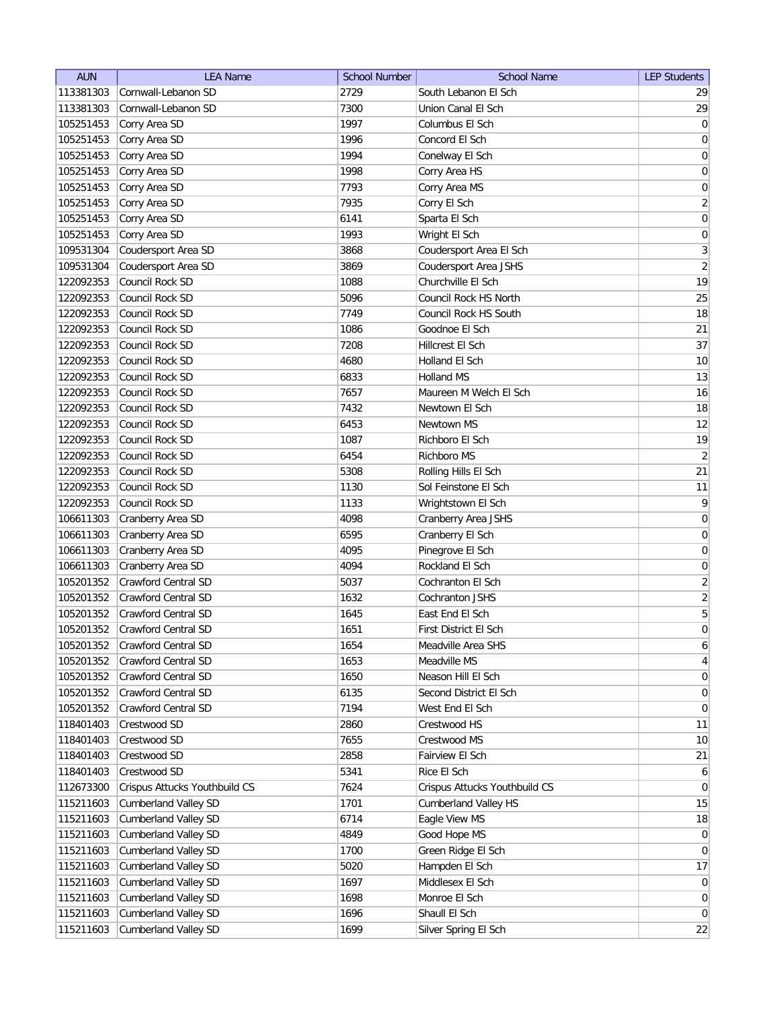| <b>AUN</b>             | <b>LEA Name</b>                                     | <b>School Number</b> | <b>School Name</b>                           | <b>LEP Students</b> |
|------------------------|-----------------------------------------------------|----------------------|----------------------------------------------|---------------------|
| 113381303              | Cornwall-Lebanon SD                                 | 2729                 | South Lebanon El Sch                         | 29                  |
| 113381303              | Cornwall-Lebanon SD                                 | 7300                 | Union Canal El Sch                           | 29                  |
| 105251453              | Corry Area SD                                       | 1997                 | Columbus El Sch                              | 0                   |
| 105251453              | Corry Area SD                                       | 1996                 | Concord El Sch                               | $\boldsymbol{0}$    |
| 105251453              | Corry Area SD                                       | 1994                 | Conelway El Sch                              | $\boldsymbol{0}$    |
| 105251453              | Corry Area SD                                       | 1998                 | Corry Area HS                                | $\boldsymbol{0}$    |
| 105251453              | Corry Area SD                                       | 7793                 | Corry Area MS                                | 0                   |
| 105251453              | Corry Area SD                                       | 7935                 | Corry El Sch                                 | $\overline{2}$      |
| 105251453              | Corry Area SD                                       | 6141                 | Sparta El Sch                                | $\boldsymbol{0}$    |
| 105251453              | Corry Area SD                                       | 1993                 | Wright El Sch                                | $\boldsymbol{0}$    |
| 109531304              | Coudersport Area SD                                 | 3868                 | Coudersport Area El Sch                      | 3                   |
| 109531304              | Coudersport Area SD                                 | 3869                 | Coudersport Area JSHS                        | $\overline{2}$      |
| 122092353              | Council Rock SD                                     | 1088                 | Churchville El Sch                           | 19                  |
| 122092353              | Council Rock SD                                     | 5096                 | Council Rock HS North                        | 25                  |
| 122092353              | Council Rock SD                                     | 7749                 | Council Rock HS South                        | 18                  |
| 122092353              | Council Rock SD                                     | 1086                 | Goodnoe El Sch                               | 21                  |
| 122092353              | Council Rock SD                                     | 7208                 | Hillcrest El Sch                             | 37                  |
| 122092353              | Council Rock SD                                     | 4680                 | Holland El Sch                               | 10                  |
| 122092353              | Council Rock SD                                     | 6833                 | Holland MS                                   | 13                  |
| 122092353              | Council Rock SD                                     | 7657                 | Maureen M Welch El Sch                       | 16                  |
| 122092353              | Council Rock SD                                     | 7432                 | Newtown El Sch                               | 18                  |
| 122092353              | Council Rock SD                                     | 6453                 | Newtown MS                                   | 12                  |
| 122092353              | Council Rock SD                                     | 1087                 | Richboro El Sch                              | 19                  |
| 122092353              | Council Rock SD                                     | 6454                 | Richboro MS                                  | $\overline{2}$      |
| 122092353              | Council Rock SD                                     | 5308                 | Rolling Hills El Sch                         | 21                  |
| 122092353              | Council Rock SD                                     | 1130                 | Sol Feinstone El Sch                         | 11                  |
| 122092353              | Council Rock SD                                     | 1133                 | Wrightstown El Sch                           | 9                   |
| 106611303              | Cranberry Area SD                                   | 4098                 | Cranberry Area JSHS                          | $\boldsymbol{0}$    |
| 106611303              | Cranberry Area SD                                   | 6595                 | Cranberry El Sch                             | 0                   |
| 106611303              | Cranberry Area SD                                   | 4095                 | Pinegrove El Sch                             | 0                   |
| 106611303              | Cranberry Area SD                                   | 4094                 | Rockland El Sch                              | 0                   |
| 105201352              | Crawford Central SD                                 | 5037                 | Cochranton El Sch                            | $\overline{2}$      |
| 105201352              | Crawford Central SD                                 | 1632                 | Cochranton JSHS                              | $\overline{2}$      |
| 105201352              | <b>Crawford Central SD</b>                          | 1645                 | East End El Sch                              | 5                   |
| 105201352              | <b>Crawford Central SD</b>                          | 1651                 | First District El Sch                        | $\overline{0}$      |
| 105201352              | Crawford Central SD                                 | 1654                 | Meadville Area SHS                           | $6 \mid$            |
| 105201352              | Crawford Central SD                                 | 1653                 | Meadville MS                                 | $\vert 4 \vert$     |
| 105201352              | Crawford Central SD                                 | 1650                 | Neason Hill El Sch                           | 0                   |
| 105201352              | Crawford Central SD                                 | 6135                 | Second District El Sch                       | 0                   |
| 105201352              | Crawford Central SD                                 | 7194                 | West End El Sch                              | 0                   |
| 118401403              | Crestwood SD                                        | 2860                 | Crestwood HS                                 | 11                  |
| 118401403              | Crestwood SD                                        | 7655                 | Crestwood MS                                 | 10                  |
| 118401403              | Crestwood SD                                        | 2858                 | Fairview El Sch                              | 21                  |
| 118401403              | Crestwood SD                                        | 5341                 | Rice El Sch                                  | $\mathbf{6}$        |
| 112673300              | Crispus Attucks Youthbuild CS                       | 7624                 | Crispus Attucks Youthbuild CS                | $\overline{0}$      |
|                        |                                                     | 1701                 |                                              | 15                  |
| 115211603<br>115211603 | <b>Cumberland Valley SD</b><br>Cumberland Valley SD | 6714                 | <b>Cumberland Valley HS</b><br>Eagle View MS | 18                  |
| 115211603              | <b>Cumberland Valley SD</b>                         | 4849                 | Good Hope MS                                 | 0                   |
| 115211603              | <b>Cumberland Valley SD</b>                         | 1700                 | Green Ridge El Sch                           | 0                   |
| 115211603              | <b>Cumberland Valley SD</b>                         | 5020                 | Hampden El Sch                               | 17                  |
| 115211603              | <b>Cumberland Valley SD</b>                         | 1697                 | Middlesex El Sch                             | $\overline{0}$      |
| 115211603              | <b>Cumberland Valley SD</b>                         | 1698                 | Monroe El Sch                                | $\overline{0}$      |
| 115211603              | <b>Cumberland Valley SD</b>                         | 1696                 | Shaull El Sch                                | 0                   |
|                        |                                                     | 1699                 |                                              | 22                  |
| 115211603              | <b>Cumberland Valley SD</b>                         |                      | Silver Spring El Sch                         |                     |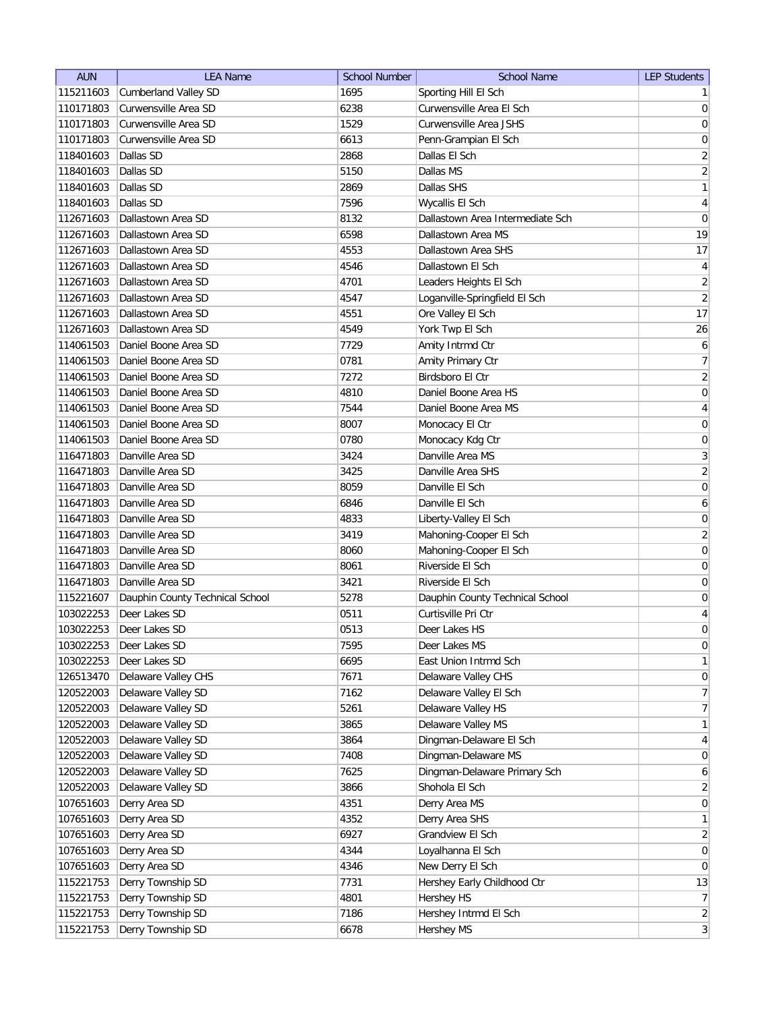| <b>AUN</b>             | <b>LEA Name</b>                 | <b>School Number</b> | <b>School Name</b>                   | <b>LEP Students</b>                     |
|------------------------|---------------------------------|----------------------|--------------------------------------|-----------------------------------------|
| 115211603              | <b>Cumberland Valley SD</b>     | 1695                 | Sporting Hill El Sch                 | $\mathbf{1}$                            |
| 110171803              | Curwensville Area SD            | 6238                 | Curwensville Area El Sch             | $\overline{0}$                          |
| 110171803              | Curwensville Area SD            | 1529                 | Curwensville Area JSHS               | $\boldsymbol{0}$                        |
| 110171803              | Curwensville Area SD            | 6613                 | Penn-Grampian El Sch                 | $\pmb{0}$                               |
| 118401603              | Dallas SD                       | 2868                 | Dallas El Sch                        | $\sqrt{2}$                              |
| 118401603              | Dallas SD                       | 5150                 | Dallas MS                            | $\overline{2}$                          |
| 118401603              | Dallas SD                       | 2869                 | Dallas SHS                           | $\mathbf{1}$                            |
| 118401603              | Dallas SD                       | 7596                 | Wycallis El Sch                      | $\overline{4}$                          |
| 112671603              | Dallastown Area SD              | 8132                 | Dallastown Area Intermediate Sch     | $\boldsymbol{0}$                        |
| 112671603              | Dallastown Area SD              | 6598                 | Dallastown Area MS                   | 19                                      |
| 112671603              | Dallastown Area SD              | 4553                 | Dallastown Area SHS                  | 17                                      |
| 112671603              | Dallastown Area SD              | 4546                 | Dallastown El Sch                    | $\overline{4}$                          |
| 112671603              | Dallastown Area SD              | 4701                 | Leaders Heights El Sch               | $\overline{2}$                          |
| 112671603              | Dallastown Area SD              | 4547                 | Loganville-Springfield El Sch        | $\overline{2}$                          |
| 112671603              | Dallastown Area SD              | 4551                 | Ore Valley El Sch                    | 17                                      |
| 112671603              | Dallastown Area SD              | 4549                 | York Twp El Sch                      | 26                                      |
| 114061503              | Daniel Boone Area SD            | 7729                 | Amity Intrmd Ctr                     | $\boldsymbol{6}$                        |
| 114061503              | Daniel Boone Area SD            | 0781                 | Amity Primary Ctr                    | $\boldsymbol{7}$                        |
| 114061503              | Daniel Boone Area SD            | 7272                 | Birdsboro El Ctr                     | $\overline{2}$                          |
| 114061503              | Daniel Boone Area SD            | 4810                 | Daniel Boone Area HS                 | $\mathsf{O}\xspace$                     |
| 114061503              | Daniel Boone Area SD            | 7544                 | Daniel Boone Area MS                 | $\overline{4}$                          |
|                        | Daniel Boone Area SD            |                      |                                      |                                         |
| 114061503<br>114061503 | Daniel Boone Area SD            | 8007<br>0780         | Monocacy El Ctr                      | $\boldsymbol{0}$<br>$\mathsf{O}\xspace$ |
|                        | Danville Area SD                |                      | Monocacy Kdg Ctr<br>Danville Area MS |                                         |
| 116471803              | Danville Area SD                | 3424                 | Danville Area SHS                    | $\sqrt{3}$                              |
| 116471803              |                                 | 3425                 |                                      | $\overline{2}$                          |
| 116471803              | Danville Area SD                | 8059                 | Danville El Sch                      | $\mathsf{O}\xspace$                     |
| 116471803              | Danville Area SD                | 6846                 | Danville El Sch                      | 6                                       |
| 116471803              | Danville Area SD                | 4833                 | Liberty-Valley El Sch                | 0                                       |
| 116471803              | Danville Area SD                | 3419                 | Mahoning-Cooper El Sch               | $\sqrt{2}$                              |
| 116471803              | Danville Area SD                | 8060                 | Mahoning-Cooper El Sch               | $\mathsf{O}\xspace$                     |
| 116471803              | Danville Area SD                | 8061                 | Riverside El Sch                     | 0                                       |
| 116471803              | Danville Area SD                | 3421                 | Riverside El Sch                     | 0                                       |
| 115221607              | Dauphin County Technical School | 5278                 | Dauphin County Technical School      | 0                                       |
| 103022253              | Deer Lakes SD                   | 0511                 | Curtisville Pri Ctr                  | $\overline{4}$                          |
| 103022253              | Deer Lakes SD                   | 0513                 | Deer Lakes HS                        | $\mathbf 0$                             |
| 103022253              | Deer Lakes SD                   | 7595                 | Deer Lakes MS                        | $\boldsymbol{0}$                        |
| 103022253              | Deer Lakes SD                   | 6695                 | East Union Intrmd Sch                | $\mathbf{1}$                            |
| 126513470              | Delaware Valley CHS             | 7671                 | Delaware Valley CHS                  | $\boldsymbol{0}$                        |
| 120522003              | Delaware Valley SD              | 7162                 | Delaware Valley El Sch               | $\overline{7}$                          |
| 120522003              | Delaware Valley SD              | 5261                 | Delaware Valley HS                   | $\overline{7}$                          |
| 120522003              | Delaware Valley SD              | 3865                 | Delaware Valley MS                   | $\mathbf{1}$                            |
| 120522003              | Delaware Valley SD              | 3864                 | Dingman-Delaware El Sch              | $\overline{4}$                          |
| 120522003              | Delaware Valley SD              | 7408                 | Dingman-Delaware MS                  | $\overline{0}$                          |
| 120522003              | Delaware Valley SD              | 7625                 | Dingman-Delaware Primary Sch         | 6                                       |
| 120522003              | Delaware Valley SD              | 3866                 | Shohola El Sch                       | $\overline{2}$                          |
| 107651603              | Derry Area SD                   | 4351                 | Derry Area MS                        | $\pmb{0}$                               |
| 107651603              | Derry Area SD                   | 4352                 | Derry Area SHS                       | $\mathbf{1}$                            |
| 107651603              | Derry Area SD                   | 6927                 | Grandview El Sch                     | $\mathbf{2}$                            |
| 107651603              | Derry Area SD                   | 4344                 | Loyalhanna El Sch                    | $\pmb{0}$                               |
| 107651603              | Derry Area SD                   | 4346                 | New Derry El Sch                     | $\pmb{0}$                               |
| 115221753              | Derry Township SD               | 7731                 | Hershey Early Childhood Ctr          | 13                                      |
| 115221753              | Derry Township SD               | 4801                 | Hershey HS                           | $\overline{7}$                          |
| 115221753              | Derry Township SD               | 7186                 | Hershey Intrmd El Sch                | $\overline{2}$                          |
| 115221753              | Derry Township SD               | 6678                 | Hershey MS                           | $\overline{3}$                          |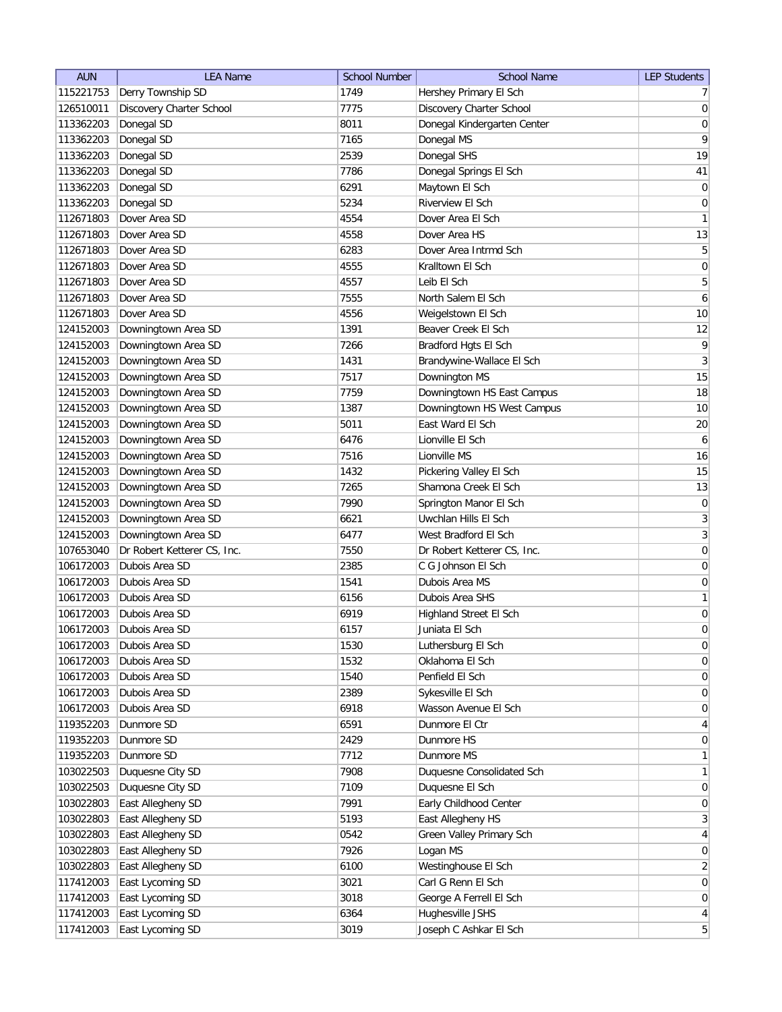| <b>AUN</b> | <b>LEA Name</b>             | <b>School Number</b> | <b>School Name</b>          | <b>LEP Students</b> |
|------------|-----------------------------|----------------------|-----------------------------|---------------------|
| 115221753  | Derry Township SD           | 1749                 | Hershey Primary El Sch      | 7 <sup>1</sup>      |
| 126510011  | Discovery Charter School    | 7775                 | Discovery Charter School    | 0                   |
| 113362203  | Donegal SD                  | 8011                 | Donegal Kindergarten Center | $\boldsymbol{0}$    |
| 113362203  | Donegal SD                  | 7165                 | Donegal MS                  | 9                   |
| 113362203  | Donegal SD                  | 2539                 | Donegal SHS                 | 19                  |
| 113362203  | Donegal SD                  | 7786                 | Donegal Springs El Sch      | 41                  |
| 113362203  | Donegal SD                  | 6291                 | Maytown El Sch              | $\overline{0}$      |
| 113362203  | Donegal SD                  | 5234                 | Riverview El Sch            | $\boldsymbol{0}$    |
| 112671803  | Dover Area SD               | 4554                 | Dover Area El Sch           | 1                   |
| 112671803  | Dover Area SD               | 4558                 | Dover Area HS               | 13                  |
| 112671803  | Dover Area SD               | 6283                 | Dover Area Intrmd Sch       | 5                   |
| 112671803  | Dover Area SD               | 4555                 | Kralltown El Sch            | 0                   |
| 112671803  | Dover Area SD               | 4557                 | Leib El Sch                 | 5                   |
| 112671803  | Dover Area SD               | 7555                 | North Salem El Sch          | 6                   |
| 112671803  | Dover Area SD               | 4556                 | Weigelstown El Sch          | 10                  |
| 124152003  | Downingtown Area SD         | 1391                 | Beaver Creek El Sch         | 12                  |
| 124152003  | Downingtown Area SD         | 7266                 | Bradford Hgts El Sch        | 9                   |
| 124152003  | Downingtown Area SD         | 1431                 | Brandywine-Wallace El Sch   | $\overline{3}$      |
| 124152003  | Downingtown Area SD         | 7517                 | Downington MS               | 15                  |
| 124152003  | Downingtown Area SD         | 7759                 | Downingtown HS East Campus  | 18                  |
| 124152003  | Downingtown Area SD         | 1387                 | Downingtown HS West Campus  | 10                  |
| 124152003  | Downingtown Area SD         | 5011                 | East Ward El Sch            | $20\,$              |
| 124152003  | Downingtown Area SD         | 6476                 | Lionville El Sch            | 6                   |
| 124152003  | Downingtown Area SD         | 7516                 | Lionville MS                | 16                  |
| 124152003  | Downingtown Area SD         | 1432                 | Pickering Valley El Sch     | 15                  |
| 124152003  | Downingtown Area SD         | 7265                 | Shamona Creek El Sch        | 13                  |
| 124152003  | Downingtown Area SD         | 7990                 | Springton Manor El Sch      | 0                   |
| 124152003  | Downingtown Area SD         | 6621                 | Uwchlan Hills El Sch        | $\overline{3}$      |
| 124152003  | Downingtown Area SD         | 6477                 | West Bradford El Sch        | $\overline{3}$      |
| 107653040  | Dr Robert Ketterer CS, Inc. | 7550                 | Dr Robert Ketterer CS, Inc. | $\boldsymbol{0}$    |
| 106172003  | Dubois Area SD              | 2385                 | C G Johnson El Sch          | 0                   |
| 106172003  | Dubois Area SD              | 1541                 | Dubois Area MS              | 0                   |
| 106172003  | Dubois Area SD              | 6156                 | Dubois Area SHS             | $\mathbf{1}$        |
| 106172003  | Dubois Area SD              | 6919                 | Highland Street El Sch      | $\boldsymbol{0}$    |
| 106172003  | Dubois Area SD              | 6157                 | Juniata El Sch              | $\overline{0}$      |
| 106172003  | Dubois Area SD              | 1530                 | Luthersburg El Sch          | $\overline{0}$      |
| 106172003  | Dubois Area SD              | 1532                 | Oklahoma El Sch             | 0                   |
| 106172003  | Dubois Area SD              | 1540                 | Penfield El Sch             | 0                   |
| 106172003  | Dubois Area SD              | 2389                 | Sykesville El Sch           | 0                   |
| 106172003  | Dubois Area SD              | 6918                 | Wasson Avenue El Sch        | $\overline{0}$      |
| 119352203  | Dunmore SD                  | 6591                 | Dunmore El Ctr              | $\vert 4 \vert$     |
| 119352203  | Dunmore SD                  | 2429                 | Dunmore HS                  | $\overline{0}$      |
| 119352203  | Dunmore SD                  | 7712                 | Dunmore MS                  | $\mathbf{1}$        |
| 103022503  | Duquesne City SD            | 7908                 | Duquesne Consolidated Sch   | $\mathbf{1}$        |
| 103022503  | Duquesne City SD            | 7109                 | Duquesne El Sch             | 0                   |
| 103022803  | East Allegheny SD           | 7991                 | Early Childhood Center      | 0                   |
| 103022803  | East Allegheny SD           | 5193                 | East Allegheny HS           | $\overline{3}$      |
| 103022803  | East Allegheny SD           | 0542                 | Green Valley Primary Sch    | $\overline{4}$      |
| 103022803  | East Allegheny SD           | 7926                 | Logan MS                    | 0                   |
| 103022803  | East Allegheny SD           | 6100                 | Westinghouse El Sch         | $\overline{2}$      |
| 117412003  | East Lycoming SD            | 3021                 | Carl G Renn El Sch          | $\overline{0}$      |
| 117412003  | East Lycoming SD            | 3018                 | George A Ferrell El Sch     | 0                   |
| 117412003  | East Lycoming SD            | 6364                 | Hughesville JSHS            | $\vert 4 \vert$     |
| 117412003  | East Lycoming SD            | 3019                 | Joseph C Ashkar El Sch      | 5 <sup>2</sup>      |
|            |                             |                      |                             |                     |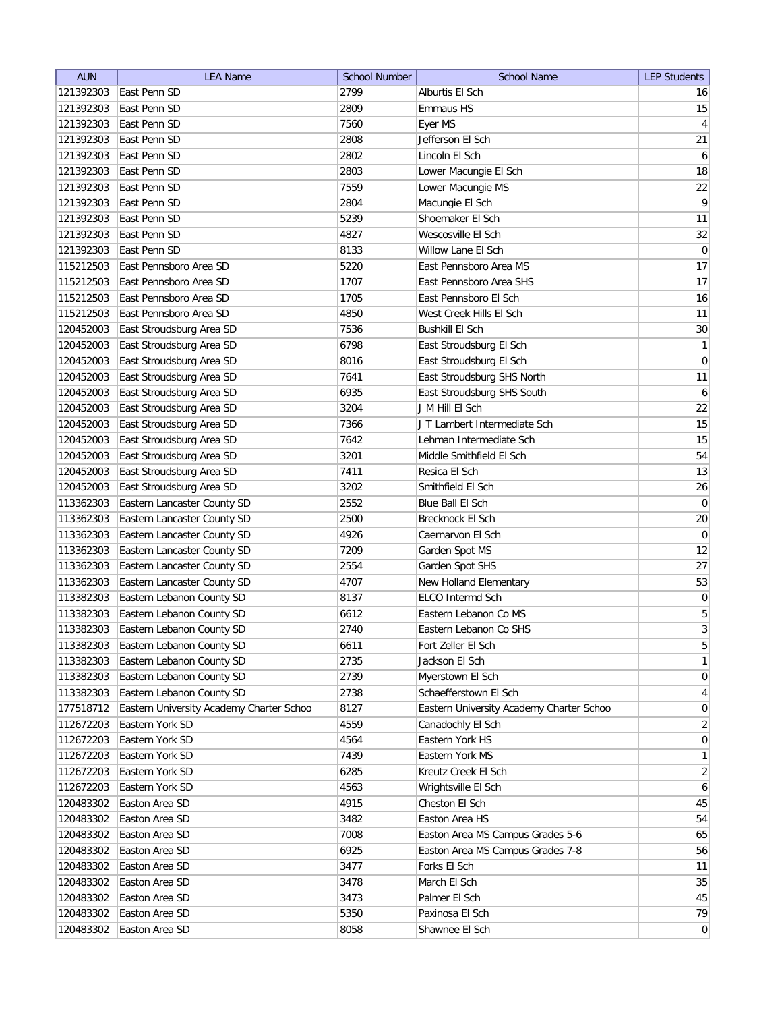| <b>AUN</b> | <b>LEA Name</b>                          | <b>School Number</b> | <b>School Name</b>                       | <b>LEP Students</b> |
|------------|------------------------------------------|----------------------|------------------------------------------|---------------------|
| 121392303  | East Penn SD                             | 2799                 | Alburtis El Sch                          | 16                  |
| 121392303  | East Penn SD                             | 2809                 | Emmaus HS                                | 15                  |
| 121392303  | East Penn SD                             | 7560                 | Eyer MS                                  | $\vert 4 \vert$     |
| 121392303  | East Penn SD                             | 2808                 | Jefferson El Sch                         | 21                  |
| 121392303  | East Penn SD                             | 2802                 | Lincoln El Sch                           | $\vert 6 \vert$     |
| 121392303  | East Penn SD                             | 2803                 | Lower Macungie El Sch                    | 18                  |
| 121392303  | East Penn SD                             | 7559                 | Lower Macungie MS                        | 22                  |
| 121392303  | East Penn SD                             | 2804                 | Macungie El Sch                          | $\overline{9}$      |
| 121392303  | East Penn SD                             | 5239                 | Shoemaker El Sch                         | 11                  |
| 121392303  | East Penn SD                             | 4827                 | Wescosville El Sch                       | 32                  |
| 121392303  | East Penn SD                             | 8133                 | Willow Lane El Sch                       | $\overline{0}$      |
| 115212503  | East Pennsboro Area SD                   | 5220                 | East Pennsboro Area MS                   | 17                  |
| 115212503  | East Pennsboro Area SD                   | 1707                 | East Pennsboro Area SHS                  | 17                  |
| 115212503  | East Pennsboro Area SD                   | 1705                 | East Pennsboro El Sch                    | 16                  |
| 115212503  | East Pennsboro Area SD                   | 4850                 | West Creek Hills El Sch                  | 11                  |
| 120452003  | East Stroudsburg Area SD                 | 7536                 | <b>Bushkill El Sch</b>                   | $30\,$              |
| 120452003  | East Stroudsburg Area SD                 | 6798                 | East Stroudsburg El Sch                  | $\mathbf{1}$        |
| 120452003  | East Stroudsburg Area SD                 | 8016                 | East Stroudsburg El Sch                  | 0                   |
| 120452003  | East Stroudsburg Area SD                 | 7641                 | East Stroudsburg SHS North               | 11                  |
| 120452003  | East Stroudsburg Area SD                 | 6935                 | East Stroudsburg SHS South               | $\boldsymbol{6}$    |
| 120452003  | East Stroudsburg Area SD                 | 3204                 | J M Hill El Sch                          | 22                  |
| 120452003  | East Stroudsburg Area SD                 | 7366                 | J T Lambert Intermediate Sch             | 15                  |
| 120452003  | East Stroudsburg Area SD                 | 7642                 | Lehman Intermediate Sch                  | 15                  |
| 120452003  | East Stroudsburg Area SD                 | 3201                 | Middle Smithfield El Sch                 | 54                  |
| 120452003  | East Stroudsburg Area SD                 | 7411                 | Resica El Sch                            | 13                  |
| 120452003  | East Stroudsburg Area SD                 | 3202                 | Smithfield El Sch                        | 26                  |
| 113362303  | Eastern Lancaster County SD              | 2552                 | Blue Ball El Sch                         | 0                   |
| 113362303  | Eastern Lancaster County SD              | 2500                 | Brecknock El Sch                         | $20\,$              |
| 113362303  | Eastern Lancaster County SD              | 4926                 | Caernarvon El Sch                        | 0                   |
| 113362303  | Eastern Lancaster County SD              | 7209                 | Garden Spot MS                           | 12                  |
| 113362303  | Eastern Lancaster County SD              | 2554                 | Garden Spot SHS                          | 27                  |
| 113362303  | Eastern Lancaster County SD              | 4707                 | New Holland Elementary                   | 53                  |
| 113382303  | Eastern Lebanon County SD                | 8137                 | ELCO Intermd Sch                         | $\boldsymbol{0}$    |
| 113382303  | Eastern Lebanon County SD                | 6612                 | Eastern Lebanon Co MS                    | 5                   |
| 113382303  | Eastern Lebanon County SD                | 2740                 | Eastern Lebanon Co SHS                   | $\overline{3}$      |
| 113382303  | Eastern Lebanon County SD                | 6611                 | Fort Zeller El Sch                       | 5                   |
| 113382303  | Eastern Lebanon County SD                | 2735                 | Jackson El Sch                           | 1                   |
| 113382303  | Eastern Lebanon County SD                | 2739                 | Myerstown El Sch                         | $\overline{0}$      |
| 113382303  | Eastern Lebanon County SD                | 2738                 | Schaefferstown El Sch                    | $\vert 4 \vert$     |
| 177518712  | Eastern University Academy Charter Schoo | 8127                 | Eastern University Academy Charter Schoo | 0                   |
| 112672203  | Eastern York SD                          | 4559                 | Canadochly El Sch                        | $\overline{2}$      |
| 112672203  | Eastern York SD                          | 4564                 | Eastern York HS                          | 0                   |
| 112672203  | Eastern York SD                          | 7439                 | Eastern York MS                          | 1                   |
| 112672203  | Eastern York SD                          | 6285                 | Kreutz Creek El Sch                      | $\overline{2}$      |
| 112672203  | Eastern York SD                          | 4563                 | Wrightsville El Sch                      | $\boldsymbol{6}$    |
| 120483302  | Easton Area SD                           | 4915                 | Cheston El Sch                           | 45                  |
| 120483302  | Easton Area SD                           | 3482                 | Easton Area HS                           | 54                  |
| 120483302  | Easton Area SD                           | 7008                 | Easton Area MS Campus Grades 5-6         | 65                  |
| 120483302  | Easton Area SD                           | 6925                 | Easton Area MS Campus Grades 7-8         | 56                  |
| 120483302  | Easton Area SD                           | 3477                 | Forks El Sch                             | 11                  |
| 120483302  | Easton Area SD                           | 3478                 | March El Sch                             | 35                  |
| 120483302  | Easton Area SD                           | 3473                 | Palmer El Sch                            | 45                  |
| 120483302  | Easton Area SD                           | 5350                 | Paxinosa El Sch                          | 79                  |
| 120483302  | Easton Area SD                           | 8058                 | Shawnee El Sch                           | 0                   |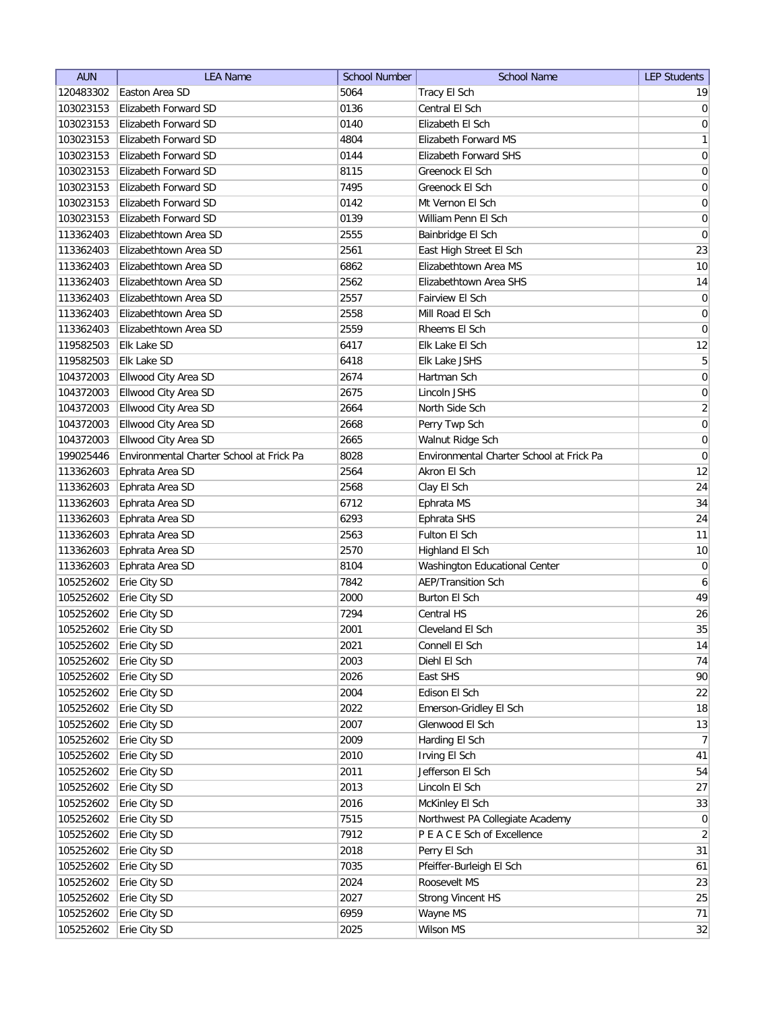| <b>AUN</b> | <b>LEA Name</b>                          | <b>School Number</b> | <b>School Name</b>                       | <b>LEP Students</b> |
|------------|------------------------------------------|----------------------|------------------------------------------|---------------------|
| 120483302  | Easton Area SD                           | 5064                 | Tracy El Sch                             | 19                  |
| 103023153  | Elizabeth Forward SD                     | 0136                 | Central El Sch                           | 0                   |
| 103023153  | Elizabeth Forward SD                     | 0140                 | Elizabeth El Sch                         | 0                   |
| 103023153  | Elizabeth Forward SD                     | 4804                 | <b>Elizabeth Forward MS</b>              | 1                   |
| 103023153  | Elizabeth Forward SD                     | 0144                 | <b>Elizabeth Forward SHS</b>             | $\vert 0 \vert$     |
| 103023153  | Elizabeth Forward SD                     | 8115                 | Greenock El Sch                          | $\boldsymbol{0}$    |
| 103023153  | Elizabeth Forward SD                     | 7495                 | Greenock El Sch                          | $\boldsymbol{0}$    |
| 103023153  | Elizabeth Forward SD                     | 0142                 | Mt Vernon El Sch                         | $\boldsymbol{0}$    |
| 103023153  | Elizabeth Forward SD                     | 0139                 | William Penn El Sch                      | $\boldsymbol{0}$    |
| 113362403  | Elizabethtown Area SD                    | 2555                 | Bainbridge El Sch                        | 0                   |
| 113362403  | Elizabethtown Area SD                    | 2561                 | East High Street El Sch                  | 23                  |
| 113362403  | Elizabethtown Area SD                    | 6862                 | Elizabethtown Area MS                    | 10                  |
| 113362403  | Elizabethtown Area SD                    | 2562                 | Elizabethtown Area SHS                   | 14                  |
| 113362403  | Elizabethtown Area SD                    | 2557                 | Fairview El Sch                          | 0                   |
| 113362403  | Elizabethtown Area SD                    | 2558                 | Mill Road El Sch                         | 0                   |
| 113362403  | Elizabethtown Area SD                    | 2559                 | Rheems El Sch                            | 0                   |
| 119582503  | Elk Lake SD                              | 6417                 | Elk Lake El Sch                          | 12                  |
| 119582503  | Elk Lake SD                              | 6418                 | Elk Lake JSHS                            | $\overline{5}$      |
| 104372003  | Ellwood City Area SD                     | 2674                 | Hartman Sch                              | $\vert 0 \vert$     |
| 104372003  | Ellwood City Area SD                     | 2675                 | Lincoln JSHS                             | $\mathsf{O}\xspace$ |
| 104372003  | Ellwood City Area SD                     | 2664                 | North Side Sch                           | $\overline{2}$      |
| 104372003  | Ellwood City Area SD                     | 2668                 | Perry Twp Sch                            | $\boldsymbol{0}$    |
| 104372003  | Ellwood City Area SD                     | 2665                 | Walnut Ridge Sch                         | $\boldsymbol{0}$    |
| 199025446  | Environmental Charter School at Frick Pa | 8028                 | Environmental Charter School at Frick Pa | $\boldsymbol{0}$    |
| 113362603  | Ephrata Area SD                          | 2564                 | Akron El Sch                             | 12                  |
| 113362603  | Ephrata Area SD                          | 2568                 | Clay El Sch                              | 24                  |
| 113362603  | Ephrata Area SD                          | 6712                 | Ephrata MS                               | 34                  |
| 113362603  | Ephrata Area SD                          | 6293                 | Ephrata SHS                              | 24                  |
| 113362603  | Ephrata Area SD                          | 2563                 | Fulton El Sch                            | 11                  |
| 113362603  | Ephrata Area SD                          | 2570                 | Highland El Sch                          | 10                  |
| 113362603  | Ephrata Area SD                          | 8104                 | <b>Washington Educational Center</b>     | $\overline{0}$      |
| 105252602  | Erie City SD                             | 7842                 | <b>AEP/Transition Sch</b>                | 6                   |
| 105252602  | Erie City SD                             | 2000                 | Burton El Sch                            | 49                  |
| 105252602  | Erie City SD                             | 7294                 | Central HS                               | 26                  |
| 105252602  | Erie City SD                             | 2001                 | Cleveland El Sch                         | 35                  |
| 105252602  | Erie City SD                             | 2021                 | Connell El Sch                           | 14                  |
| 105252602  | Erie City SD                             | 2003                 | Diehl El Sch                             | 74                  |
| 105252602  | Erie City SD                             | 2026                 | East SHS                                 | 90                  |
| 105252602  | Erie City SD                             | 2004                 | Edison El Sch                            | 22                  |
| 105252602  | Erie City SD                             | 2022                 | Emerson-Gridley El Sch                   | 18                  |
| 105252602  | Erie City SD                             | 2007                 | Glenwood El Sch                          | 13                  |
| 105252602  | Erie City SD                             | 2009                 | Harding El Sch                           | 7                   |
| 105252602  | Erie City SD                             | 2010                 | Irving El Sch                            | 41                  |
| 105252602  | Erie City SD                             | 2011                 | Jefferson El Sch                         | 54                  |
| 105252602  | Erie City SD                             | 2013                 | Lincoln El Sch                           | 27                  |
| 105252602  | Erie City SD                             | 2016                 | McKinley El Sch                          | 33                  |
| 105252602  | Erie City SD                             | 7515                 | Northwest PA Collegiate Academy          | 0                   |
| 105252602  | Erie City SD                             | 7912                 | P E A C E Sch of Excellence              | $\overline{2}$      |
| 105252602  | Erie City SD                             | 2018                 | Perry El Sch                             | 31                  |
| 105252602  | Erie City SD                             | 7035                 | Pfeiffer-Burleigh El Sch                 | 61                  |
| 105252602  | Erie City SD                             | 2024                 | Roosevelt MS                             | 23                  |
| 105252602  | Erie City SD                             | 2027                 | <b>Strong Vincent HS</b>                 | 25                  |
| 105252602  | Erie City SD                             | 6959                 | Wayne MS                                 | 71                  |
| 105252602  | Erie City SD                             | 2025                 | Wilson MS                                | 32                  |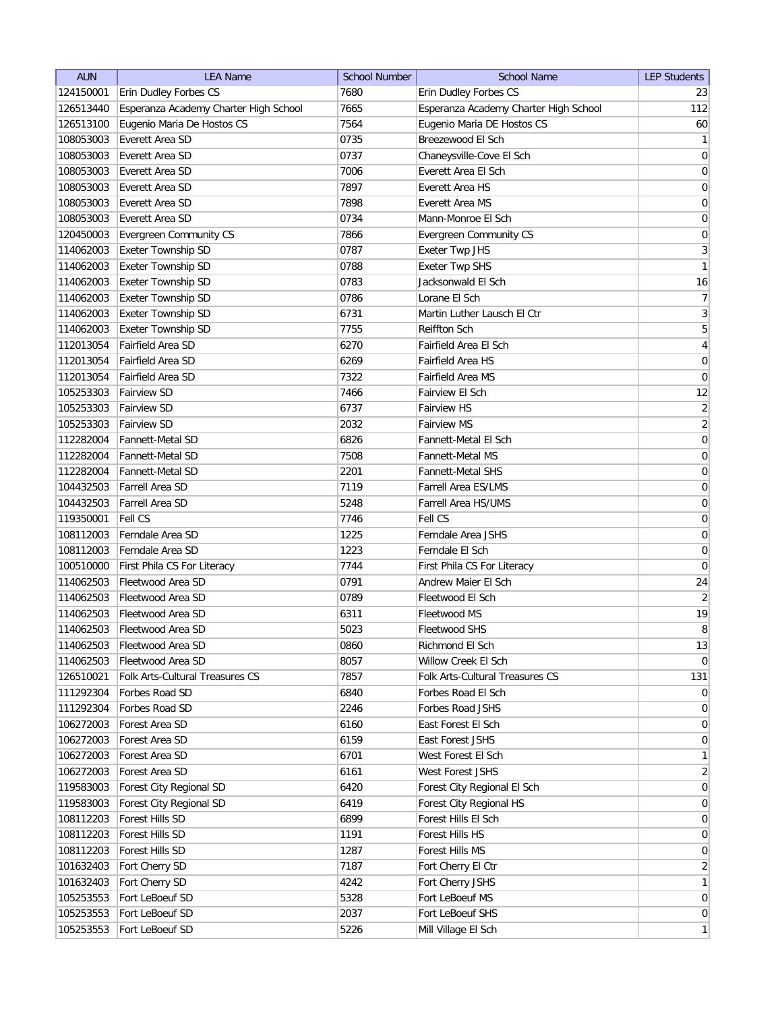| <b>AUN</b> | <b>LEA Name</b>                                   | <b>School Number</b> | <b>School Name</b>                                 | <b>LEP Students</b>   |
|------------|---------------------------------------------------|----------------------|----------------------------------------------------|-----------------------|
| 124150001  | Erin Dudley Forbes CS                             | 7680                 | Erin Dudley Forbes CS                              | 23                    |
| 126513440  | Esperanza Academy Charter High School             | 7665                 | Esperanza Academy Charter High School              | 112                   |
| 126513100  | Eugenio Maria De Hostos CS                        | 7564                 | Eugenio Maria DE Hostos CS                         | 60                    |
| 108053003  | Everett Area SD                                   | 0735                 | Breezewood El Sch                                  | $\mathbf{1}$          |
| 108053003  | Everett Area SD                                   | 0737                 | Chaneysville-Cove El Sch                           | 0                     |
| 108053003  | Everett Area SD                                   | 7006                 | Everett Area El Sch                                | 0                     |
| 108053003  | Everett Area SD                                   | 7897                 | <b>Everett Area HS</b>                             | 0                     |
| 108053003  | Everett Area SD                                   | 7898                 | Everett Area MS                                    | $\boldsymbol{0}$      |
| 108053003  | Everett Area SD                                   | 0734                 | Mann-Monroe El Sch                                 | $\boldsymbol{0}$      |
| 120450003  | Evergreen Community CS                            | 7866                 | <b>Evergreen Community CS</b>                      | $\boldsymbol{0}$      |
| 114062003  | <b>Exeter Township SD</b>                         | 0787                 | Exeter Twp JHS                                     | $\mathbf{3}$          |
| 114062003  | Exeter Township SD                                | 0788                 | <b>Exeter Twp SHS</b>                              | 1                     |
| 114062003  | Exeter Township SD                                | 0783                 | Jacksonwald El Sch                                 | 16                    |
| 114062003  | Exeter Township SD                                | 0786                 | Lorane El Sch                                      | 7                     |
| 114062003  | Exeter Township SD                                | 6731                 | Martin Luther Lausch El Ctr                        | 3                     |
| 114062003  | Exeter Township SD                                | 7755                 | Reiffton Sch                                       | 5                     |
| 112013054  | Fairfield Area SD                                 | 6270                 | Fairfield Area El Sch                              | $\vert 4 \vert$       |
| 112013054  | Fairfield Area SD                                 | 6269                 | Fairfield Area HS                                  | $\vert 0 \vert$       |
| 112013054  | Fairfield Area SD                                 | 7322                 | Fairfield Area MS                                  | $\boldsymbol{0}$      |
| 105253303  | <b>Fairview SD</b>                                | 7466                 | Fairview El Sch                                    | 12                    |
| 105253303  | <b>Fairview SD</b>                                | 6737                 | Fairview HS                                        | $\overline{2}$        |
| 105253303  | <b>Fairview SD</b>                                | 2032                 | <b>Fairview MS</b>                                 | $\overline{2}$        |
| 112282004  | <b>Fannett-Metal SD</b>                           | 6826                 | Fannett-Metal El Sch                               | $\vert 0 \vert$       |
| 112282004  | <b>Fannett-Metal SD</b>                           | 7508                 | <b>Fannett-Metal MS</b>                            | $\boldsymbol{0}$      |
| 112282004  | <b>Fannett-Metal SD</b>                           | 2201                 | <b>Fannett-Metal SHS</b>                           | $\boldsymbol{0}$      |
| 104432503  | <b>Farrell Area SD</b>                            | 7119                 | Farrell Area ES/LMS                                | $\boldsymbol{0}$      |
| 104432503  | <b>Farrell Area SD</b>                            | 5248                 | Farrell Area HS/UMS                                | $\boldsymbol{0}$      |
| 119350001  | <b>Fell CS</b>                                    | 7746                 | Fell CS                                            | $\boldsymbol{0}$      |
| 108112003  | Ferndale Area SD                                  | 1225                 | Ferndale Area JSHS                                 |                       |
| 108112003  | Ferndale Area SD                                  | 1223                 | Ferndale El Sch                                    | $\boldsymbol{0}$<br>0 |
| 100510000  |                                                   | 7744                 |                                                    | $\overline{0}$        |
| 114062503  | First Phila CS For Literacy<br>Fleetwood Area SD  | 0791                 | First Phila CS For Literacy<br>Andrew Maier El Sch | 24                    |
| 114062503  | Fleetwood Area SD                                 | 0789                 | Fleetwood El Sch                                   | $\overline{2}$        |
| 114062503  | Fleetwood Area SD                                 | 6311                 | Fleetwood MS                                       | 19                    |
|            |                                                   |                      |                                                    | 8                     |
| 114062503  | Fleetwood Area SD                                 | 5023                 | Fleetwood SHS                                      |                       |
| 114062503  | Fleetwood Area SD                                 | 0860                 | Richmond El Sch<br>Willow Creek El Sch             | 13                    |
| 114062503  | Fleetwood Area SD                                 | 8057<br>7857         | Folk Arts-Cultural Treasures CS                    | $\overline{0}$        |
| 126510021  | Folk Arts-Cultural Treasures CS<br>Forbes Road SD |                      | Forbes Road El Sch                                 | 131                   |
| 111292304  |                                                   | 6840                 |                                                    | $\overline{0}$        |
| 111292304  | Forbes Road SD                                    | 2246                 | Forbes Road JSHS                                   | $\overline{0}$        |
| 106272003  | Forest Area SD                                    | 6160                 | East Forest El Sch                                 | $\overline{0}$        |
| 106272003  | Forest Area SD                                    | 6159                 | East Forest JSHS                                   | $\overline{0}$        |
| 106272003  | Forest Area SD                                    | 6701                 | West Forest El Sch                                 | $\mathbf{1}$          |
| 106272003  | Forest Area SD                                    | 6161                 | West Forest JSHS                                   | $\overline{2}$        |
| 119583003  | Forest City Regional SD                           | 6420                 | Forest City Regional El Sch                        | 0                     |
| 119583003  | Forest City Regional SD                           | 6419                 | Forest City Regional HS                            | 0                     |
| 108112203  | Forest Hills SD                                   | 6899                 | Forest Hills El Sch                                | $\overline{0}$        |
| 108112203  | Forest Hills SD                                   | 1191                 | Forest Hills HS                                    | $\overline{0}$        |
| 108112203  | Forest Hills SD                                   | 1287                 | Forest Hills MS                                    | 0                     |
| 101632403  | Fort Cherry SD                                    | 7187                 | Fort Cherry El Ctr                                 | $\overline{2}$        |
| 101632403  | Fort Cherry SD                                    | 4242                 | Fort Cherry JSHS                                   | $\mathbf{1}$          |
| 105253553  | Fort LeBoeuf SD                                   | 5328                 | Fort LeBoeuf MS                                    | $\overline{0}$        |
| 105253553  | Fort LeBoeuf SD                                   | 2037                 | Fort LeBoeuf SHS                                   | $\overline{0}$        |
| 105253553  | Fort LeBoeuf SD                                   | 5226                 | Mill Village El Sch                                | 1                     |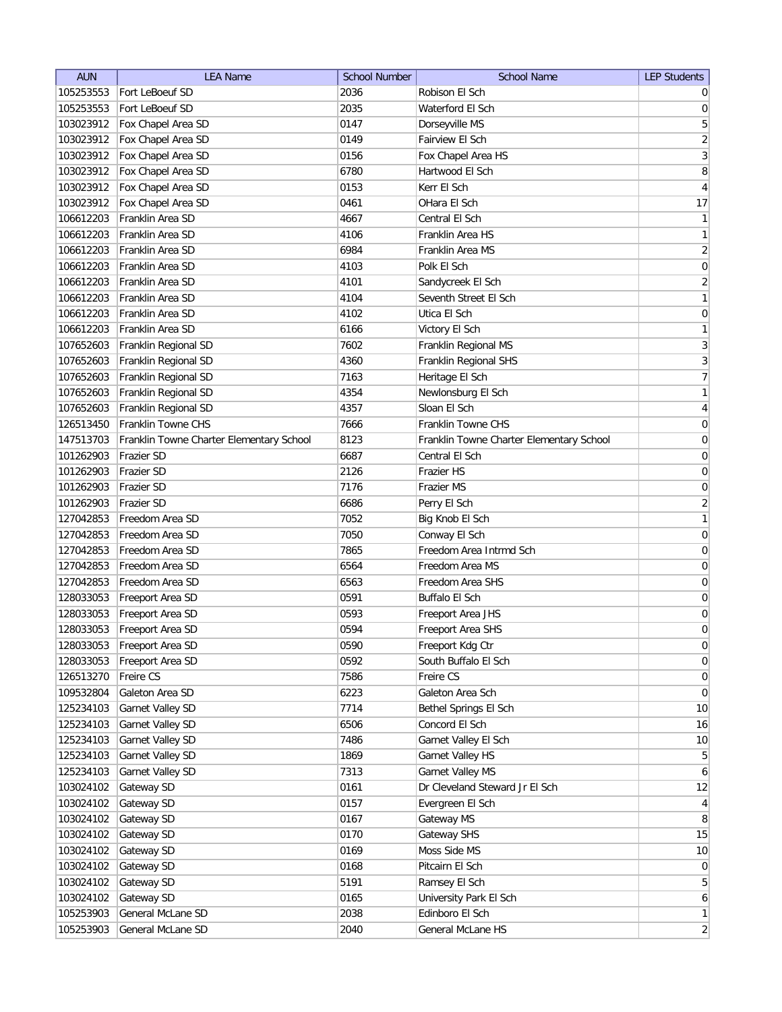| <b>AUN</b>             | <b>LEA Name</b>                          | <b>School Number</b> | <b>School Name</b>                       | <b>LEP Students</b> |
|------------------------|------------------------------------------|----------------------|------------------------------------------|---------------------|
| 105253553              | Fort LeBoeuf SD                          | 2036                 | Robison El Sch                           | $\overline{0}$      |
| 105253553              | Fort LeBoeuf SD                          | 2035                 | Waterford El Sch                         | 0                   |
| 103023912              | Fox Chapel Area SD                       | 0147                 | Dorseyville MS                           | 5                   |
| 103023912              | Fox Chapel Area SD                       | 0149                 | Fairview El Sch                          | $\overline{2}$      |
| 103023912              | Fox Chapel Area SD                       | 0156                 | Fox Chapel Area HS                       | 3                   |
| 103023912              | Fox Chapel Area SD                       | 6780                 | Hartwood El Sch                          | 8                   |
| 103023912              | Fox Chapel Area SD                       | 0153                 | Kerr El Sch                              | $\overline{4}$      |
| 103023912              | Fox Chapel Area SD                       | 0461                 | OHara El Sch                             | 17                  |
| 106612203              | Franklin Area SD                         | 4667                 | Central El Sch                           | $\mathbf{1}$        |
| 106612203              | Franklin Area SD                         | 4106                 | Franklin Area HS                         | $\mathbf{1}$        |
| 106612203              | Franklin Area SD                         | 6984                 | Franklin Area MS                         | $\overline{2}$      |
| 106612203              | Franklin Area SD                         | 4103                 | Polk El Sch                              | 0                   |
| 106612203              | Franklin Area SD                         | 4101                 | Sandycreek El Sch                        | $\overline{2}$      |
| 106612203              | Franklin Area SD                         | 4104                 | Seventh Street El Sch                    | $\mathbf{1}$        |
| 106612203              | Franklin Area SD                         | 4102                 | Utica El Sch                             | $\boldsymbol{0}$    |
| 106612203              | Franklin Area SD                         | 6166                 | Victory El Sch                           | $\mathbf{1}$        |
| 107652603              | Franklin Regional SD                     | 7602                 | Franklin Regional MS                     | $\overline{3}$      |
| 107652603              | Franklin Regional SD                     | 4360                 | Franklin Regional SHS                    | $\overline{3}$      |
| 107652603              | Franklin Regional SD                     | 7163                 | Heritage El Sch                          | $\overline{7}$      |
| 107652603              | Franklin Regional SD                     | 4354                 | Newlonsburg El Sch                       | 1                   |
| 107652603              | Franklin Regional SD                     | 4357                 | Sloan El Sch                             | $\vert 4 \vert$     |
| 126513450              | Franklin Towne CHS                       | 7666                 | Franklin Towne CHS                       | $\boldsymbol{0}$    |
| 147513703              | Franklin Towne Charter Elementary School | 8123                 | Franklin Towne Charter Elementary School | $\boldsymbol{0}$    |
| 101262903              | Frazier SD                               | 6687                 | Central El Sch                           | $\boldsymbol{0}$    |
| 101262903              | <b>Frazier SD</b>                        | 2126                 | Frazier HS                               | $\boldsymbol{0}$    |
| 101262903              | <b>Frazier SD</b>                        | 7176                 | Frazier MS                               | $\boldsymbol{0}$    |
| 101262903              | <b>Frazier SD</b>                        | 6686                 | Perry El Sch                             | $\overline{2}$      |
| 127042853              | Freedom Area SD                          | 7052                 | Big Knob El Sch                          | 1                   |
| 127042853              | Freedom Area SD                          | 7050                 | Conway El Sch                            | 0                   |
| 127042853              | Freedom Area SD                          | 7865                 | Freedom Area Intrmd Sch                  | 0                   |
| 127042853              | Freedom Area SD                          | 6564                 | Freedom Area MS                          | 0                   |
| 127042853              | Freedom Area SD                          | 6563                 | Freedom Area SHS                         | 0                   |
| 128033053              | Freeport Area SD                         | 0591                 | Buffalo El Sch                           | 0                   |
| 128033053              | Freeport Area SD                         | 0593                 | Freeport Area JHS                        | $\boldsymbol{0}$    |
| 128033053              | Freeport Area SD                         | 0594                 | Freeport Area SHS                        | $\overline{0}$      |
| 128033053              | Freeport Area SD                         | 0590                 | Freeport Kdg Ctr                         | $\vert 0 \vert$     |
| 128033053              | Freeport Area SD                         | 0592                 | South Buffalo El Sch                     | 0                   |
| 126513270              | Freire CS                                | 7586                 | Freire CS                                | 0                   |
| 109532804              | Galeton Area SD                          | 6223                 | Galeton Area Sch                         | 0                   |
| 125234103              | Garnet Valley SD                         | 7714                 | Bethel Springs El Sch                    | 10                  |
| 125234103              | Garnet Valley SD                         | 6506                 | Concord El Sch                           | 16                  |
| 125234103              | Garnet Valley SD                         | 7486                 | Garnet Valley El Sch                     | 10                  |
| 125234103              | Garnet Valley SD                         | 1869                 | Garnet Valley HS                         | $\overline{5}$      |
| 125234103              | Garnet Valley SD                         | 7313                 | Garnet Valley MS                         | $6 \mid$            |
| 103024102              | Gateway SD                               | 0161                 | Dr Cleveland Steward Jr El Sch           | 12                  |
|                        | Gateway SD                               | 0157                 | Evergreen El Sch                         | $\vert 4 \vert$     |
| 103024102<br>103024102 | Gateway SD                               | 0167                 | Gateway MS                               | 8                   |
| 103024102              | Gateway SD                               | 0170                 | Gateway SHS                              | 15                  |
| 103024102              | Gateway SD                               | 0169                 | Moss Side MS                             | 10                  |
| 103024102              | Gateway SD                               | 0168                 | Pitcairn El Sch                          | 0                   |
| 103024102              | Gateway SD                               | 5191                 | Ramsey El Sch                            | $5\vert$            |
|                        | Gateway SD                               | 0165                 | University Park El Sch                   | $6\vert$            |
| 103024102<br>105253903 | General McLane SD                        | 2038                 | Edinboro El Sch                          | $\mathbf{1}$        |
| 105253903              | General McLane SD                        | 2040                 | General McLane HS                        | $\overline{2}$      |
|                        |                                          |                      |                                          |                     |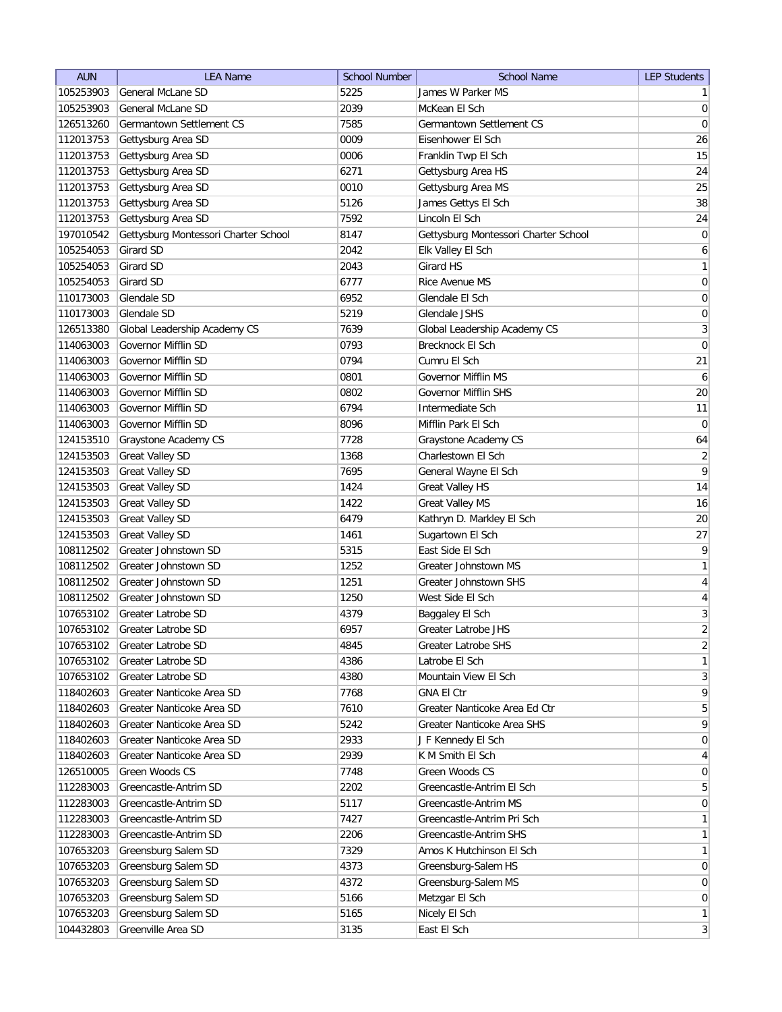| <b>AUN</b> | <b>LEA Name</b>                      | <b>School Number</b> | <b>School Name</b>                   | <b>LEP Students</b> |
|------------|--------------------------------------|----------------------|--------------------------------------|---------------------|
| 105253903  | General McLane SD                    | 5225                 | James W Parker MS                    | $\mathbf{1}$        |
| 105253903  | General McLane SD                    | 2039                 | McKean El Sch                        | $\overline{0}$      |
| 126513260  | Germantown Settlement CS             | 7585                 | Germantown Settlement CS             | $\pmb{0}$           |
| 112013753  | Gettysburg Area SD                   | 0009                 | Eisenhower El Sch                    | 26                  |
| 112013753  | Gettysburg Area SD                   | 0006                 | Franklin Twp El Sch                  | 15                  |
| 112013753  | Gettysburg Area SD                   | 6271                 | Gettysburg Area HS                   | 24                  |
| 112013753  | Gettysburg Area SD                   | 0010                 | Gettysburg Area MS                   | 25                  |
| 112013753  | Gettysburg Area SD                   | 5126                 | James Gettys El Sch                  | 38                  |
| 112013753  | Gettysburg Area SD                   | 7592                 | Lincoln El Sch                       | 24                  |
| 197010542  | Gettysburg Montessori Charter School | 8147                 | Gettysburg Montessori Charter School | 0                   |
| 105254053  | Girard SD                            | 2042                 | Elk Valley El Sch                    | 6                   |
| 105254053  | Girard SD                            | 2043                 | Girard HS                            | $\mathbf{1}$        |
| 105254053  | Girard SD                            | 6777                 | Rice Avenue MS                       | 0                   |
| 110173003  | Glendale SD                          | 6952                 | Glendale El Sch                      | 0                   |
| 110173003  | Glendale SD                          | 5219                 | Glendale JSHS                        | 0                   |
| 126513380  | Global Leadership Academy CS         | 7639                 | Global Leadership Academy CS         | $\mathbf{3}$        |
| 114063003  | Governor Mifflin SD                  | 0793                 | Brecknock El Sch                     | 0                   |
| 114063003  | Governor Mifflin SD                  | 0794                 | Cumru El Sch                         | 21                  |
| 114063003  | Governor Mifflin SD                  | 0801                 | <b>Governor Mifflin MS</b>           | 6                   |
| 114063003  | Governor Mifflin SD                  | 0802                 | Governor Mifflin SHS                 | 20                  |
| 114063003  | Governor Mifflin SD                  | 6794                 | Intermediate Sch                     | 11                  |
| 114063003  | Governor Mifflin SD                  | 8096                 | Mifflin Park El Sch                  | 0                   |
| 124153510  | Graystone Academy CS                 | 7728                 | Graystone Academy CS                 | 64                  |
| 124153503  |                                      | 1368                 | Charlestown El Sch                   | $\overline{2}$      |
|            | <b>Great Valley SD</b>               |                      |                                      | 9                   |
| 124153503  | <b>Great Valley SD</b>               | 7695                 | General Wayne El Sch                 |                     |
| 124153503  | <b>Great Valley SD</b>               | 1424                 | <b>Great Valley HS</b>               | 14                  |
| 124153503  | <b>Great Valley SD</b>               | 1422                 | <b>Great Valley MS</b>               | 16                  |
| 124153503  | <b>Great Valley SD</b>               | 6479                 | Kathryn D. Markley El Sch            | 20                  |
| 124153503  | <b>Great Valley SD</b>               | 1461                 | Sugartown El Sch                     | 27                  |
| 108112502  | Greater Johnstown SD                 | 5315                 | East Side El Sch                     | 9                   |
| 108112502  | Greater Johnstown SD                 | 1252                 | Greater Johnstown MS                 | $\mathbf{1}$        |
| 108112502  | Greater Johnstown SD                 | 1251                 | Greater Johnstown SHS                | $\overline{4}$      |
| 108112502  | Greater Johnstown SD                 | 1250                 | West Side El Sch                     | $\overline{4}$      |
| 107653102  | <b>Greater Latrobe SD</b>            | 4379                 | Baggaley El Sch                      | $\sqrt{3}$          |
| 107653102  | Greater Latrobe SD                   | 6957                 | Greater Latrobe JHS                  | $\overline{2}$      |
| 107653102  | Greater Latrobe SD                   | 4845                 | Greater Latrobe SHS                  | $\overline{2}$      |
| 107653102  | Greater Latrobe SD                   | 4386                 | Latrobe El Sch                       | $\mathbf{1}$        |
| 107653102  | Greater Latrobe SD                   | 4380                 | Mountain View El Sch                 | $\mathbf{3}$        |
| 118402603  | Greater Nanticoke Area SD            | 7768                 | <b>GNA El Ctr</b>                    | $\mathsf q$         |
| 118402603  | Greater Nanticoke Area SD            | 7610                 | Greater Nanticoke Area Ed Ctr        | $\overline{5}$      |
| 118402603  | Greater Nanticoke Area SD            | 5242                 | Greater Nanticoke Area SHS           | $\mathsf q$         |
| 118402603  | Greater Nanticoke Area SD            | 2933                 | J F Kennedy El Sch                   | $\boldsymbol{0}$    |
| 118402603  | Greater Nanticoke Area SD            | 2939                 | K M Smith El Sch                     | $\overline{4}$      |
| 126510005  | Green Woods CS                       | 7748                 | Green Woods CS                       | $\overline{0}$      |
| 112283003  | Greencastle-Antrim SD                | 2202                 | Greencastle-Antrim El Sch            | $5\phantom{.0}$     |
| 112283003  | Greencastle-Antrim SD                | 5117                 | Greencastle-Antrim MS                | $\overline{0}$      |
| 112283003  | Greencastle-Antrim SD                | 7427                 | Greencastle-Antrim Pri Sch           | $\mathbf{1}$        |
| 112283003  | Greencastle-Antrim SD                | 2206                 | Greencastle-Antrim SHS               | $\mathbf{1}$        |
| 107653203  | Greensburg Salem SD                  | 7329                 | Amos K Hutchinson El Sch             | $\mathbf{1}$        |
| 107653203  | Greensburg Salem SD                  | 4373                 | Greensburg-Salem HS                  | $\overline{0}$      |
| 107653203  | Greensburg Salem SD                  | 4372                 | Greensburg-Salem MS                  | $\overline{0}$      |
| 107653203  | Greensburg Salem SD                  | 5166                 | Metzgar El Sch                       | $\overline{0}$      |
| 107653203  | Greensburg Salem SD                  | 5165                 | Nicely El Sch                        | $\mathbf{1}$        |
| 104432803  | Greenville Area SD                   | 3135                 | East El Sch                          | $\mathbf{3}$        |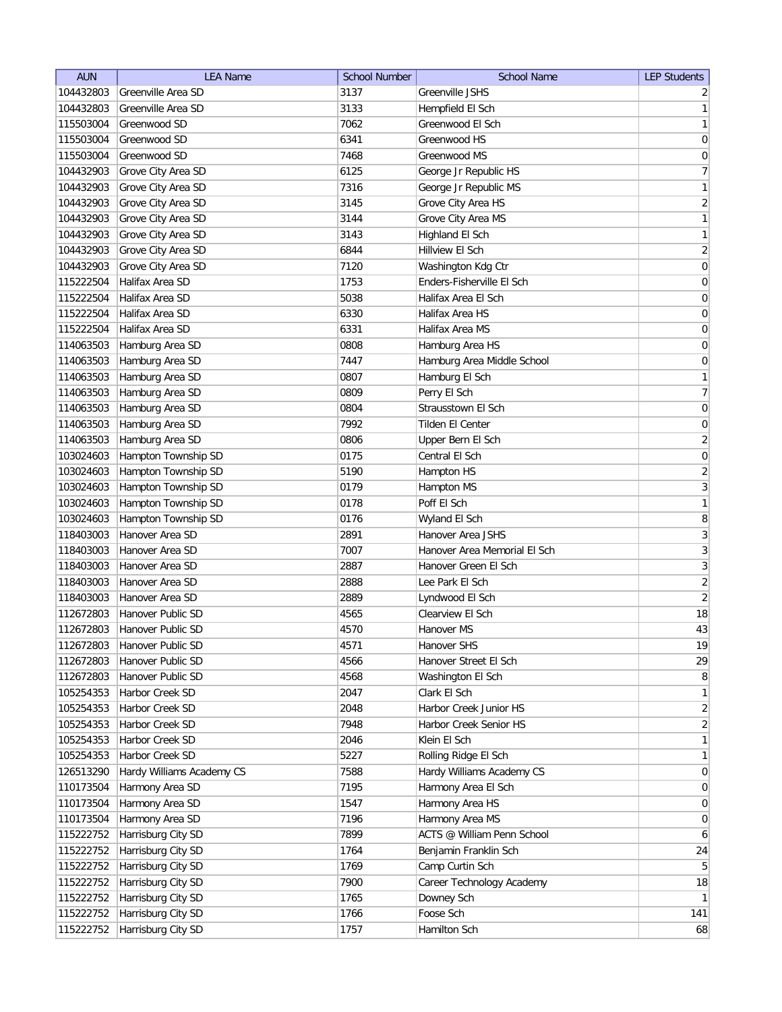| <b>AUN</b> | <b>LEA Name</b>           | <b>School Number</b> | <b>School Name</b>           | <b>LEP Students</b> |
|------------|---------------------------|----------------------|------------------------------|---------------------|
| 104432803  | Greenville Area SD        | 3137                 | <b>Greenville JSHS</b>       | $\overline{2}$      |
| 104432803  | Greenville Area SD        | 3133                 | Hempfield El Sch             | 1                   |
| 115503004  | Greenwood SD              | 7062                 | Greenwood El Sch             | $\mathbf{1}$        |
| 115503004  | Greenwood SD              | 6341                 | Greenwood HS                 | 0                   |
| 115503004  | Greenwood SD              | 7468                 | Greenwood MS                 | 0                   |
| 104432903  | Grove City Area SD        | 6125                 | George Jr Republic HS        | 7                   |
| 104432903  | Grove City Area SD        | 7316                 | George Jr Republic MS        | $\mathbf{1}$        |
| 104432903  | Grove City Area SD        | 3145                 | Grove City Area HS           | $\overline{2}$      |
| 104432903  | Grove City Area SD        | 3144                 | Grove City Area MS           | 1                   |
| 104432903  | Grove City Area SD        | 3143                 | Highland El Sch              | $\mathbf{1}$        |
| 104432903  | Grove City Area SD        | 6844                 | Hillview El Sch              | $\overline{2}$      |
| 104432903  | Grove City Area SD        | 7120                 | Washington Kdg Ctr           | $\boldsymbol{0}$    |
| 115222504  | Halifax Area SD           | 1753                 | Enders-Fisherville El Sch    | $\boldsymbol{0}$    |
| 115222504  | Halifax Area SD           | 5038                 | Halifax Area El Sch          | 0                   |
| 115222504  | Halifax Area SD           | 6330                 | Halifax Area HS              | 0                   |
| 115222504  | Halifax Area SD           | 6331                 | Halifax Area MS              | 0                   |
| 114063503  | Hamburg Area SD           | 0808                 | Hamburg Area HS              | $\boldsymbol{0}$    |
| 114063503  | Hamburg Area SD           | 7447                 | Hamburg Area Middle School   | $\boldsymbol{0}$    |
| 114063503  | Hamburg Area SD           | 0807                 | Hamburg El Sch               | 1                   |
| 114063503  | Hamburg Area SD           | 0809                 | Perry El Sch                 | $\overline{7}$      |
| 114063503  | Hamburg Area SD           | 0804                 | Strausstown El Sch           | 0                   |
| 114063503  | Hamburg Area SD           | 7992                 | Tilden El Center             | $\boldsymbol{0}$    |
| 114063503  | Hamburg Area SD           | 0806                 | Upper Bern El Sch            | $\overline{2}$      |
| 103024603  | Hampton Township SD       | 0175                 | Central El Sch               | $\boldsymbol{0}$    |
| 103024603  | Hampton Township SD       | 5190                 | Hampton HS                   | $\overline{2}$      |
| 103024603  | Hampton Township SD       | 0179                 | Hampton MS                   | 3                   |
| 103024603  | Hampton Township SD       | 0178                 | Poff El Sch                  | $\mathbf{1}$        |
| 103024603  | Hampton Township SD       | 0176                 | Wyland El Sch                | 8                   |
| 118403003  | Hanover Area SD           | 2891                 | Hanover Area JSHS            | 3                   |
| 118403003  | Hanover Area SD           | 7007                 | Hanover Area Memorial El Sch | 3                   |
| 118403003  | Hanover Area SD           | 2887                 | Hanover Green El Sch         | 3                   |
| 118403003  | Hanover Area SD           | 2888                 | Lee Park El Sch              | $\overline{2}$      |
| 118403003  | Hanover Area SD           | 2889                 | Lyndwood El Sch              | $\left  \right $    |
| 112672803  | Hanover Public SD         | 4565                 | Clearview El Sch             | 18                  |
| 112672803  | Hanover Public SD         | 4570                 | Hanover MS                   | 43                  |
| 112672803  | Hanover Public SD         | 4571                 | Hanover SHS                  | 19                  |
| 112672803  | Hanover Public SD         | 4566                 | Hanover Street El Sch        | 29                  |
| 112672803  | Hanover Public SD         | 4568                 | Washington El Sch            | 8 <sup>1</sup>      |
| 105254353  | Harbor Creek SD           | 2047                 | Clark El Sch                 | $\mathbf{1}$        |
| 105254353  | Harbor Creek SD           | 2048                 | Harbor Creek Junior HS       | $\overline{2}$      |
| 105254353  | Harbor Creek SD           | 7948                 | Harbor Creek Senior HS       | $\overline{2}$      |
| 105254353  | Harbor Creek SD           | 2046                 | Klein El Sch                 | $\mathbf{1}$        |
| 105254353  | Harbor Creek SD           | 5227                 | Rolling Ridge El Sch         | $\mathbf{1}$        |
| 126513290  | Hardy Williams Academy CS | 7588                 | Hardy Williams Academy CS    | $\overline{0}$      |
| 110173504  | Harmony Area SD           | 7195                 | Harmony Area El Sch          | 0                   |
| 110173504  | Harmony Area SD           | 1547                 | Harmony Area HS              | 0                   |
| 110173504  | Harmony Area SD           | 7196                 | Harmony Area MS              | $\overline{0}$      |
| 115222752  | Harrisburg City SD        | 7899                 | ACTS @ William Penn School   | 6                   |
| 115222752  | Harrisburg City SD        | 1764                 | Benjamin Franklin Sch        | 24                  |
| 115222752  | Harrisburg City SD        | 1769                 | Camp Curtin Sch              | 5 <sup>1</sup>      |
| 115222752  | Harrisburg City SD        | 7900                 | Career Technology Academy    | 18                  |
| 115222752  | Harrisburg City SD        | 1765                 | Downey Sch                   | 1                   |
| 115222752  | Harrisburg City SD        | 1766                 | Foose Sch                    | 141                 |
| 115222752  | Harrisburg City SD        | 1757                 | Hamilton Sch                 | 68                  |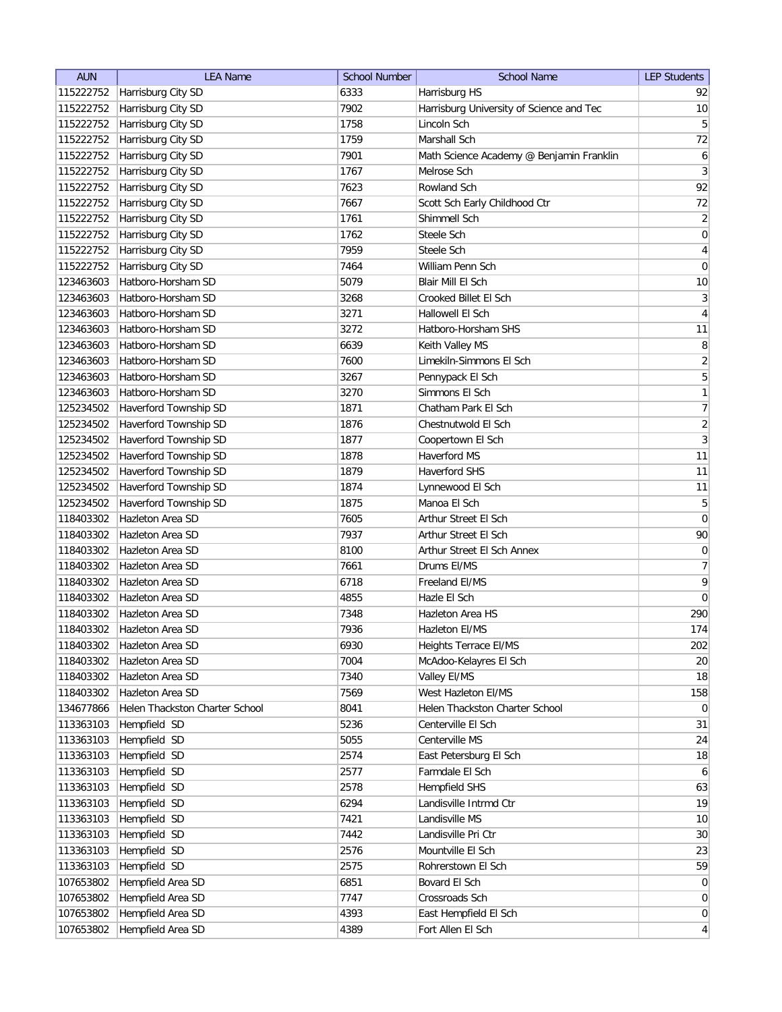| <b>AUN</b>             | <b>LEA Name</b>                        | <b>School Number</b> | <b>School Name</b>                         | <b>LEP Students</b> |
|------------------------|----------------------------------------|----------------------|--------------------------------------------|---------------------|
| 115222752              | Harrisburg City SD                     | 6333                 | Harrisburg HS                              | 92                  |
| 115222752              | Harrisburg City SD                     | 7902                 | Harrisburg University of Science and Tec   | 10                  |
| 115222752              | Harrisburg City SD                     | 1758                 | Lincoln Sch                                | $\overline{5}$      |
| 115222752              | Harrisburg City SD                     | 1759                 | Marshall Sch                               | $72\,$              |
| 115222752              | Harrisburg City SD                     | 7901                 | Math Science Academy @ Benjamin Franklin   | $\boldsymbol{6}$    |
| 115222752              | Harrisburg City SD                     | 1767                 | Melrose Sch                                | $\mathbf{3}$        |
| 115222752              | Harrisburg City SD                     | 7623                 | Rowland Sch                                | 92                  |
| 115222752              | Harrisburg City SD                     | 7667                 | Scott Sch Early Childhood Ctr              | 72                  |
| 115222752              | Harrisburg City SD                     | 1761                 | Shimmell Sch                               | $\overline{2}$      |
| 115222752              | Harrisburg City SD                     | 1762                 | Steele Sch                                 | $\boldsymbol{0}$    |
|                        | 115222752 Harrisburg City SD           | 7959                 | Steele Sch                                 | $\overline{4}$      |
| 115222752              | Harrisburg City SD                     | 7464                 | William Penn Sch                           | $\overline{0}$      |
| 123463603              | Hatboro-Horsham SD                     | 5079                 | Blair Mill El Sch                          | 10                  |
| 123463603              | Hatboro-Horsham SD                     | 3268                 | Crooked Billet El Sch                      | $\mathbf{3}$        |
| 123463603              | Hatboro-Horsham SD                     | 3271                 | Hallowell El Sch                           | 4                   |
| 123463603              | Hatboro-Horsham SD                     | 3272                 | Hatboro-Horsham SHS                        | 11                  |
| 123463603              | Hatboro-Horsham SD                     | 6639                 | Keith Valley MS                            | 8                   |
| 123463603              | Hatboro-Horsham SD                     | 7600                 | Limekiln-Simmons El Sch                    | $\overline{2}$      |
| 123463603              | Hatboro-Horsham SD                     | 3267                 | Pennypack El Sch                           | $\overline{5}$      |
| 123463603              | Hatboro-Horsham SD                     | 3270                 | Simmons El Sch                             | 1                   |
| 125234502              | Haverford Township SD                  | 1871                 | Chatham Park El Sch                        | 7                   |
| 125234502              | Haverford Township SD                  | 1876                 | Chestnutwold El Sch                        | $\overline{2}$      |
| 125234502              | Haverford Township SD                  | 1877                 | Coopertown El Sch                          | $\overline{3}$      |
| 125234502              | Haverford Township SD                  | 1878                 | Haverford MS                               | 11                  |
| 125234502              | Haverford Township SD                  | 1879                 | <b>Haverford SHS</b>                       | 11                  |
| 125234502              | Haverford Township SD                  | 1874                 | Lynnewood El Sch                           | 11                  |
| 125234502              | Haverford Township SD                  | 1875                 | Manoa El Sch                               | $5\overline{)}$     |
| 118403302              | Hazleton Area SD                       | 7605                 | Arthur Street El Sch                       | 0                   |
| 118403302              | Hazleton Area SD                       | 7937                 | Arthur Street El Sch                       | $90\,$              |
| 118403302              | Hazleton Area SD                       | 8100                 | Arthur Street El Sch Annex                 | $\boldsymbol{0}$    |
| 118403302              | Hazleton Area SD                       | 7661                 | Drums EI/MS                                | 7                   |
| 118403302              | Hazleton Area SD                       | 6718                 | Freeland EI/MS                             | $\overline{9}$      |
| 118403302              | Hazleton Area SD                       | 4855                 | Hazle El Sch                               | 0                   |
| 118403302              | Hazleton Area SD                       | 7348                 | Hazleton Area HS                           | 290                 |
| 118403302              | <b>Hazleton Area SD</b>                | 7936                 | Hazleton El/MS                             | 174                 |
| 118403302              | Hazleton Area SD                       | 6930                 | Heights Terrace EI/MS                      | 202                 |
| 118403302              | Hazleton Area SD                       | 7004                 | McAdoo-Kelayres El Sch                     | 20                  |
| 118403302              | Hazleton Area SD                       | 7340                 | Valley EI/MS                               | 18                  |
| 118403302              | Hazleton Area SD                       | 7569                 | West Hazleton El/MS                        | 158                 |
| 134677866              | Helen Thackston Charter School         | 8041                 | Helen Thackston Charter School             | $\overline{0}$      |
| 113363103              | Hempfield SD                           | 5236                 | Centerville El Sch                         | 31                  |
| 113363103              | Hempfield SD                           | 5055                 | Centerville MS                             | 24                  |
| 113363103              | Hempfield SD                           | 2574                 | East Petersburg El Sch                     | 18                  |
| 113363103              | Hempfield SD                           | 2577                 | Farmdale El Sch                            | $6 \mid$            |
| 113363103              | Hempfield SD                           | 2578                 | Hempfield SHS                              | 63                  |
| 113363103              | Hempfield SD                           | 6294                 | Landisville Intrmd Ctr                     | 19                  |
| 113363103              | Hempfield SD                           | 7421                 | Landisville MS                             | 10                  |
|                        | Hempfield SD                           | 7442                 | Landisville Pri Ctr                        | 30 <sup>°</sup>     |
| 113363103              | Hempfield SD                           | 2576                 | Mountville El Sch                          | 23                  |
| 113363103              | Hempfield SD                           | 2575                 | Rohrerstown El Sch                         | 59                  |
| 113363103<br>107653802 |                                        | 6851                 | Bovard El Sch                              | $\overline{0}$      |
| 107653802              | Hempfield Area SD<br>Hempfield Area SD | 7747                 | Crossroads Sch                             | $\overline{0}$      |
| 107653802              | Hempfield Area SD                      | 4393                 |                                            | $\overline{0}$      |
|                        | Hempfield Area SD                      | 4389                 | East Hempfield El Sch<br>Fort Allen El Sch | $\vert 4 \vert$     |
| 107653802              |                                        |                      |                                            |                     |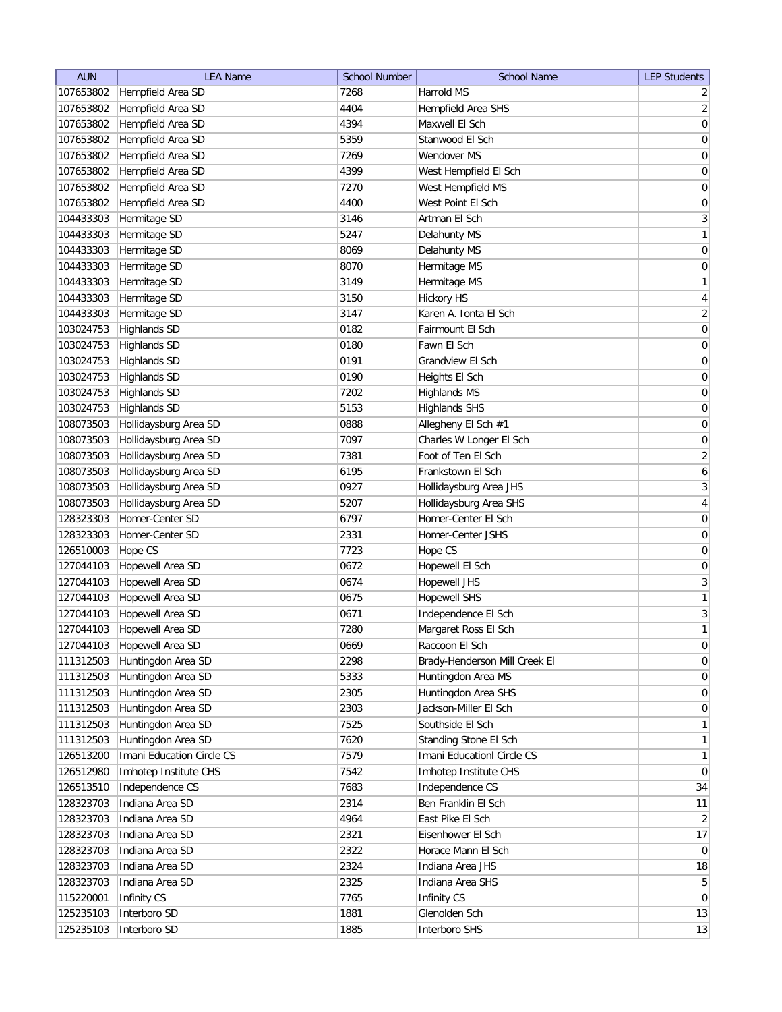| 7268<br>Harrold MS<br>107653802<br>Hempfield Area SD<br>$\overline{2}$<br>4404<br>$\overline{2}$<br>107653802<br>Hempfield Area SD<br>Hempfield Area SHS<br>4394<br>Maxwell El Sch<br>107653802<br>Hempfield Area SD<br>107653802<br>Hempfield Area SD<br>5359<br>Stanwood El Sch<br>107653802<br>Hempfield Area SD<br>7269<br>Wendover MS<br>4399<br>West Hempfield El Sch<br>107653802<br>Hempfield Area SD<br>Hempfield Area SD<br>107653802<br>7270<br>West Hempfield MS<br>Hempfield Area SD<br>107653802<br>4400<br>West Point El Sch<br>Hermitage SD<br>Artman El Sch<br>104433303<br>3146<br>Hermitage SD<br>104433303<br>5247<br>Delahunty MS<br>Hermitage SD<br>Delahunty MS<br>104433303<br>8069<br>Hermitage SD<br>Hermitage MS<br>0<br>104433303<br>8070<br>Hermitage SD<br>104433303<br>3149<br>Hermitage MS<br>Hermitage SD<br>104433303<br>3150<br><b>Hickory HS</b><br>Hermitage SD<br>Karen A. Ionta El Sch<br>104433303<br>3147<br>103024753<br><b>Highlands SD</b><br>0182<br>Fairmount El Sch<br>103024753<br><b>Highlands SD</b><br>0180<br>Fawn El Sch<br>103024753<br><b>Highlands SD</b><br>0191<br>Grandview El Sch<br>103024753<br>0190<br>Heights El Sch<br><b>Highlands SD</b><br>103024753<br><b>Highlands SD</b><br>7202<br>Highlands MS<br>103024753<br><b>Highlands SD</b><br>5153<br><b>Highlands SHS</b><br>Hollidaysburg Area SD<br>0888<br>Allegheny El Sch #1<br>108073503<br>Hollidaysburg Area SD<br>108073503<br>7097<br>Charles W Longer El Sch<br>Hollidaysburg Area SD<br>Foot of Ten El Sch<br>108073503<br>7381 |
|---------------------------------------------------------------------------------------------------------------------------------------------------------------------------------------------------------------------------------------------------------------------------------------------------------------------------------------------------------------------------------------------------------------------------------------------------------------------------------------------------------------------------------------------------------------------------------------------------------------------------------------------------------------------------------------------------------------------------------------------------------------------------------------------------------------------------------------------------------------------------------------------------------------------------------------------------------------------------------------------------------------------------------------------------------------------------------------------------------------------------------------------------------------------------------------------------------------------------------------------------------------------------------------------------------------------------------------------------------------------------------------------------------------------------------------------------------------------------------------------------------------------------------------------------------------|
|                                                                                                                                                                                                                                                                                                                                                                                                                                                                                                                                                                                                                                                                                                                                                                                                                                                                                                                                                                                                                                                                                                                                                                                                                                                                                                                                                                                                                                                                                                                                                               |
| 0 <br>0<br>0<br>0<br>$\boldsymbol{0}$<br>$\boldsymbol{0}$<br>$\overline{3}$<br>0<br>$\overline{4}$<br>$\boldsymbol{0}$<br>$\boldsymbol{0}$<br>$\boldsymbol{0}$<br>$\boldsymbol{0}$<br>$\boldsymbol{0}$                                                                                                                                                                                                                                                                                                                                                                                                                                                                                                                                                                                                                                                                                                                                                                                                                                                                                                                                                                                                                                                                                                                                                                                                                                                                                                                                                        |
| $\mathbf{1}$<br>$\mathbf{1}$<br>$\overline{2}$<br>$\vert 0 \vert$<br> 0 <br>$\vert 0 \vert$<br>$\overline{2}$                                                                                                                                                                                                                                                                                                                                                                                                                                                                                                                                                                                                                                                                                                                                                                                                                                                                                                                                                                                                                                                                                                                                                                                                                                                                                                                                                                                                                                                 |
|                                                                                                                                                                                                                                                                                                                                                                                                                                                                                                                                                                                                                                                                                                                                                                                                                                                                                                                                                                                                                                                                                                                                                                                                                                                                                                                                                                                                                                                                                                                                                               |
|                                                                                                                                                                                                                                                                                                                                                                                                                                                                                                                                                                                                                                                                                                                                                                                                                                                                                                                                                                                                                                                                                                                                                                                                                                                                                                                                                                                                                                                                                                                                                               |
|                                                                                                                                                                                                                                                                                                                                                                                                                                                                                                                                                                                                                                                                                                                                                                                                                                                                                                                                                                                                                                                                                                                                                                                                                                                                                                                                                                                                                                                                                                                                                               |
|                                                                                                                                                                                                                                                                                                                                                                                                                                                                                                                                                                                                                                                                                                                                                                                                                                                                                                                                                                                                                                                                                                                                                                                                                                                                                                                                                                                                                                                                                                                                                               |
|                                                                                                                                                                                                                                                                                                                                                                                                                                                                                                                                                                                                                                                                                                                                                                                                                                                                                                                                                                                                                                                                                                                                                                                                                                                                                                                                                                                                                                                                                                                                                               |
|                                                                                                                                                                                                                                                                                                                                                                                                                                                                                                                                                                                                                                                                                                                                                                                                                                                                                                                                                                                                                                                                                                                                                                                                                                                                                                                                                                                                                                                                                                                                                               |
|                                                                                                                                                                                                                                                                                                                                                                                                                                                                                                                                                                                                                                                                                                                                                                                                                                                                                                                                                                                                                                                                                                                                                                                                                                                                                                                                                                                                                                                                                                                                                               |
|                                                                                                                                                                                                                                                                                                                                                                                                                                                                                                                                                                                                                                                                                                                                                                                                                                                                                                                                                                                                                                                                                                                                                                                                                                                                                                                                                                                                                                                                                                                                                               |
|                                                                                                                                                                                                                                                                                                                                                                                                                                                                                                                                                                                                                                                                                                                                                                                                                                                                                                                                                                                                                                                                                                                                                                                                                                                                                                                                                                                                                                                                                                                                                               |
|                                                                                                                                                                                                                                                                                                                                                                                                                                                                                                                                                                                                                                                                                                                                                                                                                                                                                                                                                                                                                                                                                                                                                                                                                                                                                                                                                                                                                                                                                                                                                               |
|                                                                                                                                                                                                                                                                                                                                                                                                                                                                                                                                                                                                                                                                                                                                                                                                                                                                                                                                                                                                                                                                                                                                                                                                                                                                                                                                                                                                                                                                                                                                                               |
|                                                                                                                                                                                                                                                                                                                                                                                                                                                                                                                                                                                                                                                                                                                                                                                                                                                                                                                                                                                                                                                                                                                                                                                                                                                                                                                                                                                                                                                                                                                                                               |
|                                                                                                                                                                                                                                                                                                                                                                                                                                                                                                                                                                                                                                                                                                                                                                                                                                                                                                                                                                                                                                                                                                                                                                                                                                                                                                                                                                                                                                                                                                                                                               |
|                                                                                                                                                                                                                                                                                                                                                                                                                                                                                                                                                                                                                                                                                                                                                                                                                                                                                                                                                                                                                                                                                                                                                                                                                                                                                                                                                                                                                                                                                                                                                               |
|                                                                                                                                                                                                                                                                                                                                                                                                                                                                                                                                                                                                                                                                                                                                                                                                                                                                                                                                                                                                                                                                                                                                                                                                                                                                                                                                                                                                                                                                                                                                                               |
|                                                                                                                                                                                                                                                                                                                                                                                                                                                                                                                                                                                                                                                                                                                                                                                                                                                                                                                                                                                                                                                                                                                                                                                                                                                                                                                                                                                                                                                                                                                                                               |
|                                                                                                                                                                                                                                                                                                                                                                                                                                                                                                                                                                                                                                                                                                                                                                                                                                                                                                                                                                                                                                                                                                                                                                                                                                                                                                                                                                                                                                                                                                                                                               |
|                                                                                                                                                                                                                                                                                                                                                                                                                                                                                                                                                                                                                                                                                                                                                                                                                                                                                                                                                                                                                                                                                                                                                                                                                                                                                                                                                                                                                                                                                                                                                               |
|                                                                                                                                                                                                                                                                                                                                                                                                                                                                                                                                                                                                                                                                                                                                                                                                                                                                                                                                                                                                                                                                                                                                                                                                                                                                                                                                                                                                                                                                                                                                                               |
|                                                                                                                                                                                                                                                                                                                                                                                                                                                                                                                                                                                                                                                                                                                                                                                                                                                                                                                                                                                                                                                                                                                                                                                                                                                                                                                                                                                                                                                                                                                                                               |
|                                                                                                                                                                                                                                                                                                                                                                                                                                                                                                                                                                                                                                                                                                                                                                                                                                                                                                                                                                                                                                                                                                                                                                                                                                                                                                                                                                                                                                                                                                                                                               |
| Hollidaysburg Area SD<br>$\boldsymbol{6}$<br>108073503<br>6195<br>Frankstown El Sch                                                                                                                                                                                                                                                                                                                                                                                                                                                                                                                                                                                                                                                                                                                                                                                                                                                                                                                                                                                                                                                                                                                                                                                                                                                                                                                                                                                                                                                                           |
| Hollidaysburg Area SD<br>$\mathbf{3}$<br>Hollidaysburg Area JHS<br>108073503<br>0927                                                                                                                                                                                                                                                                                                                                                                                                                                                                                                                                                                                                                                                                                                                                                                                                                                                                                                                                                                                                                                                                                                                                                                                                                                                                                                                                                                                                                                                                          |
| Hollidaysburg Area SD<br>Hollidaysburg Area SHS<br>4<br>108073503<br>5207                                                                                                                                                                                                                                                                                                                                                                                                                                                                                                                                                                                                                                                                                                                                                                                                                                                                                                                                                                                                                                                                                                                                                                                                                                                                                                                                                                                                                                                                                     |
| Homer-Center SD<br>0<br>128323303<br>6797<br>Homer-Center El Sch                                                                                                                                                                                                                                                                                                                                                                                                                                                                                                                                                                                                                                                                                                                                                                                                                                                                                                                                                                                                                                                                                                                                                                                                                                                                                                                                                                                                                                                                                              |
| Homer-Center SD<br>0<br>128323303<br>2331<br>Homer-Center JSHS                                                                                                                                                                                                                                                                                                                                                                                                                                                                                                                                                                                                                                                                                                                                                                                                                                                                                                                                                                                                                                                                                                                                                                                                                                                                                                                                                                                                                                                                                                |
| Hope CS<br>Hope CS<br>0<br>126510003<br>7723                                                                                                                                                                                                                                                                                                                                                                                                                                                                                                                                                                                                                                                                                                                                                                                                                                                                                                                                                                                                                                                                                                                                                                                                                                                                                                                                                                                                                                                                                                                  |
| Hopewell Area SD<br>Hopewell El Sch<br>127044103<br>0672<br>0                                                                                                                                                                                                                                                                                                                                                                                                                                                                                                                                                                                                                                                                                                                                                                                                                                                                                                                                                                                                                                                                                                                                                                                                                                                                                                                                                                                                                                                                                                 |
| $\mathbf{3}$<br>Hopewell Area SD<br>127044103<br>0674<br><b>Hopewell JHS</b>                                                                                                                                                                                                                                                                                                                                                                                                                                                                                                                                                                                                                                                                                                                                                                                                                                                                                                                                                                                                                                                                                                                                                                                                                                                                                                                                                                                                                                                                                  |
| 1<br>Hopewell Area SD<br>127044103<br>0675<br><b>Hopewell SHS</b>                                                                                                                                                                                                                                                                                                                                                                                                                                                                                                                                                                                                                                                                                                                                                                                                                                                                                                                                                                                                                                                                                                                                                                                                                                                                                                                                                                                                                                                                                             |
| $\overline{3}$<br>Hopewell Area SD<br>127044103<br>0671<br>Independence El Sch                                                                                                                                                                                                                                                                                                                                                                                                                                                                                                                                                                                                                                                                                                                                                                                                                                                                                                                                                                                                                                                                                                                                                                                                                                                                                                                                                                                                                                                                                |
| 1<br>127044103<br>Hopewell Area SD<br>7280<br>Margaret Ross El Sch                                                                                                                                                                                                                                                                                                                                                                                                                                                                                                                                                                                                                                                                                                                                                                                                                                                                                                                                                                                                                                                                                                                                                                                                                                                                                                                                                                                                                                                                                            |
| 127044103<br>Hopewell Area SD<br>0669<br>Raccoon El Sch<br>$\vert 0 \vert$                                                                                                                                                                                                                                                                                                                                                                                                                                                                                                                                                                                                                                                                                                                                                                                                                                                                                                                                                                                                                                                                                                                                                                                                                                                                                                                                                                                                                                                                                    |
| $\vert 0 \vert$<br>111312503<br>Huntingdon Area SD<br>2298<br>Brady-Henderson Mill Creek El                                                                                                                                                                                                                                                                                                                                                                                                                                                                                                                                                                                                                                                                                                                                                                                                                                                                                                                                                                                                                                                                                                                                                                                                                                                                                                                                                                                                                                                                   |
| Huntingdon Area SD<br>$\vert 0 \vert$<br>111312503<br>5333<br>Huntingdon Area MS                                                                                                                                                                                                                                                                                                                                                                                                                                                                                                                                                                                                                                                                                                                                                                                                                                                                                                                                                                                                                                                                                                                                                                                                                                                                                                                                                                                                                                                                              |
| Huntingdon Area SD<br>2305<br> 0 <br>111312503<br>Huntingdon Area SHS                                                                                                                                                                                                                                                                                                                                                                                                                                                                                                                                                                                                                                                                                                                                                                                                                                                                                                                                                                                                                                                                                                                                                                                                                                                                                                                                                                                                                                                                                         |
| Huntingdon Area SD<br>2303<br>Jackson-Miller El Sch<br>111312503<br>$\overline{0}$                                                                                                                                                                                                                                                                                                                                                                                                                                                                                                                                                                                                                                                                                                                                                                                                                                                                                                                                                                                                                                                                                                                                                                                                                                                                                                                                                                                                                                                                            |
| Huntingdon Area SD<br>7525<br>Southside El Sch<br>$\mathbf{1}$<br>111312503                                                                                                                                                                                                                                                                                                                                                                                                                                                                                                                                                                                                                                                                                                                                                                                                                                                                                                                                                                                                                                                                                                                                                                                                                                                                                                                                                                                                                                                                                   |
| Huntingdon Area SD<br>Standing Stone El Sch<br>$\mathbf{1}$<br>111312503<br>7620                                                                                                                                                                                                                                                                                                                                                                                                                                                                                                                                                                                                                                                                                                                                                                                                                                                                                                                                                                                                                                                                                                                                                                                                                                                                                                                                                                                                                                                                              |
| Imani Education Circle CS<br>Imani Educationl Circle CS<br>1<br>126513200<br>7579                                                                                                                                                                                                                                                                                                                                                                                                                                                                                                                                                                                                                                                                                                                                                                                                                                                                                                                                                                                                                                                                                                                                                                                                                                                                                                                                                                                                                                                                             |
| Imhotep Institute CHS<br>Imhotep Institute CHS<br> 0 <br>126512980<br>7542                                                                                                                                                                                                                                                                                                                                                                                                                                                                                                                                                                                                                                                                                                                                                                                                                                                                                                                                                                                                                                                                                                                                                                                                                                                                                                                                                                                                                                                                                    |
| Independence CS<br>Independence CS<br>34<br>126513510<br>7683                                                                                                                                                                                                                                                                                                                                                                                                                                                                                                                                                                                                                                                                                                                                                                                                                                                                                                                                                                                                                                                                                                                                                                                                                                                                                                                                                                                                                                                                                                 |
| Indiana Area SD<br>Ben Franklin El Sch<br>128323703<br>2314<br>11                                                                                                                                                                                                                                                                                                                                                                                                                                                                                                                                                                                                                                                                                                                                                                                                                                                                                                                                                                                                                                                                                                                                                                                                                                                                                                                                                                                                                                                                                             |
| Indiana Area SD<br>4964<br>East Pike El Sch<br>128323703<br>$\left  \right $                                                                                                                                                                                                                                                                                                                                                                                                                                                                                                                                                                                                                                                                                                                                                                                                                                                                                                                                                                                                                                                                                                                                                                                                                                                                                                                                                                                                                                                                                  |
| Indiana Area SD<br>2321<br>17<br>128323703<br>Eisenhower El Sch                                                                                                                                                                                                                                                                                                                                                                                                                                                                                                                                                                                                                                                                                                                                                                                                                                                                                                                                                                                                                                                                                                                                                                                                                                                                                                                                                                                                                                                                                               |
| Indiana Area SD<br>128323703<br>2322<br>Horace Mann El Sch<br>$\overline{0}$                                                                                                                                                                                                                                                                                                                                                                                                                                                                                                                                                                                                                                                                                                                                                                                                                                                                                                                                                                                                                                                                                                                                                                                                                                                                                                                                                                                                                                                                                  |
| Indiana Area SD<br>Indiana Area JHS<br>18<br>128323703<br>2324                                                                                                                                                                                                                                                                                                                                                                                                                                                                                                                                                                                                                                                                                                                                                                                                                                                                                                                                                                                                                                                                                                                                                                                                                                                                                                                                                                                                                                                                                                |
| Indiana Area SD<br>2325<br>Indiana Area SHS<br>5 <sup>2</sup><br>128323703                                                                                                                                                                                                                                                                                                                                                                                                                                                                                                                                                                                                                                                                                                                                                                                                                                                                                                                                                                                                                                                                                                                                                                                                                                                                                                                                                                                                                                                                                    |
| Infinity CS<br>7765<br>Infinity CS<br> 0 <br>115220001                                                                                                                                                                                                                                                                                                                                                                                                                                                                                                                                                                                                                                                                                                                                                                                                                                                                                                                                                                                                                                                                                                                                                                                                                                                                                                                                                                                                                                                                                                        |
| Glenolden Sch<br>13<br>125235103<br>Interboro SD<br>1881                                                                                                                                                                                                                                                                                                                                                                                                                                                                                                                                                                                                                                                                                                                                                                                                                                                                                                                                                                                                                                                                                                                                                                                                                                                                                                                                                                                                                                                                                                      |
| Interboro SD<br>Interboro SHS<br>13<br>125235103<br>1885                                                                                                                                                                                                                                                                                                                                                                                                                                                                                                                                                                                                                                                                                                                                                                                                                                                                                                                                                                                                                                                                                                                                                                                                                                                                                                                                                                                                                                                                                                      |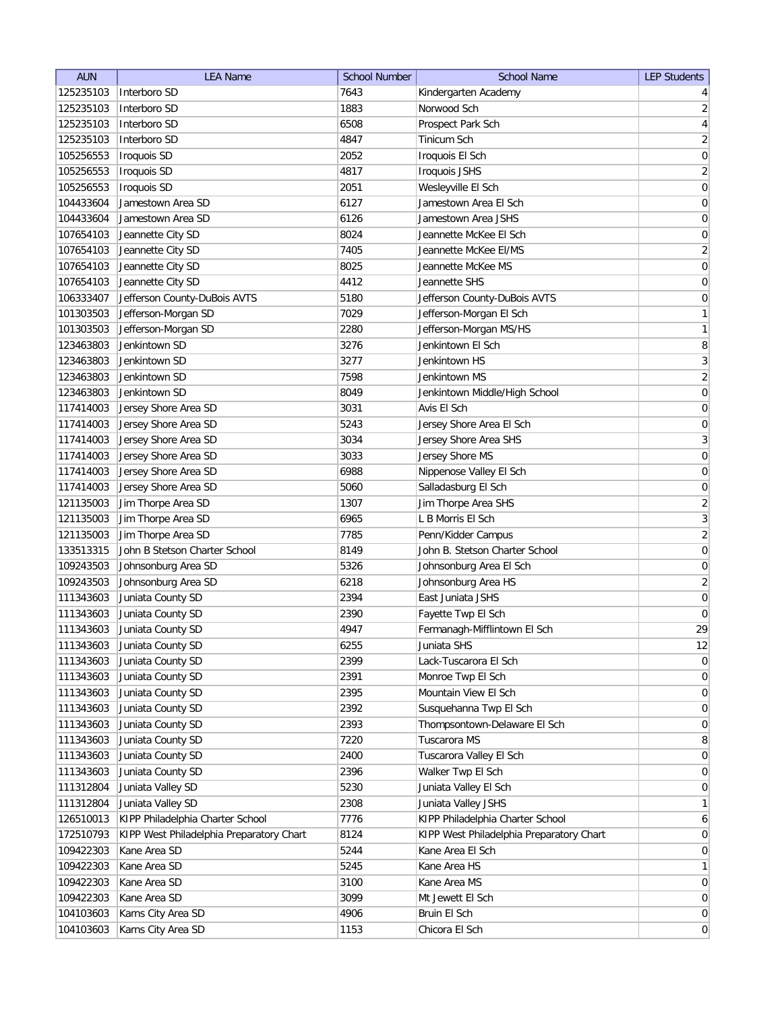| <b>AUN</b> | <b>LEA Name</b>                          | <b>School Number</b> | <b>School Name</b>                       | <b>LEP Students</b> |
|------------|------------------------------------------|----------------------|------------------------------------------|---------------------|
| 125235103  | Interboro SD                             | 7643                 | Kindergarten Academy                     | $\vert 4 \vert$     |
| 125235103  | Interboro SD                             | 1883                 | Norwood Sch                              | $\overline{2}$      |
| 125235103  | Interboro SD                             | 6508                 | Prospect Park Sch                        | $\overline{4}$      |
| 125235103  | Interboro SD                             | 4847                 | Tinicum Sch                              | $\overline{2}$      |
| 105256553  | <b>Iroquois SD</b>                       | 2052                 | Iroquois El Sch                          | $\boldsymbol{0}$    |
| 105256553  | Iroquois SD                              | 4817                 | <b>Iroquois JSHS</b>                     | $\overline{2}$      |
| 105256553  | Iroquois SD                              | 2051                 | Wesleyville El Sch                       | $\boldsymbol{0}$    |
| 104433604  | Jamestown Area SD                        | 6127                 | Jamestown Area El Sch                    | $\boldsymbol{0}$    |
| 104433604  | Jamestown Area SD                        | 6126                 | Jamestown Area JSHS                      | $\boldsymbol{0}$    |
| 107654103  | Jeannette City SD                        | 8024                 | Jeannette McKee El Sch                   | $\boldsymbol{0}$    |
| 107654103  | Jeannette City SD                        | 7405                 | Jeannette McKee El/MS                    | $\overline{2}$      |
| 107654103  | Jeannette City SD                        | 8025                 | Jeannette McKee MS                       | $\boldsymbol{0}$    |
| 107654103  | Jeannette City SD                        | 4412                 | Jeannette SHS                            | $\boldsymbol{0}$    |
| 106333407  | Jefferson County-DuBois AVTS             | 5180                 | Jefferson County-DuBois AVTS             | 0                   |
| 101303503  | Jefferson-Morgan SD                      | 7029                 | Jefferson-Morgan El Sch                  | 1                   |
| 101303503  | Jefferson-Morgan SD                      | 2280                 | Jefferson-Morgan MS/HS                   | $\mathbf{1}$        |
| 123463803  | Jenkintown SD                            | 3276                 | Jenkintown El Sch                        | 8                   |
| 123463803  | Jenkintown SD                            | 3277                 | Jenkintown HS                            | $\overline{3}$      |
| 123463803  | Jenkintown SD                            | 7598                 | Jenkintown MS                            | $\overline{2}$      |
| 123463803  | Jenkintown SD                            | 8049                 | Jenkintown Middle/High School            | 0                   |
| 117414003  | Jersey Shore Area SD                     | 3031                 | Avis El Sch                              | 0                   |
| 117414003  | Jersey Shore Area SD                     | 5243                 | Jersey Shore Area El Sch                 | $\boldsymbol{0}$    |
| 117414003  | Jersey Shore Area SD                     | 3034                 | Jersey Shore Area SHS                    | $\overline{3}$      |
| 117414003  | Jersey Shore Area SD                     | 3033                 | Jersey Shore MS                          | $\boldsymbol{0}$    |
|            |                                          | 6988                 | Nippenose Valley El Sch                  | $\boldsymbol{0}$    |
| 117414003  | Jersey Shore Area SD                     |                      |                                          |                     |
| 117414003  | Jersey Shore Area SD                     | 5060                 | Salladasburg El Sch                      | $\boldsymbol{0}$    |
| 121135003  | Jim Thorpe Area SD                       | 1307                 | Jim Thorpe Area SHS                      | $\overline{2}$      |
| 121135003  | Jim Thorpe Area SD                       | 6965                 | L B Morris El Sch                        | $\overline{3}$      |
| 121135003  | Jim Thorpe Area SD                       | 7785                 | Penn/Kidder Campus                       | $\overline{2}$      |
| 133513315  | John B Stetson Charter School            | 8149                 | John B. Stetson Charter School           | $\boldsymbol{0}$    |
| 109243503  | Johnsonburg Area SD                      | 5326                 | Johnsonburg Area El Sch                  | 0                   |
| 109243503  | Johnsonburg Area SD                      | 6218                 | Johnsonburg Area HS                      | $\overline{2}$      |
| 111343603  | Juniata County SD                        | 2394                 | East Juniata JSHS                        | $\overline{0}$      |
| 111343603  | Juniata County SD                        | 2390                 | Fayette Twp El Sch                       | $\overline{0}$      |
| 111343603  | Juniata County SD                        | 4947                 | Fermanagh-Mifflintown El Sch             | 29                  |
| 111343603  | Juniata County SD                        | 6255                 | Juniata SHS                              | 12                  |
| 111343603  | Juniata County SD                        | 2399                 | Lack-Tuscarora El Sch                    | 0                   |
| 111343603  | Juniata County SD                        | 2391                 | Monroe Twp El Sch                        | 0                   |
| 111343603  | Juniata County SD                        | 2395                 | Mountain View El Sch                     | 0                   |
| 111343603  | Juniata County SD                        | 2392                 | Susquehanna Twp El Sch                   | $\overline{0}$      |
| 111343603  | Juniata County SD                        | 2393                 | Thompsontown-Delaware El Sch             | $\overline{0}$      |
| 111343603  | Juniata County SD                        | 7220                 | Tuscarora MS                             | 8                   |
| 111343603  | Juniata County SD                        | 2400                 | Tuscarora Valley El Sch                  | 0                   |
| 111343603  | Juniata County SD                        | 2396                 | Walker Twp El Sch                        | $\overline{0}$      |
| 111312804  | Juniata Valley SD                        | 5230                 | Juniata Valley El Sch                    | 0                   |
| 111312804  | Juniata Valley SD                        | 2308                 | Juniata Valley JSHS                      | 1                   |
| 126510013  | KIPP Philadelphia Charter School         | 7776                 | KIPP Philadelphia Charter School         | 6                   |
| 172510793  | KIPP West Philadelphia Preparatory Chart | 8124                 | KIPP West Philadelphia Preparatory Chart | 0                   |
| 109422303  | Kane Area SD                             | 5244                 | Kane Area El Sch                         | 0                   |
| 109422303  | Kane Area SD                             | 5245                 | Kane Area HS                             | 1                   |
| 109422303  | Kane Area SD                             | 3100                 | Kane Area MS                             | $\overline{0}$      |
| 109422303  | Kane Area SD                             | 3099                 | Mt Jewett El Sch                         | $\overline{0}$      |
| 104103603  | Karns City Area SD                       | 4906                 | Bruin El Sch                             | 0                   |
| 104103603  | Karns City Area SD                       | 1153                 | Chicora El Sch                           | 0                   |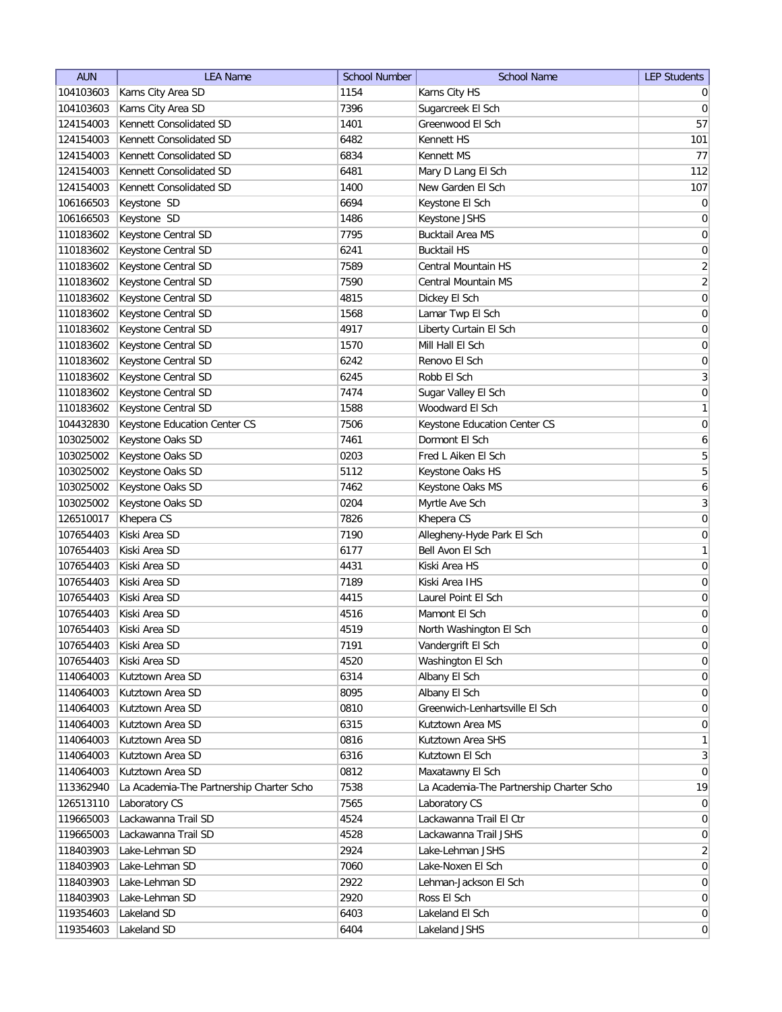| 104103603<br>Karns City Area SD<br>1154<br>Karns City HS<br>$\overline{0}$<br>104103603<br>Karns City Area SD<br>7396<br>Sugarcreek El Sch<br>$\overline{0}$<br>57<br>Kennett Consolidated SD<br>1401<br>124154003<br>Greenwood El Sch<br>6482<br>101<br>Kennett Consolidated SD<br>Kennett HS<br>124154003<br>77<br>124154003<br>Kennett Consolidated SD<br>6834<br>Kennett MS<br>Kennett Consolidated SD<br>Mary D Lang El Sch<br>124154003<br>6481<br>Kennett Consolidated SD<br>124154003<br>1400<br>New Garden El Sch<br>0<br>106166503<br>Keystone SD<br>6694<br>Keystone El Sch<br>$\boldsymbol{0}$<br>106166503<br>Keystone SD<br>1486<br>Keystone JSHS<br>110183602<br>Keystone Central SD<br>7795<br><b>Bucktail Area MS</b><br>0<br>Keystone Central SD<br><b>Bucktail HS</b><br>0<br>110183602<br>6241<br>$\overline{2}$<br>110183602<br>Keystone Central SD<br>7589<br>Central Mountain HS<br>110183602<br>Keystone Central SD<br>7590<br>Central Mountain MS<br>$\boldsymbol{0}$<br>110183602<br>Keystone Central SD<br>4815<br>Dickey El Sch<br>0<br>Keystone Central SD<br>1568<br>110183602<br>Lamar Twp El Sch<br>$\boldsymbol{0}$<br>Liberty Curtain El Sch<br>110183602<br>Keystone Central SD<br>4917<br>110183602<br>Keystone Central SD<br>1570<br>Mill Hall El Sch<br>$\boldsymbol{0}$<br>110183602<br>Keystone Central SD<br>6242<br>Renovo El Sch<br>110183602<br>Keystone Central SD<br>6245<br>Robb El Sch<br>$\boldsymbol{0}$<br>110183602<br>Keystone Central SD<br>7474<br>Sugar Valley El Sch<br>Woodward El Sch<br>110183602<br>Keystone Central SD<br>1588<br>7506<br>104432830<br>Keystone Education Center CS<br>Keystone Education Center CS<br>Dormont El Sch<br>6<br>103025002<br>Keystone Oaks SD<br>7461 |
|---------------------------------------------------------------------------------------------------------------------------------------------------------------------------------------------------------------------------------------------------------------------------------------------------------------------------------------------------------------------------------------------------------------------------------------------------------------------------------------------------------------------------------------------------------------------------------------------------------------------------------------------------------------------------------------------------------------------------------------------------------------------------------------------------------------------------------------------------------------------------------------------------------------------------------------------------------------------------------------------------------------------------------------------------------------------------------------------------------------------------------------------------------------------------------------------------------------------------------------------------------------------------------------------------------------------------------------------------------------------------------------------------------------------------------------------------------------------------------------------------------------------------------------------------------------------------------------------------------------------------------------------------------------------------------------------------------------------------------------------------|
|                                                                                                                                                                                                                                                                                                                                                                                                                                                                                                                                                                                                                                                                                                                                                                                                                                                                                                                                                                                                                                                                                                                                                                                                                                                                                                                                                                                                                                                                                                                                                                                                                                                                                                                                                   |
|                                                                                                                                                                                                                                                                                                                                                                                                                                                                                                                                                                                                                                                                                                                                                                                                                                                                                                                                                                                                                                                                                                                                                                                                                                                                                                                                                                                                                                                                                                                                                                                                                                                                                                                                                   |
|                                                                                                                                                                                                                                                                                                                                                                                                                                                                                                                                                                                                                                                                                                                                                                                                                                                                                                                                                                                                                                                                                                                                                                                                                                                                                                                                                                                                                                                                                                                                                                                                                                                                                                                                                   |
|                                                                                                                                                                                                                                                                                                                                                                                                                                                                                                                                                                                                                                                                                                                                                                                                                                                                                                                                                                                                                                                                                                                                                                                                                                                                                                                                                                                                                                                                                                                                                                                                                                                                                                                                                   |
| 112<br>107<br>$\overline{2}$<br>$\vert 0 \vert$<br>3<br>1<br> 0                                                                                                                                                                                                                                                                                                                                                                                                                                                                                                                                                                                                                                                                                                                                                                                                                                                                                                                                                                                                                                                                                                                                                                                                                                                                                                                                                                                                                                                                                                                                                                                                                                                                                   |
|                                                                                                                                                                                                                                                                                                                                                                                                                                                                                                                                                                                                                                                                                                                                                                                                                                                                                                                                                                                                                                                                                                                                                                                                                                                                                                                                                                                                                                                                                                                                                                                                                                                                                                                                                   |
|                                                                                                                                                                                                                                                                                                                                                                                                                                                                                                                                                                                                                                                                                                                                                                                                                                                                                                                                                                                                                                                                                                                                                                                                                                                                                                                                                                                                                                                                                                                                                                                                                                                                                                                                                   |
|                                                                                                                                                                                                                                                                                                                                                                                                                                                                                                                                                                                                                                                                                                                                                                                                                                                                                                                                                                                                                                                                                                                                                                                                                                                                                                                                                                                                                                                                                                                                                                                                                                                                                                                                                   |
|                                                                                                                                                                                                                                                                                                                                                                                                                                                                                                                                                                                                                                                                                                                                                                                                                                                                                                                                                                                                                                                                                                                                                                                                                                                                                                                                                                                                                                                                                                                                                                                                                                                                                                                                                   |
|                                                                                                                                                                                                                                                                                                                                                                                                                                                                                                                                                                                                                                                                                                                                                                                                                                                                                                                                                                                                                                                                                                                                                                                                                                                                                                                                                                                                                                                                                                                                                                                                                                                                                                                                                   |
|                                                                                                                                                                                                                                                                                                                                                                                                                                                                                                                                                                                                                                                                                                                                                                                                                                                                                                                                                                                                                                                                                                                                                                                                                                                                                                                                                                                                                                                                                                                                                                                                                                                                                                                                                   |
|                                                                                                                                                                                                                                                                                                                                                                                                                                                                                                                                                                                                                                                                                                                                                                                                                                                                                                                                                                                                                                                                                                                                                                                                                                                                                                                                                                                                                                                                                                                                                                                                                                                                                                                                                   |
|                                                                                                                                                                                                                                                                                                                                                                                                                                                                                                                                                                                                                                                                                                                                                                                                                                                                                                                                                                                                                                                                                                                                                                                                                                                                                                                                                                                                                                                                                                                                                                                                                                                                                                                                                   |
|                                                                                                                                                                                                                                                                                                                                                                                                                                                                                                                                                                                                                                                                                                                                                                                                                                                                                                                                                                                                                                                                                                                                                                                                                                                                                                                                                                                                                                                                                                                                                                                                                                                                                                                                                   |
|                                                                                                                                                                                                                                                                                                                                                                                                                                                                                                                                                                                                                                                                                                                                                                                                                                                                                                                                                                                                                                                                                                                                                                                                                                                                                                                                                                                                                                                                                                                                                                                                                                                                                                                                                   |
|                                                                                                                                                                                                                                                                                                                                                                                                                                                                                                                                                                                                                                                                                                                                                                                                                                                                                                                                                                                                                                                                                                                                                                                                                                                                                                                                                                                                                                                                                                                                                                                                                                                                                                                                                   |
|                                                                                                                                                                                                                                                                                                                                                                                                                                                                                                                                                                                                                                                                                                                                                                                                                                                                                                                                                                                                                                                                                                                                                                                                                                                                                                                                                                                                                                                                                                                                                                                                                                                                                                                                                   |
|                                                                                                                                                                                                                                                                                                                                                                                                                                                                                                                                                                                                                                                                                                                                                                                                                                                                                                                                                                                                                                                                                                                                                                                                                                                                                                                                                                                                                                                                                                                                                                                                                                                                                                                                                   |
|                                                                                                                                                                                                                                                                                                                                                                                                                                                                                                                                                                                                                                                                                                                                                                                                                                                                                                                                                                                                                                                                                                                                                                                                                                                                                                                                                                                                                                                                                                                                                                                                                                                                                                                                                   |
|                                                                                                                                                                                                                                                                                                                                                                                                                                                                                                                                                                                                                                                                                                                                                                                                                                                                                                                                                                                                                                                                                                                                                                                                                                                                                                                                                                                                                                                                                                                                                                                                                                                                                                                                                   |
|                                                                                                                                                                                                                                                                                                                                                                                                                                                                                                                                                                                                                                                                                                                                                                                                                                                                                                                                                                                                                                                                                                                                                                                                                                                                                                                                                                                                                                                                                                                                                                                                                                                                                                                                                   |
|                                                                                                                                                                                                                                                                                                                                                                                                                                                                                                                                                                                                                                                                                                                                                                                                                                                                                                                                                                                                                                                                                                                                                                                                                                                                                                                                                                                                                                                                                                                                                                                                                                                                                                                                                   |
|                                                                                                                                                                                                                                                                                                                                                                                                                                                                                                                                                                                                                                                                                                                                                                                                                                                                                                                                                                                                                                                                                                                                                                                                                                                                                                                                                                                                                                                                                                                                                                                                                                                                                                                                                   |
| 5<br>103025002<br>Keystone Oaks SD<br>0203<br>Fred L Aiken El Sch                                                                                                                                                                                                                                                                                                                                                                                                                                                                                                                                                                                                                                                                                                                                                                                                                                                                                                                                                                                                                                                                                                                                                                                                                                                                                                                                                                                                                                                                                                                                                                                                                                                                                 |
| 5<br>103025002<br>Keystone Oaks SD<br>5112<br>Keystone Oaks HS                                                                                                                                                                                                                                                                                                                                                                                                                                                                                                                                                                                                                                                                                                                                                                                                                                                                                                                                                                                                                                                                                                                                                                                                                                                                                                                                                                                                                                                                                                                                                                                                                                                                                    |
| 6<br>103025002<br>Keystone Oaks SD<br>7462<br>Keystone Oaks MS                                                                                                                                                                                                                                                                                                                                                                                                                                                                                                                                                                                                                                                                                                                                                                                                                                                                                                                                                                                                                                                                                                                                                                                                                                                                                                                                                                                                                                                                                                                                                                                                                                                                                    |
| $\overline{3}$<br>103025002<br>Keystone Oaks SD<br>0204<br>Myrtle Ave Sch                                                                                                                                                                                                                                                                                                                                                                                                                                                                                                                                                                                                                                                                                                                                                                                                                                                                                                                                                                                                                                                                                                                                                                                                                                                                                                                                                                                                                                                                                                                                                                                                                                                                         |
| 0<br>126510017<br>Khepera CS<br>7826<br>Khepera CS                                                                                                                                                                                                                                                                                                                                                                                                                                                                                                                                                                                                                                                                                                                                                                                                                                                                                                                                                                                                                                                                                                                                                                                                                                                                                                                                                                                                                                                                                                                                                                                                                                                                                                |
| 0<br>107654403<br>Kiski Area SD<br>7190<br>Allegheny-Hyde Park El Sch                                                                                                                                                                                                                                                                                                                                                                                                                                                                                                                                                                                                                                                                                                                                                                                                                                                                                                                                                                                                                                                                                                                                                                                                                                                                                                                                                                                                                                                                                                                                                                                                                                                                             |
| $\mathbf{1}$<br>107654403<br>Kiski Area SD<br>Bell Avon El Sch<br>6177                                                                                                                                                                                                                                                                                                                                                                                                                                                                                                                                                                                                                                                                                                                                                                                                                                                                                                                                                                                                                                                                                                                                                                                                                                                                                                                                                                                                                                                                                                                                                                                                                                                                            |
| 107654403<br>Kiski Area SD<br>4431<br>Kiski Area HS<br>0                                                                                                                                                                                                                                                                                                                                                                                                                                                                                                                                                                                                                                                                                                                                                                                                                                                                                                                                                                                                                                                                                                                                                                                                                                                                                                                                                                                                                                                                                                                                                                                                                                                                                          |
| $\boldsymbol{0}$<br>107654403<br>Kiski Area SD<br>7189<br>Kiski Area IHS                                                                                                                                                                                                                                                                                                                                                                                                                                                                                                                                                                                                                                                                                                                                                                                                                                                                                                                                                                                                                                                                                                                                                                                                                                                                                                                                                                                                                                                                                                                                                                                                                                                                          |
| $\boldsymbol{0}$<br>107654403<br>Kiski Area SD<br>Laurel Point El Sch<br>4415                                                                                                                                                                                                                                                                                                                                                                                                                                                                                                                                                                                                                                                                                                                                                                                                                                                                                                                                                                                                                                                                                                                                                                                                                                                                                                                                                                                                                                                                                                                                                                                                                                                                     |
| $\boldsymbol{0}$<br>107654403<br>Kiski Area SD<br>4516<br>Mamont El Sch                                                                                                                                                                                                                                                                                                                                                                                                                                                                                                                                                                                                                                                                                                                                                                                                                                                                                                                                                                                                                                                                                                                                                                                                                                                                                                                                                                                                                                                                                                                                                                                                                                                                           |
| 107654403<br>Kiski Area SD<br>$\overline{0}$<br>4519<br>North Washington El Sch                                                                                                                                                                                                                                                                                                                                                                                                                                                                                                                                                                                                                                                                                                                                                                                                                                                                                                                                                                                                                                                                                                                                                                                                                                                                                                                                                                                                                                                                                                                                                                                                                                                                   |
| 107654403<br>Kiski Area SD<br>7191<br>Vandergrift El Sch<br> 0                                                                                                                                                                                                                                                                                                                                                                                                                                                                                                                                                                                                                                                                                                                                                                                                                                                                                                                                                                                                                                                                                                                                                                                                                                                                                                                                                                                                                                                                                                                                                                                                                                                                                    |
| 0 <br>107654403<br>Kiski Area SD<br>4520<br>Washington El Sch                                                                                                                                                                                                                                                                                                                                                                                                                                                                                                                                                                                                                                                                                                                                                                                                                                                                                                                                                                                                                                                                                                                                                                                                                                                                                                                                                                                                                                                                                                                                                                                                                                                                                     |
| Kutztown Area SD<br> 0 <br>114064003<br>6314<br>Albany El Sch                                                                                                                                                                                                                                                                                                                                                                                                                                                                                                                                                                                                                                                                                                                                                                                                                                                                                                                                                                                                                                                                                                                                                                                                                                                                                                                                                                                                                                                                                                                                                                                                                                                                                     |
| Kutztown Area SD<br>8095<br>Albany El Sch<br> 0 <br>114064003                                                                                                                                                                                                                                                                                                                                                                                                                                                                                                                                                                                                                                                                                                                                                                                                                                                                                                                                                                                                                                                                                                                                                                                                                                                                                                                                                                                                                                                                                                                                                                                                                                                                                     |
| Kutztown Area SD<br>Greenwich-Lenhartsville El Sch<br>114064003<br>0810<br>$\overline{0}$                                                                                                                                                                                                                                                                                                                                                                                                                                                                                                                                                                                                                                                                                                                                                                                                                                                                                                                                                                                                                                                                                                                                                                                                                                                                                                                                                                                                                                                                                                                                                                                                                                                         |
| Kutztown Area SD<br>Kutztown Area MS<br>114064003<br>6315<br> 0                                                                                                                                                                                                                                                                                                                                                                                                                                                                                                                                                                                                                                                                                                                                                                                                                                                                                                                                                                                                                                                                                                                                                                                                                                                                                                                                                                                                                                                                                                                                                                                                                                                                                   |
| Kutztown Area SD<br>Kutztown Area SHS<br>$\mathbf{1}$<br>114064003<br>0816                                                                                                                                                                                                                                                                                                                                                                                                                                                                                                                                                                                                                                                                                                                                                                                                                                                                                                                                                                                                                                                                                                                                                                                                                                                                                                                                                                                                                                                                                                                                                                                                                                                                        |
| Kutztown Area SD<br>Kutztown El Sch<br>3<br>114064003<br>6316                                                                                                                                                                                                                                                                                                                                                                                                                                                                                                                                                                                                                                                                                                                                                                                                                                                                                                                                                                                                                                                                                                                                                                                                                                                                                                                                                                                                                                                                                                                                                                                                                                                                                     |
| Kutztown Area SD<br>$\overline{0}$<br>114064003<br>0812<br>Maxatawny El Sch                                                                                                                                                                                                                                                                                                                                                                                                                                                                                                                                                                                                                                                                                                                                                                                                                                                                                                                                                                                                                                                                                                                                                                                                                                                                                                                                                                                                                                                                                                                                                                                                                                                                       |
| 19<br>113362940<br>La Academia-The Partnership Charter Scho<br>7538<br>La Academia-The Partnership Charter Scho                                                                                                                                                                                                                                                                                                                                                                                                                                                                                                                                                                                                                                                                                                                                                                                                                                                                                                                                                                                                                                                                                                                                                                                                                                                                                                                                                                                                                                                                                                                                                                                                                                   |
| Laboratory CS<br>126513110<br>7565<br>Laboratory CS<br>$\overline{0}$                                                                                                                                                                                                                                                                                                                                                                                                                                                                                                                                                                                                                                                                                                                                                                                                                                                                                                                                                                                                                                                                                                                                                                                                                                                                                                                                                                                                                                                                                                                                                                                                                                                                             |
| Lackawanna Trail SD<br>4524<br>Lackawanna Trail El Ctr<br>119665003<br>$\overline{0}$                                                                                                                                                                                                                                                                                                                                                                                                                                                                                                                                                                                                                                                                                                                                                                                                                                                                                                                                                                                                                                                                                                                                                                                                                                                                                                                                                                                                                                                                                                                                                                                                                                                             |
| Lackawanna Trail SD<br>4528<br>Lackawanna Trail JSHS<br>119665003<br>$\overline{0}$                                                                                                                                                                                                                                                                                                                                                                                                                                                                                                                                                                                                                                                                                                                                                                                                                                                                                                                                                                                                                                                                                                                                                                                                                                                                                                                                                                                                                                                                                                                                                                                                                                                               |
| Lake-Lehman SD<br>Lake-Lehman JSHS<br>$\overline{2}$<br>118403903<br>2924                                                                                                                                                                                                                                                                                                                                                                                                                                                                                                                                                                                                                                                                                                                                                                                                                                                                                                                                                                                                                                                                                                                                                                                                                                                                                                                                                                                                                                                                                                                                                                                                                                                                         |
| Lake-Lehman SD<br>7060<br>Lake-Noxen El Sch<br>$\overline{0}$<br>118403903                                                                                                                                                                                                                                                                                                                                                                                                                                                                                                                                                                                                                                                                                                                                                                                                                                                                                                                                                                                                                                                                                                                                                                                                                                                                                                                                                                                                                                                                                                                                                                                                                                                                        |
| Lake-Lehman SD<br>2922<br>118403903<br>Lehman-Jackson El Sch<br>$\overline{0}$                                                                                                                                                                                                                                                                                                                                                                                                                                                                                                                                                                                                                                                                                                                                                                                                                                                                                                                                                                                                                                                                                                                                                                                                                                                                                                                                                                                                                                                                                                                                                                                                                                                                    |
| Lake-Lehman SD<br>2920<br>Ross El Sch<br>118403903<br>$\overline{0}$                                                                                                                                                                                                                                                                                                                                                                                                                                                                                                                                                                                                                                                                                                                                                                                                                                                                                                                                                                                                                                                                                                                                                                                                                                                                                                                                                                                                                                                                                                                                                                                                                                                                              |
| 6403<br> 0 <br>119354603<br>Lakeland SD<br>Lakeland El Sch                                                                                                                                                                                                                                                                                                                                                                                                                                                                                                                                                                                                                                                                                                                                                                                                                                                                                                                                                                                                                                                                                                                                                                                                                                                                                                                                                                                                                                                                                                                                                                                                                                                                                        |
| Lakeland SD<br>6404<br>$\overline{0}$<br>119354603<br>Lakeland JSHS                                                                                                                                                                                                                                                                                                                                                                                                                                                                                                                                                                                                                                                                                                                                                                                                                                                                                                                                                                                                                                                                                                                                                                                                                                                                                                                                                                                                                                                                                                                                                                                                                                                                               |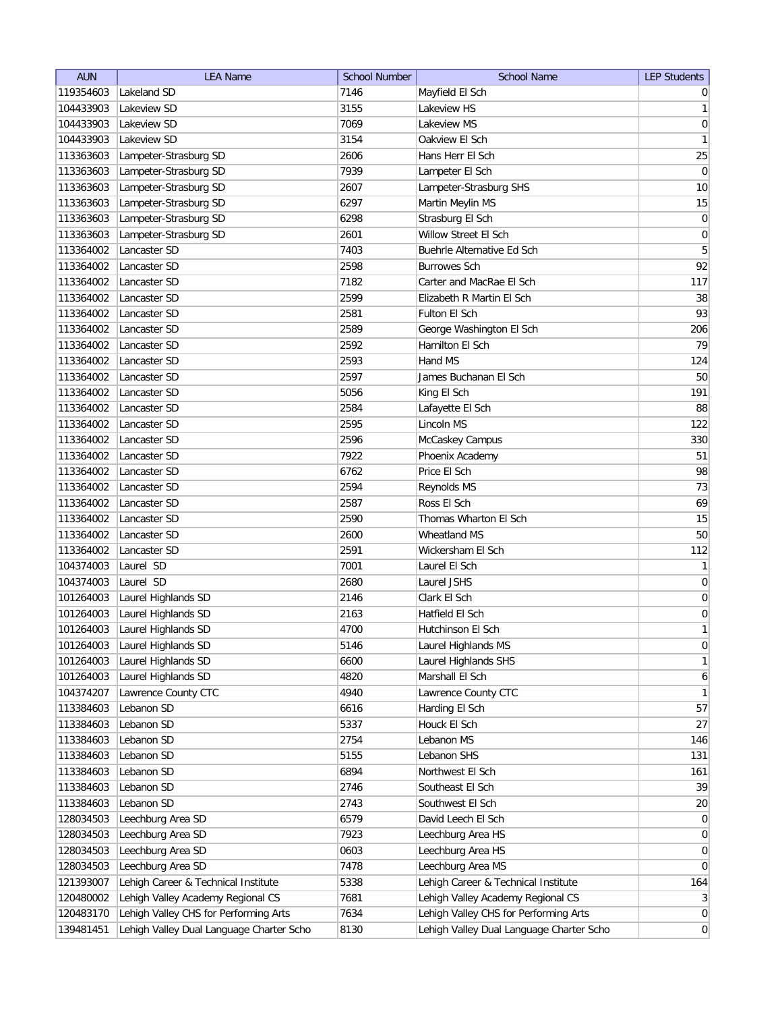| <b>AUN</b> | <b>LEA Name</b>                          | <b>School Number</b> | <b>School Name</b>                       | <b>LEP Students</b> |
|------------|------------------------------------------|----------------------|------------------------------------------|---------------------|
| 119354603  | Lakeland SD                              | 7146                 | Mayfield El Sch                          | $\overline{0}$      |
| 104433903  | Lakeview SD                              | 3155                 | Lakeview HS                              | 1                   |
| 104433903  | Lakeview SD                              | 7069                 | Lakeview MS                              | 0                   |
| 104433903  | Lakeview SD                              | 3154                 | Oakview El Sch                           | 1                   |
| 113363603  | Lampeter-Strasburg SD                    | 2606                 | Hans Herr El Sch                         | 25                  |
| 113363603  | Lampeter-Strasburg SD                    | 7939                 | Lampeter El Sch                          | 0                   |
| 113363603  | Lampeter-Strasburg SD                    | 2607                 | Lampeter-Strasburg SHS                   | 10                  |
| 113363603  | Lampeter-Strasburg SD                    | 6297                 | Martin Meylin MS                         | 15                  |
| 113363603  | Lampeter-Strasburg SD                    | 6298                 | Strasburg El Sch                         | $\boldsymbol{0}$    |
| 113363603  | Lampeter-Strasburg SD                    | 2601                 | Willow Street El Sch                     | $\boldsymbol{0}$    |
| 113364002  | Lancaster SD                             | 7403                 | Buehrle Alternative Ed Sch               | 5                   |
| 113364002  | Lancaster SD                             | 2598                 | <b>Burrowes Sch</b>                      | 92                  |
| 113364002  | Lancaster SD                             | 7182                 | Carter and MacRae El Sch                 | 117                 |
| 113364002  | Lancaster SD                             | 2599                 | Elizabeth R Martin El Sch                | 38                  |
| 113364002  | Lancaster SD                             | 2581                 | Fulton El Sch                            | 93                  |
| 113364002  | Lancaster SD                             | 2589                 | George Washington El Sch                 | 206                 |
| 113364002  | Lancaster SD                             | 2592                 | Hamilton El Sch                          | 79                  |
| 113364002  | Lancaster SD                             | 2593                 | Hand MS                                  | 124                 |
| 113364002  | Lancaster SD                             | 2597                 | James Buchanan El Sch                    | 50                  |
| 113364002  | Lancaster SD                             | 5056                 | King El Sch                              | 191                 |
| 113364002  | Lancaster SD                             | 2584                 | Lafayette El Sch                         | 88                  |
| 113364002  | Lancaster SD                             | 2595                 | Lincoln MS                               | 122                 |
| 113364002  | Lancaster SD                             | 2596                 | McCaskey Campus                          | 330                 |
| 113364002  | Lancaster SD                             | 7922                 | Phoenix Academy                          | 51                  |
| 113364002  | Lancaster SD                             | 6762                 | Price El Sch                             | 98                  |
| 113364002  | Lancaster SD                             | 2594                 | <b>Reynolds MS</b>                       | 73                  |
| 113364002  | Lancaster SD                             | 2587                 | Ross El Sch                              | 69                  |
| 113364002  | Lancaster SD                             | 2590                 | Thomas Wharton El Sch                    | 15                  |
| 113364002  | Lancaster SD                             | 2600                 | Wheatland MS                             | 50                  |
| 113364002  | Lancaster SD                             | 2591                 | Wickersham El Sch                        | 112                 |
| 104374003  | Laurel SD                                | 7001                 | Laurel El Sch                            | 1                   |
| 104374003  | Laurel SD                                | 2680                 | Laurel JSHS                              | $\overline{0}$      |
| 101264003  | Laurel Highlands SD                      | 2146                 | Clark El Sch                             | $\boldsymbol{0}$    |
| 101264003  | Laurel Highlands SD                      | 2163                 | Hatfield El Sch                          | $\boldsymbol{0}$    |
| 101264003  | Laurel Highlands SD                      | 4700                 | Hutchinson El Sch                        | 1                   |
| 101264003  | Laurel Highlands SD                      | 5146                 | Laurel Highlands MS                      | 0                   |
| 101264003  | Laurel Highlands SD                      | 6600                 | Laurel Highlands SHS                     | 1                   |
| 101264003  | Laurel Highlands SD                      | 4820                 | Marshall El Sch                          | $6\vert$            |
| 104374207  | Lawrence County CTC                      | 4940                 | Lawrence County CTC                      | 1                   |
| 113384603  | Lebanon SD                               | 6616                 | Harding El Sch                           | 57                  |
| 113384603  | Lebanon SD                               | 5337                 | Houck El Sch                             | 27                  |
| 113384603  | Lebanon SD                               | 2754                 | Lebanon MS                               | 146                 |
| 113384603  | Lebanon SD                               | 5155                 | Lebanon SHS                              | 131                 |
| 113384603  | Lebanon SD                               | 6894                 | Northwest El Sch                         | 161                 |
| 113384603  | Lebanon SD                               | 2746                 | Southeast El Sch                         | 39                  |
| 113384603  | Lebanon SD                               | 2743                 | Southwest El Sch                         | 20                  |
| 128034503  | Leechburg Area SD                        | 6579                 | David Leech El Sch                       | $\overline{0}$      |
| 128034503  | Leechburg Area SD                        | 7923                 | Leechburg Area HS                        | 0                   |
| 128034503  | Leechburg Area SD                        | 0603                 | Leechburg Area HS                        | $\overline{0}$      |
| 128034503  | Leechburg Area SD                        | 7478                 | Leechburg Area MS                        | 0                   |
| 121393007  | Lehigh Career & Technical Institute      | 5338                 | Lehigh Career & Technical Institute      | 164                 |
| 120480002  | Lehigh Valley Academy Regional CS        | 7681                 | Lehigh Valley Academy Regional CS        | 3                   |
| 120483170  | Lehigh Valley CHS for Performing Arts    | 7634                 | Lehigh Valley CHS for Performing Arts    | $\overline{0}$      |
| 139481451  | Lehigh Valley Dual Language Charter Scho | 8130                 | Lehigh Valley Dual Language Charter Scho | $\overline{0}$      |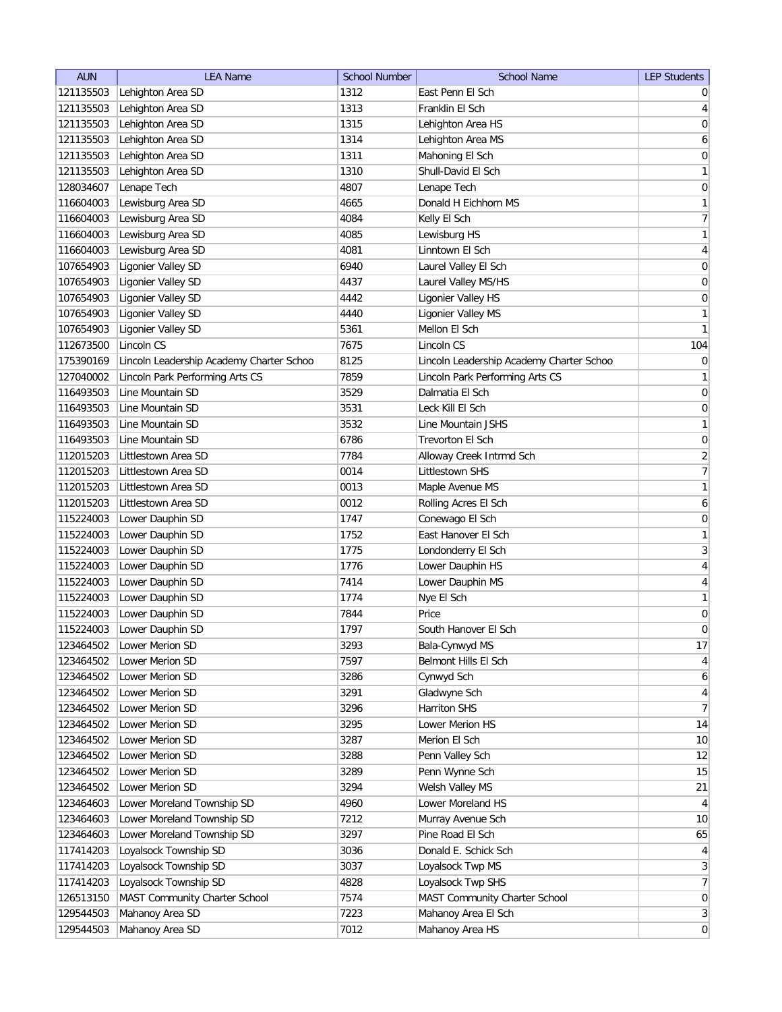| <b>AUN</b> | <b>LEA Name</b>                          | <b>School Number</b> | <b>School Name</b>                       | <b>LEP Students</b> |
|------------|------------------------------------------|----------------------|------------------------------------------|---------------------|
| 121135503  | Lehighton Area SD                        | 1312                 | East Penn El Sch                         | $\overline{0}$      |
| 121135503  | Lehighton Area SD                        | 1313                 | Franklin El Sch                          | $\overline{4}$      |
| 121135503  | Lehighton Area SD                        | 1315                 | Lehighton Area HS                        | $\boldsymbol{0}$    |
| 121135503  | Lehighton Area SD                        | 1314                 | Lehighton Area MS                        | 6                   |
| 121135503  | Lehighton Area SD                        | 1311                 | Mahoning El Sch                          | 0                   |
| 121135503  | Lehighton Area SD                        | 1310                 | Shull-David El Sch                       | 1                   |
| 128034607  | Lenape Tech                              | 4807                 | Lenape Tech                              | 0                   |
| 116604003  | Lewisburg Area SD                        | 4665                 | Donald H Eichhorn MS                     | 1                   |
| 116604003  | Lewisburg Area SD                        | 4084                 | Kelly El Sch                             | 7                   |
| 116604003  | Lewisburg Area SD                        | 4085                 | Lewisburg HS                             | $\mathbf{1}$        |
| 116604003  | Lewisburg Area SD                        | 4081                 | Linntown El Sch                          | $\vert 4 \vert$     |
| 107654903  | Ligonier Valley SD                       | 6940                 | Laurel Valley El Sch                     | 0                   |
| 107654903  | Ligonier Valley SD                       | 4437                 | Laurel Valley MS/HS                      | 0                   |
| 107654903  | Ligonier Valley SD                       | 4442                 | Ligonier Valley HS                       | $\boldsymbol{0}$    |
| 107654903  | Ligonier Valley SD                       | 4440                 | Ligonier Valley MS                       | $\mathbf{1}$        |
| 107654903  | Ligonier Valley SD                       | 5361                 | Mellon El Sch                            | 1                   |
| 112673500  | Lincoln CS                               | 7675                 | Lincoln CS                               | 104                 |
| 175390169  | Lincoln Leadership Academy Charter Schoo | 8125                 | Lincoln Leadership Academy Charter Schoo | $\boldsymbol{0}$    |
| 127040002  | Lincoln Park Performing Arts CS          | 7859                 | Lincoln Park Performing Arts CS          | $\mathbf{1}$        |
| 116493503  | Line Mountain SD                         | 3529                 | Dalmatia El Sch                          | 0                   |
| 116493503  | Line Mountain SD                         | 3531                 | Leck Kill El Sch                         | $\vert 0 \vert$     |
| 116493503  | Line Mountain SD                         | 3532                 | Line Mountain JSHS                       | 1                   |
| 116493503  | Line Mountain SD                         | 6786                 | Trevorton El Sch                         | 0                   |
| 112015203  | Littlestown Area SD                      | 7784                 | Alloway Creek Intrmd Sch                 | $\overline{2}$      |
| 112015203  | Littlestown Area SD                      | 0014                 | Littlestown SHS                          | $\overline{7}$      |
| 112015203  | Littlestown Area SD                      | 0013                 | Maple Avenue MS                          | 1                   |
| 112015203  | Littlestown Area SD                      | 0012                 | Rolling Acres El Sch                     | 6                   |
| 115224003  | Lower Dauphin SD                         | 1747                 | Conewago El Sch                          | $\boldsymbol{0}$    |
| 115224003  | Lower Dauphin SD                         | 1752                 | East Hanover El Sch                      | 1                   |
| 115224003  | Lower Dauphin SD                         | 1775                 | Londonderry El Sch                       | $\overline{3}$      |
| 115224003  | Lower Dauphin SD                         | 1776                 | Lower Dauphin HS                         | 4                   |
| 115224003  | Lower Dauphin SD                         | 7414                 | Lower Dauphin MS                         | 4                   |
| 115224003  | Lower Dauphin SD                         | 1774                 | Nye El Sch                               | $\mathbf{1}$        |
| 115224003  | Lower Dauphin SD                         | 7844                 | Price                                    | $\boldsymbol{0}$    |
| 115224003  | Lower Dauphin SD                         | 1797                 | South Hanover El Sch                     | 0                   |
| 123464502  | Lower Merion SD                          | 3293                 | Bala-Cynwyd MS                           | 17                  |
| 123464502  | Lower Merion SD                          | 7597                 | Belmont Hills El Sch                     | $\vert$             |
| 123464502  | Lower Merion SD                          | 3286                 | Cynwyd Sch                               | $6 \mid$            |
| 123464502  | Lower Merion SD                          | 3291                 | Gladwyne Sch                             | $\vert 4 \vert$     |
| 123464502  | Lower Merion SD                          | 3296                 | Harriton SHS                             | 7                   |
| 123464502  | Lower Merion SD                          | 3295                 | Lower Merion HS                          | 14                  |
| 123464502  | Lower Merion SD                          | 3287                 | Merion El Sch                            | 10                  |
| 123464502  | Lower Merion SD                          | 3288                 | Penn Valley Sch                          | 12                  |
| 123464502  | Lower Merion SD                          | 3289                 | Penn Wynne Sch                           | 15                  |
| 123464502  | Lower Merion SD                          | 3294                 | Welsh Valley MS                          | 21                  |
| 123464603  | Lower Moreland Township SD               | 4960                 | Lower Moreland HS                        | $\overline{4}$      |
| 123464603  | Lower Moreland Township SD               | 7212                 | Murray Avenue Sch                        | 10                  |
| 123464603  | Lower Moreland Township SD               | 3297                 | Pine Road El Sch                         | 65                  |
| 117414203  | Loyalsock Township SD                    | 3036                 | Donald E. Schick Sch                     | $\vert 4 \vert$     |
| 117414203  | Loyalsock Township SD                    | 3037                 | Loyalsock Twp MS                         | 3                   |
| 117414203  | Loyalsock Township SD                    | 4828                 | Loyalsock Twp SHS                        | 7                   |
| 126513150  | MAST Community Charter School            | 7574                 | MAST Community Charter School            | $\overline{0}$      |
| 129544503  | Mahanoy Area SD                          | 7223                 | Mahanoy Area El Sch                      | 3                   |
| 129544503  | Mahanoy Area SD                          | 7012                 | Mahanoy Area HS                          | 0                   |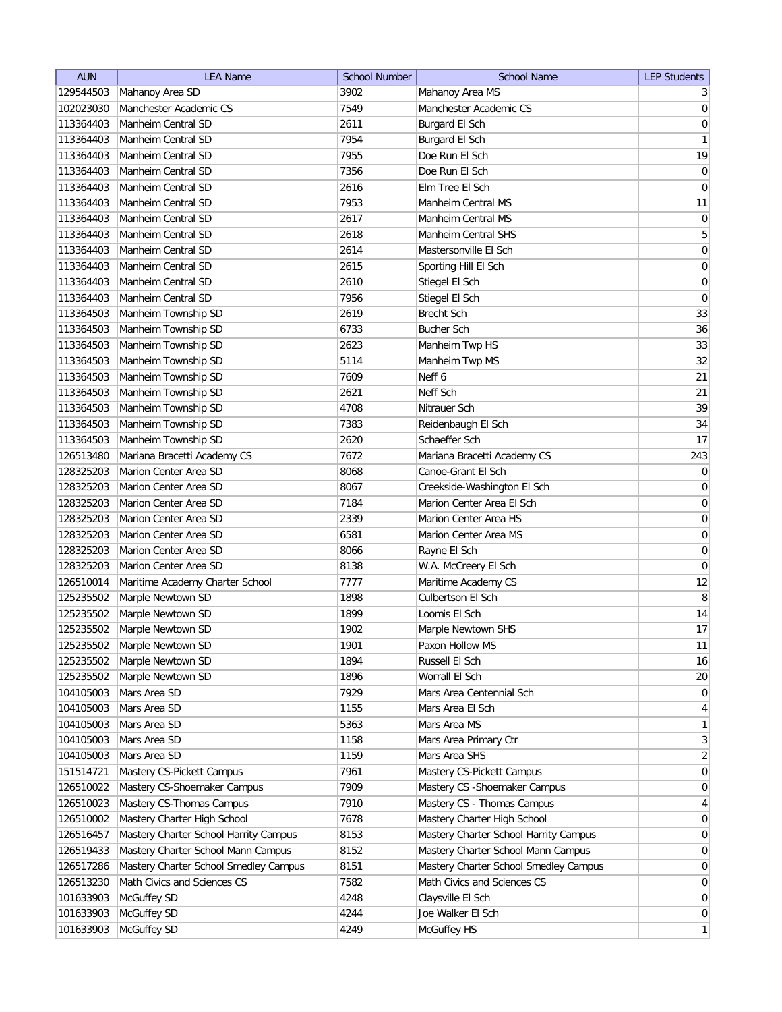| <b>AUN</b>             | <b>LEA Name</b>                            | <b>School Number</b> | <b>School Name</b>                    | <b>LEP Students</b> |
|------------------------|--------------------------------------------|----------------------|---------------------------------------|---------------------|
| 129544503              | Mahanoy Area SD                            | 3902                 | Mahanoy Area MS                       | $\frac{3}{2}$       |
| 102023030              | Manchester Academic CS                     | 7549                 | Manchester Academic CS                | $\vert 0 \vert$     |
| 113364403              | Manheim Central SD                         | 2611                 | Burgard El Sch                        | 0                   |
| 113364403              | Manheim Central SD                         | 7954                 | Burgard El Sch                        | 1                   |
| 113364403              | Manheim Central SD                         | 7955                 | Doe Run El Sch                        | 19                  |
| 113364403              | Manheim Central SD                         | 7356                 | Doe Run El Sch                        | 0                   |
| 113364403              | Manheim Central SD                         | 2616                 | Elm Tree El Sch                       | 0                   |
| 113364403              | Manheim Central SD                         | 7953                 | <b>Manheim Central MS</b>             | 11                  |
| 113364403              | Manheim Central SD                         | 2617                 | Manheim Central MS                    | 0                   |
| 113364403              | Manheim Central SD                         | 2618                 | Manheim Central SHS                   | 5                   |
| 113364403              | Manheim Central SD                         | 2614                 | Mastersonville El Sch                 | $\boldsymbol{0}$    |
| 113364403              | Manheim Central SD                         | 2615                 | Sporting Hill El Sch                  | $\boldsymbol{0}$    |
| 113364403              | Manheim Central SD                         | 2610                 | Stiegel El Sch                        | $\boldsymbol{0}$    |
| 113364403              | Manheim Central SD                         | 7956                 | Stiegel El Sch                        | $\boldsymbol{0}$    |
| 113364503              | Manheim Township SD                        | 2619                 | Brecht Sch                            | 33                  |
| 113364503              | Manheim Township SD                        | 6733                 | <b>Bucher Sch</b>                     | 36                  |
| 113364503              | Manheim Township SD                        | 2623                 | Manheim Twp HS                        | 33                  |
| 113364503              | Manheim Township SD                        | 5114                 | Manheim Twp MS                        | 32                  |
| 113364503              | Manheim Township SD                        | 7609                 | Neff 6                                | 21                  |
| 113364503              | Manheim Township SD                        | 2621                 | Neff Sch                              | 21                  |
| 113364503              | Manheim Township SD                        | 4708                 | Nitrauer Sch                          | 39                  |
|                        |                                            |                      |                                       |                     |
| 113364503<br>113364503 | Manheim Township SD<br>Manheim Township SD | 7383<br>2620         | Reidenbaugh El Sch<br>Schaeffer Sch   | 34<br>17            |
|                        |                                            | 7672                 | Mariana Bracetti Academy CS           |                     |
| 126513480              | Mariana Bracetti Academy CS                |                      | Canoe-Grant El Sch                    | 243                 |
| 128325203              | Marion Center Area SD                      | 8068                 |                                       | 0                   |
| 128325203              | Marion Center Area SD                      | 8067                 | Creekside-Washington El Sch           | 0                   |
| 128325203              | Marion Center Area SD                      | 7184                 | Marion Center Area El Sch             | $\boldsymbol{0}$    |
| 128325203              | Marion Center Area SD                      | 2339                 | Marion Center Area HS                 | $\boldsymbol{0}$    |
| 128325203              | Marion Center Area SD                      | 6581                 | Marion Center Area MS                 | $\boldsymbol{0}$    |
| 128325203              | Marion Center Area SD                      | 8066                 | Rayne El Sch                          | $\boldsymbol{0}$    |
| 128325203              | Marion Center Area SD                      | 8138                 | W.A. McCreery El Sch                  | $\overline{0}$      |
| 126510014              | Maritime Academy Charter School            | 7777                 | Maritime Academy CS                   | 12                  |
| 125235502              | Marple Newtown SD                          | 1898                 | Culbertson El Sch                     | $\, 8$              |
| 125235502              | Marple Newtown SD                          | 1899                 | Loomis El Sch                         | 14                  |
| 125235502              | Marple Newtown SD                          | 1902                 | Marple Newtown SHS                    | 17                  |
| 125235502              | Marple Newtown SD                          | 1901                 | Paxon Hollow MS                       | 11                  |
| 125235502              | Marple Newtown SD                          | 1894                 | Russell El Sch                        | 16                  |
| 125235502              | Marple Newtown SD                          | 1896                 | Worrall El Sch                        | 20                  |
| 104105003              | Mars Area SD                               | 7929                 | Mars Area Centennial Sch              | $\overline{0}$      |
| 104105003              | Mars Area SD                               | 1155                 | Mars Area El Sch                      | $\vert 4 \vert$     |
| 104105003              | Mars Area SD                               | 5363                 | Mars Area MS                          | $\mathbf{1}$        |
| 104105003              | Mars Area SD                               | 1158                 | Mars Area Primary Ctr                 | 3                   |
| 104105003              | Mars Area SD                               | 1159                 | Mars Area SHS                         | $\overline{2}$      |
| 151514721              | Mastery CS-Pickett Campus                  | 7961                 | Mastery CS-Pickett Campus             | $\overline{0}$      |
| 126510022              | Mastery CS-Shoemaker Campus                | 7909                 | Mastery CS - Shoemaker Campus         | 0                   |
| 126510023              | Mastery CS-Thomas Campus                   | 7910                 | Mastery CS - Thomas Campus            | $\overline{4}$      |
| 126510002              | Mastery Charter High School                | 7678                 | Mastery Charter High School           | $\overline{0}$      |
| 126516457              | Mastery Charter School Harrity Campus      | 8153                 | Mastery Charter School Harrity Campus | 0                   |
| 126519433              | Mastery Charter School Mann Campus         | 8152                 | Mastery Charter School Mann Campus    | $\overline{0}$      |
| 126517286              | Mastery Charter School Smedley Campus      | 8151                 | Mastery Charter School Smedley Campus | $\overline{0}$      |
| 126513230              | Math Civics and Sciences CS                | 7582                 | Math Civics and Sciences CS           | $\overline{0}$      |
| 101633903              | McGuffey SD                                | 4248                 | Claysville El Sch                     | 0                   |
| 101633903              | McGuffey SD                                | 4244                 | Joe Walker El Sch                     | $\overline{0}$      |
| 101633903              | McGuffey SD                                | 4249                 | McGuffey HS                           | $\mathbf{1}$        |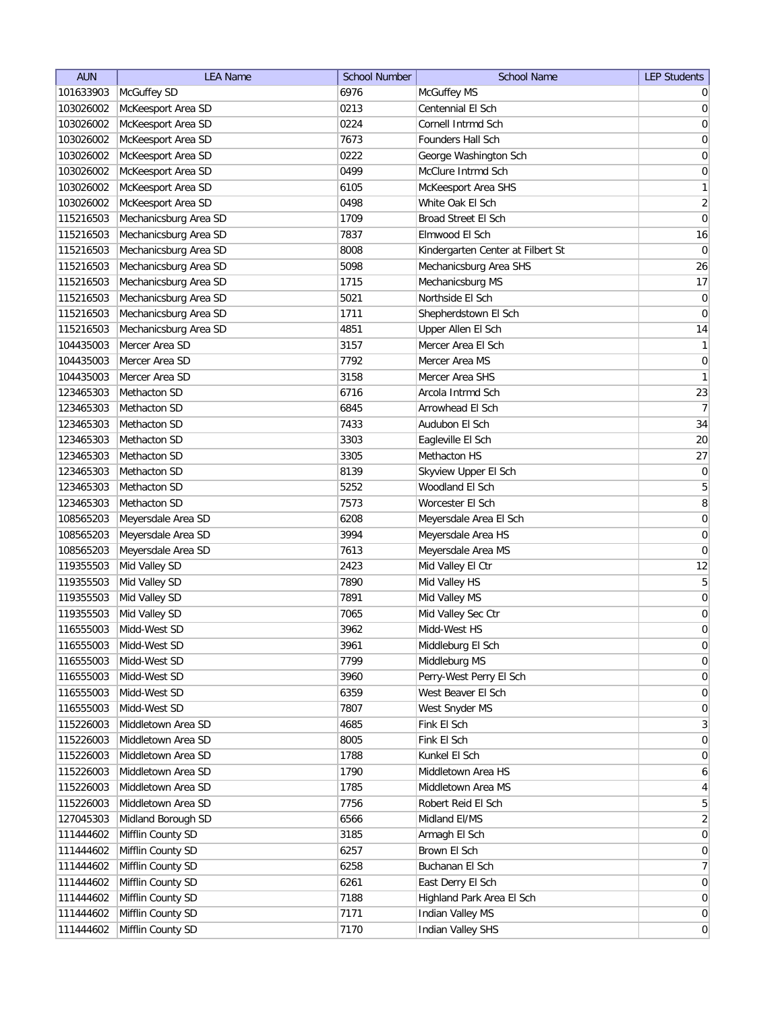| <b>AUN</b> | <b>LEA Name</b>       | <b>School Number</b> | <b>School Name</b>                | <b>LEP Students</b> |
|------------|-----------------------|----------------------|-----------------------------------|---------------------|
| 101633903  | McGuffey SD           | 6976                 | McGuffey MS                       | $\overline{0}$      |
| 103026002  | McKeesport Area SD    | 0213                 | Centennial El Sch                 | 0                   |
| 103026002  | McKeesport Area SD    | 0224                 | Cornell Intrmd Sch                | 0                   |
| 103026002  | McKeesport Area SD    | 7673                 | Founders Hall Sch                 | 0                   |
| 103026002  | McKeesport Area SD    | 0222                 | George Washington Sch             | 0                   |
| 103026002  | McKeesport Area SD    | 0499                 | McClure Intrmd Sch                | 0                   |
| 103026002  | McKeesport Area SD    | 6105                 | McKeesport Area SHS               | 1                   |
| 103026002  | McKeesport Area SD    | 0498                 | White Oak El Sch                  | $\overline{2}$      |
| 115216503  | Mechanicsburg Area SD | 1709                 | Broad Street El Sch               | $\boldsymbol{0}$    |
| 115216503  | Mechanicsburg Area SD | 7837                 | Elmwood El Sch                    | 16                  |
| 115216503  | Mechanicsburg Area SD | 8008                 | Kindergarten Center at Filbert St | $\overline{0}$      |
| 115216503  | Mechanicsburg Area SD | 5098                 | Mechanicsburg Area SHS            | 26                  |
| 115216503  | Mechanicsburg Area SD | 1715                 | Mechanicsburg MS                  | 17                  |
| 115216503  | Mechanicsburg Area SD | 5021                 | Northside El Sch                  | 0                   |
| 115216503  | Mechanicsburg Area SD | 1711                 | Shepherdstown El Sch              | 0                   |
| 115216503  | Mechanicsburg Area SD | 4851                 | Upper Allen El Sch                | 14                  |
| 104435003  | Mercer Area SD        | 3157                 | Mercer Area El Sch                | $\mathbf{1}$        |
| 104435003  | Mercer Area SD        | 7792                 | Mercer Area MS                    | $\vert 0 \vert$     |
| 104435003  | Mercer Area SD        | 3158                 | Mercer Area SHS                   | 1                   |
| 123465303  | Methacton SD          | 6716                 | Arcola Intrmd Sch                 | 23                  |
| 123465303  | Methacton SD          | 6845                 | Arrowhead El Sch                  | 7                   |
| 123465303  | Methacton SD          | 7433                 | Audubon El Sch                    | 34                  |
| 123465303  | Methacton SD          | 3303                 | Eagleville El Sch                 | 20                  |
| 123465303  | Methacton SD          | 3305                 | Methacton HS                      | 27                  |
| 123465303  | Methacton SD          | 8139                 | Skyview Upper El Sch              | $\boldsymbol{0}$    |
| 123465303  | Methacton SD          | 5252                 | Woodland El Sch                   | 5                   |
| 123465303  | Methacton SD          | 7573                 | Worcester El Sch                  | 8                   |
| 108565203  | Meyersdale Area SD    | 6208                 | Meyersdale Area El Sch            | 0                   |
| 108565203  | Meyersdale Area SD    | 3994                 | Meyersdale Area HS                | 0                   |
| 108565203  | Meyersdale Area SD    | 7613                 | Meyersdale Area MS                | 0                   |
| 119355503  | Mid Valley SD         | 2423                 | Mid Valley El Ctr                 | 12                  |
| 119355503  | Mid Valley SD         | 7890                 | Mid Valley HS                     | 5                   |
| 119355503  | Mid Valley SD         | 7891                 | Mid Valley MS                     | $\boldsymbol{0}$    |
| 119355503  | Mid Valley SD         | 7065                 | Mid Valley Sec Ctr                | $\boldsymbol{0}$    |
| 116555003  | Midd-West SD          | 3962                 | Midd-West HS                      | $\overline{0}$      |
| 116555003  | Midd-West SD          | 3961                 | Middleburg El Sch                 | $\overline{0}$      |
| 116555003  | Midd-West SD          | 7799                 | Middleburg MS                     | 0                   |
| 116555003  | Midd-West SD          | 3960                 | Perry-West Perry El Sch           | $\vert 0 \vert$     |
| 116555003  | Midd-West SD          | 6359                 | West Beaver El Sch                | $\vert 0 \vert$     |
| 116555003  | Midd-West SD          | 7807                 | West Snyder MS                    | $\overline{0}$      |
| 115226003  | Middletown Area SD    | 4685                 | Fink El Sch                       | 3                   |
| 115226003  | Middletown Area SD    | 8005                 | Fink El Sch                       | $\overline{0}$      |
| 115226003  | Middletown Area SD    | 1788                 | Kunkel El Sch                     | 0                   |
| 115226003  | Middletown Area SD    | 1790                 | Middletown Area HS                | 6                   |
| 115226003  | Middletown Area SD    | 1785                 | Middletown Area MS                | $\overline{4}$      |
| 115226003  | Middletown Area SD    | 7756                 | Robert Reid El Sch                | 5 <sup>1</sup>      |
| 127045303  | Midland Borough SD    | 6566                 | Midland El/MS                     | $\overline{2}$      |
| 111444602  | Mifflin County SD     | 3185                 | Armagh El Sch                     | $\overline{0}$      |
| 111444602  | Mifflin County SD     | 6257                 | Brown El Sch                      | $\overline{0}$      |
| 111444602  | Mifflin County SD     | 6258                 | Buchanan El Sch                   | 7                   |
| 111444602  | Mifflin County SD     | 6261                 | East Derry El Sch                 | $\overline{0}$      |
| 111444602  | Mifflin County SD     | 7188                 | Highland Park Area El Sch         | $\overline{0}$      |
| 111444602  | Mifflin County SD     | 7171                 | Indian Valley MS                  | $\overline{0}$      |
| 111444602  | Mifflin County SD     | 7170                 | Indian Valley SHS                 | 0                   |
|            |                       |                      |                                   |                     |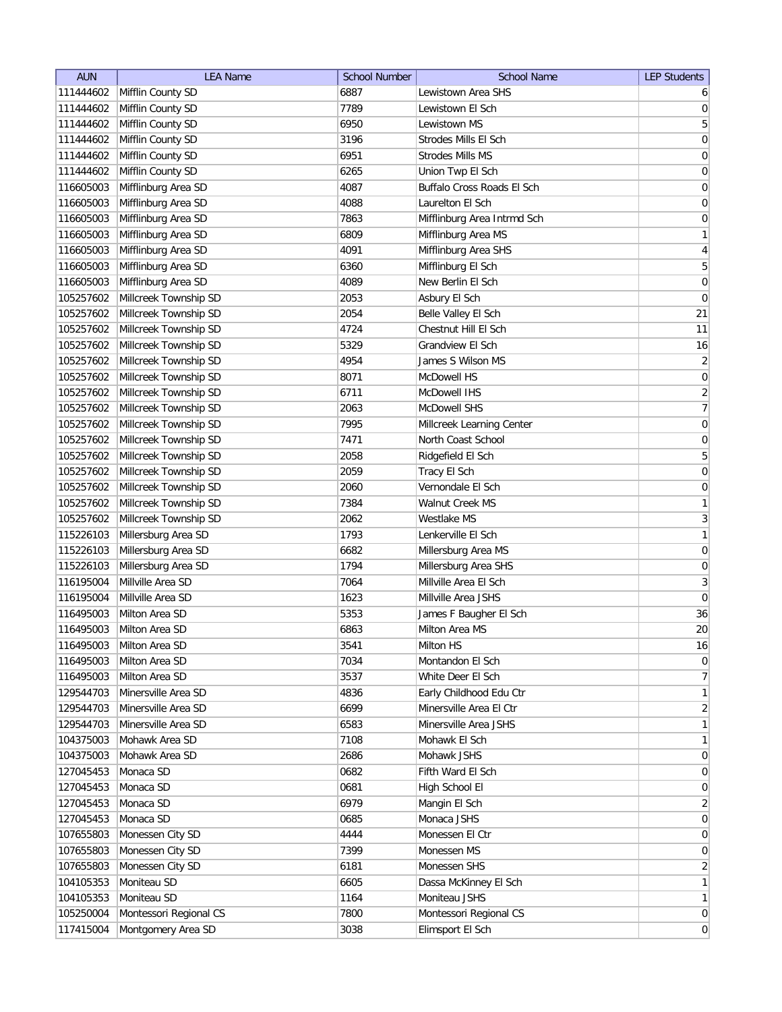| <b>AUN</b>             | <b>LEA Name</b>                 | <b>School Number</b> | <b>School Name</b>          | <b>LEP Students</b> |
|------------------------|---------------------------------|----------------------|-----------------------------|---------------------|
| 111444602              | Mifflin County SD               | 6887                 | Lewistown Area SHS          | 6                   |
| 111444602              | Mifflin County SD               | 7789                 | Lewistown El Sch            | 0                   |
| 111444602              | Mifflin County SD               | 6950                 | Lewistown MS                | $\overline{5}$      |
| 111444602              | Mifflin County SD               | 3196                 | Strodes Mills El Sch        | 0                   |
| 111444602              | Mifflin County SD               | 6951                 | Strodes Mills MS            | 0                   |
| 111444602              | Mifflin County SD               | 6265                 | Union Twp El Sch            | $\boldsymbol{0}$    |
| 116605003              | Mifflinburg Area SD             | 4087                 | Buffalo Cross Roads El Sch  | 0                   |
| 116605003              | Mifflinburg Area SD             | 4088                 | Laurelton El Sch            | $\boldsymbol{0}$    |
| 116605003              | Mifflinburg Area SD             | 7863                 | Mifflinburg Area Intrmd Sch | $\overline{0}$      |
| 116605003              | Mifflinburg Area SD             | 6809                 | Mifflinburg Area MS         | $\mathbf{1}$        |
| 116605003              | Mifflinburg Area SD             | 4091                 | Mifflinburg Area SHS        | 4                   |
| 116605003              | Mifflinburg Area SD             | 6360                 | Mifflinburg El Sch          | 5                   |
| 116605003              | Mifflinburg Area SD             | 4089                 | New Berlin El Sch           | 0                   |
| 105257602              | Millcreek Township SD           | 2053                 | Asbury El Sch               | 0                   |
| 105257602              | Millcreek Township SD           | 2054                 | Belle Valley El Sch         | 21                  |
| 105257602              | Millcreek Township SD           | 4724                 | Chestnut Hill El Sch        | 11                  |
| 105257602              | Millcreek Township SD           | 5329                 | Grandview El Sch            | 16                  |
| 105257602              | Millcreek Township SD           | 4954                 | James S Wilson MS           | $\overline{2}$      |
| 105257602              | Millcreek Township SD           | 8071                 | McDowell HS                 | 0                   |
| 105257602              | Millcreek Township SD           | 6711                 | McDowell IHS                | $\mathbf{2}$        |
| 105257602              | Millcreek Township SD           | 2063                 | McDowell SHS                | $\overline{7}$      |
| 105257602              | Millcreek Township SD           | 7995                 | Millcreek Learning Center   | $\vert 0 \vert$     |
| 105257602              | Millcreek Township SD           | 7471                 | North Coast School          | $\boldsymbol{0}$    |
| 105257602              | Millcreek Township SD           | 2058                 | Ridgefield El Sch           | 5                   |
| 105257602              | Millcreek Township SD           | 2059                 | Tracy El Sch                | $\boldsymbol{0}$    |
| 105257602              | Millcreek Township SD           | 2060                 | Vernondale El Sch           | $\boldsymbol{0}$    |
| 105257602              | Millcreek Township SD           | 7384                 | Walnut Creek MS             | $\mathbf{1}$        |
| 105257602              | Millcreek Township SD           | 2062                 | Westlake MS                 | $3\vert$            |
| 115226103              | Millersburg Area SD             | 1793                 | Lenkerville El Sch          | 1                   |
| 115226103              | Millersburg Area SD             | 6682                 | Millersburg Area MS         | $\overline{0}$      |
| 115226103              | Millersburg Area SD             | 1794                 | Millersburg Area SHS        | 0                   |
| 116195004              | Millville Area SD               | 7064                 | Millville Area El Sch       | 3                   |
| 116195004              | Millville Area SD               | 1623                 | Millville Area JSHS         | $\overline{0}$      |
| 116495003              | Milton Area SD                  | 5353                 | James F Baugher El Sch      | 36                  |
| 116495003              | Milton Area SD                  | 6863                 | Milton Area MS              | 20                  |
| 116495003              | Milton Area SD                  | 3541                 | Milton HS                   | 16                  |
| 116495003              | Milton Area SD                  | 7034                 | Montandon El Sch            | 0                   |
| 116495003              | Milton Area SD                  | 3537                 | White Deer El Sch           | $\overline{7}$      |
| 129544703              | Minersville Area SD             | 4836                 | Early Childhood Edu Ctr     | 1                   |
| 129544703              | Minersville Area SD             | 6699                 | Minersville Area El Ctr     | $\overline{2}$      |
| 129544703              | Minersville Area SD             | 6583                 | Minersville Area JSHS       | $\mathbf{1}$        |
| 104375003              | Mohawk Area SD                  | 7108                 | Mohawk El Sch               | $\mathbf{1}$        |
| 104375003              | Mohawk Area SD                  | 2686                 | Mohawk JSHS                 | 0                   |
| 127045453              | Monaca SD                       | 0682                 | Fifth Ward El Sch           | $\overline{0}$      |
| 127045453              | Monaca SD                       | 0681                 | High School El              | 0                   |
| 127045453              | Monaca SD                       | 6979                 | Mangin El Sch               | $\overline{2}$      |
|                        | Monaca SD                       | 0685                 | Monaca JSHS                 | $\overline{0}$      |
| 127045453<br>107655803 | Monessen City SD                | 4444                 | Monessen El Ctr             | $\overline{0}$      |
| 107655803              | Monessen City SD                | 7399                 | Monessen MS                 | $\overline{0}$      |
| 107655803              |                                 |                      | Monessen SHS                | $\overline{2}$      |
| 104105353              | Monessen City SD<br>Moniteau SD | 6181<br>6605         | Dassa McKinney El Sch       | $\mathbf{1}$        |
| 104105353              | Moniteau SD                     | 1164                 | Moniteau JSHS               | 1                   |
| 105250004              | Montessori Regional CS          | 7800                 | Montessori Regional CS      | $\overline{0}$      |
|                        |                                 |                      |                             | 0                   |
| 117415004              | Montgomery Area SD              | 3038                 | Elimsport El Sch            |                     |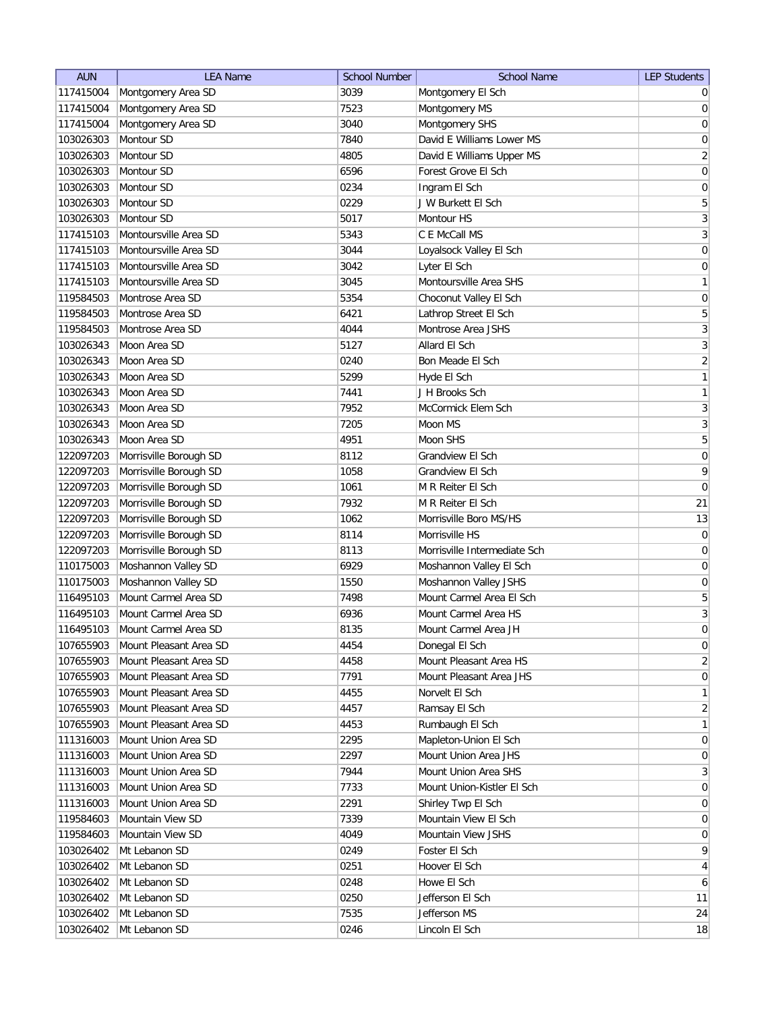| <b>AUN</b> | <b>LEA Name</b>        | <b>School Number</b> | <b>School Name</b>           | <b>LEP Students</b> |
|------------|------------------------|----------------------|------------------------------|---------------------|
| 117415004  | Montgomery Area SD     | 3039                 | Montgomery El Sch            | $\overline{0}$      |
| 117415004  | Montgomery Area SD     | 7523                 | Montgomery MS                | $\pmb{0}$           |
| 117415004  | Montgomery Area SD     | 3040                 | Montgomery SHS               | $\boldsymbol{0}$    |
| 103026303  | Montour SD             | 7840                 | David E Williams Lower MS    | $\boldsymbol{0}$    |
| 103026303  | Montour SD             | 4805                 | David E Williams Upper MS    | $\overline{2}$      |
| 103026303  | Montour SD             | 6596                 | Forest Grove El Sch          | $\mathsf{O}\xspace$ |
| 103026303  | Montour SD             | 0234                 | Ingram El Sch                | $\boldsymbol{0}$    |
| 103026303  | Montour SD             | 0229                 | J W Burkett El Sch           | $\sqrt{5}$          |
| 103026303  | Montour SD             | 5017                 | Montour HS                   | $\mathbf{3}$        |
| 117415103  | Montoursville Area SD  | 5343                 | C E McCall MS                | $\overline{3}$      |
| 117415103  | Montoursville Area SD  | 3044                 | Loyalsock Valley El Sch      | $\overline{0}$      |
| 117415103  | Montoursville Area SD  | 3042                 | Lyter El Sch                 | 0                   |
| 117415103  | Montoursville Area SD  | 3045                 | Montoursville Area SHS       | $\mathbf{1}$        |
| 119584503  | Montrose Area SD       | 5354                 | Choconut Valley El Sch       | 0                   |
| 119584503  | Montrose Area SD       | 6421                 | Lathrop Street El Sch        | 5                   |
| 119584503  | Montrose Area SD       | 4044                 | Montrose Area JSHS           | $\mathbf{3}$        |
| 103026343  | Moon Area SD           | 5127                 | Allard El Sch                | $\sqrt{3}$          |
| 103026343  | Moon Area SD           | 0240                 | Bon Meade El Sch             | $\sqrt{2}$          |
| 103026343  | Moon Area SD           | 5299                 | Hyde El Sch                  | $\mathbf{1}$        |
| 103026343  | Moon Area SD           | 7441                 | J H Brooks Sch               | $\mathbf{1}$        |
| 103026343  | Moon Area SD           | 7952                 | McCormick Elem Sch           | $\sqrt{3}$          |
| 103026343  | Moon Area SD           | 7205                 | Moon MS                      | $\sqrt{3}$          |
| 103026343  | Moon Area SD           | 4951                 | Moon SHS                     | $\mathbf 5$         |
| 122097203  | Morrisville Borough SD | 8112                 | Grandview El Sch             | $\boldsymbol{0}$    |
| 122097203  | Morrisville Borough SD | 1058                 | Grandview El Sch             | $\mathsf q$         |
| 122097203  | Morrisville Borough SD | 1061                 | M R Reiter El Sch            | $\boldsymbol{0}$    |
| 122097203  | Morrisville Borough SD | 7932                 | M R Reiter El Sch            | 21                  |
| 122097203  | Morrisville Borough SD | 1062                 | Morrisville Boro MS/HS       | 13                  |
| 122097203  | Morrisville Borough SD | 8114                 | Morrisville HS               | 0                   |
| 122097203  | Morrisville Borough SD | 8113                 | Morrisville Intermediate Sch | 0                   |
| 110175003  | Moshannon Valley SD    | 6929                 | Moshannon Valley El Sch      | 0                   |
| 110175003  | Moshannon Valley SD    | 1550                 | Moshannon Valley JSHS        | $\pmb{0}$           |
| 116495103  | Mount Carmel Area SD   | 7498                 | Mount Carmel Area El Sch     | $\sqrt{5}$          |
| 116495103  | Mount Carmel Area SD   | 6936                 | Mount Carmel Area HS         | $\sqrt{3}$          |
| 116495103  | Mount Carmel Area SD   | 8135                 | Mount Carmel Area JH         | $\overline{0}$      |
| 107655903  | Mount Pleasant Area SD | 4454                 | Donegal El Sch               | 0                   |
| 107655903  | Mount Pleasant Area SD | 4458                 | Mount Pleasant Area HS       | $\sqrt{2}$          |
| 107655903  | Mount Pleasant Area SD | 7791                 | Mount Pleasant Area JHS      | $\boldsymbol{0}$    |
| 107655903  | Mount Pleasant Area SD | 4455                 | Norvelt El Sch               | $\mathbf{1}$        |
| 107655903  | Mount Pleasant Area SD | 4457                 | Ramsay El Sch                | $\overline{2}$      |
| 107655903  | Mount Pleasant Area SD | 4453                 | Rumbaugh El Sch              | $\mathbf{1}$        |
| 111316003  | Mount Union Area SD    | 2295                 | Mapleton-Union El Sch        | $\boldsymbol{0}$    |
| 111316003  | Mount Union Area SD    | 2297                 | Mount Union Area JHS         | $\boldsymbol{0}$    |
| 111316003  | Mount Union Area SD    | 7944                 | Mount Union Area SHS         | $\mathbf{3}$        |
| 111316003  | Mount Union Area SD    | 7733                 | Mount Union-Kistler El Sch   | $\boldsymbol{0}$    |
| 111316003  | Mount Union Area SD    | 2291                 | Shirley Twp El Sch           | $\overline{0}$      |
| 119584603  | Mountain View SD       | 7339                 | Mountain View El Sch         | $\overline{0}$      |
| 119584603  | Mountain View SD       | 4049                 | Mountain View JSHS           | $\overline{0}$      |
| 103026402  | Mt Lebanon SD          | 0249                 | Foster El Sch                | 9                   |
| 103026402  | Mt Lebanon SD          | 0251                 | Hoover El Sch                | $\overline{4}$      |
| 103026402  | Mt Lebanon SD          | 0248                 | Howe El Sch                  | 6                   |
| 103026402  | Mt Lebanon SD          | 0250                 | Jefferson El Sch             | 11                  |
| 103026402  | Mt Lebanon SD          | 7535                 | Jefferson MS                 | 24                  |
| 103026402  | Mt Lebanon SD          | 0246                 | Lincoln El Sch               | 18                  |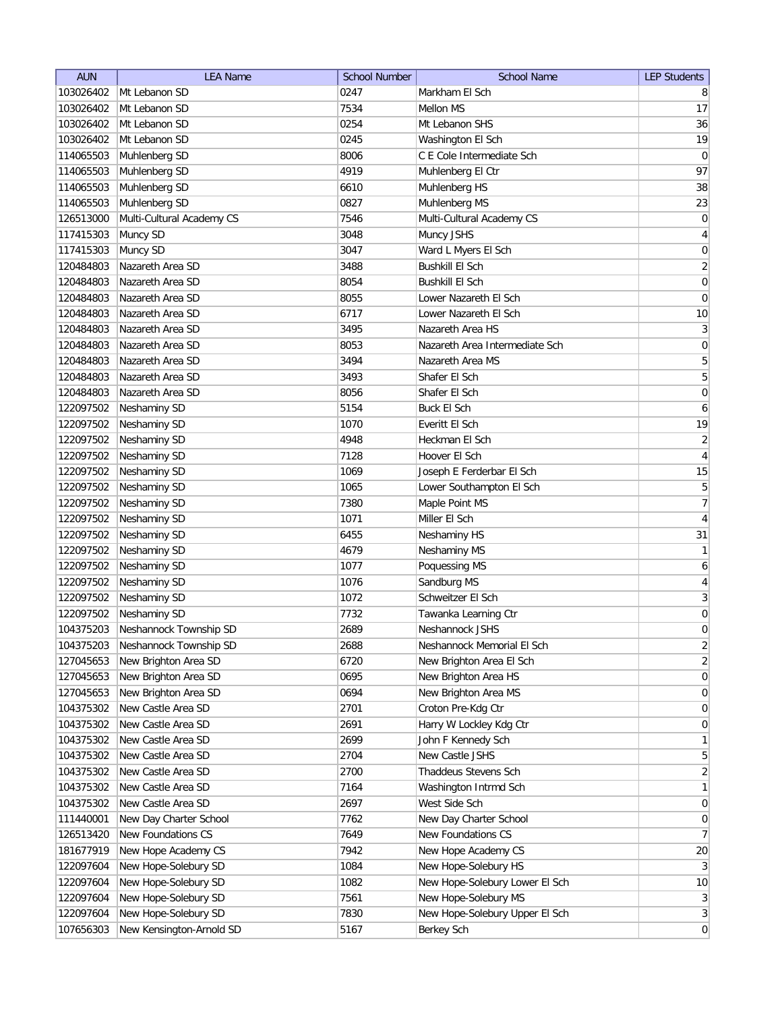| <b>AUN</b> | <b>LEA Name</b>           | <b>School Number</b> | <b>School Name</b>             | <b>LEP Students</b> |
|------------|---------------------------|----------------------|--------------------------------|---------------------|
| 103026402  | Mt Lebanon SD             | 0247                 | Markham El Sch                 | 8                   |
| 103026402  | Mt Lebanon SD             | 7534                 | Mellon MS                      | 17                  |
| 103026402  | Mt Lebanon SD             | 0254                 | Mt Lebanon SHS                 | 36                  |
| 103026402  | Mt Lebanon SD             | 0245                 | Washington El Sch              | 19                  |
| 114065503  | Muhlenberg SD             | 8006                 | C E Cole Intermediate Sch      | 0                   |
| 114065503  | Muhlenberg SD             | 4919                 | Muhlenberg El Ctr              | 97                  |
| 114065503  | Muhlenberg SD             | 6610                 | Muhlenberg HS                  | 38                  |
| 114065503  | Muhlenberg SD             | 0827                 | Muhlenberg MS                  | 23                  |
| 126513000  | Multi-Cultural Academy CS | 7546                 | Multi-Cultural Academy CS      | 0                   |
| 117415303  | Muncy SD                  | 3048                 | Muncy JSHS                     | $\overline{4}$      |
| 117415303  | Muncy SD                  | 3047                 | Ward L Myers El Sch            | 0                   |
| 120484803  | Nazareth Area SD          | 3488                 | <b>Bushkill El Sch</b>         | $\overline{2}$      |
| 120484803  | Nazareth Area SD          | 8054                 | <b>Bushkill El Sch</b>         | 0                   |
| 120484803  | Nazareth Area SD          | 8055                 | Lower Nazareth El Sch          | 0                   |
| 120484803  | Nazareth Area SD          | 6717                 | Lower Nazareth El Sch          | 10                  |
| 120484803  | Nazareth Area SD          | 3495                 | Nazareth Area HS               | $\mathbf{3}$        |
| 120484803  | Nazareth Area SD          | 8053                 | Nazareth Area Intermediate Sch | $\boldsymbol{0}$    |
| 120484803  | Nazareth Area SD          | 3494                 | Nazareth Area MS               | 5                   |
| 120484803  | Nazareth Area SD          | 3493                 | Shafer El Sch                  | $\overline{5}$      |
| 120484803  | Nazareth Area SD          | 8056                 | Shafer El Sch                  | $\pmb{0}$           |
| 122097502  | Neshaminy SD              | 5154                 | <b>Buck El Sch</b>             | 6                   |
| 122097502  | Neshaminy SD              | 1070                 | Everitt El Sch                 | 19                  |
| 122097502  | Neshaminy SD              | 4948                 | Heckman El Sch                 | $\overline{2}$      |
| 122097502  | Neshaminy SD              | 7128                 | Hoover El Sch                  | $\overline{4}$      |
| 122097502  | Neshaminy SD              | 1069                 | Joseph E Ferderbar El Sch      | 15                  |
| 122097502  | Neshaminy SD              | 1065                 | Lower Southampton El Sch       | 5                   |
| 122097502  | Neshaminy SD              | 7380                 | Maple Point MS                 | $\overline{7}$      |
| 122097502  | Neshaminy SD              | 1071                 | Miller El Sch                  | $\overline{4}$      |
| 122097502  | Neshaminy SD              | 6455                 | Neshaminy HS                   | 31                  |
| 122097502  | Neshaminy SD              | 4679                 | Neshaminy MS                   | $\mathbf{1}$        |
| 122097502  | Neshaminy SD              | 1077                 | Poquessing MS                  | 6                   |
| 122097502  | Neshaminy SD              | 1076                 | Sandburg MS                    | $\overline{4}$      |
| 122097502  | Neshaminy SD              | 1072                 | Schweitzer El Sch              | $\mathbf{3}$        |
| 122097502  | Neshaminy SD              | 7732                 | Tawanka Learning Ctr           | 0                   |
| 104375203  | Neshannock Township SD    | 2689                 | Neshannock JSHS                | 0                   |
| 104375203  | Neshannock Township SD    | 2688                 | Neshannock Memorial El Sch     | $\overline{c}$      |
| 127045653  | New Brighton Area SD      | 6720                 | New Brighton Area El Sch       | $\overline{2}$      |
| 127045653  | New Brighton Area SD      | 0695                 | New Brighton Area HS           | $\boldsymbol{0}$    |
| 127045653  | New Brighton Area SD      | 0694                 | New Brighton Area MS           | $\boldsymbol{0}$    |
| 104375302  | New Castle Area SD        | 2701                 | Croton Pre-Kdg Ctr             | $\boldsymbol{0}$    |
| 104375302  | New Castle Area SD        | 2691                 | Harry W Lockley Kdg Ctr        | $\boldsymbol{0}$    |
| 104375302  | New Castle Area SD        | 2699                 | John F Kennedy Sch             | $\mathbf{1}$        |
| 104375302  | New Castle Area SD        | 2704                 | New Castle JSHS                | $\overline{5}$      |
| 104375302  | New Castle Area SD        | 2700                 | Thaddeus Stevens Sch           | $\overline{2}$      |
| 104375302  | New Castle Area SD        | 7164                 | Washington Intrmd Sch          | $\mathbf{1}$        |
| 104375302  | New Castle Area SD        | 2697                 | West Side Sch                  | 0                   |
| 111440001  | New Day Charter School    | 7762                 | New Day Charter School         | 0                   |
| 126513420  | New Foundations CS        | 7649                 | New Foundations CS             | $\overline{7}$      |
| 181677919  | New Hope Academy CS       | 7942                 | New Hope Academy CS            | 20                  |
| 122097604  | New Hope-Solebury SD      | 1084                 | New Hope-Solebury HS           | $\mathbf{3}$        |
| 122097604  | New Hope-Solebury SD      | 1082                 | New Hope-Solebury Lower El Sch | 10                  |
| 122097604  | New Hope-Solebury SD      | 7561                 | New Hope-Solebury MS           | $\mathbf{3}$        |
| 122097604  | New Hope-Solebury SD      | 7830                 | New Hope-Solebury Upper El Sch | $\mathbf{3}$        |
| 107656303  | New Kensington-Arnold SD  | 5167                 | Berkey Sch                     | $\boldsymbol{0}$    |
|            |                           |                      |                                |                     |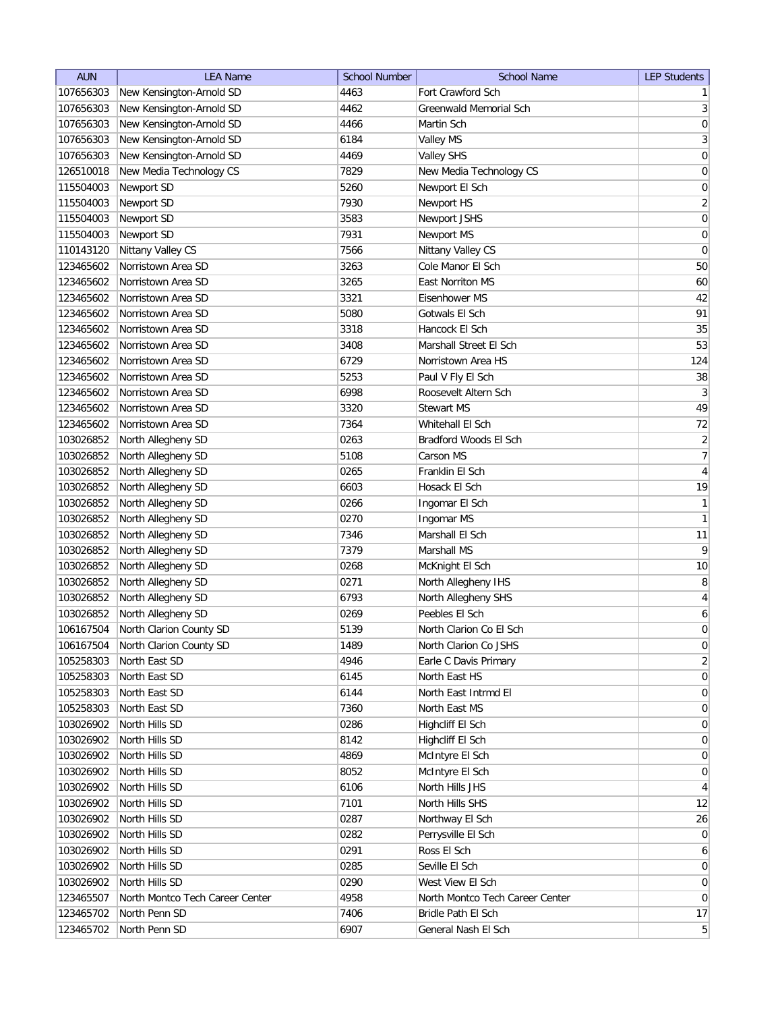| <b>AUN</b>             | <b>LEA Name</b>                 | <b>School Number</b> | <b>School Name</b>              | <b>LEP Students</b> |
|------------------------|---------------------------------|----------------------|---------------------------------|---------------------|
| 107656303              | New Kensington-Arnold SD        | 4463                 | Fort Crawford Sch               | 1                   |
| 107656303              | New Kensington-Arnold SD        | 4462                 | Greenwald Memorial Sch          | 3 <sup>2</sup>      |
| 107656303              | New Kensington-Arnold SD        | 4466                 | Martin Sch                      | $\boldsymbol{0}$    |
| 107656303              | New Kensington-Arnold SD        | 6184                 | Valley MS                       | $\overline{3}$      |
| 107656303              | New Kensington-Arnold SD        | 4469                 | <b>Valley SHS</b>               | 0                   |
| 126510018              | New Media Technology CS         | 7829                 | New Media Technology CS         | $\boldsymbol{0}$    |
| 115504003              | Newport SD                      | 5260                 | Newport El Sch                  | 0                   |
| 115504003              | Newport SD                      | 7930                 | Newport HS                      | $\overline{2}$      |
| 115504003              | Newport SD                      | 3583                 | Newport JSHS                    | $\boldsymbol{0}$    |
| 115504003              | Newport SD                      | 7931                 | Newport MS                      | $\boldsymbol{0}$    |
| 110143120              | Nittany Valley CS               | 7566                 | Nittany Valley CS               | 0                   |
| 123465602              | Norristown Area SD              | 3263                 | Cole Manor El Sch               | 50                  |
| 123465602              | Norristown Area SD              | 3265                 | East Norriton MS                | 60                  |
| 123465602              | Norristown Area SD              | 3321                 | Eisenhower MS                   | 42                  |
| 123465602              | Norristown Area SD              | 5080                 | Gotwals El Sch                  | 91                  |
| 123465602              | Norristown Area SD              | 3318                 | Hancock El Sch                  | 35                  |
| 123465602              | Norristown Area SD              | 3408                 | Marshall Street El Sch          | 53                  |
| 123465602              | Norristown Area SD              | 6729                 | Norristown Area HS              | 124                 |
| 123465602              | Norristown Area SD              | 5253                 | Paul V Fly El Sch               | 38                  |
| 123465602              | Norristown Area SD              | 6998                 | Roosevelt Altern Sch            | $\mathbf{3}$        |
| 123465602              | Norristown Area SD              | 3320                 | <b>Stewart MS</b>               | 49                  |
| 123465602              | Norristown Area SD              | 7364                 | Whitehall El Sch                | 72                  |
| 103026852              | North Allegheny SD              | 0263                 | Bradford Woods El Sch           | $\overline{2}$      |
| 103026852              | North Allegheny SD              | 5108                 | Carson MS                       | $\overline{7}$      |
| 103026852              | North Allegheny SD              | 0265                 | Franklin El Sch                 | $\overline{4}$      |
| 103026852              | North Allegheny SD              | 6603                 | Hosack El Sch                   | 19                  |
| 103026852              | North Allegheny SD              | 0266                 | Ingomar El Sch                  | $\mathbf{1}$        |
| 103026852              | North Allegheny SD              | 0270                 | Ingomar MS                      | $\mathbf{1}$        |
| 103026852              | North Allegheny SD              | 7346                 | Marshall El Sch                 | 11                  |
| 103026852              | North Allegheny SD              | 7379                 | Marshall MS                     | 9                   |
| 103026852              | North Allegheny SD              | 0268                 | McKnight El Sch                 | 10                  |
| 103026852              | North Allegheny SD              | 0271                 | North Allegheny IHS             | 8                   |
| 103026852              | North Allegheny SD              | 6793                 | North Allegheny SHS             | $\overline{4}$      |
| 103026852              | North Allegheny SD              | 0269                 | Peebles El Sch                  | 6                   |
| 106167504              | North Clarion County SD         | 5139                 | North Clarion Co El Sch         | $\overline{0}$      |
| 106167504              | North Clarion County SD         | 1489                 | North Clarion Co JSHS           | 0                   |
| 105258303              | North East SD                   | 4946                 | Earle C Davis Primary           | $\overline{2}$      |
| 105258303              | North East SD                   | 6145                 | North East HS                   | 0                   |
| 105258303              | North East SD                   | 6144                 | North East Intrmd El            | 0                   |
| 105258303              | North East SD                   | 7360                 | North East MS                   | $\overline{0}$      |
| 103026902              | North Hills SD                  | 0286                 | Highcliff El Sch                | 0                   |
| 103026902              | North Hills SD                  | 8142                 | Highcliff El Sch                | 0                   |
| 103026902              | North Hills SD                  | 4869                 | McIntyre El Sch                 | 0                   |
| 103026902              | North Hills SD                  | 8052                 | McIntyre El Sch                 | $\overline{0}$      |
| 103026902              | North Hills SD                  | 6106                 | North Hills JHS                 | $\overline{4}$      |
|                        | North Hills SD                  | 7101                 | North Hills SHS                 | 12                  |
| 103026902<br>103026902 | North Hills SD                  | 0287                 | Northway El Sch                 | 26                  |
| 103026902              | North Hills SD                  | 0282                 | Perrysville El Sch              | $\overline{0}$      |
| 103026902              | North Hills SD                  | 0291                 | Ross El Sch                     | $\boldsymbol{6}$    |
| 103026902              | North Hills SD                  | 0285                 | Seville El Sch                  | $\overline{0}$      |
| 103026902              | North Hills SD                  | 0290                 | West View El Sch                | $\overline{0}$      |
| 123465507              | North Montco Tech Career Center | 4958                 | North Montco Tech Career Center | $\overline{0}$      |
| 123465702              | North Penn SD                   | 7406                 | Bridle Path El Sch              | 17                  |
| 123465702              | North Penn SD                   | 6907                 | General Nash El Sch             | 5 <sup>2</sup>      |
|                        |                                 |                      |                                 |                     |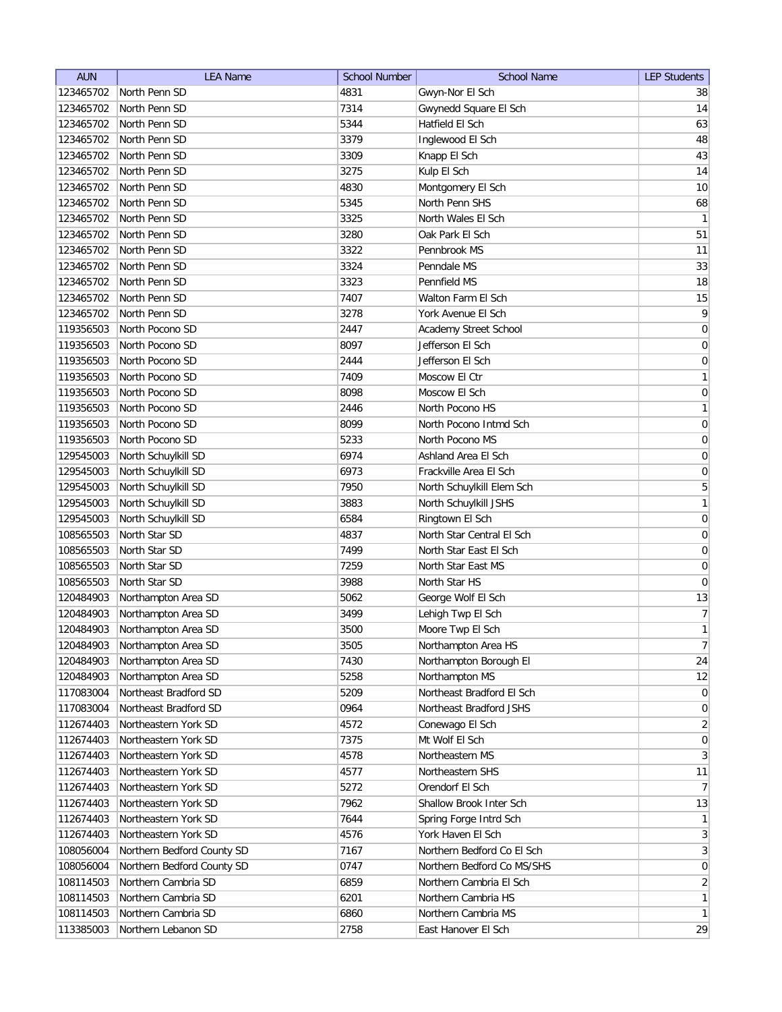| <b>AUN</b> | <b>LEA Name</b>            | <b>School Number</b> | <b>School Name</b>         | <b>LEP Students</b>          |
|------------|----------------------------|----------------------|----------------------------|------------------------------|
| 123465702  | North Penn SD              | 4831                 | Gwyn-Nor El Sch            | 38                           |
| 123465702  | North Penn SD              | 7314                 | Gwynedd Square El Sch      | 14                           |
| 123465702  | North Penn SD              | 5344                 | Hatfield El Sch            | 63                           |
| 123465702  | North Penn SD              | 3379                 | Inglewood El Sch           | 48                           |
| 123465702  | North Penn SD              | 3309                 | Knapp El Sch               | 43                           |
| 123465702  | North Penn SD              | 3275                 | Kulp El Sch                | 14                           |
| 123465702  | North Penn SD              | 4830                 | Montgomery El Sch          | 10                           |
| 123465702  | North Penn SD              | 5345                 | North Penn SHS             | 68                           |
| 123465702  | North Penn SD              | 3325                 | North Wales El Sch         | 1                            |
| 123465702  | North Penn SD              | 3280                 | Oak Park El Sch            | 51                           |
| 123465702  | North Penn SD              | 3322                 | Pennbrook MS               | 11                           |
| 123465702  | North Penn SD              | 3324                 | Penndale MS                | 33                           |
| 123465702  | North Penn SD              | 3323                 | Pennfield MS               | 18                           |
| 123465702  | North Penn SD              | 7407                 | Walton Farm El Sch         | 15                           |
| 123465702  | North Penn SD              | 3278                 | York Avenue El Sch         | $\mathsf{q}$                 |
| 119356503  | North Pocono SD            | 2447                 | Academy Street School      | $\boldsymbol{0}$             |
| 119356503  | North Pocono SD            | 8097                 | Jefferson El Sch           | $\boldsymbol{0}$             |
| 119356503  | North Pocono SD            | 2444                 | Jefferson El Sch           | $\vert 0 \vert$              |
| 119356503  | North Pocono SD            | 7409                 | Moscow El Ctr              | 1                            |
| 119356503  | North Pocono SD            | 8098                 | Moscow El Sch              | $\vert 0 \vert$              |
| 119356503  | North Pocono SD            | 2446                 | North Pocono HS            | 1                            |
| 119356503  | North Pocono SD            | 8099                 | North Pocono Intmd Sch     | 0                            |
| 119356503  | North Pocono SD            | 5233                 | North Pocono MS            | $\boldsymbol{0}$             |
| 129545003  | North Schuylkill SD        | 6974                 | Ashland Area El Sch        | $\boldsymbol{0}$             |
| 129545003  | North Schuylkill SD        | 6973                 | Frackville Area El Sch     | $\boldsymbol{0}$             |
| 129545003  | North Schuylkill SD        | 7950                 | North Schuylkill Elem Sch  | 5                            |
| 129545003  | North Schuylkill SD        | 3883                 | North Schuylkill JSHS      | 1                            |
| 129545003  | North Schuylkill SD        | 6584                 | Ringtown El Sch            | $\boldsymbol{0}$             |
| 108565503  | North Star SD              | 4837                 | North Star Central El Sch  | $\boldsymbol{0}$             |
| 108565503  | North Star SD              | 7499                 | North Star East El Sch     | 0                            |
| 108565503  | North Star SD              | 7259                 | North Star East MS         | 0                            |
| 108565503  | North Star SD              | 3988                 | North Star HS              | 0                            |
| 120484903  | Northampton Area SD        | 5062                 | George Wolf El Sch         | 13                           |
| 120484903  | Northampton Area SD        | 3499                 | Lehigh Twp El Sch          | 7                            |
| 120484903  | Northampton Area SD        | 3500                 | Moore Twp El Sch           | 1                            |
| 120484903  | Northampton Area SD        | 3505                 | Northampton Area HS        | 7 <sup>1</sup>               |
| 120484903  | Northampton Area SD        | 7430                 | Northampton Borough El     | 24                           |
| 120484903  | Northampton Area SD        | 5258                 | Northampton MS             | 12                           |
| 117083004  | Northeast Bradford SD      | 5209                 | Northeast Bradford El Sch  | $\overline{0}$               |
| 117083004  | Northeast Bradford SD      | 0964                 | Northeast Bradford JSHS    | 0                            |
| 112674403  | Northeastern York SD       | 4572                 | Conewago El Sch            | $\overline{2}$               |
| 112674403  | Northeastern York SD       | 7375                 | Mt Wolf El Sch             | 0                            |
| 112674403  | Northeastern York SD       | 4578                 | Northeastern MS            | 3                            |
| 112674403  | Northeastern York SD       | 4577                 | Northeastern SHS           | 11                           |
| 112674403  | Northeastern York SD       | 5272                 | Orendorf El Sch            | 7                            |
| 112674403  | Northeastern York SD       | 7962                 | Shallow Brook Inter Sch    | 13                           |
| 112674403  | Northeastern York SD       | 7644                 | Spring Forge Intrd Sch     | 1                            |
| 112674403  | Northeastern York SD       | 4576                 | York Haven El Sch          | $\left  \frac{3}{2} \right $ |
| 108056004  | Northern Bedford County SD | 7167                 | Northern Bedford Co El Sch | 3                            |
| 108056004  | Northern Bedford County SD | 0747                 | Northern Bedford Co MS/SHS | 0                            |
| 108114503  | Northern Cambria SD        | 6859                 | Northern Cambria El Sch    | $\overline{2}$               |
| 108114503  | Northern Cambria SD        | 6201                 | Northern Cambria HS        | $\mathbf{1}$                 |
| 108114503  | Northern Cambria SD        | 6860                 | Northern Cambria MS        | $\mathbf{1}$                 |
| 113385003  | Northern Lebanon SD        | 2758                 | East Hanover El Sch        | 29                           |
|            |                            |                      |                            |                              |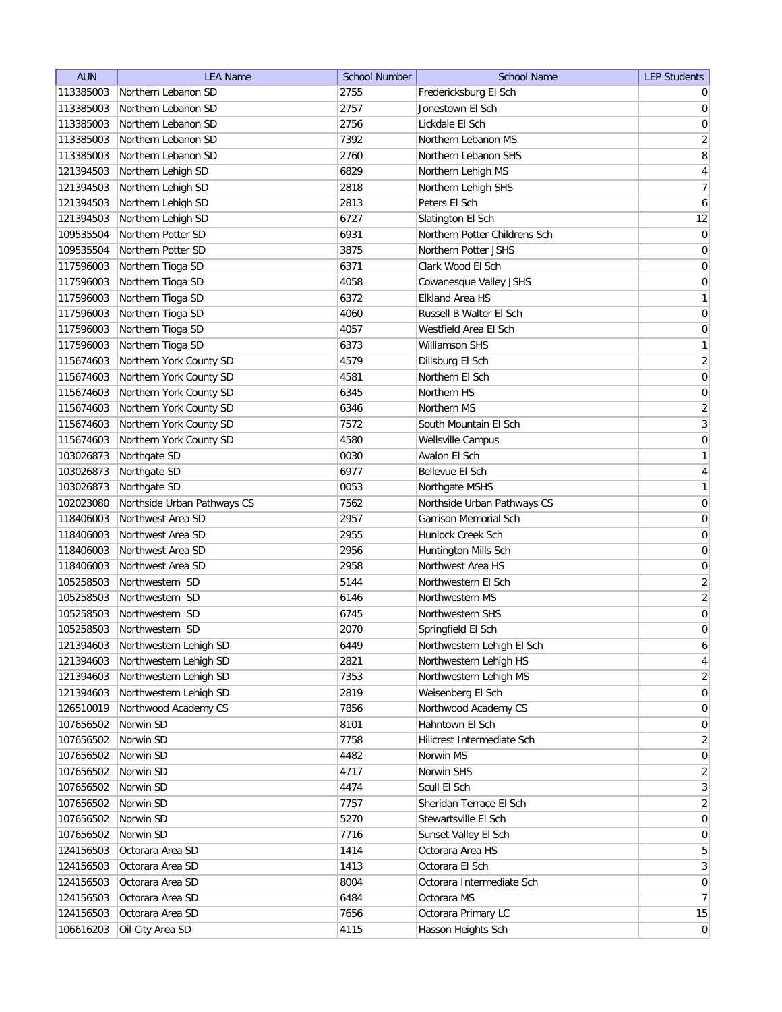| <b>AUN</b> | <b>LEA Name</b>             | <b>School Number</b> | <b>School Name</b>            | <b>LEP Students</b> |
|------------|-----------------------------|----------------------|-------------------------------|---------------------|
| 113385003  | Northern Lebanon SD         | 2755                 | Fredericksburg El Sch         | $\overline{0}$      |
| 113385003  | Northern Lebanon SD         | 2757                 | Jonestown El Sch              | $\overline{0}$      |
| 113385003  | Northern Lebanon SD         | 2756                 | Lickdale El Sch               | $\boldsymbol{0}$    |
| 113385003  | Northern Lebanon SD         | 7392                 | Northern Lebanon MS           | $\overline{2}$      |
| 113385003  | Northern Lebanon SD         | 2760                 | Northern Lebanon SHS          | 8                   |
| 121394503  | Northern Lehigh SD          | 6829                 | Northern Lehigh MS            | $\overline{4}$      |
| 121394503  | Northern Lehigh SD          | 2818                 | Northern Lehigh SHS           | $\overline{7}$      |
| 121394503  | Northern Lehigh SD          | 2813                 | Peters El Sch                 | $\boldsymbol{6}$    |
| 121394503  | Northern Lehigh SD          | 6727                 | Slatington El Sch             | 12                  |
| 109535504  | Northern Potter SD          | 6931                 | Northern Potter Childrens Sch | $\pmb{0}$           |
| 109535504  | Northern Potter SD          | 3875                 | Northern Potter JSHS          | 0                   |
| 117596003  | Northern Tioga SD           | 6371                 | Clark Wood El Sch             | 0                   |
| 117596003  | Northern Tioga SD           | 4058                 | Cowanesque Valley JSHS        | 0                   |
| 117596003  | Northern Tioga SD           | 6372                 | <b>Elkland Area HS</b>        | $\mathbf{1}$        |
| 117596003  | Northern Tioga SD           | 4060                 | Russell B Walter El Sch       | $\overline{0}$      |
| 117596003  | Northern Tioga SD           | 4057                 | Westfield Area El Sch         | $\overline{0}$      |
| 117596003  | Northern Tioga SD           | 6373                 | Williamson SHS                | $\mathbf{1}$        |
| 115674603  | Northern York County SD     | 4579                 | Dillsburg El Sch              | $\overline{2}$      |
| 115674603  | Northern York County SD     | 4581                 | Northern El Sch               | $\mathsf{O}\xspace$ |
| 115674603  | Northern York County SD     | 6345                 | Northern HS                   | $\pmb{0}$           |
| 115674603  | Northern York County SD     | 6346                 | Northern MS                   | $\overline{2}$      |
| 115674603  | Northern York County SD     | 7572                 | South Mountain El Sch         | $\mathbf{3}$        |
| 115674603  | Northern York County SD     | 4580                 | Wellsville Campus             | $\boldsymbol{0}$    |
| 103026873  | Northgate SD                | 0030                 | Avalon El Sch                 | $\mathbf{1}$        |
| 103026873  | Northgate SD                | 6977                 | Bellevue El Sch               | $\overline{4}$      |
| 103026873  | Northgate SD                | 0053                 | Northgate MSHS                | $\mathbf{1}$        |
| 102023080  | Northside Urban Pathways CS | 7562                 | Northside Urban Pathways CS   | 0                   |
| 118406003  | Northwest Area SD           | 2957                 | Garrison Memorial Sch         | 0                   |
| 118406003  | Northwest Area SD           | 2955                 | Hunlock Creek Sch             | 0                   |
| 118406003  | Northwest Area SD           | 2956                 | Huntington Mills Sch          | 0                   |
| 118406003  | Northwest Area SD           | 2958                 | Northwest Area HS             | 0                   |
| 105258503  | Northwestern SD             | 5144                 | Northwestern El Sch           | $\overline{2}$      |
| 105258503  | Northwestern SD             | 6146                 | Northwestern MS               | $\overline{2}$      |
| 105258503  | Northwestern SD             | 6745                 | Northwestern SHS              | $\mathsf{O}\xspace$ |
| 105258503  | Northwestern SD             | 2070                 | Springfield El Sch            | $\overline{0}$      |
| 121394603  | Northwestern Lehigh SD      | 6449                 | Northwestern Lehigh El Sch    | $\boldsymbol{6}$    |
| 121394603  | Northwestern Lehigh SD      | 2821                 | Northwestern Lehigh HS        | $\overline{4}$      |
| 121394603  | Northwestern Lehigh SD      | 7353                 | Northwestern Lehigh MS        | $\overline{2}$      |
| 121394603  | Northwestern Lehigh SD      | 2819                 | Weisenberg El Sch             | $\boldsymbol{0}$    |
| 126510019  | Northwood Academy CS        | 7856                 | Northwood Academy CS          | $\boldsymbol{0}$    |
| 107656502  | Norwin SD                   | 8101                 | Hahntown El Sch               | $\boldsymbol{0}$    |
| 107656502  | Norwin SD                   | 7758                 | Hillcrest Intermediate Sch    | $\overline{2}$      |
| 107656502  | Norwin SD                   | 4482                 | Norwin MS                     | $\boldsymbol{0}$    |
| 107656502  | Norwin SD                   | 4717                 | Norwin SHS                    | $\sqrt{2}$          |
| 107656502  | Norwin SD                   | 4474                 | Scull El Sch                  | $\mathbf{3}$        |
| 107656502  | Norwin SD                   | 7757                 | Sheridan Terrace El Sch       | $\overline{2}$      |
| 107656502  | Norwin SD                   | 5270                 | Stewartsville El Sch          | $\pmb{0}$           |
| 107656502  | Norwin SD                   | 7716                 | Sunset Valley El Sch          | $\boldsymbol{0}$    |
| 124156503  | Octorara Area SD            | 1414                 | Octorara Area HS              | $\sqrt{5}$          |
| 124156503  | Octorara Area SD            | 1413                 | Octorara El Sch               | $\overline{3}$      |
| 124156503  | Octorara Area SD            | 8004                 | Octorara Intermediate Sch     | $\boldsymbol{0}$    |
| 124156503  | Octorara Area SD            | 6484                 | Octorara MS                   | $\overline{7}$      |
| 124156503  | Octorara Area SD            | 7656                 | Octorara Primary LC           | 15                  |
| 106616203  | Oil City Area SD            | 4115                 | Hasson Heights Sch            | $\pmb{0}$           |
|            |                             |                      |                               |                     |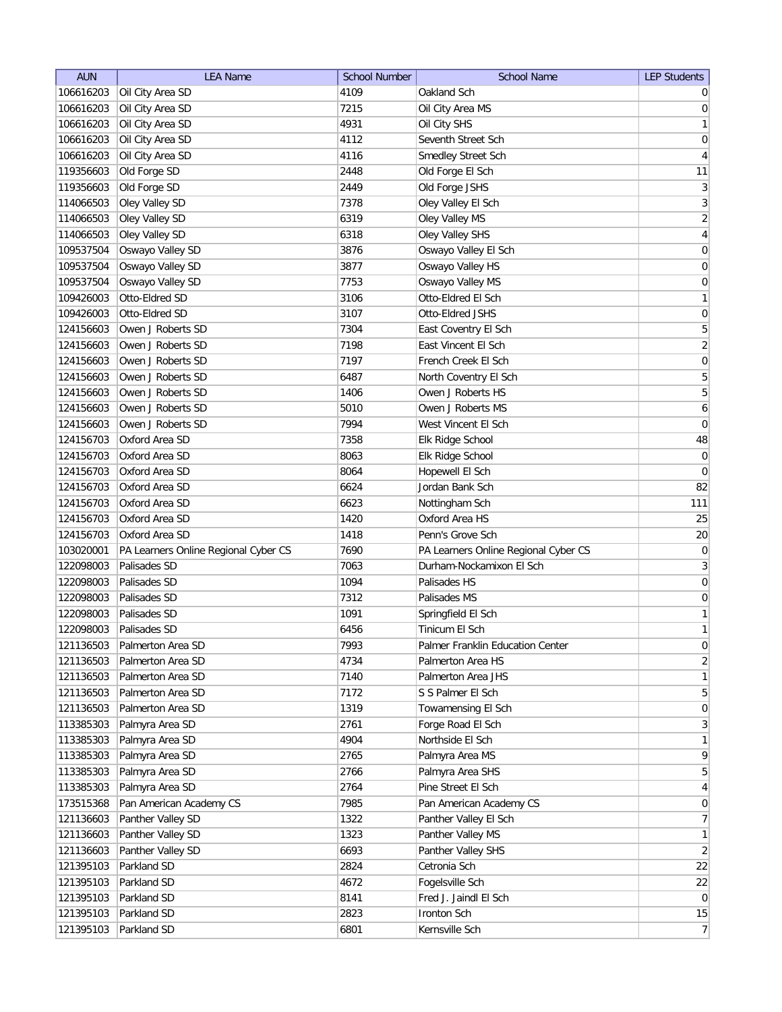| <b>AUN</b> | <b>LEA Name</b>                      | <b>School Number</b> | <b>School Name</b>                   | <b>LEP Students</b> |
|------------|--------------------------------------|----------------------|--------------------------------------|---------------------|
| 106616203  | Oil City Area SD                     | 4109                 | Oakland Sch                          | $\overline{0}$      |
| 106616203  | Oil City Area SD                     | 7215                 | Oil City Area MS                     | 0                   |
| 106616203  | Oil City Area SD                     | 4931                 | Oil City SHS                         | 1                   |
| 106616203  | Oil City Area SD                     | 4112                 | Seventh Street Sch                   | 0                   |
| 106616203  | Oil City Area SD                     | 4116                 | Smedley Street Sch                   | $\overline{4}$      |
| 119356603  | Old Forge SD                         | 2448                 | Old Forge El Sch                     | 11                  |
| 119356603  | Old Forge SD                         | 2449                 | Old Forge JSHS                       | $\mathbf{3}$        |
| 114066503  | Oley Valley SD                       | 7378                 | Oley Valley El Sch                   | $\overline{3}$      |
| 114066503  | Oley Valley SD                       | 6319                 | Oley Valley MS                       | $\overline{2}$      |
| 114066503  | Oley Valley SD                       | 6318                 | Oley Valley SHS                      | $\overline{4}$      |
| 109537504  | Oswayo Valley SD                     | 3876                 | Oswayo Valley El Sch                 | 0                   |
| 109537504  | Oswayo Valley SD                     | 3877                 | Oswayo Valley HS                     | 0                   |
| 109537504  | Oswayo Valley SD                     | 7753                 | Oswayo Valley MS                     | 0                   |
| 109426003  | Otto-Eldred SD                       | 3106                 | Otto-Eldred El Sch                   | $\mathbf{1}$        |
| 109426003  | Otto-Eldred SD                       | 3107                 | Otto-Eldred JSHS                     | $\overline{0}$      |
| 124156603  | Owen J Roberts SD                    | 7304                 | East Coventry El Sch                 | 5                   |
| 124156603  | Owen J Roberts SD                    | 7198                 | East Vincent El Sch                  | $\overline{2}$      |
| 124156603  | Owen J Roberts SD                    | 7197                 | French Creek El Sch                  | $\mathsf{O}\xspace$ |
| 124156603  | Owen J Roberts SD                    | 6487                 | North Coventry El Sch                | 5                   |
| 124156603  | Owen J Roberts SD                    | 1406                 | Owen J Roberts HS                    | $\overline{5}$      |
| 124156603  | Owen J Roberts SD                    | 5010                 | Owen J Roberts MS                    | $\boldsymbol{6}$    |
| 124156603  | Owen J Roberts SD                    | 7994                 | West Vincent El Sch                  | $\boldsymbol{0}$    |
| 124156703  | Oxford Area SD                       | 7358                 | Elk Ridge School                     | 48                  |
| 124156703  | Oxford Area SD                       | 8063                 | Elk Ridge School                     | $\boldsymbol{0}$    |
| 124156703  | Oxford Area SD                       | 8064                 | Hopewell El Sch                      | $\boldsymbol{0}$    |
| 124156703  | Oxford Area SD                       | 6624                 | Jordan Bank Sch                      | 82                  |
| 124156703  | Oxford Area SD                       | 6623                 | Nottingham Sch                       | 111                 |
| 124156703  | Oxford Area SD                       | 1420                 | Oxford Area HS                       | 25                  |
| 124156703  | Oxford Area SD                       | 1418                 | Penn's Grove Sch                     | 20                  |
| 103020001  | PA Learners Online Regional Cyber CS | 7690                 | PA Learners Online Regional Cyber CS | 0                   |
| 122098003  | Palisades SD                         | 7063                 | Durham-Nockamixon El Sch             | 3                   |
| 122098003  | Palisades SD                         | 1094                 | Palisades HS                         | 0                   |
| 122098003  | Palisades SD                         | 7312                 | Palisades MS                         | 0                   |
| 122098003  | Palisades SD                         | 1091                 | Springfield El Sch                   | $\mathbf{1}$        |
| 122098003  | Palisades SD                         | 6456                 | Tinicum El Sch                       | 1                   |
| 121136503  | Palmerton Area SD                    | 7993                 | Palmer Franklin Education Center     | 0                   |
| 121136503  | Palmerton Area SD                    | 4734                 | Palmerton Area HS                    | $\overline{2}$      |
| 121136503  | Palmerton Area SD                    | 7140                 | Palmerton Area JHS                   | 1                   |
| 121136503  | Palmerton Area SD                    | 7172                 | S S Palmer El Sch                    | $5\vert$            |
| 121136503  | Palmerton Area SD                    | 1319                 | Towamensing El Sch                   | 0                   |
| 113385303  | Palmyra Area SD                      | 2761                 | Forge Road El Sch                    | 3                   |
| 113385303  | Palmyra Area SD                      | 4904                 | Northside El Sch                     | $\mathbf{1}$        |
| 113385303  | Palmyra Area SD                      | 2765                 | Palmyra Area MS                      | $\mathsf{q}$        |
| 113385303  | Palmyra Area SD                      | 2766                 | Palmyra Area SHS                     | $5\vert$            |
| 113385303  | Palmyra Area SD                      | 2764                 | Pine Street El Sch                   | $\vert 4 \vert$     |
| 173515368  | Pan American Academy CS              | 7985                 | Pan American Academy CS              | 0                   |
| 121136603  | Panther Valley SD                    | 1322                 | Panther Valley El Sch                | 7                   |
| 121136603  | Panther Valley SD                    | 1323                 | Panther Valley MS                    | $\mathbf{1}$        |
| 121136603  | Panther Valley SD                    | 6693                 | Panther Valley SHS                   | $\overline{2}$      |
| 121395103  | Parkland SD                          | 2824                 | Cetronia Sch                         | 22                  |
| 121395103  | Parkland SD                          | 4672                 | Fogelsville Sch                      | 22                  |
| 121395103  | Parkland SD                          | 8141                 | Fred J. Jaindl El Sch                | 0                   |
| 121395103  | Parkland SD                          | 2823                 | Ironton Sch                          | 15                  |
| 121395103  | Parkland SD                          | 6801                 | Kernsville Sch                       | 7                   |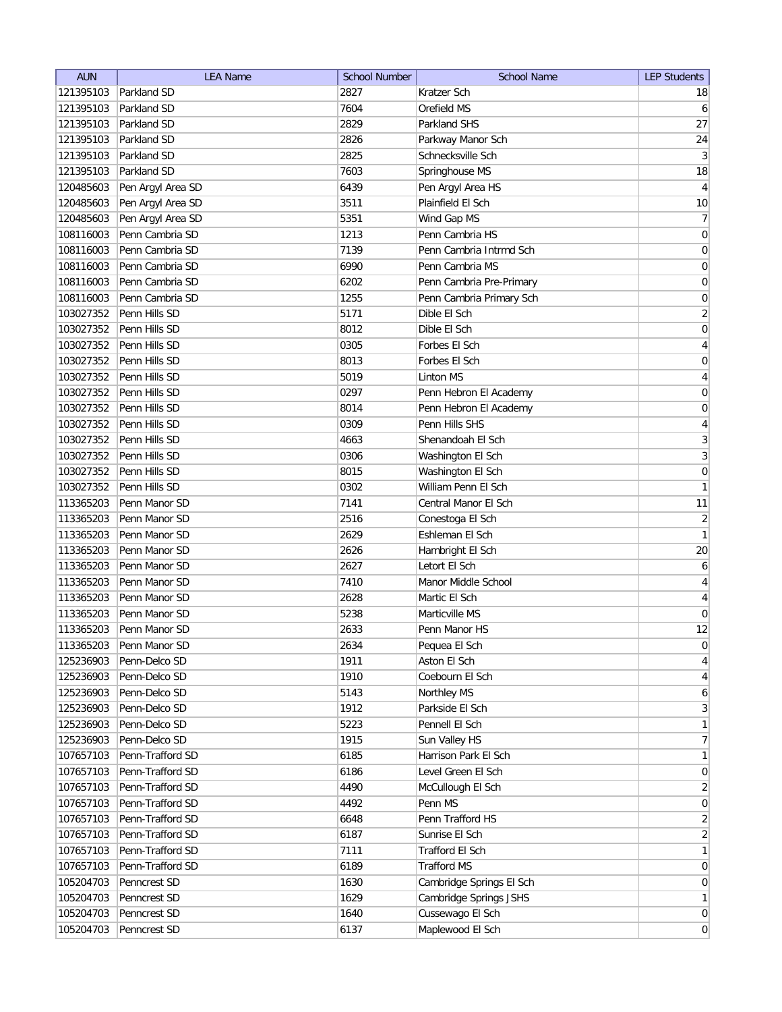| <b>AUN</b> | <b>LEA Name</b>   | <b>School Number</b> | <b>School Name</b>       | <b>LEP Students</b>     |
|------------|-------------------|----------------------|--------------------------|-------------------------|
| 121395103  | Parkland SD       | 2827                 | Kratzer Sch              | 18                      |
| 121395103  | Parkland SD       | 7604                 | Orefield MS              | 6                       |
| 121395103  | Parkland SD       | 2829                 | Parkland SHS             | 27                      |
| 121395103  | Parkland SD       | 2826                 | Parkway Manor Sch        | 24                      |
| 121395103  | Parkland SD       | 2825                 | Schnecksville Sch        | $\overline{3}$          |
| 121395103  | Parkland SD       | 7603                 | Springhouse MS           | 18                      |
| 120485603  | Pen Argyl Area SD | 6439                 | Pen Argyl Area HS        | $\overline{4}$          |
| 120485603  | Pen Argyl Area SD | 3511                 | Plainfield El Sch        | 10                      |
| 120485603  | Pen Argyl Area SD | 5351                 | Wind Gap MS              | $\overline{7}$          |
| 108116003  | Penn Cambria SD   | 1213                 | Penn Cambria HS          | $\boldsymbol{0}$        |
| 108116003  | Penn Cambria SD   | 7139                 | Penn Cambria Intrmd Sch  | 0                       |
| 108116003  | Penn Cambria SD   | 6990                 | Penn Cambria MS          | 0                       |
| 108116003  | Penn Cambria SD   | 6202                 | Penn Cambria Pre-Primary | 0                       |
| 108116003  | Penn Cambria SD   | 1255                 | Penn Cambria Primary Sch | 0                       |
| 103027352  | Penn Hills SD     | 5171                 | Dible El Sch             | $\overline{2}$          |
| 103027352  | Penn Hills SD     | 8012                 | Dible El Sch             | 0                       |
| 103027352  | Penn Hills SD     | 0305                 | Forbes El Sch            | $\overline{4}$          |
| 103027352  | Penn Hills SD     | 8013                 | Forbes El Sch            | $\mathsf{O}\xspace$     |
| 103027352  | Penn Hills SD     | 5019                 | <b>Linton MS</b>         | $\vert 4 \vert$         |
| 103027352  | Penn Hills SD     | 0297                 | Penn Hebron El Academy   | 0                       |
| 103027352  | Penn Hills SD     | 8014                 | Penn Hebron El Academy   | $\boldsymbol{0}$        |
| 103027352  | Penn Hills SD     | 0309                 | Penn Hills SHS           | $\overline{\mathbf{4}}$ |
| 103027352  | Penn Hills SD     | 4663                 | Shenandoah El Sch        | 3                       |
| 103027352  | Penn Hills SD     | 0306                 | Washington El Sch        | $\overline{3}$          |
| 103027352  | Penn Hills SD     | 8015                 | Washington El Sch        | $\boldsymbol{0}$        |
| 103027352  | Penn Hills SD     | 0302                 | William Penn El Sch      | 1                       |
| 113365203  | Penn Manor SD     | 7141                 | Central Manor El Sch     | 11                      |
| 113365203  | Penn Manor SD     | 2516                 | Conestoga El Sch         | $\mathbf{2}$            |
| 113365203  | Penn Manor SD     | 2629                 | Eshleman El Sch          | 1                       |
| 113365203  | Penn Manor SD     | 2626                 | Hambright El Sch         | 20                      |
| 113365203  | Penn Manor SD     | 2627                 | Letort El Sch            | 6                       |
| 113365203  | Penn Manor SD     | 7410                 | Manor Middle School      | 4                       |
| 113365203  | Penn Manor SD     | 2628                 | Martic El Sch            | 4                       |
| 113365203  | Penn Manor SD     | 5238                 | Marticville MS           | 0                       |
| 113365203  | Penn Manor SD     | 2633                 | Penn Manor HS            | 12                      |
| 113365203  | Penn Manor SD     | 2634                 | Pequea El Sch            | $\overline{0}$          |
| 125236903  | Penn-Delco SD     | 1911                 | Aston El Sch             | $\vert 4 \vert$         |
| 125236903  | Penn-Delco SD     | 1910                 | Coebourn El Sch          | $\vert 4 \vert$         |
| 125236903  | Penn-Delco SD     | 5143                 | Northley MS              | 6                       |
| 125236903  | Penn-Delco SD     | 1912                 | Parkside El Sch          | 3                       |
| 125236903  | Penn-Delco SD     | 5223                 | Pennell El Sch           | $\mathbf{1}$            |
| 125236903  | Penn-Delco SD     | 1915                 | Sun Valley HS            | 7                       |
| 107657103  | Penn-Trafford SD  | 6185                 | Harrison Park El Sch     | $\mathbf{1}$            |
| 107657103  | Penn-Trafford SD  | 6186                 | Level Green El Sch       | 0                       |
| 107657103  | Penn-Trafford SD  | 4490                 | McCullough El Sch        | $\overline{2}$          |
| 107657103  | Penn-Trafford SD  | 4492                 | Penn MS                  | 0                       |
| 107657103  | Penn-Trafford SD  | 6648                 | Penn Trafford HS         | $\overline{2}$          |
| 107657103  | Penn-Trafford SD  | 6187                 | Sunrise El Sch           | $\overline{2}$          |
| 107657103  | Penn-Trafford SD  | 7111                 | Trafford El Sch          | $\mathbf{1}$            |
| 107657103  | Penn-Trafford SD  | 6189                 | <b>Trafford MS</b>       | 0                       |
| 105204703  | Penncrest SD      | 1630                 | Cambridge Springs El Sch | 0                       |
| 105204703  | Penncrest SD      | 1629                 | Cambridge Springs JSHS   | 1                       |
| 105204703  | Penncrest SD      | 1640                 | Cussewago El Sch         | $\overline{0}$          |
| 105204703  | Penncrest SD      | 6137                 | Maplewood El Sch         | $\vert 0 \vert$         |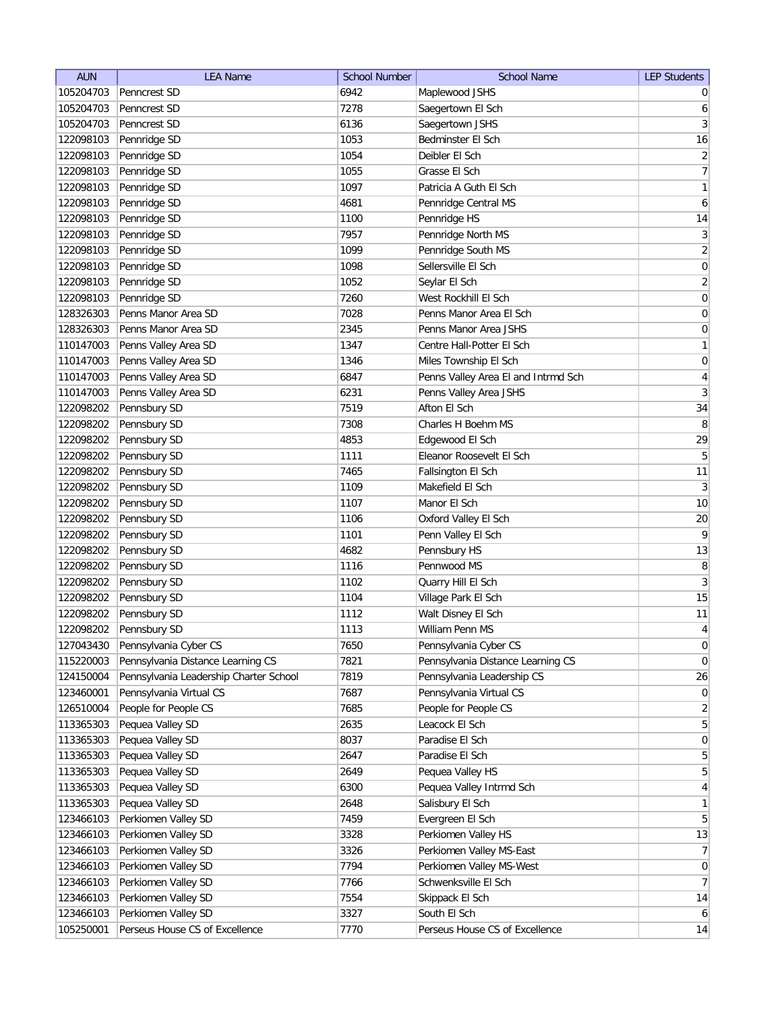| <b>AUN</b> | <b>LEA Name</b>                        | <b>School Number</b> | <b>School Name</b>                  | <b>LEP Students</b> |
|------------|----------------------------------------|----------------------|-------------------------------------|---------------------|
| 105204703  | Penncrest SD                           | 6942                 | Maplewood JSHS                      | $\overline{0}$      |
| 105204703  | Penncrest SD                           | 7278                 | Saegertown El Sch                   | 6                   |
| 105204703  | Penncrest SD                           | 6136                 | Saegertown JSHS                     | 3                   |
| 122098103  | Pennridge SD                           | 1053                 | Bedminster El Sch                   | 16                  |
| 122098103  | Pennridge SD                           | 1054                 | Deibler El Sch                      | $\overline{2}$      |
| 122098103  | Pennridge SD                           | 1055                 | Grasse El Sch                       | 7                   |
| 122098103  | Pennridge SD                           | 1097                 | Patricia A Guth El Sch              | $\mathbf{1}$        |
| 122098103  | Pennridge SD                           | 4681                 | Pennridge Central MS                | $\boldsymbol{6}$    |
| 122098103  | Pennridge SD                           | 1100                 | Pennridge HS                        | 14                  |
| 122098103  | Pennridge SD                           | 7957                 | Pennridge North MS                  | $\mathbf{3}$        |
| 122098103  | Pennridge SD                           | 1099                 | Pennridge South MS                  | $\overline{2}$      |
| 122098103  | Pennridge SD                           | 1098                 | Sellersville El Sch                 | 0                   |
| 122098103  | Pennridge SD                           | 1052                 | Seylar El Sch                       | $\overline{2}$      |
| 122098103  | Pennridge SD                           | 7260                 | West Rockhill El Sch                | 0                   |
| 128326303  | Penns Manor Area SD                    | 7028                 | Penns Manor Area El Sch             | 0                   |
| 128326303  | Penns Manor Area SD                    | 2345                 | Penns Manor Area JSHS               | 0                   |
| 110147003  | Penns Valley Area SD                   | 1347                 | Centre Hall-Potter El Sch           | 1                   |
| 110147003  | Penns Valley Area SD                   | 1346                 | Miles Township El Sch               | $\boldsymbol{0}$    |
| 110147003  | Penns Valley Area SD                   | 6847                 | Penns Valley Area El and Intrmd Sch | $\overline{4}$      |
| 110147003  | Penns Valley Area SD                   | 6231                 | Penns Valley Area JSHS              | $\overline{3}$      |
| 122098202  | Pennsbury SD                           | 7519                 | Afton El Sch                        | 34                  |
| 122098202  | Pennsbury SD                           | 7308                 | Charles H Boehm MS                  | 8                   |
| 122098202  | Pennsbury SD                           | 4853                 | Edgewood El Sch                     | 29                  |
| 122098202  | Pennsbury SD                           | 1111                 | Eleanor Roosevelt El Sch            | 5                   |
| 122098202  | Pennsbury SD                           | 7465                 | Fallsington El Sch                  | 11                  |
| 122098202  | Pennsbury SD                           | 1109                 | Makefield El Sch                    | $\mathbf{3}$        |
| 122098202  | Pennsbury SD                           | 1107                 | Manor El Sch                        | 10                  |
| 122098202  | Pennsbury SD                           | 1106                 | Oxford Valley El Sch                | 20                  |
| 122098202  | Pennsbury SD                           | 1101                 | Penn Valley El Sch                  | 9                   |
| 122098202  | Pennsbury SD                           | 4682                 | Pennsbury HS                        | 13                  |
| 122098202  | Pennsbury SD                           | 1116                 | Pennwood MS                         | 8                   |
| 122098202  | Pennsbury SD                           | 1102                 | Quarry Hill El Sch                  | $\mathbf{3}$        |
| 122098202  | Pennsbury SD                           | 1104                 | Village Park El Sch                 | 15                  |
| 122098202  | Pennsbury SD                           | 1112                 | Walt Disney El Sch                  | 11                  |
| 122098202  | Pennsbury SD                           | 1113                 | William Penn MS                     | $\overline{4}$      |
| 127043430  | Pennsylvania Cyber CS                  | 7650                 | Pennsylvania Cyber CS               | 0                   |
| 115220003  | Pennsylvania Distance Learning CS      | 7821                 | Pennsylvania Distance Learning CS   | 0                   |
| 124150004  | Pennsylvania Leadership Charter School | 7819                 | Pennsylvania Leadership CS          | 26                  |
| 123460001  | Pennsylvania Virtual CS                | 7687                 | Pennsylvania Virtual CS             | 0                   |
| 126510004  | People for People CS                   | 7685                 | People for People CS                | $\overline{2}$      |
| 113365303  | Pequea Valley SD                       | 2635                 | Leacock El Sch                      | 5 <sup>2</sup>      |
| 113365303  | Pequea Valley SD                       | 8037                 | Paradise El Sch                     | $\overline{0}$      |
| 113365303  | Pequea Valley SD                       | 2647                 | Paradise El Sch                     | $\overline{5}$      |
| 113365303  | Pequea Valley SD                       | 2649                 | Pequea Valley HS                    | 5 <sup>1</sup>      |
| 113365303  | Pequea Valley SD                       | 6300                 | Pequea Valley Intrmd Sch            | $\overline{4}$      |
| 113365303  | Pequea Valley SD                       | 2648                 | Salisbury El Sch                    | 1                   |
| 123466103  | Perkiomen Valley SD                    | 7459                 | Evergreen El Sch                    | $\overline{5}$      |
| 123466103  | Perkiomen Valley SD                    | 3328                 | Perkiomen Valley HS                 | 13                  |
| 123466103  | Perkiomen Valley SD                    | 3326                 | Perkiomen Valley MS-East            | 7                   |
| 123466103  | Perkiomen Valley SD                    | 7794                 | Perkiomen Valley MS-West            | $\overline{0}$      |
| 123466103  | Perkiomen Valley SD                    | 7766                 | Schwenksville El Sch                | 7                   |
| 123466103  | Perkiomen Valley SD                    | 7554                 | Skippack El Sch                     | 14                  |
| 123466103  | Perkiomen Valley SD                    | 3327                 | South El Sch                        | $6 \mid$            |
| 105250001  | Perseus House CS of Excellence         | 7770                 | Perseus House CS of Excellence      | 14                  |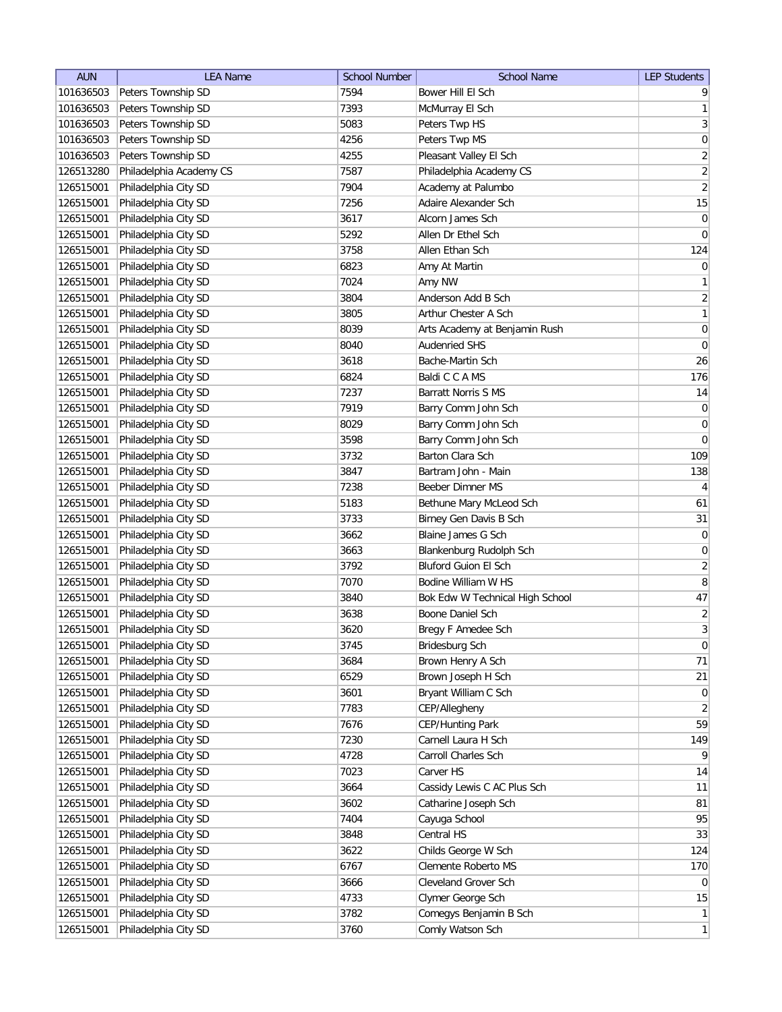| <b>AUN</b> | <b>LEA Name</b>         | <b>School Number</b> | <b>School Name</b>              | <b>LEP Students</b> |
|------------|-------------------------|----------------------|---------------------------------|---------------------|
| 101636503  | Peters Township SD      | 7594                 | Bower Hill El Sch               | 9                   |
| 101636503  | Peters Township SD      | 7393                 | McMurray El Sch                 | 1                   |
| 101636503  | Peters Township SD      | 5083                 | Peters Twp HS                   | 3                   |
| 101636503  | Peters Township SD      | 4256                 | Peters Twp MS                   | $\mathsf{O}\xspace$ |
| 101636503  | Peters Township SD      | 4255                 | Pleasant Valley El Sch          | $\overline{2}$      |
| 126513280  | Philadelphia Academy CS | 7587                 | Philadelphia Academy CS         | $\overline{2}$      |
| 126515001  | Philadelphia City SD    | 7904                 | Academy at Palumbo              | $\overline{2}$      |
| 126515001  | Philadelphia City SD    | 7256                 | Adaire Alexander Sch            | 15                  |
| 126515001  | Philadelphia City SD    | 3617                 | Alcorn James Sch                | 0                   |
| 126515001  | Philadelphia City SD    | 5292                 | Allen Dr Ethel Sch              | 0                   |
| 126515001  | Philadelphia City SD    | 3758                 | Allen Ethan Sch                 | 124                 |
| 126515001  | Philadelphia City SD    | 6823                 | Amy At Martin                   | 0                   |
| 126515001  | Philadelphia City SD    | 7024                 | Amy NW                          | $\mathbf{1}$        |
| 126515001  | Philadelphia City SD    | 3804                 | Anderson Add B Sch              | $\overline{2}$      |
| 126515001  | Philadelphia City SD    | 3805                 | Arthur Chester A Sch            | $\mathbf{1}$        |
| 126515001  | Philadelphia City SD    | 8039                 | Arts Academy at Benjamin Rush   | $\pmb{0}$           |
| 126515001  | Philadelphia City SD    | 8040                 | <b>Audenried SHS</b>            | $\pmb{0}$           |
| 126515001  | Philadelphia City SD    | 3618                 | Bache-Martin Sch                | 26                  |
| 126515001  | Philadelphia City SD    | 6824                 | Baldi C C A MS                  | 176                 |
| 126515001  | Philadelphia City SD    | 7237                 | <b>Barratt Norris S MS</b>      | 14                  |
| 126515001  | Philadelphia City SD    | 7919                 | Barry Comm John Sch             | $\pmb{0}$           |
| 126515001  | Philadelphia City SD    | 8029                 | Barry Comm John Sch             | $\boldsymbol{0}$    |
| 126515001  | Philadelphia City SD    | 3598                 | Barry Comm John Sch             | $\mathbf 0$         |
| 126515001  | Philadelphia City SD    | 3732                 | Barton Clara Sch                | 109                 |
| 126515001  | Philadelphia City SD    | 3847                 | Bartram John - Main             | 138                 |
| 126515001  | Philadelphia City SD    | 7238                 | Beeber Dimner MS                | $\overline{4}$      |
| 126515001  | Philadelphia City SD    | 5183                 | Bethune Mary McLeod Sch         | 61                  |
| 126515001  | Philadelphia City SD    | 3733                 | Birney Gen Davis B Sch          | 31                  |
| 126515001  | Philadelphia City SD    | 3662                 | Blaine James G Sch              | $\overline{0}$      |
| 126515001  | Philadelphia City SD    | 3663                 | Blankenburg Rudolph Sch         | 0                   |
| 126515001  | Philadelphia City SD    | 3792                 | <b>Bluford Guion El Sch</b>     | $\overline{2}$      |
| 126515001  | Philadelphia City SD    | 7070                 | Bodine William W HS             | 8                   |
| 126515001  | Philadelphia City SD    | 3840                 | Bok Edw W Technical High School | 47                  |
| 126515001  | Philadelphia City SD    | 3638                 | Boone Daniel Sch                | $\overline{2}$      |
| 126515001  | Philadelphia City SD    | 3620                 | Bregy F Amedee Sch              | $\overline{3}$      |
| 126515001  | Philadelphia City SD    | 3745                 | Bridesburg Sch                  | $\overline{0}$      |
| 126515001  | Philadelphia City SD    | 3684                 | Brown Henry A Sch               | 71                  |
| 126515001  | Philadelphia City SD    | 6529                 | Brown Joseph H Sch              | 21                  |
| 126515001  | Philadelphia City SD    | 3601                 | Bryant William C Sch            | 0                   |
| 126515001  | Philadelphia City SD    | 7783                 | CEP/Allegheny                   | $\left  \right $    |
| 126515001  | Philadelphia City SD    | 7676                 | CEP/Hunting Park                | 59                  |
| 126515001  | Philadelphia City SD    | 7230                 | Carnell Laura H Sch             | 149                 |
| 126515001  | Philadelphia City SD    | 4728                 | Carroll Charles Sch             | 9                   |
| 126515001  | Philadelphia City SD    | 7023                 | Carver HS                       | 14                  |
| 126515001  | Philadelphia City SD    | 3664                 | Cassidy Lewis C AC Plus Sch     | 11                  |
| 126515001  | Philadelphia City SD    | 3602                 | Catharine Joseph Sch            | 81                  |
| 126515001  | Philadelphia City SD    | 7404                 | Cayuga School                   | 95                  |
| 126515001  | Philadelphia City SD    | 3848                 | Central HS                      | 33                  |
| 126515001  | Philadelphia City SD    | 3622                 | Childs George W Sch             | 124                 |
| 126515001  | Philadelphia City SD    | 6767                 | Clemente Roberto MS             | 170                 |
| 126515001  | Philadelphia City SD    | 3666                 | Cleveland Grover Sch            | $\overline{0}$      |
| 126515001  | Philadelphia City SD    | 4733                 | Clymer George Sch               | 15                  |
| 126515001  | Philadelphia City SD    | 3782                 | Comegys Benjamin B Sch          | $\mathbf{1}$        |
| 126515001  | Philadelphia City SD    | 3760                 | Comly Watson Sch                | 1                   |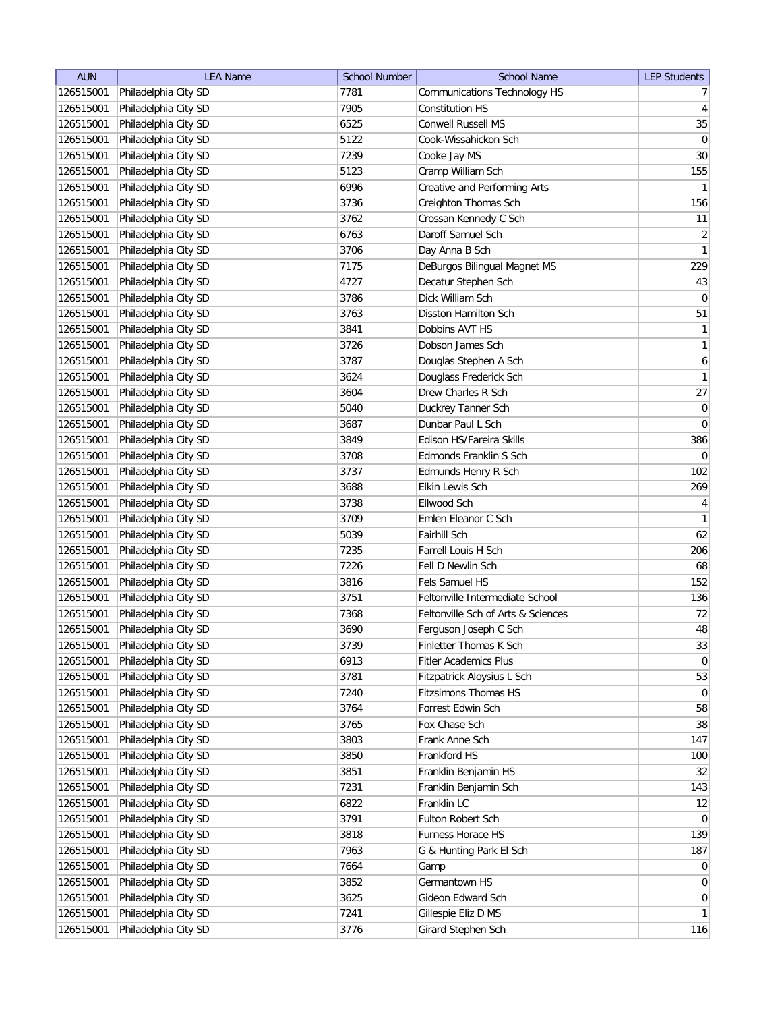| <b>AUN</b> | <b>LEA Name</b>      | <b>School Number</b> | <b>School Name</b>                 | <b>LEP Students</b> |
|------------|----------------------|----------------------|------------------------------------|---------------------|
| 126515001  | Philadelphia City SD | 7781                 | Communications Technology HS       | 7 <sup>1</sup>      |
| 126515001  | Philadelphia City SD | 7905                 | <b>Constitution HS</b>             | $\vert 4 \vert$     |
| 126515001  | Philadelphia City SD | 6525                 | <b>Conwell Russell MS</b>          | 35                  |
| 126515001  | Philadelphia City SD | 5122                 | Cook-Wissahickon Sch               | 0                   |
| 126515001  | Philadelphia City SD | 7239                 | Cooke Jay MS                       | 30 <sup>°</sup>     |
| 126515001  | Philadelphia City SD | 5123                 | Cramp William Sch                  | 155                 |
| 126515001  | Philadelphia City SD | 6996                 | Creative and Performing Arts       | 1                   |
| 126515001  | Philadelphia City SD | 3736                 | Creighton Thomas Sch               | 156                 |
| 126515001  | Philadelphia City SD | 3762                 | Crossan Kennedy C Sch              | 11                  |
| 126515001  | Philadelphia City SD | 6763                 | Daroff Samuel Sch                  | $\overline{2}$      |
| 126515001  | Philadelphia City SD | 3706                 | Day Anna B Sch                     | 1                   |
| 126515001  | Philadelphia City SD | 7175                 | DeBurgos Bilingual Magnet MS       | 229                 |
| 126515001  | Philadelphia City SD | 4727                 | Decatur Stephen Sch                | $43\,$              |
| 126515001  | Philadelphia City SD | 3786                 | Dick William Sch                   | $\overline{0}$      |
| 126515001  | Philadelphia City SD | 3763                 | Disston Hamilton Sch               | 51                  |
| 126515001  | Philadelphia City SD | 3841                 | Dobbins AVT HS                     | $\mathbf{1}$        |
| 126515001  | Philadelphia City SD | 3726                 | Dobson James Sch                   | $\mathbf{1}$        |
| 126515001  | Philadelphia City SD | 3787                 | Douglas Stephen A Sch              | $6\vert$            |
| 126515001  | Philadelphia City SD | 3624                 | Douglass Frederick Sch             | 1                   |
| 126515001  | Philadelphia City SD | 3604                 | Drew Charles R Sch                 | 27                  |
| 126515001  | Philadelphia City SD | 5040                 | Duckrey Tanner Sch                 | 0                   |
| 126515001  | Philadelphia City SD | 3687                 | Dunbar Paul L Sch                  | 0                   |
| 126515001  | Philadelphia City SD | 3849                 | Edison HS/Fareira Skills           | 386                 |
| 126515001  | Philadelphia City SD | 3708                 | Edmonds Franklin S Sch             | $\overline{0}$      |
| 126515001  | Philadelphia City SD | 3737                 | Edmunds Henry R Sch                | 102                 |
| 126515001  | Philadelphia City SD | 3688                 | Elkin Lewis Sch                    | 269                 |
| 126515001  | Philadelphia City SD | 3738                 | Ellwood Sch                        | $\vert 4 \vert$     |
| 126515001  | Philadelphia City SD | 3709                 | Emlen Eleanor C Sch                | $\mathbf{1}$        |
| 126515001  | Philadelphia City SD | 5039                 | Fairhill Sch                       | 62                  |
| 126515001  | Philadelphia City SD | 7235                 | Farrell Louis H Sch                | 206                 |
| 126515001  | Philadelphia City SD | 7226                 | Fell D Newlin Sch                  | 68                  |
| 126515001  | Philadelphia City SD | 3816                 | Fels Samuel HS                     | 152                 |
| 126515001  | Philadelphia City SD | 3751                 | Feltonville Intermediate School    | 136                 |
| 126515001  | Philadelphia City SD | 7368                 | Feltonville Sch of Arts & Sciences | 72                  |
| 126515001  | Philadelphia City SD | 3690                 | Ferguson Joseph C Sch              | 48                  |
| 126515001  | Philadelphia City SD | 3739                 | Finletter Thomas K Sch             | 33                  |
| 126515001  | Philadelphia City SD | 6913                 | <b>Fitler Academics Plus</b>       | $\overline{0}$      |
| 126515001  | Philadelphia City SD | 3781                 | Fitzpatrick Aloysius L Sch         | 53                  |
| 126515001  | Philadelphia City SD | 7240                 | <b>Fitzsimons Thomas HS</b>        | $\overline{0}$      |
| 126515001  | Philadelphia City SD | 3764                 | Forrest Edwin Sch                  | 58                  |
| 126515001  | Philadelphia City SD | 3765                 | Fox Chase Sch                      | 38                  |
| 126515001  | Philadelphia City SD | 3803                 | Frank Anne Sch                     | 147                 |
| 126515001  | Philadelphia City SD | 3850                 | Frankford HS                       | 100                 |
| 126515001  | Philadelphia City SD | 3851                 | Franklin Benjamin HS               | 32                  |
| 126515001  | Philadelphia City SD | 7231                 | Franklin Benjamin Sch              | 143                 |
| 126515001  | Philadelphia City SD | 6822                 | Franklin LC                        | 12                  |
| 126515001  | Philadelphia City SD | 3791                 | Fulton Robert Sch                  | $\overline{0}$      |
| 126515001  | Philadelphia City SD | 3818                 | Furness Horace HS                  | 139                 |
| 126515001  | Philadelphia City SD | 7963                 | G & Hunting Park El Sch            | 187                 |
| 126515001  | Philadelphia City SD | 7664                 | Gamp                               | 0                   |
| 126515001  | Philadelphia City SD | 3852                 | Germantown HS                      | $\overline{0}$      |
| 126515001  | Philadelphia City SD | 3625                 | Gideon Edward Sch                  | $\overline{0}$      |
| 126515001  | Philadelphia City SD | 7241                 | Gillespie Eliz D MS                | $\mathbf{1}$        |
| 126515001  | Philadelphia City SD | 3776                 | Girard Stephen Sch                 | 116                 |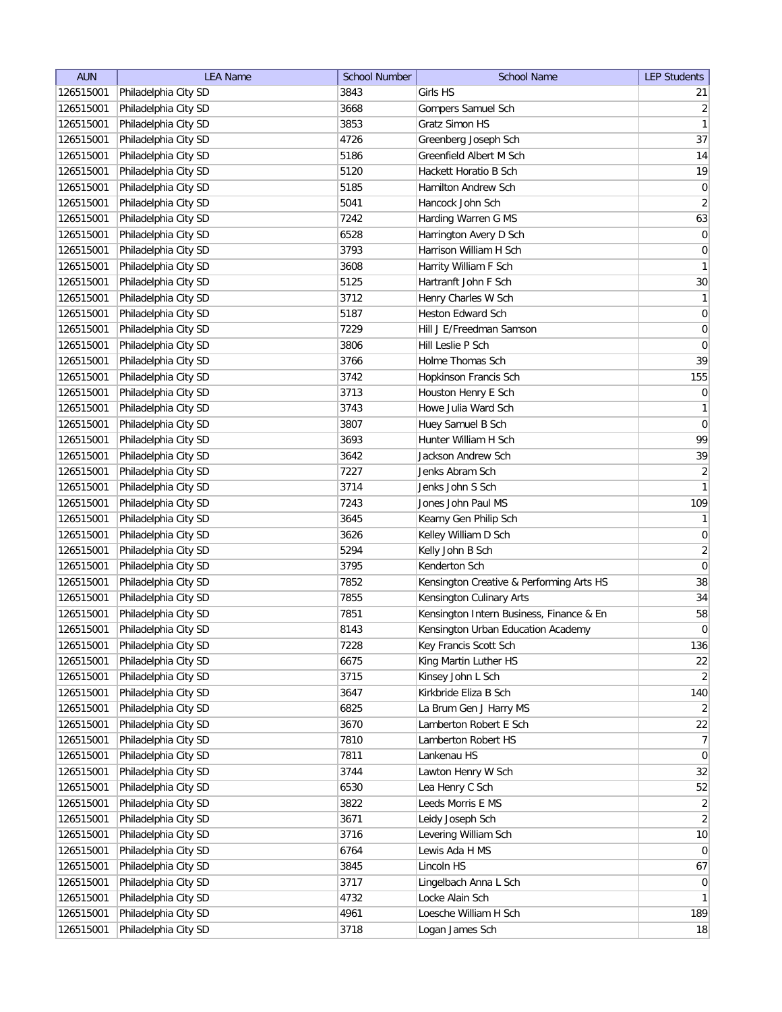| <b>AUN</b> | <b>LEA Name</b>      | <b>School Number</b> | <b>School Name</b>                       | <b>LEP Students</b>          |
|------------|----------------------|----------------------|------------------------------------------|------------------------------|
| 126515001  | Philadelphia City SD | 3843                 | Girls HS                                 | 21                           |
| 126515001  | Philadelphia City SD | 3668                 | Gompers Samuel Sch                       | $\overline{2}$               |
| 126515001  | Philadelphia City SD | 3853                 | Gratz Simon HS                           | 1                            |
| 126515001  | Philadelphia City SD | 4726                 | Greenberg Joseph Sch                     | 37                           |
| 126515001  | Philadelphia City SD | 5186                 | Greenfield Albert M Sch                  | 14                           |
| 126515001  | Philadelphia City SD | 5120                 | Hackett Horatio B Sch                    | 19                           |
| 126515001  | Philadelphia City SD | 5185                 | Hamilton Andrew Sch                      | 0                            |
| 126515001  | Philadelphia City SD | 5041                 | Hancock John Sch                         | $\left  \frac{2}{2} \right $ |
| 126515001  | Philadelphia City SD | 7242                 | Harding Warren G MS                      | 63                           |
| 126515001  | Philadelphia City SD | 6528                 | Harrington Avery D Sch                   | 0                            |
| 126515001  | Philadelphia City SD | 3793                 | Harrison William H Sch                   | $\boldsymbol{0}$             |
| 126515001  | Philadelphia City SD | 3608                 | Harrity William F Sch                    | $\vert$ 1                    |
| 126515001  | Philadelphia City SD | 5125                 | Hartranft John F Sch                     | 30                           |
| 126515001  | Philadelphia City SD | 3712                 | Henry Charles W Sch                      | $\mathbf{1}$                 |
| 126515001  | Philadelphia City SD | 5187                 | Heston Edward Sch                        | $\boldsymbol{0}$             |
| 126515001  | Philadelphia City SD | 7229                 | Hill J E/Freedman Samson                 | $\pmb{0}$                    |
| 126515001  | Philadelphia City SD | 3806                 | Hill Leslie P Sch                        | $\overline{0}$               |
| 126515001  | Philadelphia City SD | 3766                 | Holme Thomas Sch                         | 39                           |
| 126515001  | Philadelphia City SD | 3742                 | Hopkinson Francis Sch                    | 155                          |
| 126515001  | Philadelphia City SD | 3713                 | Houston Henry E Sch                      | 0                            |
| 126515001  | Philadelphia City SD | 3743                 | Howe Julia Ward Sch                      | 1                            |
| 126515001  | Philadelphia City SD | 3807                 | Huey Samuel B Sch                        | $\vert 0 \vert$              |
| 126515001  | Philadelphia City SD | 3693                 | Hunter William H Sch                     | 99                           |
| 126515001  | Philadelphia City SD | 3642                 | Jackson Andrew Sch                       | 39                           |
| 126515001  | Philadelphia City SD | 7227                 | Jenks Abram Sch                          | $\overline{2}$               |
| 126515001  | Philadelphia City SD | 3714                 | Jenks John S Sch                         | 1                            |
| 126515001  | Philadelphia City SD | 7243                 | Jones John Paul MS                       | 109                          |
| 126515001  | Philadelphia City SD | 3645                 | Kearny Gen Philip Sch                    | 1                            |
| 126515001  | Philadelphia City SD | 3626                 | Kelley William D Sch                     | 0                            |
| 126515001  | Philadelphia City SD | 5294                 | Kelly John B Sch                         | $\left  \frac{2}{2} \right $ |
| 126515001  | Philadelphia City SD | 3795                 | Kenderton Sch                            | 0                            |
| 126515001  | Philadelphia City SD | 7852                 | Kensington Creative & Performing Arts HS | 38                           |
| 126515001  | Philadelphia City SD | 7855                 | Kensington Culinary Arts                 | 34                           |
| 126515001  | Philadelphia City SD | 7851                 | Kensington Intern Business, Finance & En | 58                           |
| 126515001  | Philadelphia City SD | 8143                 | Kensington Urban Education Academy       | 0                            |
| 126515001  | Philadelphia City SD | 7228                 | Key Francis Scott Sch                    | 136                          |
| 126515001  | Philadelphia City SD | 6675                 | King Martin Luther HS                    | 22                           |
| 126515001  | Philadelphia City SD | 3715                 | Kinsey John L Sch                        | $\overline{2}$               |
| 126515001  | Philadelphia City SD | 3647                 | Kirkbride Eliza B Sch                    | 140                          |
| 126515001  | Philadelphia City SD | 6825                 | La Brum Gen J Harry MS                   | $\overline{2}$               |
| 126515001  | Philadelphia City SD | 3670                 | Lamberton Robert E Sch                   | 22                           |
| 126515001  | Philadelphia City SD | 7810                 | Lamberton Robert HS                      | 7                            |
| 126515001  | Philadelphia City SD | 7811                 | Lankenau HS                              | $\overline{0}$               |
| 126515001  | Philadelphia City SD | 3744                 | Lawton Henry W Sch                       | 32                           |
| 126515001  | Philadelphia City SD | 6530                 | Lea Henry C Sch                          | 52                           |
| 126515001  | Philadelphia City SD | 3822                 | Leeds Morris E MS                        | $\overline{2}$               |
| 126515001  | Philadelphia City SD | 3671                 | Leidy Joseph Sch                         | $\overline{2}$               |
| 126515001  | Philadelphia City SD | 3716                 | Levering William Sch                     | 10                           |
| 126515001  | Philadelphia City SD | 6764                 | Lewis Ada H MS                           | 0                            |
| 126515001  | Philadelphia City SD | 3845                 | Lincoln HS                               | 67                           |
| 126515001  | Philadelphia City SD | 3717                 | Lingelbach Anna L Sch                    | $\overline{0}$               |
| 126515001  | Philadelphia City SD | 4732                 | Locke Alain Sch                          | $\mathbf{1}$                 |
| 126515001  | Philadelphia City SD | 4961                 | Loesche William H Sch                    | 189                          |
| 126515001  | Philadelphia City SD | 3718                 | Logan James Sch                          | 18                           |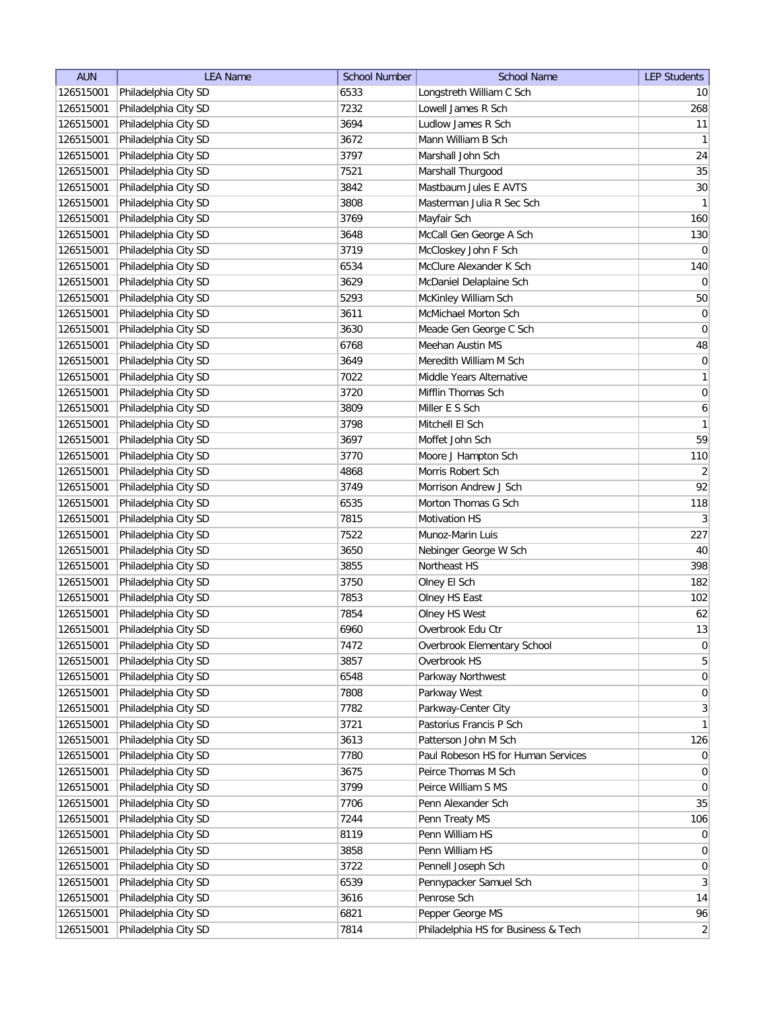| <b>AUN</b> | <b>LEA Name</b>      | <b>School Number</b> | <b>School Name</b>                  | <b>LEP Students</b> |
|------------|----------------------|----------------------|-------------------------------------|---------------------|
| 126515001  | Philadelphia City SD | 6533                 | Longstreth William C Sch            | 10 <sup>1</sup>     |
| 126515001  | Philadelphia City SD | 7232                 | Lowell James R Sch                  | 268                 |
| 126515001  | Philadelphia City SD | 3694                 | Ludlow James R Sch                  | 11                  |
| 126515001  | Philadelphia City SD | 3672                 | Mann William B Sch                  | $\vert$ 1           |
| 126515001  | Philadelphia City SD | 3797                 | Marshall John Sch                   | 24                  |
| 126515001  | Philadelphia City SD | 7521                 | Marshall Thurgood                   | 35                  |
| 126515001  | Philadelphia City SD | 3842                 | Mastbaum Jules E AVTS               | 30 <sup>°</sup>     |
| 126515001  | Philadelphia City SD | 3808                 | Masterman Julia R Sec Sch           | 1                   |
| 126515001  | Philadelphia City SD | 3769                 | Mayfair Sch                         | 160                 |
| 126515001  | Philadelphia City SD | 3648                 | McCall Gen George A Sch             | 130                 |
| 126515001  | Philadelphia City SD | 3719                 | McCloskey John F Sch                | $\overline{0}$      |
| 126515001  | Philadelphia City SD | 6534                 | McClure Alexander K Sch             | 140                 |
| 126515001  | Philadelphia City SD | 3629                 | McDaniel Delaplaine Sch             | $\overline{0}$      |
| 126515001  | Philadelphia City SD | 5293                 | McKinley William Sch                | 50                  |
| 126515001  | Philadelphia City SD | 3611                 | McMichael Morton Sch                | $\boldsymbol{0}$    |
| 126515001  | Philadelphia City SD | 3630                 | Meade Gen George C Sch              | $\overline{0}$      |
| 126515001  | Philadelphia City SD | 6768                 | Meehan Austin MS                    | 48                  |
| 126515001  | Philadelphia City SD | 3649                 | Meredith William M Sch              | $\vert 0 \vert$     |
| 126515001  | Philadelphia City SD | 7022                 | Middle Years Alternative            | 1                   |
| 126515001  | Philadelphia City SD | 3720                 | Mifflin Thomas Sch                  | 0                   |
| 126515001  | Philadelphia City SD | 3809                 | Miller E S Sch                      | $\boldsymbol{6}$    |
| 126515001  | Philadelphia City SD | 3798                 | Mitchell El Sch                     | 1                   |
| 126515001  | Philadelphia City SD | 3697                 | Moffet John Sch                     | 59                  |
| 126515001  | Philadelphia City SD | 3770                 | Moore J Hampton Sch                 | 110                 |
| 126515001  | Philadelphia City SD | 4868                 | Morris Robert Sch                   | $\overline{2}$      |
| 126515001  | Philadelphia City SD | 3749                 | Morrison Andrew J Sch               | 92                  |
| 126515001  | Philadelphia City SD | 6535                 | Morton Thomas G Sch                 | 118                 |
| 126515001  | Philadelphia City SD | 7815                 | <b>Motivation HS</b>                | 3                   |
| 126515001  | Philadelphia City SD | 7522                 | Munoz-Marin Luis                    | 227                 |
| 126515001  | Philadelphia City SD | 3650                 | Nebinger George W Sch               | 40                  |
| 126515001  | Philadelphia City SD | 3855                 | Northeast HS                        | 398                 |
| 126515001  | Philadelphia City SD | 3750                 | Olney El Sch                        | 182                 |
| 126515001  | Philadelphia City SD | 7853                 | Olney HS East                       | 102                 |
| 126515001  | Philadelphia City SD | 7854                 | Olney HS West                       | 62                  |
| 126515001  | Philadelphia City SD | 6960                 | Overbrook Edu Ctr                   | 13                  |
| 126515001  | Philadelphia City SD | 7472                 | Overbrook Elementary School         | 0                   |
| 126515001  | Philadelphia City SD | 3857                 | Overbrook HS                        | $5\vert$            |
| 126515001  | Philadelphia City SD | 6548                 | Parkway Northwest                   | 0                   |
| 126515001  | Philadelphia City SD | 7808                 | Parkway West                        | 0                   |
| 126515001  | Philadelphia City SD | 7782                 | Parkway-Center City                 | $3\vert$            |
| 126515001  | Philadelphia City SD | 3721                 | Pastorius Francis P Sch             | $\mathbf{1}$        |
| 126515001  | Philadelphia City SD | 3613                 | Patterson John M Sch                | 126                 |
| 126515001  | Philadelphia City SD | 7780                 | Paul Robeson HS for Human Services  | $\overline{0}$      |
| 126515001  | Philadelphia City SD | 3675                 | Peirce Thomas M Sch                 | 0                   |
| 126515001  | Philadelphia City SD | 3799                 | Peirce William S MS                 | $\overline{0}$      |
| 126515001  | Philadelphia City SD | 7706                 | Penn Alexander Sch                  | 35                  |
| 126515001  | Philadelphia City SD | 7244                 | Penn Treaty MS                      | 106                 |
| 126515001  | Philadelphia City SD | 8119                 | Penn William HS                     | $\overline{0}$      |
| 126515001  | Philadelphia City SD | 3858                 | Penn William HS                     | $\overline{0}$      |
| 126515001  | Philadelphia City SD | 3722                 | Pennell Joseph Sch                  | $\overline{0}$      |
| 126515001  | Philadelphia City SD | 6539                 | Pennypacker Samuel Sch              | 3                   |
| 126515001  | Philadelphia City SD | 3616                 | Penrose Sch                         | 14                  |
| 126515001  | Philadelphia City SD | 6821                 | Pepper George MS                    | 96                  |
| 126515001  | Philadelphia City SD | 7814                 | Philadelphia HS for Business & Tech | $\overline{2}$      |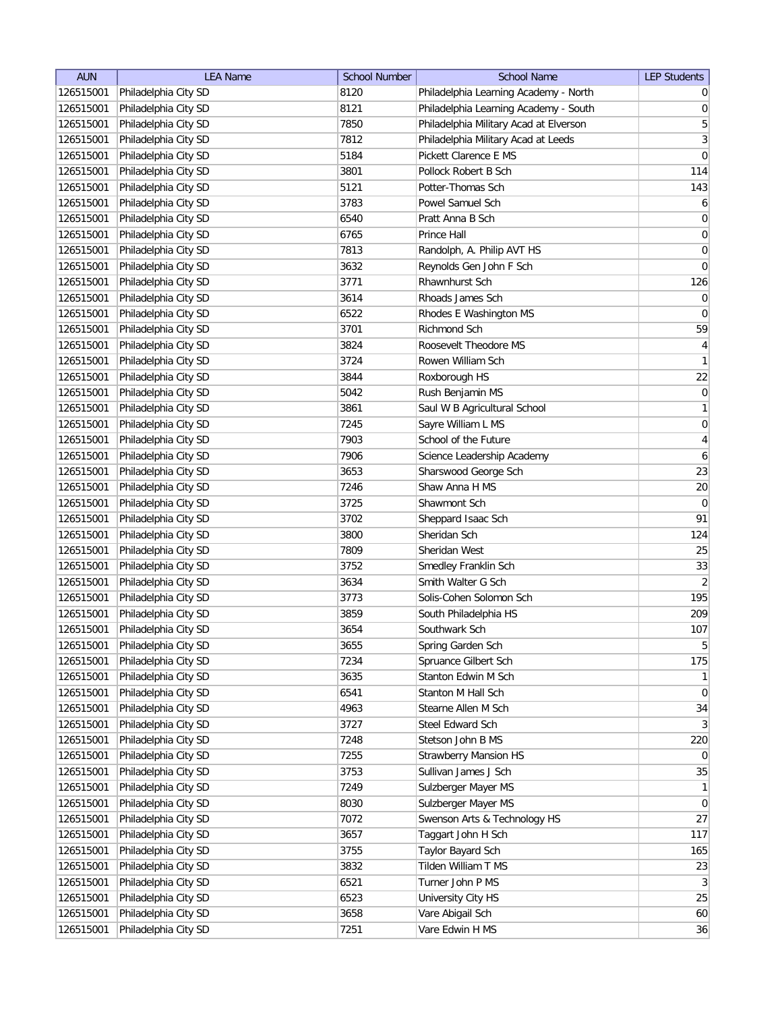| <b>AUN</b>             | <b>LEA Name</b>      | <b>School Number</b> | <b>School Name</b>                     | <b>LEP Students</b>     |
|------------------------|----------------------|----------------------|----------------------------------------|-------------------------|
| 126515001              | Philadelphia City SD | 8120                 | Philadelphia Learning Academy - North  | $\overline{0}$          |
| 126515001              | Philadelphia City SD | 8121                 | Philadelphia Learning Academy - South  | 0                       |
| 126515001              | Philadelphia City SD | 7850                 | Philadelphia Military Acad at Elverson | $\overline{5}$          |
| 126515001              | Philadelphia City SD | 7812                 | Philadelphia Military Acad at Leeds    | $\overline{\mathbf{3}}$ |
| 126515001              | Philadelphia City SD | 5184                 | Pickett Clarence E MS                  | $\vert 0 \vert$         |
| 126515001              | Philadelphia City SD | 3801                 | Pollock Robert B Sch                   | 114                     |
| 126515001              | Philadelphia City SD | 5121                 | Potter-Thomas Sch                      | 143                     |
| 126515001              | Philadelphia City SD | 3783                 | Powel Samuel Sch                       | $\boldsymbol{6}$        |
| 126515001              | Philadelphia City SD | 6540                 | Pratt Anna B Sch                       | 0                       |
| 126515001              | Philadelphia City SD | 6765                 | Prince Hall                            | 0                       |
| 126515001              | Philadelphia City SD | 7813                 | Randolph, A. Philip AVT HS             | 0                       |
| 126515001              | Philadelphia City SD | 3632                 | Reynolds Gen John F Sch                | 0                       |
| 126515001              | Philadelphia City SD | 3771                 | Rhawnhurst Sch                         | 126                     |
| 126515001              | Philadelphia City SD | 3614                 | Rhoads James Sch                       | $\overline{0}$          |
| 126515001              | Philadelphia City SD | 6522                 | Rhodes E Washington MS                 | $\overline{0}$          |
| 126515001              | Philadelphia City SD | 3701                 | <b>Richmond Sch</b>                    | 59                      |
| 126515001              | Philadelphia City SD | 3824                 | Roosevelt Theodore MS                  | $\vert 4 \vert$         |
| 126515001              | Philadelphia City SD | 3724                 | Rowen William Sch                      | 1                       |
| 126515001              | Philadelphia City SD | 3844                 | Roxborough HS                          | 22                      |
| 126515001              | Philadelphia City SD | 5042                 | Rush Benjamin MS                       | 0                       |
| 126515001              | Philadelphia City SD | 3861                 | Saul W B Agricultural School           | 1                       |
| 126515001              | Philadelphia City SD | 7245                 | Sayre William L MS                     | 0                       |
| 126515001              | Philadelphia City SD | 7903                 | School of the Future                   | $\overline{4}$          |
| 126515001              | Philadelphia City SD | 7906                 | Science Leadership Academy             | $\boldsymbol{6}$        |
| 126515001              | Philadelphia City SD | 3653                 | Sharswood George Sch                   | 23                      |
| 126515001              | Philadelphia City SD | 7246                 | Shaw Anna H MS                         | $20\,$                  |
| 126515001              | Philadelphia City SD | 3725                 | Shawmont Sch                           | $\overline{0}$          |
| 126515001              | Philadelphia City SD | 3702                 | Sheppard Isaac Sch                     | 91                      |
| 126515001              | Philadelphia City SD | 3800                 | Sheridan Sch                           | 124                     |
| 126515001              | Philadelphia City SD | 7809                 | Sheridan West                          | 25                      |
| 126515001              | Philadelphia City SD | 3752                 | Smedley Franklin Sch                   | 33                      |
| 126515001              | Philadelphia City SD | 3634                 | Smith Walter G Sch                     | $\overline{2}$          |
| 126515001              | Philadelphia City SD | 3773                 | Solis-Cohen Solomon Sch                | 195                     |
| 126515001              | Philadelphia City SD | 3859                 | South Philadelphia HS                  | 209                     |
| 126515001              | Philadelphia City SD | 3654                 | Southwark Sch                          | 107                     |
| 126515001              | Philadelphia City SD | 3655                 | Spring Garden Sch                      | 5 <sup>1</sup>          |
| 126515001              | Philadelphia City SD | 7234                 | Spruance Gilbert Sch                   | 175                     |
| 126515001              | Philadelphia City SD | 3635                 | Stanton Edwin M Sch                    | 1                       |
| 126515001              | Philadelphia City SD | 6541                 | Stanton M Hall Sch                     | $\overline{0}$          |
| 126515001              | Philadelphia City SD | 4963                 | Stearne Allen M Sch                    | 34                      |
| 126515001              | Philadelphia City SD | 3727                 | Steel Edward Sch                       | 3 <sup>2</sup>          |
| 126515001              | Philadelphia City SD | 7248                 | Stetson John B MS                      | 220                     |
| 126515001              | Philadelphia City SD | 7255                 | <b>Strawberry Mansion HS</b>           | $\overline{0}$          |
| 126515001              | Philadelphia City SD | 3753                 | Sullivan James J Sch                   | 35                      |
| 126515001              | Philadelphia City SD | 7249                 | Sulzberger Mayer MS                    | 1                       |
| 126515001              | Philadelphia City SD | 8030                 | Sulzberger Mayer MS                    | $\overline{0}$          |
| 126515001              | Philadelphia City SD | 7072                 | Swenson Arts & Technology HS           | 27                      |
| 126515001              | Philadelphia City SD | 3657                 | Taggart John H Sch                     | 117                     |
| 126515001              | Philadelphia City SD | 3755                 | Taylor Bayard Sch                      | 165                     |
| 126515001              | Philadelphia City SD | 3832                 | Tilden William T MS                    | 23                      |
| 126515001              | Philadelphia City SD | 6521                 | Turner John P MS                       | 3                       |
|                        | Philadelphia City SD | 6523                 |                                        | 25                      |
| 126515001<br>126515001 | Philadelphia City SD | 3658                 | University City HS<br>Vare Abigail Sch | 60                      |
|                        | Philadelphia City SD |                      | Vare Edwin H MS                        | 36                      |
| 126515001              |                      | 7251                 |                                        |                         |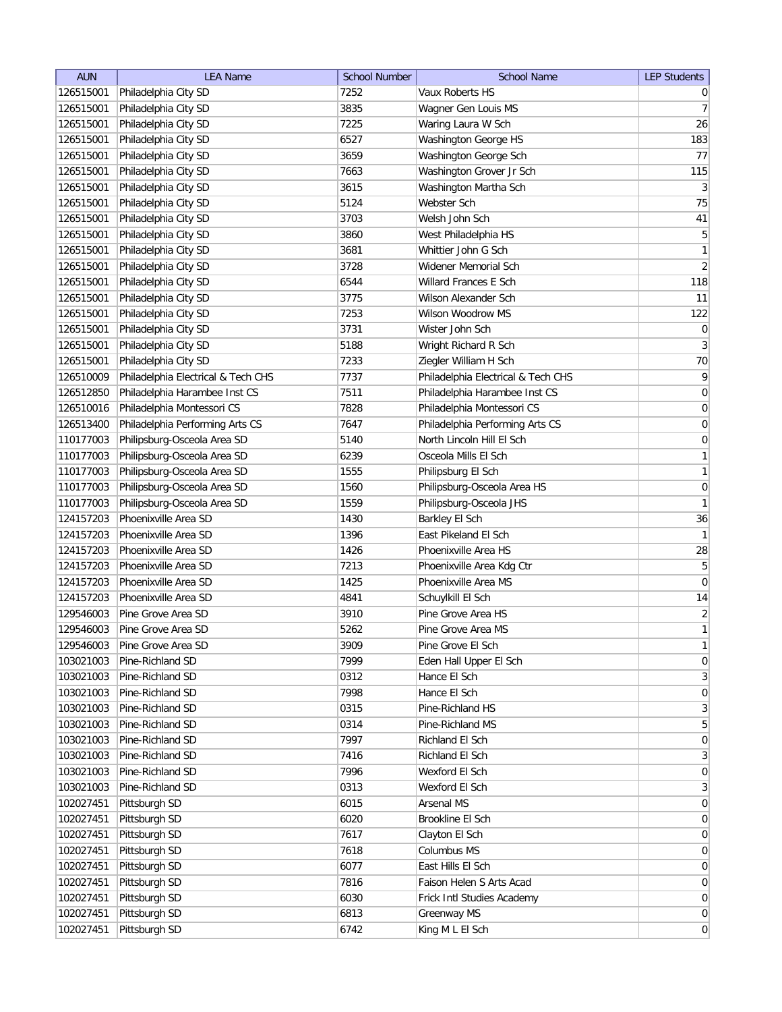| <b>AUN</b> | <b>LEA Name</b>                    | <b>School Number</b> | <b>School Name</b>                 | <b>LEP Students</b>          |
|------------|------------------------------------|----------------------|------------------------------------|------------------------------|
| 126515001  | Philadelphia City SD               | 7252                 | Vaux Roberts HS                    | $\overline{0}$               |
| 126515001  | Philadelphia City SD               | 3835                 | Wagner Gen Louis MS                | 7                            |
| 126515001  | Philadelphia City SD               | 7225                 | Waring Laura W Sch                 | 26                           |
| 126515001  | Philadelphia City SD               | 6527                 | Washington George HS               | 183                          |
| 126515001  | Philadelphia City SD               | 3659                 | Washington George Sch              | 77                           |
| 126515001  | Philadelphia City SD               | 7663                 | Washington Grover Jr Sch           | 115                          |
| 126515001  | Philadelphia City SD               | 3615                 | Washington Martha Sch              | $\left  \frac{3}{2} \right $ |
| 126515001  | Philadelphia City SD               | 5124                 | Webster Sch                        | 75                           |
| 126515001  | Philadelphia City SD               | 3703                 | Welsh John Sch                     | 41                           |
| 126515001  | Philadelphia City SD               | 3860                 | West Philadelphia HS               | $\overline{5}$               |
| 126515001  | Philadelphia City SD               | 3681                 | Whittier John G Sch                | $\mathbf{1}$                 |
| 126515001  | Philadelphia City SD               | 3728                 | Widener Memorial Sch               | $\overline{2}$               |
| 126515001  | Philadelphia City SD               | 6544                 | Willard Frances E Sch              | 118                          |
| 126515001  | Philadelphia City SD               | 3775                 | Wilson Alexander Sch               | 11                           |
| 126515001  | Philadelphia City SD               | 7253                 | Wilson Woodrow MS                  | 122                          |
| 126515001  | Philadelphia City SD               | 3731                 | Wister John Sch                    | $\pmb{0}$                    |
| 126515001  | Philadelphia City SD               | 5188                 | Wright Richard R Sch               | 3                            |
| 126515001  | Philadelphia City SD               | 7233                 | Ziegler William H Sch              | 70                           |
| 126510009  | Philadelphia Electrical & Tech CHS | 7737                 | Philadelphia Electrical & Tech CHS | $\overline{9}$               |
| 126512850  | Philadelphia Harambee Inst CS      | 7511                 | Philadelphia Harambee Inst CS      | 0                            |
| 126510016  | Philadelphia Montessori CS         | 7828                 | Philadelphia Montessori CS         | 0                            |
| 126513400  | Philadelphia Performing Arts CS    | 7647                 | Philadelphia Performing Arts CS    | $\boldsymbol{0}$             |
| 110177003  | Philipsburg-Osceola Area SD        | 5140                 | North Lincoln Hill El Sch          | $\boldsymbol{0}$             |
| 110177003  | Philipsburg-Osceola Area SD        | 6239                 | Osceola Mills El Sch               | 1                            |
| 110177003  | Philipsburg-Osceola Area SD        | 1555                 | Philipsburg El Sch                 | 1                            |
| 110177003  | Philipsburg-Osceola Area SD        | 1560                 | Philipsburg-Osceola Area HS        | 0                            |
| 110177003  | Philipsburg-Osceola Area SD        | 1559                 | Philipsburg-Osceola JHS            | 1                            |
| 124157203  | Phoenixville Area SD               | 1430                 | Barkley El Sch                     | 36                           |
| 124157203  | Phoenixville Area SD               | 1396                 | East Pikeland El Sch               | $\vert$ 1                    |
| 124157203  | Phoenixville Area SD               | 1426                 | Phoenixville Area HS               | 28                           |
| 124157203  | Phoenixville Area SD               | 7213                 | Phoenixville Area Kdg Ctr          | 5                            |
| 124157203  | Phoenixville Area SD               | 1425                 | Phoenixville Area MS               | $\overline{0}$               |
| 124157203  | Phoenixville Area SD               | 4841                 | Schuylkill El Sch                  | 14                           |
| 129546003  | Pine Grove Area SD                 | 3910                 | Pine Grove Area HS                 | $\overline{2}$               |
| 129546003  | Pine Grove Area SD                 | 5262                 | Pine Grove Area MS                 | 1                            |
| 129546003  | Pine Grove Area SD                 | 3909                 | Pine Grove El Sch                  | $\mathbf{1}$                 |
| 103021003  | Pine-Richland SD                   | 7999                 | Eden Hall Upper El Sch             | 0                            |
| 103021003  | Pine-Richland SD                   | 0312                 | Hance El Sch                       | 3                            |
| 103021003  | Pine-Richland SD                   | 7998                 | Hance El Sch                       | $\overline{0}$               |
| 103021003  | Pine-Richland SD                   | 0315                 | Pine-Richland HS                   | $\mathbf{3}$                 |
| 103021003  | Pine-Richland SD                   | 0314                 | Pine-Richland MS                   | 5 <sup>1</sup>               |
| 103021003  | Pine-Richland SD                   | 7997                 | Richland El Sch                    | 0                            |
| 103021003  | Pine-Richland SD                   | 7416                 | Richland El Sch                    | 3                            |
| 103021003  | Pine-Richland SD                   | 7996                 | Wexford El Sch                     | $\boldsymbol{0}$             |
| 103021003  | Pine-Richland SD                   | 0313                 | Wexford El Sch                     | $\overline{3}$               |
| 102027451  | Pittsburgh SD                      | 6015                 | <b>Arsenal MS</b>                  | 0                            |
| 102027451  | Pittsburgh SD                      | 6020                 | Brookline El Sch                   | $\overline{0}$               |
| 102027451  | Pittsburgh SD                      | 7617                 | Clayton El Sch                     | $\overline{0}$               |
| 102027451  | Pittsburgh SD                      | 7618                 | Columbus MS                        | 0                            |
| 102027451  | Pittsburgh SD                      | 6077                 | East Hills El Sch                  | $\overline{0}$               |
| 102027451  | Pittsburgh SD                      | 7816                 | Faison Helen S Arts Acad           | $\overline{0}$               |
| 102027451  | Pittsburgh SD                      | 6030                 | Frick Intl Studies Academy         | $\overline{0}$               |
| 102027451  | Pittsburgh SD                      | 6813                 | Greenway MS                        | $\overline{0}$               |
| 102027451  | Pittsburgh SD                      | 6742                 | King M L El Sch                    | $\overline{0}$               |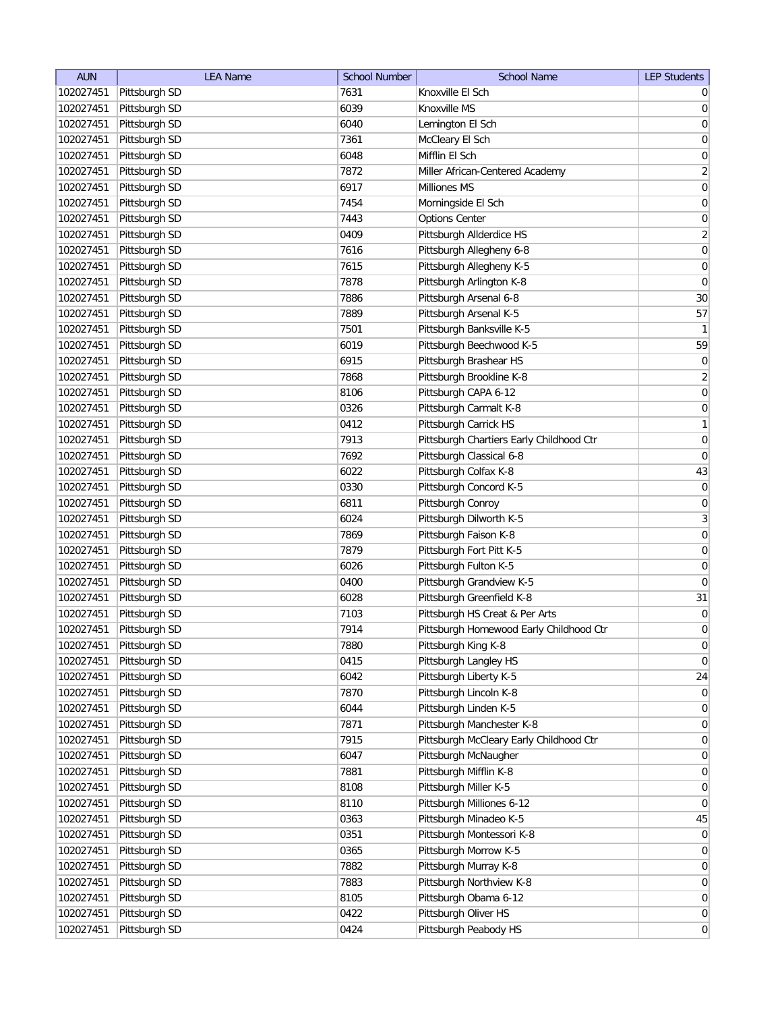| <b>AUN</b>             | <b>LEA Name</b>                | <b>School Number</b> | <b>School Name</b>                       | <b>LEP Students</b> |
|------------------------|--------------------------------|----------------------|------------------------------------------|---------------------|
| 102027451              | Pittsburgh SD                  | 7631                 | Knoxville El Sch                         | 0                   |
| 102027451              | Pittsburgh SD                  | 6039                 | Knoxville MS                             | $\overline{0}$      |
| 102027451              | Pittsburgh SD                  | 6040                 | Lemington El Sch                         | 0                   |
| 102027451              | Pittsburgh SD                  | 7361                 | McCleary El Sch                          | 0                   |
| 102027451              | Pittsburgh SD                  | 6048                 | Mifflin El Sch                           | 0                   |
| 102027451              | Pittsburgh SD                  | 7872                 | Miller African-Centered Academy          | $\overline{2}$      |
| 102027451              | Pittsburgh SD                  | 6917                 | Milliones MS                             | $\overline{0}$      |
| 102027451              | Pittsburgh SD                  | 7454                 | Morningside El Sch                       | 0                   |
| 102027451              | Pittsburgh SD                  | 7443                 | <b>Options Center</b>                    | $\boldsymbol{0}$    |
| 102027451              | Pittsburgh SD                  | 0409                 | Pittsburgh Allderdice HS                 | $\overline{2}$      |
| 102027451              | Pittsburgh SD                  | 7616                 | Pittsburgh Allegheny 6-8                 | $\overline{0}$      |
| 102027451              | Pittsburgh SD                  | 7615                 | Pittsburgh Allegheny K-5                 | 0                   |
| 102027451              | Pittsburgh SD                  | 7878                 | Pittsburgh Arlington K-8                 | 0                   |
| 102027451              | Pittsburgh SD                  | 7886                 | Pittsburgh Arsenal 6-8                   | 30                  |
| 102027451              | Pittsburgh SD                  | 7889                 | Pittsburgh Arsenal K-5                   | 57                  |
| 102027451              | Pittsburgh SD                  | 7501                 | Pittsburgh Banksville K-5                | 1                   |
| 102027451              | Pittsburgh SD                  | 6019                 | Pittsburgh Beechwood K-5                 | 59                  |
| 102027451              | Pittsburgh SD                  | 6915                 | Pittsburgh Brashear HS                   | 0                   |
| 102027451              | Pittsburgh SD                  | 7868                 | Pittsburgh Brookline K-8                 | $\overline{2}$      |
| 102027451              | Pittsburgh SD                  | 8106                 | Pittsburgh CAPA 6-12                     | $\vert 0 \vert$     |
| 102027451              | Pittsburgh SD                  | 0326                 | Pittsburgh Carmalt K-8                   | $\boldsymbol{0}$    |
| 102027451              | Pittsburgh SD                  | 0412                 | Pittsburgh Carrick HS                    | 1                   |
| 102027451              | Pittsburgh SD                  | 7913                 | Pittsburgh Chartiers Early Childhood Ctr | 0                   |
| 102027451              | Pittsburgh SD                  | 7692                 | Pittsburgh Classical 6-8                 | $\boldsymbol{0}$    |
| 102027451              | Pittsburgh SD                  | 6022                 | Pittsburgh Colfax K-8                    | 43                  |
| 102027451              | Pittsburgh SD                  | 0330                 | Pittsburgh Concord K-5                   | $\overline{0}$      |
| 102027451              | Pittsburgh SD                  | 6811                 | Pittsburgh Conroy                        | 0                   |
| 102027451              | Pittsburgh SD                  | 6024                 | Pittsburgh Dilworth K-5                  | $\mathbf{3}$        |
| 102027451              | Pittsburgh SD                  | 7869                 | Pittsburgh Faison K-8                    | 0                   |
| 102027451              | Pittsburgh SD                  | 7879                 | Pittsburgh Fort Pitt K-5                 | 0                   |
| 102027451              | Pittsburgh SD                  | 6026                 | Pittsburgh Fulton K-5                    | 0                   |
| 102027451              | Pittsburgh SD                  | 0400                 | Pittsburgh Grandview K-5                 | 0                   |
| 102027451              | Pittsburgh SD                  | 6028                 | Pittsburgh Greenfield K-8                | 31                  |
| 102027451              | Pittsburgh SD                  | 7103                 | Pittsburgh HS Creat & Per Arts           | 0                   |
| 102027451              | Pittsburgh SD                  | 7914                 | Pittsburgh Homewood Early Childhood Ctr  | 0                   |
| 102027451              | Pittsburgh SD                  | 7880                 | Pittsburgh King K-8                      | $\overline{0}$      |
| 102027451              | Pittsburgh SD                  | 0415                 | Pittsburgh Langley HS                    | $\overline{0}$      |
| 102027451              | Pittsburgh SD                  | 6042                 | Pittsburgh Liberty K-5                   | 24                  |
| 102027451              | Pittsburgh SD                  | 7870                 | Pittsburgh Lincoln K-8                   | 0                   |
| 102027451              | Pittsburgh SD                  | 6044                 | Pittsburgh Linden K-5                    | 0                   |
| 102027451              | Pittsburgh SD                  | 7871                 | Pittsburgh Manchester K-8                | $\overline{0}$      |
| 102027451              | Pittsburgh SD                  | 7915                 | Pittsburgh McCleary Early Childhood Ctr  | 0                   |
| 102027451              | Pittsburgh SD                  | 6047                 | Pittsburgh McNaugher                     | 0                   |
| 102027451              | Pittsburgh SD                  | 7881                 | Pittsburgh Mifflin K-8                   | 0                   |
| 102027451              | Pittsburgh SD                  | 8108                 | Pittsburgh Miller K-5                    | 0                   |
| 102027451              | Pittsburgh SD                  | 8110                 | Pittsburgh Milliones 6-12                | $\overline{0}$      |
| 102027451              | Pittsburgh SD                  | 0363                 | Pittsburgh Minadeo K-5                   | 45                  |
|                        | Pittsburgh SD                  | 0351                 | Pittsburgh Montessori K-8                | $\overline{0}$      |
| 102027451              | Pittsburgh SD                  |                      | Pittsburgh Morrow K-5                    | 0                   |
| 102027451              | Pittsburgh SD                  | 0365<br>7882         | Pittsburgh Murray K-8                    |                     |
| 102027451              |                                | 7883                 | Pittsburgh Northview K-8                 | 0<br>$\overline{0}$ |
| 102027451<br>102027451 | Pittsburgh SD<br>Pittsburgh SD | 8105                 | Pittsburgh Obama 6-12                    | $\overline{0}$      |
| 102027451              | Pittsburgh SD                  | 0422                 | Pittsburgh Oliver HS                     | $\overline{0}$      |
|                        |                                |                      |                                          |                     |
| 102027451              | Pittsburgh SD                  | 0424                 | Pittsburgh Peabody HS                    | 0                   |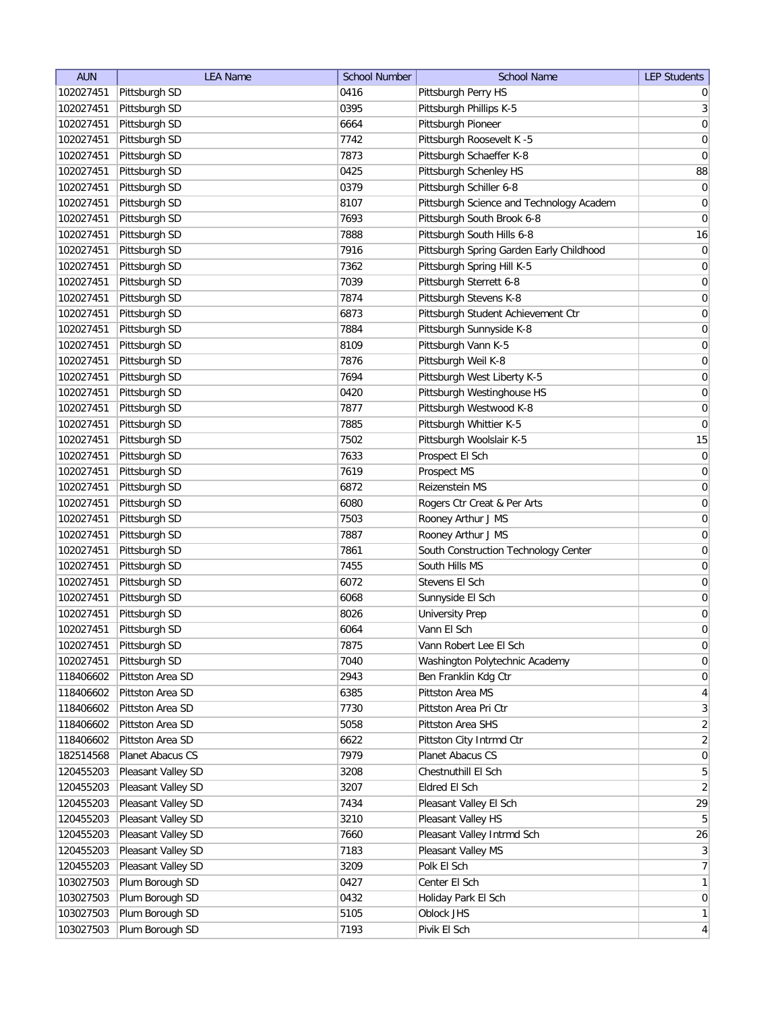| <b>AUN</b> | <b>LEA Name</b>    | <b>School Number</b> | <b>School Name</b>                                     | <b>LEP Students</b>                  |
|------------|--------------------|----------------------|--------------------------------------------------------|--------------------------------------|
| 102027451  | Pittsburgh SD      | 0416                 | Pittsburgh Perry HS                                    | $\overline{0}$                       |
| 102027451  | Pittsburgh SD      | 0395                 | Pittsburgh Phillips K-5                                | $\mathbf{3}$                         |
| 102027451  | Pittsburgh SD      | 6664                 | Pittsburgh Pioneer                                     | $\boldsymbol{0}$                     |
| 102027451  | Pittsburgh SD      | 7742                 | Pittsburgh Roosevelt K -5                              | $\overline{0}$                       |
| 102027451  | Pittsburgh SD      | 7873                 | Pittsburgh Schaeffer K-8                               | $\pmb{0}$                            |
| 102027451  | Pittsburgh SD      | 0425                 | Pittsburgh Schenley HS                                 | 88                                   |
| 102027451  | Pittsburgh SD      | 0379                 | Pittsburgh Schiller 6-8                                | $\boldsymbol{0}$                     |
| 102027451  | Pittsburgh SD      | 8107                 | Pittsburgh Science and Technology Academ               | $\overline{0}$                       |
| 102027451  | Pittsburgh SD      | 7693                 | Pittsburgh South Brook 6-8                             | $\pmb{0}$                            |
| 102027451  | Pittsburgh SD      | 7888                 | Pittsburgh South Hills 6-8                             | 16                                   |
| 102027451  | Pittsburgh SD      | 7916                 | Pittsburgh Spring Garden Early Childhood               | $\overline{0}$                       |
| 102027451  | Pittsburgh SD      | 7362                 | Pittsburgh Spring Hill K-5                             | 0                                    |
| 102027451  | Pittsburgh SD      | 7039                 | Pittsburgh Sterrett 6-8                                | 0                                    |
| 102027451  | Pittsburgh SD      | 7874                 | Pittsburgh Stevens K-8                                 | 0                                    |
| 102027451  | Pittsburgh SD      | 6873                 | Pittsburgh Student Achievement Ctr                     | 0                                    |
| 102027451  | Pittsburgh SD      | 7884                 | Pittsburgh Sunnyside K-8                               | 0                                    |
| 102027451  | Pittsburgh SD      | 8109                 | Pittsburgh Vann K-5                                    | 0                                    |
| 102027451  | Pittsburgh SD      | 7876                 | Pittsburgh Weil K-8                                    | 0                                    |
| 102027451  | Pittsburgh SD      | 7694                 | Pittsburgh West Liberty K-5                            | $\boldsymbol{0}$                     |
| 102027451  | Pittsburgh SD      | 0420                 | Pittsburgh Westinghouse HS                             | $\boldsymbol{0}$                     |
| 102027451  | Pittsburgh SD      | 7877                 | Pittsburgh Westwood K-8                                | $\boldsymbol{0}$                     |
| 102027451  | Pittsburgh SD      | 7885                 | Pittsburgh Whittier K-5                                | $\boldsymbol{0}$                     |
| 102027451  | Pittsburgh SD      | 7502                 | Pittsburgh Woolslair K-5                               | 15                                   |
| 102027451  | Pittsburgh SD      | 7633                 | Prospect El Sch                                        | $\boldsymbol{0}$                     |
| 102027451  | Pittsburgh SD      | 7619                 | Prospect MS                                            | $\boldsymbol{0}$                     |
| 102027451  | Pittsburgh SD      | 6872                 | Reizenstein MS                                         | $\boldsymbol{0}$                     |
| 102027451  |                    | 6080                 |                                                        |                                      |
| 102027451  | Pittsburgh SD      | 7503                 | Rogers Ctr Creat & Per Arts                            | $\boldsymbol{0}$<br>$\boldsymbol{0}$ |
| 102027451  | Pittsburgh SD      | 7887                 | Rooney Arthur J MS                                     |                                      |
| 102027451  | Pittsburgh SD      | 7861                 | Rooney Arthur J MS                                     | 0<br>0                               |
|            | Pittsburgh SD      |                      | South Construction Technology Center<br>South Hills MS |                                      |
| 102027451  | Pittsburgh SD      | 7455                 |                                                        | 0                                    |
| 102027451  | Pittsburgh SD      | 6072                 | Stevens El Sch                                         | 0                                    |
| 102027451  | Pittsburgh SD      | 6068                 | Sunnyside El Sch                                       | 0                                    |
| 102027451  | Pittsburgh SD      | 8026                 | <b>University Prep</b>                                 | 0                                    |
| 102027451  | Pittsburgh SD      | 6064                 | Vann El Sch                                            | 0                                    |
| 102027451  | Pittsburgh SD      | 7875                 | Vann Robert Lee El Sch                                 | $\overline{0}$                       |
| 102027451  | Pittsburgh SD      | 7040                 | Washington Polytechnic Academy                         | $\boldsymbol{0}$                     |
| 118406602  | Pittston Area SD   | 2943                 | Ben Franklin Kdg Ctr                                   | $\boldsymbol{0}$                     |
| 118406602  | Pittston Area SD   | 6385                 | Pittston Area MS                                       | $\overline{4}$                       |
| 118406602  | Pittston Area SD   | 7730                 | Pittston Area Pri Ctr                                  | $\mathbf{3}$                         |
| 118406602  | Pittston Area SD   | 5058                 | Pittston Area SHS                                      | $\overline{2}$                       |
| 118406602  | Pittston Area SD   | 6622                 | Pittston City Intrmd Ctr                               | $\overline{2}$                       |
| 182514568  | Planet Abacus CS   | 7979                 | Planet Abacus CS                                       | $\boldsymbol{0}$                     |
| 120455203  | Pleasant Valley SD | 3208                 | Chestnuthill El Sch                                    | $\overline{5}$                       |
| 120455203  | Pleasant Valley SD | 3207                 | Eldred El Sch                                          | $\overline{2}$                       |
| 120455203  | Pleasant Valley SD | 7434                 | Pleasant Valley El Sch                                 | 29                                   |
| 120455203  | Pleasant Valley SD | 3210                 | Pleasant Valley HS                                     | $5\phantom{.0}$                      |
| 120455203  | Pleasant Valley SD | 7660                 | Pleasant Valley Intrmd Sch                             | 26                                   |
| 120455203  | Pleasant Valley SD | 7183                 | Pleasant Valley MS                                     | $\mathbf{3}$                         |
| 120455203  | Pleasant Valley SD | 3209                 | Polk El Sch                                            | $\overline{7}$                       |
| 103027503  | Plum Borough SD    | 0427                 | Center El Sch                                          | $\mathbf{1}$                         |
| 103027503  | Plum Borough SD    | 0432                 | Holiday Park El Sch                                    | $\overline{0}$                       |
| 103027503  | Plum Borough SD    | 5105                 | Oblock JHS                                             | $\mathbf{1}$                         |
| 103027503  | Plum Borough SD    | 7193                 | Pivik El Sch                                           | $\overline{4}$                       |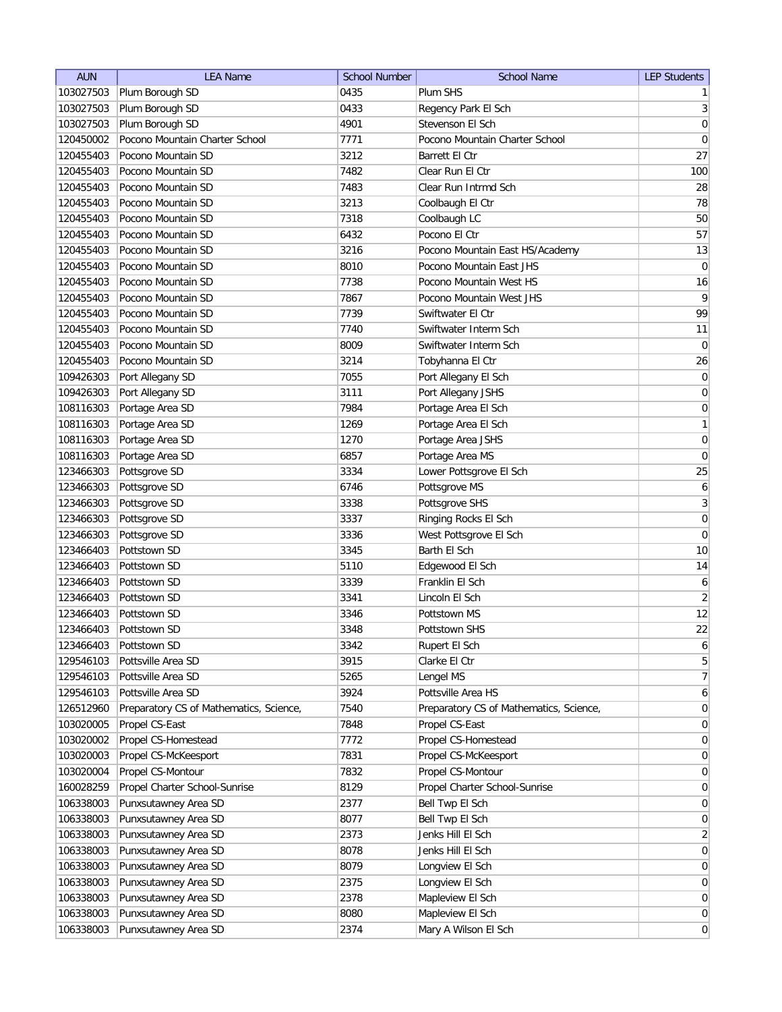| <b>AUN</b> | <b>LEA Name</b>                         | <b>School Number</b> | <b>School Name</b>                      | <b>LEP Students</b> |
|------------|-----------------------------------------|----------------------|-----------------------------------------|---------------------|
| 103027503  | Plum Borough SD                         | 0435                 | Plum SHS                                | 1                   |
| 103027503  | Plum Borough SD                         | 0433                 | Regency Park El Sch                     | 3                   |
| 103027503  | Plum Borough SD                         | 4901                 | Stevenson El Sch                        | 0                   |
| 120450002  | Pocono Mountain Charter School          | 7771                 | Pocono Mountain Charter School          | $\boldsymbol{0}$    |
| 120455403  | Pocono Mountain SD                      | 3212                 | Barrett El Ctr                          | 27                  |
| 120455403  | Pocono Mountain SD                      | 7482                 | Clear Run El Ctr                        | 100                 |
| 120455403  | Pocono Mountain SD                      | 7483                 | Clear Run Intrmd Sch                    | 28                  |
| 120455403  | Pocono Mountain SD                      | 3213                 | Coolbaugh El Ctr                        | 78                  |
| 120455403  | Pocono Mountain SD                      | 7318                 | Coolbaugh LC                            | 50                  |
| 120455403  | Pocono Mountain SD                      | 6432                 | Pocono El Ctr                           | 57                  |
| 120455403  | Pocono Mountain SD                      | 3216                 | Pocono Mountain East HS/Academy         | 13                  |
| 120455403  | Pocono Mountain SD                      | 8010                 | Pocono Mountain East JHS                | $\pmb{0}$           |
| 120455403  | Pocono Mountain SD                      | 7738                 | Pocono Mountain West HS                 | 16                  |
| 120455403  | Pocono Mountain SD                      | 7867                 | Pocono Mountain West JHS                | 9                   |
| 120455403  | Pocono Mountain SD                      | 7739                 | Swiftwater El Ctr                       | 99                  |
| 120455403  | Pocono Mountain SD                      | 7740                 | Swiftwater Interm Sch                   | 11                  |
| 120455403  | Pocono Mountain SD                      | 8009                 | Swiftwater Interm Sch                   | $\overline{0}$      |
| 120455403  | Pocono Mountain SD                      | 3214                 | Tobyhanna El Ctr                        | 26                  |
| 109426303  | Port Allegany SD                        | 7055                 | Port Allegany El Sch                    | 0                   |
| 109426303  | Port Allegany SD                        | 3111                 | Port Allegany JSHS                      | $\boldsymbol{0}$    |
| 108116303  | Portage Area SD                         | 7984                 | Portage Area El Sch                     | 0                   |
| 108116303  | Portage Area SD                         | 1269                 | Portage Area El Sch                     | $\mathbf{1}$        |
| 108116303  | Portage Area SD                         | 1270                 | Portage Area JSHS                       | $\boldsymbol{0}$    |
| 108116303  | Portage Area SD                         | 6857                 | Portage Area MS                         | 0                   |
| 123466303  | Pottsgrove SD                           | 3334                 | Lower Pottsgrove El Sch                 | 25                  |
| 123466303  | Pottsgrove SD                           | 6746                 | Pottsgrove MS                           | 6                   |
| 123466303  | Pottsgrove SD                           | 3338                 | Pottsgrove SHS                          | $\mathbf{3}$        |
| 123466303  | Pottsgrove SD                           | 3337                 | Ringing Rocks El Sch                    | 0                   |
| 123466303  | Pottsgrove SD                           | 3336                 | West Pottsgrove El Sch                  | 0                   |
| 123466403  | Pottstown SD                            | 3345                 | Barth El Sch                            | 10                  |
| 123466403  | Pottstown SD                            | 5110                 | Edgewood El Sch                         | 14                  |
| 123466403  | Pottstown SD                            | 3339                 | Franklin El Sch                         | 6                   |
| 123466403  | Pottstown SD                            | 3341                 | Lincoln El Sch                          | $\overline{2}$      |
| 123466403  | Pottstown SD                            | 3346                 | Pottstown MS                            | 12                  |
| 123466403  | Pottstown SD                            | 3348                 | Pottstown SHS                           | 22                  |
| 123466403  | Pottstown SD                            | 3342                 | Rupert El Sch                           | $6\vert$            |
| 129546103  | Pottsville Area SD                      | 3915                 | Clarke El Ctr                           | 5 <sup>2</sup>      |
| 129546103  | Pottsville Area SD                      | 5265                 | Lengel MS                               | $\overline{7}$      |
| 129546103  | Pottsville Area SD                      | 3924                 | Pottsville Area HS                      | 6 <sup>1</sup>      |
| 126512960  | Preparatory CS of Mathematics, Science, | 7540                 | Preparatory CS of Mathematics, Science, | $\overline{0}$      |
| 103020005  | Propel CS-East                          | 7848                 | Propel CS-East                          | 0                   |
| 103020002  | Propel CS-Homestead                     | 7772                 | Propel CS-Homestead                     | $\overline{0}$      |
| 103020003  | Propel CS-McKeesport                    | 7831                 | Propel CS-McKeesport                    | $\overline{0}$      |
| 103020004  | Propel CS-Montour                       | 7832                 | Propel CS-Montour                       | $\overline{0}$      |
| 160028259  | Propel Charter School-Sunrise           | 8129                 | Propel Charter School-Sunrise           | 0                   |
| 106338003  | Punxsutawney Area SD                    | 2377                 | Bell Twp El Sch                         | $\overline{0}$      |
| 106338003  | Punxsutawney Area SD                    | 8077                 | Bell Twp El Sch                         | $\overline{0}$      |
| 106338003  | Punxsutawney Area SD                    | 2373                 | Jenks Hill El Sch                       | $\overline{2}$      |
| 106338003  | Punxsutawney Area SD                    | 8078                 | Jenks Hill El Sch                       | $\overline{0}$      |
| 106338003  | Punxsutawney Area SD                    | 8079                 | Longview El Sch                         | $\overline{0}$      |
| 106338003  | Punxsutawney Area SD                    | 2375                 | Longview El Sch                         | $\overline{0}$      |
| 106338003  | Punxsutawney Area SD                    | 2378                 | Mapleview El Sch                        | 0                   |
| 106338003  | Punxsutawney Area SD                    | 8080                 | Mapleview El Sch                        | $\overline{0}$      |
| 106338003  | Punxsutawney Area SD                    | 2374                 | Mary A Wilson El Sch                    | 0                   |
|            |                                         |                      |                                         |                     |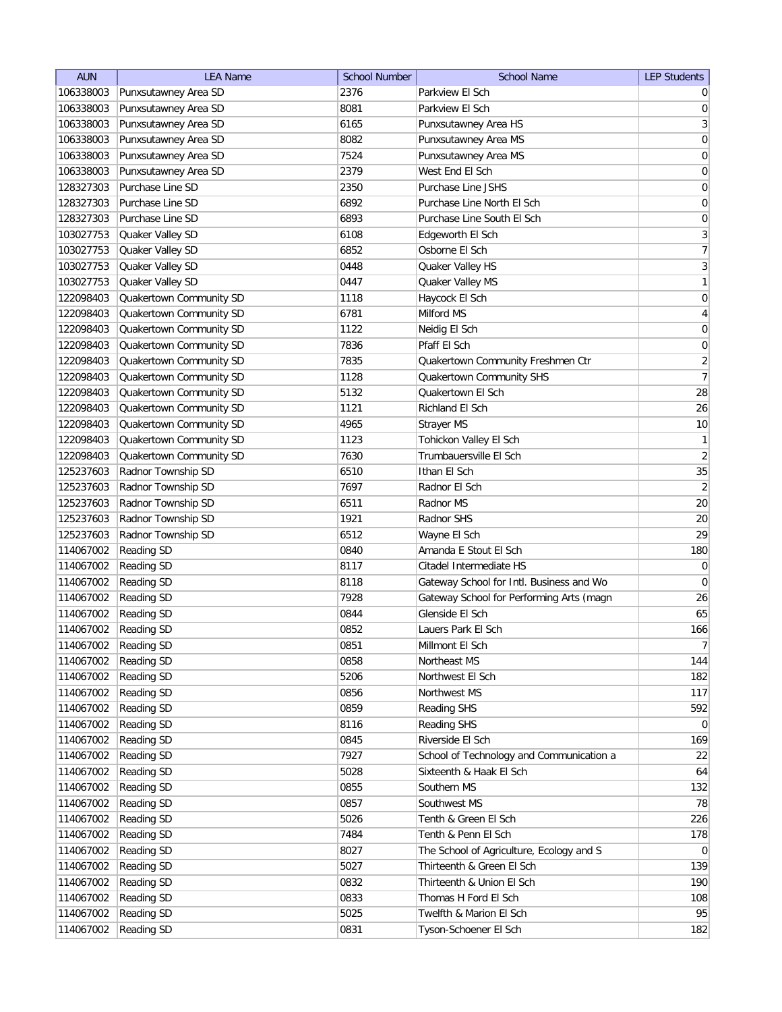| <b>AUN</b> | <b>LEA Name</b>         | <b>School Number</b> | <b>School Name</b>                       | <b>LEP Students</b>          |
|------------|-------------------------|----------------------|------------------------------------------|------------------------------|
| 106338003  | Punxsutawney Area SD    | 2376                 | Parkview El Sch                          | $\overline{0}$               |
| 106338003  | Punxsutawney Area SD    | 8081                 | Parkview El Sch                          | 0                            |
| 106338003  | Punxsutawney Area SD    | 6165                 | Punxsutawney Area HS                     | $\vert 3 \vert$              |
| 106338003  | Punxsutawney Area SD    | 8082                 | Punxsutawney Area MS                     | $\boldsymbol{0}$             |
| 106338003  | Punxsutawney Area SD    | 7524                 | Punxsutawney Area MS                     | $\boldsymbol{0}$             |
| 106338003  | Punxsutawney Area SD    | 2379                 | West End El Sch                          | $\boldsymbol{0}$             |
| 128327303  | Purchase Line SD        | 2350                 | Purchase Line JSHS                       | 0                            |
| 128327303  | Purchase Line SD        | 6892                 | Purchase Line North El Sch               | $\boldsymbol{0}$             |
| 128327303  | Purchase Line SD        | 6893                 | Purchase Line South El Sch               | $\boldsymbol{0}$             |
| 103027753  | Quaker Valley SD        | 6108                 | Edgeworth El Sch                         | $\overline{3}$               |
| 103027753  | Quaker Valley SD        | 6852                 | Osborne El Sch                           | 7                            |
| 103027753  | Quaker Valley SD        | 0448                 | Quaker Valley HS                         | $\mathbf{3}$                 |
| 103027753  | Quaker Valley SD        | 0447                 | Quaker Valley MS                         | 1                            |
| 122098403  | Quakertown Community SD | 1118                 | Haycock El Sch                           | $\boldsymbol{0}$             |
| 122098403  | Quakertown Community SD | 6781                 | Milford MS                               | $\overline{4}$               |
| 122098403  | Quakertown Community SD | 1122                 | Neidig El Sch                            | $\boldsymbol{0}$             |
| 122098403  | Quakertown Community SD | 7836                 | Pfaff El Sch                             | $\boldsymbol{0}$             |
| 122098403  | Quakertown Community SD | 7835                 | Quakertown Community Freshmen Ctr        | $\overline{2}$               |
| 122098403  | Quakertown Community SD | 1128                 | Quakertown Community SHS                 | $\overline{7}$               |
| 122098403  | Quakertown Community SD | 5132                 | Quakertown El Sch                        | 28                           |
| 122098403  | Quakertown Community SD | 1121                 | Richland El Sch                          | 26                           |
| 122098403  | Quakertown Community SD | 4965                 | Strayer MS                               | 10                           |
| 122098403  | Quakertown Community SD | 1123                 | Tohickon Valley El Sch                   | 1                            |
| 122098403  | Quakertown Community SD | 7630                 | Trumbauersville El Sch                   | $\left  \frac{2}{2} \right $ |
| 125237603  | Radnor Township SD      | 6510                 | Ithan El Sch                             | 35                           |
| 125237603  | Radnor Township SD      | 7697                 | Radnor El Sch                            | $\overline{2}$               |
| 125237603  | Radnor Township SD      | 6511                 | Radnor MS                                | 20                           |
| 125237603  | Radnor Township SD      | 1921                 | Radnor SHS                               | 20                           |
| 125237603  | Radnor Township SD      | 6512                 | Wayne El Sch                             | 29                           |
| 114067002  | Reading SD              | 0840                 | Amanda E Stout El Sch                    | 180                          |
| 114067002  | <b>Reading SD</b>       | 8117                 | Citadel Intermediate HS                  | $\overline{0}$               |
| 114067002  | Reading SD              | 8118                 | Gateway School for Intl. Business and Wo | $\overline{0}$               |
| 114067002  | <b>Reading SD</b>       | 7928                 | Gateway School for Performing Arts (magn | 26                           |
| 114067002  | <b>Reading SD</b>       | 0844                 | Glenside El Sch                          | 65                           |
| 114067002  | <b>Reading SD</b>       | 0852                 | Lauers Park El Sch                       | 166                          |
| 114067002  | <b>Reading SD</b>       | 0851                 | Millmont El Sch                          | 7 <sup>1</sup>               |
| 114067002  | Reading SD              | 0858                 | Northeast MS                             | 144                          |
| 114067002  | Reading SD              | 5206                 | Northwest El Sch                         | 182                          |
| 114067002  | Reading SD              | 0856                 | Northwest MS                             | 117                          |
| 114067002  | Reading SD              | 0859                 | Reading SHS                              | 592                          |
| 114067002  | Reading SD              | 8116                 | Reading SHS                              | $\overline{0}$               |
| 114067002  | Reading SD              | 0845                 | Riverside El Sch                         | 169                          |
| 114067002  | <b>Reading SD</b>       | 7927                 | School of Technology and Communication a | 22                           |
| 114067002  | <b>Reading SD</b>       | 5028                 | Sixteenth & Haak El Sch                  | 64                           |
|            |                         | 0855                 | Southern MS                              | 132                          |
| 114067002  | <b>Reading SD</b>       |                      |                                          |                              |
| 114067002  | Reading SD              | 0857                 | Southwest MS                             | 78                           |
| 114067002  | Reading SD              | 5026                 | Tenth & Green El Sch                     | 226                          |
| 114067002  | Reading SD              | 7484                 | Tenth & Penn El Sch                      | 178                          |
| 114067002  | Reading SD              | 8027                 | The School of Agriculture, Ecology and S | $\overline{0}$               |
| 114067002  | Reading SD              | 5027                 | Thirteenth & Green El Sch                | 139<br>190                   |
| 114067002  | Reading SD              | 0832                 | Thirteenth & Union El Sch                |                              |
| 114067002  | Reading SD              | 0833                 | Thomas H Ford El Sch                     | 108<br>95                    |
| 114067002  | <b>Reading SD</b>       | 5025                 | Twelfth & Marion El Sch                  |                              |
| 114067002  | Reading SD              | 0831                 | Tyson-Schoener El Sch                    | 182                          |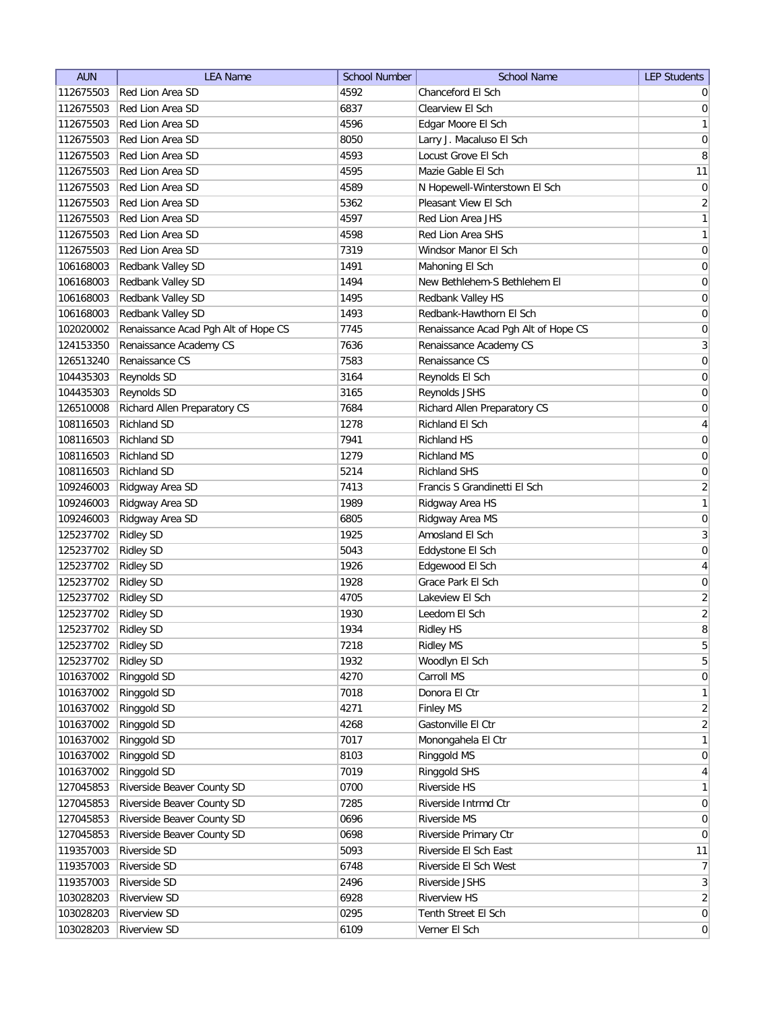| <b>AUN</b> | <b>LEA Name</b>                     | <b>School Number</b> | <b>School Name</b>                  | <b>LEP Students</b>                |
|------------|-------------------------------------|----------------------|-------------------------------------|------------------------------------|
| 112675503  | Red Lion Area SD                    | 4592                 | Chanceford El Sch                   | $\overline{0}$                     |
| 112675503  | Red Lion Area SD                    | 6837                 | Clearview El Sch                    | $\overline{0}$                     |
| 112675503  | Red Lion Area SD                    | 4596                 | Edgar Moore El Sch                  | $\mathbf{1}$                       |
| 112675503  | Red Lion Area SD                    | 8050                 | Larry J. Macaluso El Sch            | 0                                  |
| 112675503  | Red Lion Area SD                    | 4593                 | Locust Grove El Sch                 | 8                                  |
| 112675503  | Red Lion Area SD                    | 4595                 | Mazie Gable El Sch                  | 11                                 |
| 112675503  | Red Lion Area SD                    | 4589                 | N Hopewell-Winterstown El Sch       | 0                                  |
| 112675503  | Red Lion Area SD                    | 5362                 | Pleasant View El Sch                | $\overline{2}$                     |
| 112675503  | Red Lion Area SD                    | 4597                 | Red Lion Area JHS                   | $\mathbf{1}$                       |
| 112675503  | Red Lion Area SD                    | 4598                 | Red Lion Area SHS                   | $\mathbf{1}$                       |
| 112675503  | Red Lion Area SD                    | 7319                 | Windsor Manor El Sch                | 0                                  |
| 106168003  | Redbank Valley SD                   | 1491                 | Mahoning El Sch                     | 0                                  |
| 106168003  | Redbank Valley SD                   | 1494                 | New Bethlehem-S Bethlehem El        | 0                                  |
| 106168003  | Redbank Valley SD                   | 1495                 | Redbank Valley HS                   | 0                                  |
| 106168003  | Redbank Valley SD                   | 1493                 | Redbank-Hawthorn El Sch             | 0                                  |
| 102020002  | Renaissance Acad Pgh Alt of Hope CS | 7745                 | Renaissance Acad Pgh Alt of Hope CS | 0                                  |
| 124153350  | Renaissance Academy CS              | 7636                 | Renaissance Academy CS              | $\overline{3}$                     |
| 126513240  | Renaissance CS                      | 7583                 | Renaissance CS                      | 0                                  |
| 104435303  | Reynolds SD                         | 3164                 | Reynolds El Sch                     | 0                                  |
| 104435303  | Reynolds SD                         | 3165                 | Reynolds JSHS                       | 0                                  |
| 126510008  | Richard Allen Preparatory CS        | 7684                 | Richard Allen Preparatory CS        | 0                                  |
| 108116503  | <b>Richland SD</b>                  | 1278                 | Richland El Sch                     |                                    |
| 108116503  | <b>Richland SD</b>                  | 7941                 | Richland HS                         | $\overline{4}$<br>$\boldsymbol{0}$ |
| 108116503  | <b>Richland SD</b>                  | 1279                 | Richland MS                         |                                    |
|            |                                     |                      |                                     | $\boldsymbol{0}$                   |
| 108116503  | <b>Richland SD</b>                  | 5214                 | <b>Richland SHS</b>                 | 0                                  |
| 109246003  | Ridgway Area SD                     | 7413                 | Francis S Grandinetti El Sch        | $\overline{2}$                     |
| 109246003  | Ridgway Area SD                     | 1989                 | Ridgway Area HS                     | $\mathbf{1}$                       |
| 109246003  | Ridgway Area SD                     | 6805                 | Ridgway Area MS                     | 0                                  |
| 125237702  | <b>Ridley SD</b>                    | 1925                 | Amosland El Sch                     | $\overline{3}$                     |
| 125237702  | <b>Ridley SD</b>                    | 5043                 | Eddystone El Sch                    | 0                                  |
| 125237702  | <b>Ridley SD</b>                    | 1926                 | Edgewood El Sch                     | 4                                  |
| 125237702  | <b>Ridley SD</b>                    | 1928                 | Grace Park El Sch                   | 0                                  |
| 125237702  | <b>Ridley SD</b>                    | 4705                 | Lakeview El Sch                     | $\overline{2}$                     |
| 125237702  | <b>Ridley SD</b>                    | 1930                 | Leedom El Sch                       | $\overline{2}$                     |
| 125237702  | <b>Ridley SD</b>                    | 1934                 | <b>Ridley HS</b>                    | 8                                  |
| 125237702  | <b>Ridley SD</b>                    | 7218                 | <b>Ridley MS</b>                    | $\overline{5}$                     |
| 125237702  | <b>Ridley SD</b>                    | 1932                 | Woodlyn El Sch                      | $\overline{5}$                     |
| 101637002  | Ringgold SD                         | 4270                 | Carroll MS                          | 0                                  |
| 101637002  | Ringgold SD                         | 7018                 | Donora El Ctr                       | $\mathbf{1}$                       |
| 101637002  | Ringgold SD                         | 4271                 | <b>Finley MS</b>                    | $\overline{2}$                     |
| 101637002  | Ringgold SD                         | 4268                 | Gastonville El Ctr                  | $\overline{2}$                     |
| 101637002  | Ringgold SD                         | 7017                 | Monongahela El Ctr                  | $\mathbf{1}$                       |
| 101637002  | Ringgold SD                         | 8103                 | Ringgold MS                         | $\overline{0}$                     |
| 101637002  | Ringgold SD                         | 7019                 | Ringgold SHS                        | $\overline{4}$                     |
| 127045853  | Riverside Beaver County SD          | 0700                 | Riverside HS                        | $\mathbf{1}$                       |
| 127045853  | Riverside Beaver County SD          | 7285                 | Riverside Intrmd Ctr                | $\overline{0}$                     |
| 127045853  | Riverside Beaver County SD          | 0696                 | Riverside MS                        | 0                                  |
| 127045853  | Riverside Beaver County SD          | 0698                 | Riverside Primary Ctr               | $\overline{0}$                     |
| 119357003  | Riverside SD                        | 5093                 | Riverside El Sch East               | 11                                 |
| 119357003  | Riverside SD                        | 6748                 | Riverside El Sch West               | 7 <sup>1</sup>                     |
| 119357003  | Riverside SD                        | 2496                 | Riverside JSHS                      | 3                                  |
| 103028203  | <b>Riverview SD</b>                 | 6928                 | <b>Riverview HS</b>                 | $\overline{2}$                     |
| 103028203  | <b>Riverview SD</b>                 | 0295                 | Tenth Street El Sch                 | 0                                  |
| 103028203  | <b>Riverview SD</b>                 | 6109                 | Verner El Sch                       | 0                                  |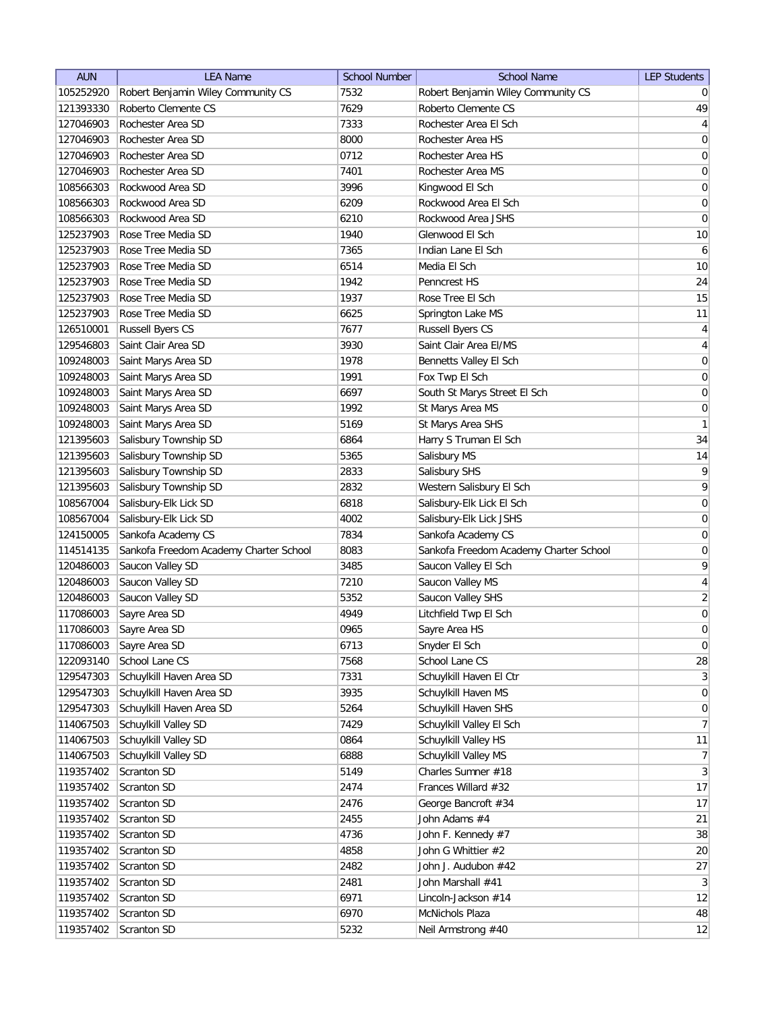| <b>AUN</b> | <b>LEA Name</b>                        | <b>School Number</b> | <b>School Name</b>                     | <b>LEP Students</b> |
|------------|----------------------------------------|----------------------|----------------------------------------|---------------------|
| 105252920  | Robert Benjamin Wiley Community CS     | 7532                 | Robert Benjamin Wiley Community CS     | $\overline{0}$      |
| 121393330  | Roberto Clemente CS                    | 7629                 | Roberto Clemente CS                    | 49                  |
| 127046903  | Rochester Area SD                      | 7333                 | Rochester Area El Sch                  | $\vert 4 \vert$     |
| 127046903  | Rochester Area SD                      | 8000                 | Rochester Area HS                      | 0                   |
| 127046903  | Rochester Area SD                      | 0712                 | Rochester Area HS                      | $\overline{0}$      |
| 127046903  | Rochester Area SD                      | 7401                 | Rochester Area MS                      | 0                   |
| 108566303  | Rockwood Area SD                       | 3996                 | Kingwood El Sch                        | 0                   |
| 108566303  | Rockwood Area SD                       | 6209                 | Rockwood Area El Sch                   | $\boldsymbol{0}$    |
| 108566303  | Rockwood Area SD                       | 6210                 | Rockwood Area JSHS                     | $\overline{0}$      |
| 125237903  | Rose Tree Media SD                     | 1940                 | Glenwood El Sch                        | 10                  |
| 125237903  | Rose Tree Media SD                     | 7365                 | Indian Lane El Sch                     | 6                   |
| 125237903  | Rose Tree Media SD                     | 6514                 | Media El Sch                           | 10                  |
| 125237903  | Rose Tree Media SD                     | 1942                 | Penncrest HS                           | 24                  |
| 125237903  | Rose Tree Media SD                     | 1937                 | Rose Tree El Sch                       | 15                  |
| 125237903  | Rose Tree Media SD                     | 6625                 | Springton Lake MS                      | 11                  |
| 126510001  | <b>Russell Byers CS</b>                | 7677                 | <b>Russell Byers CS</b>                | $\vert 4 \vert$     |
| 129546803  | Saint Clair Area SD                    | 3930                 | Saint Clair Area EI/MS                 | $\vert 4 \vert$     |
| 109248003  | Saint Marys Area SD                    | 1978                 | Bennetts Valley El Sch                 | 0                   |
| 109248003  | Saint Marys Area SD                    | 1991                 | Fox Twp El Sch                         | 0                   |
| 109248003  | Saint Marys Area SD                    | 6697                 | South St Marys Street El Sch           | 0                   |
| 109248003  | Saint Marys Area SD                    | 1992                 | St Marys Area MS                       | 0                   |
| 109248003  | Saint Marys Area SD                    | 5169                 | St Marys Area SHS                      | $\mathbf{1}$        |
| 121395603  | Salisbury Township SD                  | 6864                 | Harry S Truman El Sch                  | 34                  |
| 121395603  | Salisbury Township SD                  | 5365                 | Salisbury MS                           | 14                  |
| 121395603  | Salisbury Township SD                  | 2833                 | Salisbury SHS                          | 9                   |
| 121395603  | Salisbury Township SD                  | 2832                 | Western Salisbury El Sch               | 9                   |
| 108567004  | Salisbury-Elk Lick SD                  | 6818                 | Salisbury-Elk Lick El Sch              | 0                   |
| 108567004  | Salisbury-Elk Lick SD                  | 4002                 | Salisbury-Elk Lick JSHS                | 0                   |
| 124150005  | Sankofa Academy CS                     | 7834                 | Sankofa Academy CS                     | 0                   |
| 114514135  | Sankofa Freedom Academy Charter School | 8083                 | Sankofa Freedom Academy Charter School | 0                   |
| 120486003  | Saucon Valley SD                       | 3485                 | Saucon Valley El Sch                   | 9                   |
| 120486003  | Saucon Valley SD                       | 7210                 | Saucon Valley MS                       | 4                   |
| 120486003  | Saucon Valley SD                       | 5352                 | Saucon Valley SHS                      | $\overline{2}$      |
| 117086003  | Sayre Area SD                          | 4949                 | Litchfield Twp El Sch                  | $\boldsymbol{0}$    |
| 117086003  | Sayre Area SD                          | 0965                 | Sayre Area HS                          | $\overline{0}$      |
| 117086003  | Sayre Area SD                          | 6713                 | Snyder El Sch                          | $\vert 0 \vert$     |
| 122093140  | School Lane CS                         | 7568                 | School Lane CS                         | 28                  |
| 129547303  | Schuylkill Haven Area SD               | 7331                 | Schuylkill Haven El Ctr                | 3                   |
| 129547303  | Schuylkill Haven Area SD               | 3935                 | Schuylkill Haven MS                    | 0                   |
| 129547303  | Schuylkill Haven Area SD               | 5264                 | Schuylkill Haven SHS                   | 0                   |
| 114067503  | Schuylkill Valley SD                   | 7429                 | Schuylkill Valley El Sch               | 7                   |
| 114067503  | Schuylkill Valley SD                   | 0864                 | Schuylkill Valley HS                   | 11                  |
| 114067503  | Schuylkill Valley SD                   | 6888                 | Schuylkill Valley MS                   | 7                   |
| 119357402  | Scranton SD                            | 5149                 | Charles Sumner #18                     | 3                   |
|            | Scranton SD                            | 2474                 | Frances Willard #32                    | 17                  |
| 119357402  |                                        |                      |                                        |                     |
| 119357402  | Scranton SD                            | 2476                 | George Bancroft #34<br>John Adams #4   | 17                  |
| 119357402  | Scranton SD                            | 2455                 |                                        | 21                  |
| 119357402  | Scranton SD                            | 4736                 | John F. Kennedy #7                     | 38                  |
| 119357402  | Scranton SD                            | 4858                 | John G Whittier #2                     | 20                  |
| 119357402  | Scranton SD                            | 2482                 | John J. Audubon #42                    | 27                  |
| 119357402  | Scranton SD                            | 2481                 | John Marshall #41                      | 3                   |
| 119357402  | Scranton SD                            | 6971                 | Lincoln-Jackson #14                    | 12                  |
| 119357402  | Scranton SD                            | 6970                 | McNichols Plaza                        | 48                  |
| 119357402  | Scranton SD                            | 5232                 | Neil Armstrong #40                     | 12                  |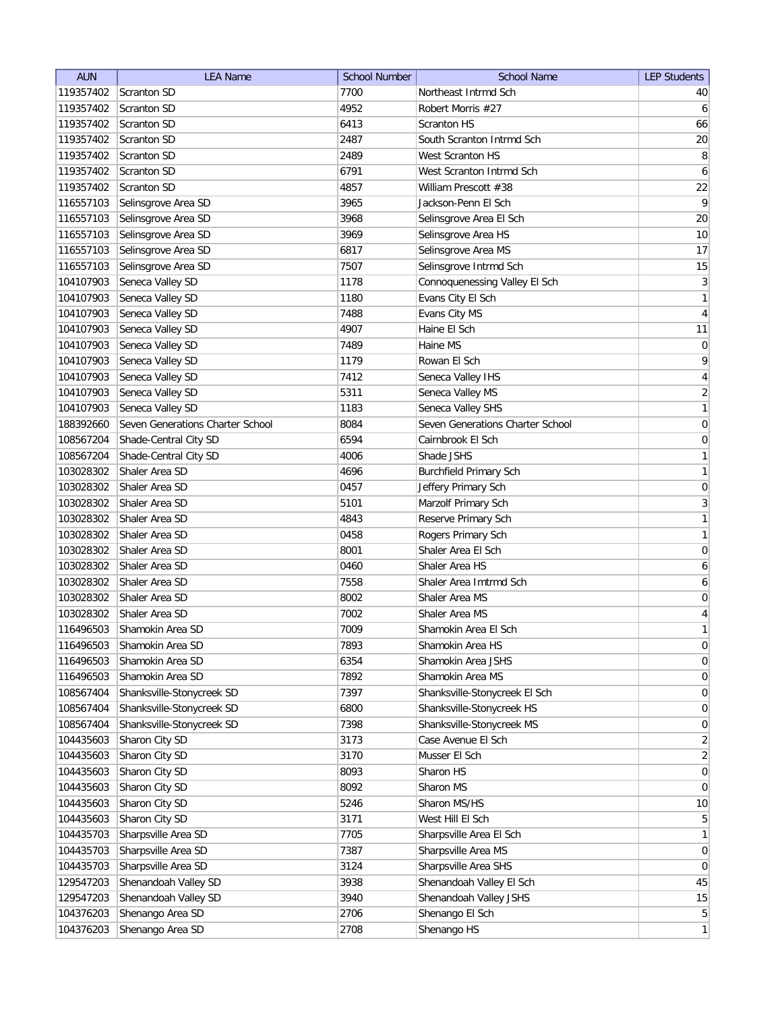| <b>AUN</b> | <b>LEA Name</b>                  | <b>School Number</b> | <b>School Name</b>               | <b>LEP Students</b> |
|------------|----------------------------------|----------------------|----------------------------------|---------------------|
| 119357402  | Scranton SD                      | 7700                 | Northeast Intrmd Sch             | 40                  |
| 119357402  | Scranton SD                      | 4952                 | Robert Morris #27                | 6                   |
| 119357402  | <b>Scranton SD</b>               | 6413                 | <b>Scranton HS</b>               | 66                  |
| 119357402  | Scranton SD                      | 2487                 | South Scranton Intrmd Sch        | $20\,$              |
| 119357402  | <b>Scranton SD</b>               | 2489                 | West Scranton HS                 | 8                   |
| 119357402  | <b>Scranton SD</b>               | 6791                 | West Scranton Intrmd Sch         | 6                   |
| 119357402  | <b>Scranton SD</b>               | 4857                 | William Prescott #38             | 22                  |
| 116557103  | Selinsgrove Area SD              | 3965                 | Jackson-Penn El Sch              | $\vert 9 \vert$     |
| 116557103  | Selinsgrove Area SD              | 3968                 | Selinsgrove Area El Sch          | 20                  |
| 116557103  | Selinsgrove Area SD              | 3969                 | Selinsgrove Area HS              | 10                  |
| 116557103  | Selinsgrove Area SD              | 6817                 | Selinsgrove Area MS              | 17                  |
| 116557103  | Selinsgrove Area SD              | 7507                 | Selinsgrove Intrmd Sch           | 15                  |
| 104107903  | Seneca Valley SD                 | 1178                 | Connoquenessing Valley El Sch    | $\overline{3}$      |
| 104107903  | Seneca Valley SD                 | 1180                 | Evans City El Sch                | 1                   |
| 104107903  | Seneca Valley SD                 | 7488                 | Evans City MS                    | 4                   |
| 104107903  | Seneca Valley SD                 | 4907                 | Haine El Sch                     | 11                  |
| 104107903  | Seneca Valley SD                 | 7489                 | Haine MS                         | $\overline{0}$      |
| 104107903  | Seneca Valley SD                 | 1179                 | Rowan El Sch                     | $\mathsf{q}$        |
| 104107903  | Seneca Valley SD                 | 7412                 | Seneca Valley IHS                | $\vert 4 \vert$     |
| 104107903  | Seneca Valley SD                 | 5311                 | Seneca Valley MS                 | $\overline{2}$      |
| 104107903  | Seneca Valley SD                 | 1183                 | Seneca Valley SHS                | 1                   |
| 188392660  | Seven Generations Charter School | 8084                 | Seven Generations Charter School | 0                   |
| 108567204  | Shade-Central City SD            | 6594                 | Cairnbrook El Sch                | 0                   |
| 108567204  | Shade-Central City SD            | 4006                 | Shade JSHS                       | $\mathbf{1}$        |
| 103028302  | Shaler Area SD                   | 4696                 | <b>Burchfield Primary Sch</b>    | 1                   |
| 103028302  | Shaler Area SD                   | 0457                 | Jeffery Primary Sch              | $\boldsymbol{0}$    |
| 103028302  | Shaler Area SD                   | 5101                 | Marzolf Primary Sch              | $\mathbf{3}$        |
| 103028302  | Shaler Area SD                   | 4843                 | Reserve Primary Sch              | 1                   |
| 103028302  | Shaler Area SD                   | 0458                 | Rogers Primary Sch               | 1                   |
| 103028302  | Shaler Area SD                   | 8001                 | Shaler Area El Sch               | $\overline{0}$      |
| 103028302  | Shaler Area SD                   | 0460                 | Shaler Area HS                   | 6                   |
| 103028302  | Shaler Area SD                   | 7558                 | Shaler Area Imtrmd Sch           | 6                   |
| 103028302  | Shaler Area SD                   | 8002                 | Shaler Area MS                   | 0                   |
| 103028302  | Shaler Area SD                   | 7002                 | Shaler Area MS                   | 4                   |
| 116496503  | Shamokin Area SD                 | 7009                 | Shamokin Area El Sch             | 1                   |
| 116496503  | Shamokin Area SD                 | 7893                 | Shamokin Area HS                 | $\overline{0}$      |
| 116496503  | Shamokin Area SD                 | 6354                 | Shamokin Area JSHS               | 0                   |
| 116496503  | Shamokin Area SD                 | 7892                 | Shamokin Area MS                 | 0                   |
| 108567404  | Shanksville-Stonycreek SD        | 7397                 | Shanksville-Stonycreek El Sch    | $\vert 0 \vert$     |
| 108567404  | Shanksville-Stonycreek SD        | 6800                 | Shanksville-Stonycreek HS        | $\overline{0}$      |
| 108567404  | Shanksville-Stonycreek SD        | 7398                 | Shanksville-Stonycreek MS        | 0                   |
| 104435603  | Sharon City SD                   | 3173                 | Case Avenue El Sch               | $\overline{2}$      |
| 104435603  | Sharon City SD                   | 3170                 | Musser El Sch                    | $\overline{2}$      |
| 104435603  | Sharon City SD                   | 8093                 | Sharon HS                        | 0                   |
| 104435603  | Sharon City SD                   | 8092                 | Sharon MS                        | $\overline{0}$      |
| 104435603  | Sharon City SD                   | 5246                 | Sharon MS/HS                     | 10                  |
| 104435603  | Sharon City SD                   | 3171                 | West Hill El Sch                 | 5                   |
| 104435703  | Sharpsville Area SD              | 7705                 | Sharpsville Area El Sch          | $\mathbf{1}$        |
| 104435703  | Sharpsville Area SD              | 7387                 | Sharpsville Area MS              | $\overline{0}$      |
| 104435703  | Sharpsville Area SD              | 3124                 | Sharpsville Area SHS             | 0                   |
| 129547203  | Shenandoah Valley SD             | 3938                 | Shenandoah Valley El Sch         | 45                  |
| 129547203  | Shenandoah Valley SD             | 3940                 | Shenandoah Valley JSHS           | 15                  |
| 104376203  | Shenango Area SD                 | 2706                 | Shenango El Sch                  | 5 <sup>2</sup>      |
| 104376203  | Shenango Area SD                 | 2708                 | Shenango HS                      | 1                   |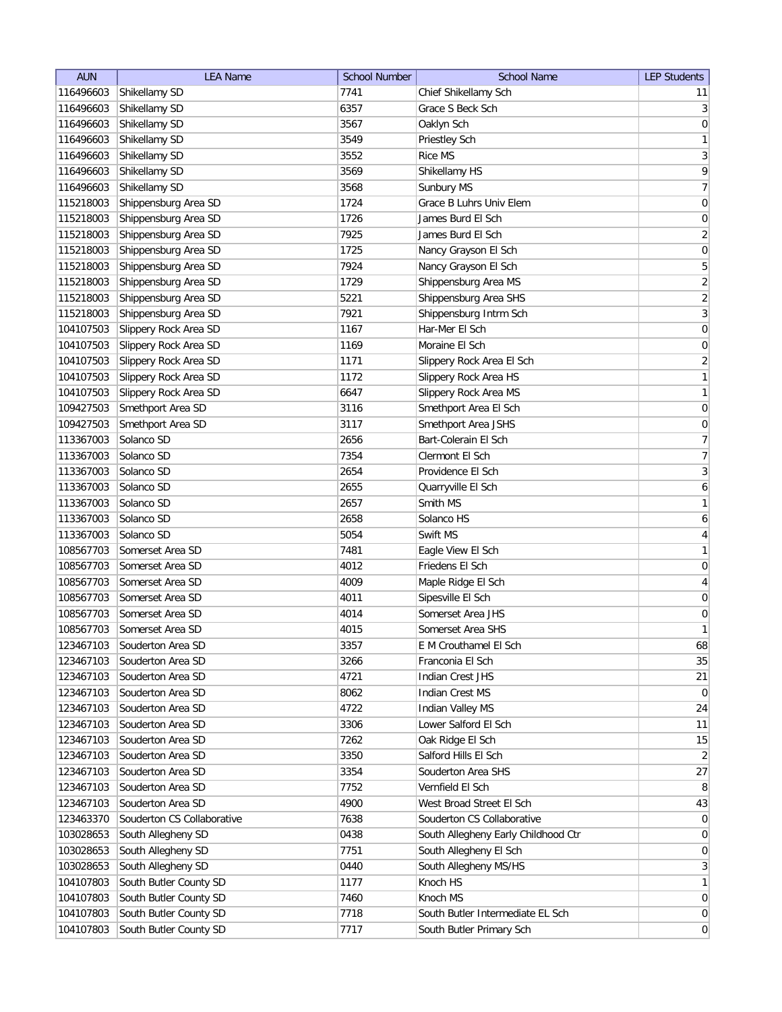| <b>AUN</b> | <b>LEA Name</b>            | <b>School Number</b> | <b>School Name</b>                  | <b>LEP Students</b> |
|------------|----------------------------|----------------------|-------------------------------------|---------------------|
| 116496603  | Shikellamy SD              | 7741                 | Chief Shikellamy Sch                | 11                  |
| 116496603  | Shikellamy SD              | 6357                 | Grace S Beck Sch                    | 3                   |
| 116496603  | Shikellamy SD              | 3567                 | Oaklyn Sch                          | 0                   |
| 116496603  | Shikellamy SD              | 3549                 | Priestley Sch                       | 1                   |
| 116496603  | Shikellamy SD              | 3552                 | <b>Rice MS</b>                      | $\overline{3}$      |
| 116496603  | Shikellamy SD              | 3569                 | Shikellamy HS                       | $\overline{9}$      |
| 116496603  | Shikellamy SD              | 3568                 | Sunbury MS                          | 7                   |
| 115218003  | Shippensburg Area SD       | 1724                 | Grace B Luhrs Univ Elem             | $\boldsymbol{0}$    |
| 115218003  | Shippensburg Area SD       | 1726                 | James Burd El Sch                   | $\boldsymbol{0}$    |
| 115218003  | Shippensburg Area SD       | 7925                 | James Burd El Sch                   | $\overline{2}$      |
| 115218003  | Shippensburg Area SD       | 1725                 | Nancy Grayson El Sch                | $\boldsymbol{0}$    |
| 115218003  | Shippensburg Area SD       | 7924                 | Nancy Grayson El Sch                | 5                   |
| 115218003  | Shippensburg Area SD       | 1729                 | Shippensburg Area MS                | $\overline{2}$      |
| 115218003  | Shippensburg Area SD       | 5221                 | Shippensburg Area SHS               | $\overline{2}$      |
| 115218003  | Shippensburg Area SD       | 7921                 | Shippensburg Intrm Sch              | $\overline{3}$      |
| 104107503  | Slippery Rock Area SD      | 1167                 | Har-Mer El Sch                      | $\boldsymbol{0}$    |
| 104107503  | Slippery Rock Area SD      | 1169                 | Moraine El Sch                      | $\overline{0}$      |
| 104107503  | Slippery Rock Area SD      | 1171                 | Slippery Rock Area El Sch           | $\overline{2}$      |
| 104107503  | Slippery Rock Area SD      | 1172                 | Slippery Rock Area HS               | 1                   |
| 104107503  | Slippery Rock Area SD      | 6647                 | Slippery Rock Area MS               | 1                   |
| 109427503  | Smethport Area SD          | 3116                 | Smethport Area El Sch               | 0                   |
| 109427503  | Smethport Area SD          | 3117                 | Smethport Area JSHS                 | $\boldsymbol{0}$    |
| 113367003  | Solanco SD                 | 2656                 | Bart-Colerain El Sch                | $\overline{7}$      |
| 113367003  | Solanco SD                 | 7354                 | Clermont El Sch                     | $\overline{7}$      |
| 113367003  | Solanco SD                 | 2654                 | Providence El Sch                   | $\overline{3}$      |
| 113367003  | Solanco SD                 | 2655                 | Quarryville El Sch                  | 6                   |
| 113367003  | Solanco SD                 | 2657                 | Smith MS                            | 1                   |
| 113367003  | Solanco SD                 | 2658                 | Solanco HS                          | $\boldsymbol{6}$    |
| 113367003  | Solanco SD                 | 5054                 | Swift MS                            | $\overline{4}$      |
| 108567703  | Somerset Area SD           | 7481                 | Eagle View El Sch                   | 1                   |
| 108567703  | Somerset Area SD           | 4012                 | Friedens El Sch                     | $\boldsymbol{0}$    |
| 108567703  | Somerset Area SD           | 4009                 | Maple Ridge El Sch                  | 4                   |
| 108567703  | Somerset Area SD           | 4011                 | Sipesville El Sch                   | $\overline{0}$      |
| 108567703  | Somerset Area SD           | 4014                 | Somerset Area JHS                   | 0                   |
| 108567703  | Somerset Area SD           | 4015                 | Somerset Area SHS                   | 1                   |
| 123467103  | Souderton Area SD          | 3357                 | E M Crouthamel El Sch               | 68                  |
| 123467103  | Souderton Area SD          | 3266                 | Franconia El Sch                    | 35                  |
| 123467103  | Souderton Area SD          | 4721                 | Indian Crest JHS                    | 21                  |
| 123467103  | Souderton Area SD          | 8062                 | Indian Crest MS                     | $\overline{0}$      |
| 123467103  | Souderton Area SD          | 4722                 | Indian Valley MS                    | 24                  |
| 123467103  | Souderton Area SD          | 3306                 | Lower Salford El Sch                | 11                  |
| 123467103  | Souderton Area SD          | 7262                 | Oak Ridge El Sch                    | 15                  |
| 123467103  | Souderton Area SD          | 3350                 | Salford Hills El Sch                | $\overline{2}$      |
| 123467103  | Souderton Area SD          | 3354                 | Souderton Area SHS                  | 27                  |
| 123467103  | Souderton Area SD          | 7752                 | Vernfield El Sch                    | 8 <sup>1</sup>      |
| 123467103  | Souderton Area SD          | 4900                 | West Broad Street El Sch            | 43                  |
| 123463370  | Souderton CS Collaborative | 7638                 | Souderton CS Collaborative          | $\overline{0}$      |
| 103028653  | South Allegheny SD         | 0438                 | South Allegheny Early Childhood Ctr | $\overline{0}$      |
| 103028653  | South Allegheny SD         | 7751                 | South Allegheny El Sch              | $\overline{0}$      |
| 103028653  | South Allegheny SD         | 0440                 | South Allegheny MS/HS               | 3                   |
| 104107803  | South Butler County SD     | 1177                 | Knoch HS                            | $\mathbf{1}$        |
| 104107803  | South Butler County SD     | 7460                 | Knoch MS                            | $\overline{0}$      |
| 104107803  | South Butler County SD     | 7718                 | South Butler Intermediate EL Sch    | $\overline{0}$      |
| 104107803  | South Butler County SD     | 7717                 | South Butler Primary Sch            | $\overline{0}$      |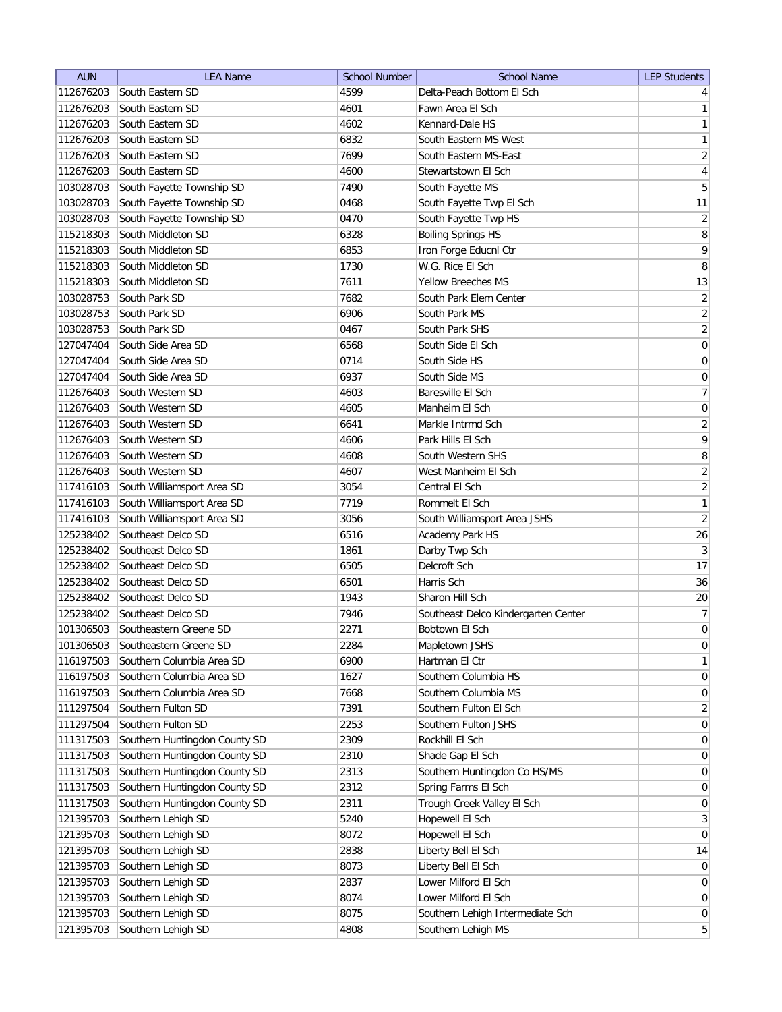| <b>AUN</b> | <b>LEA Name</b>               | <b>School Number</b> | <b>School Name</b>                  | <b>LEP Students</b> |
|------------|-------------------------------|----------------------|-------------------------------------|---------------------|
| 112676203  | South Eastern SD              | 4599                 | Delta-Peach Bottom El Sch           | 4                   |
| 112676203  | South Eastern SD              | 4601                 | Fawn Area El Sch                    | 1                   |
| 112676203  | South Eastern SD              | 4602                 | Kennard-Dale HS                     | $\mathbf{1}$        |
| 112676203  | South Eastern SD              | 6832                 | South Eastern MS West               | $\mathbf{1}$        |
| 112676203  | South Eastern SD              | 7699                 | South Eastern MS-East               | $\overline{2}$      |
| 112676203  | South Eastern SD              | 4600                 | Stewartstown El Sch                 | 4                   |
| 103028703  | South Fayette Township SD     | 7490                 | South Fayette MS                    | $\overline{5}$      |
| 103028703  | South Fayette Township SD     | 0468                 | South Fayette Twp El Sch            | 11                  |
| 103028703  | South Fayette Township SD     | 0470                 | South Fayette Twp HS                | $\overline{2}$      |
| 115218303  | South Middleton SD            | 6328                 | <b>Boiling Springs HS</b>           | 8                   |
| 115218303  | South Middleton SD            | 6853                 | Iron Forge Educnl Ctr               | 9                   |
| 115218303  | South Middleton SD            | 1730                 | W.G. Rice El Sch                    | 8                   |
| 115218303  | South Middleton SD            | 7611                 | <b>Yellow Breeches MS</b>           | 13                  |
| 103028753  | South Park SD                 | 7682                 | South Park Elem Center              | $\overline{2}$      |
| 103028753  | South Park SD                 | 6906                 | South Park MS                       | $\overline{2}$      |
| 103028753  | South Park SD                 | 0467                 | South Park SHS                      | $\overline{2}$      |
| 127047404  | South Side Area SD            | 6568                 | South Side El Sch                   | 0                   |
| 127047404  | South Side Area SD            | 0714                 | South Side HS                       | 0                   |
| 127047404  | South Side Area SD            | 6937                 | South Side MS                       | $\vert 0 \vert$     |
| 112676403  | South Western SD              | 4603                 | Baresville El Sch                   | $\overline{7}$      |
| 112676403  | South Western SD              | 4605                 | Manheim El Sch                      | 0                   |
| 112676403  | South Western SD              | 6641                 | Markle Intrmd Sch                   | $\overline{2}$      |
| 112676403  | South Western SD              | 4606                 | Park Hills El Sch                   | $\mathsf{q}$        |
| 112676403  | South Western SD              | 4608                 | South Western SHS                   | 8                   |
| 112676403  | South Western SD              | 4607                 | West Manheim El Sch                 | $\overline{2}$      |
| 117416103  | South Williamsport Area SD    | 3054                 | Central El Sch                      | $\overline{2}$      |
| 117416103  | South Williamsport Area SD    | 7719                 | Rommelt El Sch                      | 1                   |
| 117416103  | South Williamsport Area SD    | 3056                 | South Williamsport Area JSHS        | $\overline{2}$      |
| 125238402  | Southeast Delco SD            | 6516                 | Academy Park HS                     | 26                  |
| 125238402  | Southeast Delco SD            | 1861                 | Darby Twp Sch                       | $\overline{3}$      |
| 125238402  | Southeast Delco SD            | 6505                 | Delcroft Sch                        | 17                  |
| 125238402  | Southeast Delco SD            | 6501                 | Harris Sch                          | 36                  |
| 125238402  | Southeast Delco SD            | 1943                 | Sharon Hill Sch                     | $20\,$              |
| 125238402  | Southeast Delco SD            | 7946                 | Southeast Delco Kindergarten Center | 7                   |
| 101306503  | Southeastern Greene SD        | 2271                 | Bobtown El Sch                      | $\overline{0}$      |
| 101306503  | Southeastern Greene SD        | 2284                 | Mapletown JSHS                      | 0                   |
| 116197503  | Southern Columbia Area SD     | 6900                 | Hartman El Ctr                      | 1                   |
| 116197503  | Southern Columbia Area SD     | 1627                 | Southern Columbia HS                | 0                   |
| 116197503  | Southern Columbia Area SD     | 7668                 | Southern Columbia MS                | 0                   |
| 111297504  | Southern Fulton SD            | 7391                 | Southern Fulton El Sch              | $\overline{2}$      |
| 111297504  | Southern Fulton SD            | 2253                 | Southern Fulton JSHS                | 0                   |
| 111317503  | Southern Huntingdon County SD | 2309                 | Rockhill El Sch                     | $\overline{0}$      |
| 111317503  | Southern Huntingdon County SD | 2310                 | Shade Gap El Sch                    | $\overline{0}$      |
| 111317503  | Southern Huntingdon County SD | 2313                 | Southern Huntingdon Co HS/MS        | 0                   |
| 111317503  | Southern Huntingdon County SD | 2312                 | Spring Farms El Sch                 | 0                   |
| 111317503  | Southern Huntingdon County SD | 2311                 | Trough Creek Valley El Sch          | 0                   |
| 121395703  | Southern Lehigh SD            | 5240                 | Hopewell El Sch                     | $3\vert$            |
| 121395703  | Southern Lehigh SD            | 8072                 | Hopewell El Sch                     | 0                   |
| 121395703  | Southern Lehigh SD            | 2838                 | Liberty Bell El Sch                 | 14                  |
| 121395703  | Southern Lehigh SD            | 8073                 | Liberty Bell El Sch                 | $\overline{0}$      |
| 121395703  | Southern Lehigh SD            | 2837                 | Lower Milford El Sch                | $\overline{0}$      |
| 121395703  | Southern Lehigh SD            | 8074                 | Lower Milford El Sch                | 0                   |
| 121395703  | Southern Lehigh SD            | 8075                 | Southern Lehigh Intermediate Sch    | 0                   |
| 121395703  | Southern Lehigh SD            | 4808                 | Southern Lehigh MS                  | 5 <sup>2</sup>      |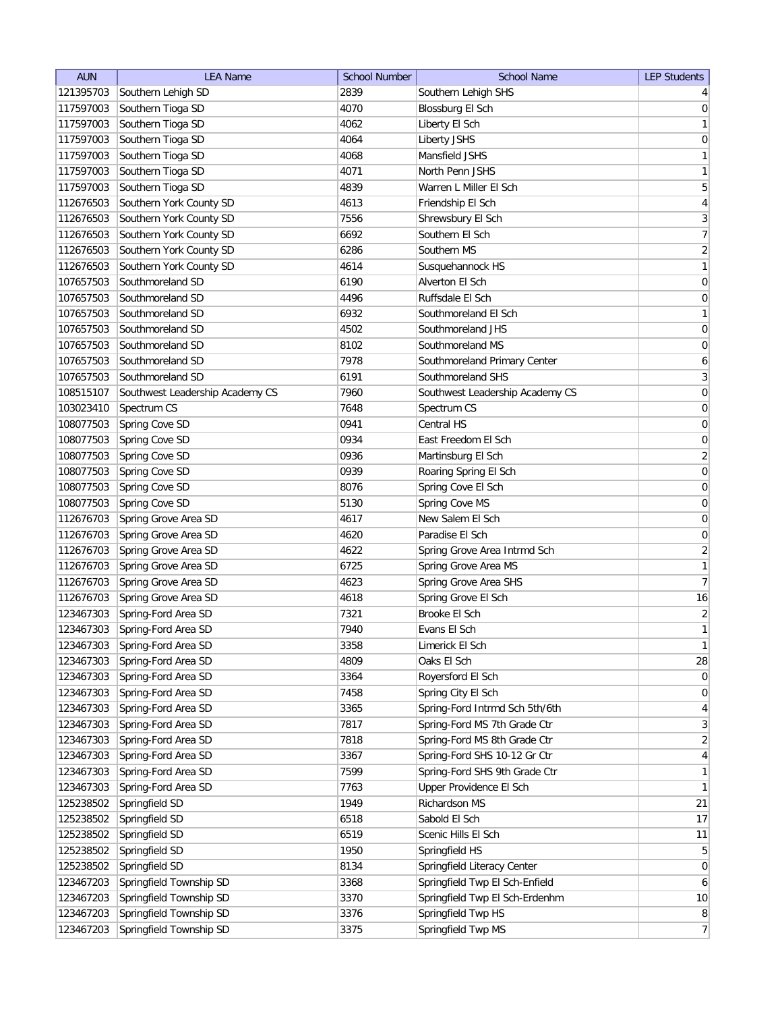| <b>AUN</b> | <b>LEA Name</b>                 | <b>School Number</b> | <b>School Name</b>              | <b>LEP Students</b> |
|------------|---------------------------------|----------------------|---------------------------------|---------------------|
| 121395703  | Southern Lehigh SD              | 2839                 | Southern Lehigh SHS             | 4 <sup>1</sup>      |
| 117597003  | Southern Tioga SD               | 4070                 | Blossburg El Sch                | 0                   |
| 117597003  | Southern Tioga SD               | 4062                 | Liberty El Sch                  | $\mathbf{1}$        |
| 117597003  | Southern Tioga SD               | 4064                 | Liberty JSHS                    | 0                   |
| 117597003  | Southern Tioga SD               | 4068                 | Mansfield JSHS                  | $\mathbf{1}$        |
| 117597003  | Southern Tioga SD               | 4071                 | North Penn JSHS                 | $\mathbf{1}$        |
| 117597003  | Southern Tioga SD               | 4839                 | Warren L Miller El Sch          | $\overline{5}$      |
| 112676503  | Southern York County SD         | 4613                 | Friendship El Sch               | $\vert 4 \vert$     |
| 112676503  | Southern York County SD         | 7556                 | Shrewsbury El Sch               | 3                   |
| 112676503  | Southern York County SD         | 6692                 | Southern El Sch                 | 7                   |
| 112676503  | Southern York County SD         | 6286                 | Southern MS                     | $\overline{2}$      |
| 112676503  | Southern York County SD         | 4614                 | Susquehannock HS                | 1                   |
| 107657503  | Southmoreland SD                | 6190                 | Alverton El Sch                 | $\boldsymbol{0}$    |
| 107657503  | Southmoreland SD                | 4496                 | Ruffsdale El Sch                | $\boldsymbol{0}$    |
| 107657503  | Southmoreland SD                | 6932                 | Southmoreland El Sch            | $\mathbf{1}$        |
| 107657503  | Southmoreland SD                | 4502                 | Southmoreland JHS               | $\boldsymbol{0}$    |
| 107657503  | Southmoreland SD                | 8102                 | Southmoreland MS                | $\boldsymbol{0}$    |
| 107657503  | Southmoreland SD                | 7978                 | Southmoreland Primary Center    | $\boldsymbol{6}$    |
| 107657503  | Southmoreland SD                | 6191                 | Southmoreland SHS               | $\overline{3}$      |
| 108515107  | Southwest Leadership Academy CS | 7960                 | Southwest Leadership Academy CS | 0                   |
| 103023410  | Spectrum CS                     | 7648                 | Spectrum CS                     | 0                   |
| 108077503  | Spring Cove SD                  | 0941                 | Central HS                      | $\boldsymbol{0}$    |
| 108077503  | Spring Cove SD                  | 0934                 | East Freedom El Sch             | $\boldsymbol{0}$    |
| 108077503  | Spring Cove SD                  | 0936                 | Martinsburg El Sch              | $\overline{2}$      |
| 108077503  | Spring Cove SD                  | 0939                 | Roaring Spring El Sch           | $\boldsymbol{0}$    |
| 108077503  | Spring Cove SD                  | 8076                 | Spring Cove El Sch              | $\boldsymbol{0}$    |
| 108077503  | Spring Cove SD                  | 5130                 | Spring Cove MS                  | $\boldsymbol{0}$    |
| 112676703  | Spring Grove Area SD            | 4617                 | New Salem El Sch                | $\boldsymbol{0}$    |
| 112676703  | Spring Grove Area SD            | 4620                 | Paradise El Sch                 | $\boldsymbol{0}$    |
| 112676703  | Spring Grove Area SD            | 4622                 | Spring Grove Area Intrmd Sch    | $\overline{2}$      |
| 112676703  | Spring Grove Area SD            | 6725                 | Spring Grove Area MS            | $\mathbf{1}$        |
| 112676703  | Spring Grove Area SD            | 4623                 | Spring Grove Area SHS           | 7                   |
| 112676703  | Spring Grove Area SD            | 4618                 | Spring Grove El Sch             | 16                  |
| 123467303  | Spring-Ford Area SD             | 7321                 | Brooke El Sch                   | $\overline{2}$      |
| 123467303  | Spring-Ford Area SD             | 7940                 | Evans El Sch                    | 1                   |
| 123467303  | Spring-Ford Area SD             | 3358                 | Limerick El Sch                 | 1                   |
| 123467303  | Spring-Ford Area SD             | 4809                 | Oaks El Sch                     | 28                  |
| 123467303  | Spring-Ford Area SD             | 3364                 | Royersford El Sch               | 0                   |
| 123467303  | Spring-Ford Area SD             | 7458                 | Spring City El Sch              | 0                   |
| 123467303  | Spring-Ford Area SD             | 3365                 | Spring-Ford Intrmd Sch 5th/6th  | $\vert 4 \vert$     |
| 123467303  | Spring-Ford Area SD             | 7817                 | Spring-Ford MS 7th Grade Ctr    | 3                   |
| 123467303  | Spring-Ford Area SD             | 7818                 | Spring-Ford MS 8th Grade Ctr    | $\overline{2}$      |
| 123467303  | Spring-Ford Area SD             | 3367                 | Spring-Ford SHS 10-12 Gr Ctr    | $\vert 4 \vert$     |
| 123467303  | Spring-Ford Area SD             | 7599                 | Spring-Ford SHS 9th Grade Ctr   | 1                   |
| 123467303  | Spring-Ford Area SD             | 7763                 | Upper Providence El Sch         | $\mathbf{1}$        |
| 125238502  | Springfield SD                  | 1949                 | Richardson MS                   | 21                  |
| 125238502  | Springfield SD                  | 6518                 | Sabold El Sch                   | 17                  |
| 125238502  | Springfield SD                  | 6519                 | Scenic Hills El Sch             | 11                  |
| 125238502  | Springfield SD                  | 1950                 | Springfield HS                  | 5 <sup>2</sup>      |
| 125238502  | Springfield SD                  | 8134                 | Springfield Literacy Center     | 0                   |
| 123467203  | Springfield Township SD         | 3368                 | Springfield Twp El Sch-Enfield  | $6 \mid$            |
| 123467203  | Springfield Township SD         | 3370                 | Springfield Twp El Sch-Erdenhm  | 10                  |
| 123467203  | Springfield Township SD         | 3376                 | Springfield Twp HS              | 8 <sup>1</sup>      |
| 123467203  | Springfield Township SD         | 3375                 | Springfield Twp MS              | $\overline{7}$      |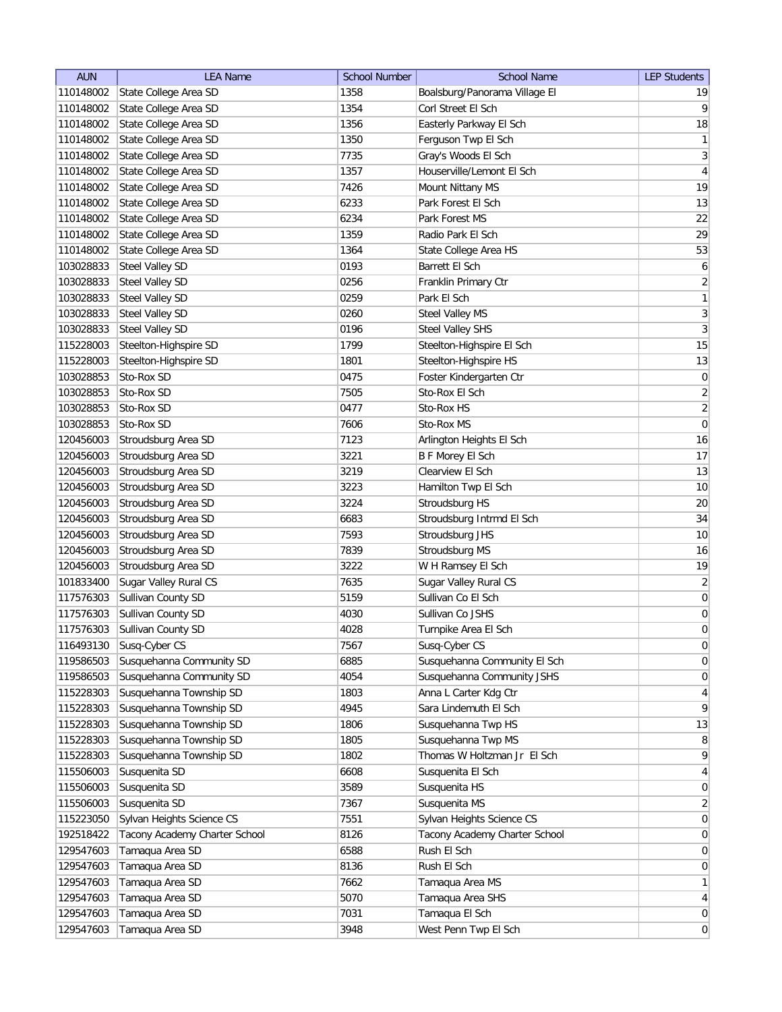| <b>AUN</b> | <b>LEA Name</b>               | <b>School Number</b> | <b>School Name</b>            | <b>LEP Students</b> |
|------------|-------------------------------|----------------------|-------------------------------|---------------------|
| 110148002  | State College Area SD         | 1358                 | Boalsburg/Panorama Village El | 19                  |
| 110148002  | State College Area SD         | 1354                 | Corl Street El Sch            | $\vert 9 \vert$     |
| 110148002  | State College Area SD         | 1356                 | Easterly Parkway El Sch       | 18                  |
| 110148002  | State College Area SD         | 1350                 | Ferguson Twp El Sch           | 1                   |
| 110148002  | State College Area SD         | 7735                 | Gray's Woods El Sch           | $\vert 3 \vert$     |
| 110148002  | State College Area SD         | 1357                 | Houserville/Lemont El Sch     | $\overline{4}$      |
| 110148002  | State College Area SD         | 7426                 | Mount Nittany MS              | 19                  |
| 110148002  | State College Area SD         | 6233                 | Park Forest El Sch            | 13                  |
| 110148002  | State College Area SD         | 6234                 | Park Forest MS                | 22                  |
| 110148002  | State College Area SD         | 1359                 | Radio Park El Sch             | 29                  |
| 110148002  | State College Area SD         | 1364                 | State College Area HS         | 53                  |
| 103028833  | Steel Valley SD               | 0193                 | Barrett El Sch                | 6                   |
| 103028833  | <b>Steel Valley SD</b>        | 0256                 | Franklin Primary Ctr          | $\overline{2}$      |
| 103028833  | <b>Steel Valley SD</b>        | 0259                 | Park El Sch                   | $\mathbf{1}$        |
| 103028833  | Steel Valley SD               | 0260                 | Steel Valley MS               | $\overline{3}$      |
| 103028833  | Steel Valley SD               | 0196                 | Steel Valley SHS              | $\mathbf{3}$        |
| 115228003  | Steelton-Highspire SD         | 1799                 | Steelton-Highspire El Sch     | 15                  |
| 115228003  | Steelton-Highspire SD         | 1801                 | Steelton-Highspire HS         | 13                  |
| 103028853  | Sto-Rox SD                    | 0475                 | Foster Kindergarten Ctr       | 0                   |
| 103028853  | Sto-Rox SD                    | 7505                 | Sto-Rox El Sch                | $\overline{2}$      |
| 103028853  | Sto-Rox SD                    | 0477                 | Sto-Rox HS                    | $\overline{2}$      |
| 103028853  | Sto-Rox SD                    | 7606                 | Sto-Rox MS                    | $\vert 0 \vert$     |
| 120456003  | Stroudsburg Area SD           | 7123                 | Arlington Heights El Sch      | 16                  |
| 120456003  | Stroudsburg Area SD           | 3221                 | <b>B F Morey El Sch</b>       | 17                  |
| 120456003  | Stroudsburg Area SD           | 3219                 | Clearview El Sch              | 13                  |
| 120456003  | Stroudsburg Area SD           | 3223                 | Hamilton Twp El Sch           | 10                  |
| 120456003  | Stroudsburg Area SD           | 3224                 | Stroudsburg HS                | 20                  |
| 120456003  | Stroudsburg Area SD           | 6683                 | Stroudsburg Intrmd El Sch     | 34                  |
| 120456003  | Stroudsburg Area SD           | 7593                 | Stroudsburg JHS               | 10                  |
| 120456003  | Stroudsburg Area SD           | 7839                 | Stroudsburg MS                | 16                  |
| 120456003  | Stroudsburg Area SD           | 3222                 | W H Ramsey El Sch             | 19                  |
| 101833400  | Sugar Valley Rural CS         | 7635                 | Sugar Valley Rural CS         | $\overline{2}$      |
| 117576303  | Sullivan County SD            | 5159                 | Sullivan Co El Sch            | $\vert 0 \vert$     |
| 117576303  | Sullivan County SD            | 4030                 | Sullivan Co JSHS              | $\boldsymbol{0}$    |
| 117576303  | Sullivan County SD            | 4028                 | Turnpike Area El Sch          | $\overline{0}$      |
| 116493130  | Susq-Cyber CS                 | 7567                 | Susq-Cyber CS                 | $\overline{0}$      |
| 119586503  | Susquehanna Community SD      | 6885                 | Susquehanna Community El Sch  | 0                   |
| 119586503  | Susquehanna Community SD      | 4054                 | Susquehanna Community JSHS    | 0                   |
| 115228303  | Susquehanna Township SD       | 1803                 | Anna L Carter Kdg Ctr         | $\vert 4 \vert$     |
| 115228303  | Susquehanna Township SD       | 4945                 | Sara Lindemuth El Sch         | $\vert 9 \vert$     |
| 115228303  | Susquehanna Township SD       | 1806                 | Susquehanna Twp HS            | 13                  |
| 115228303  | Susquehanna Township SD       | 1805                 | Susquehanna Twp MS            | 8                   |
| 115228303  | Susquehanna Township SD       | 1802                 | Thomas W Holtzman Jr El Sch   | $\mathsf{q}$        |
| 115506003  | Susquenita SD                 | 6608                 | Susquenita El Sch             | $\vert 4 \vert$     |
| 115506003  | Susquenita SD                 | 3589                 | Susquenita HS                 | $\overline{0}$      |
| 115506003  | Susquenita SD                 | 7367                 | Susquenita MS                 | $\overline{2}$      |
| 115223050  | Sylvan Heights Science CS     | 7551                 | Sylvan Heights Science CS     | 0                   |
| 192518422  | Tacony Academy Charter School | 8126                 | Tacony Academy Charter School | $\overline{0}$      |
| 129547603  | Tamaqua Area SD               | 6588                 | Rush El Sch                   | $\overline{0}$      |
| 129547603  | Tamaqua Area SD               | 8136                 | Rush El Sch                   | $\overline{0}$      |
| 129547603  | Tamaqua Area SD               | 7662                 | Tamaqua Area MS               | 1                   |
| 129547603  | Tamaqua Area SD               | 5070                 | Tamaqua Area SHS              | $\vert 4 \vert$     |
| 129547603  | Tamaqua Area SD               | 7031                 | Tamaqua El Sch                | 0                   |
| 129547603  | Tamaqua Area SD               | 3948                 | West Penn Twp El Sch          | 0                   |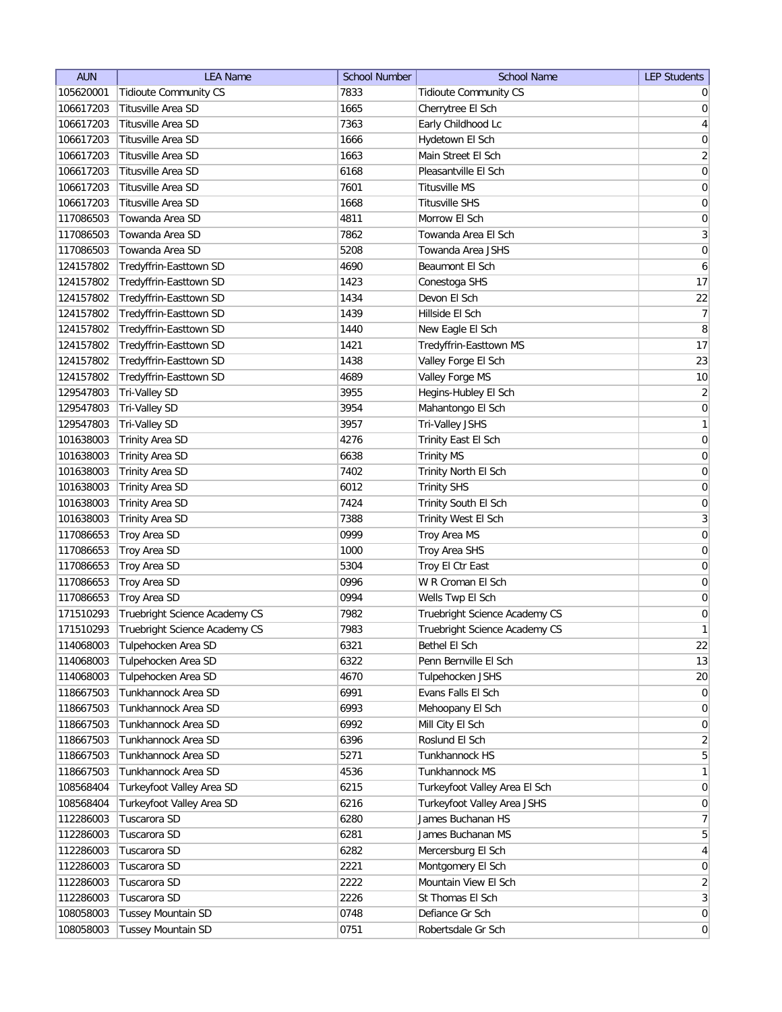| <b>Tidioute Community CS</b><br>105620001<br><b>Tidioute Community CS</b><br>7833<br>$\overline{0}$<br>Titusville Area SD<br>106617203<br>1665<br>Cherrytree El Sch<br> 0 <br>$\vert 4 \vert$<br>106617203<br>Titusville Area SD<br>7363<br>Early Childhood Lc<br>$\boldsymbol{0}$<br>106617203<br>Titusville Area SD<br>1666<br>Hydetown El Sch<br>$\overline{2}$<br>1663<br>106617203<br>Titusville Area SD<br>Main Street El Sch<br> 0 <br>106617203<br>Titusville Area SD<br>6168<br>Pleasantville El Sch<br>106617203<br>Titusville Area SD<br>7601<br>Titusville MS<br>0<br>$\boldsymbol{0}$<br>106617203<br>Titusville Area SD<br>1668<br><b>Titusville SHS</b><br>$\boldsymbol{0}$<br>117086503<br>Towanda Area SD<br>Morrow El Sch<br>4811<br>$\overline{3}$<br>117086503<br>Towanda Area SD<br>7862<br>Towanda Area El Sch<br>Towanda Area SD<br>5208<br>Towanda Area JSHS<br>0<br>117086503<br>6<br>124157802<br>Tredyffrin-Easttown SD<br>4690<br>Beaumont El Sch<br>17<br>1423<br>124157802<br>Tredyffrin-Easttown SD<br>Conestoga SHS<br>22<br>Tredyffrin-Easttown SD<br>1434<br>Devon El Sch<br>124157802<br>7<br>124157802<br>Tredyffrin-Easttown SD<br>1439<br>Hillside El Sch<br>8<br>Tredyffrin-Easttown SD<br>124157802<br>1440<br>New Eagle El Sch<br>17<br>Tredyffrin-Easttown SD<br>Tredyffrin-Easttown MS<br>124157802<br>1421<br>23<br>124157802<br>Tredyffrin-Easttown SD<br>1438<br>Valley Forge El Sch<br>10<br>124157802<br>Tredyffrin-Easttown SD<br>4689<br>Valley Forge MS<br>$\left  \frac{2}{2} \right $<br>129547803<br>3955<br>Tri-Valley SD<br>Hegins-Hubley El Sch<br> 0 <br>129547803<br>3954<br>Tri-Valley SD<br>Mahantongo El Sch<br>$\mathbf{1}$<br>129547803<br>Tri-Valley SD<br>3957<br>Tri-Valley JSHS<br> 0 <br>101638003<br>4276<br>Trinity Area SD<br>Trinity East El Sch<br>$\boldsymbol{0}$<br>101638003<br>6638<br><b>Trinity Area SD</b><br><b>Trinity MS</b><br>$\boldsymbol{0}$<br>101638003<br>7402<br><b>Trinity Area SD</b><br>Trinity North El Sch<br>$\boldsymbol{0}$<br>101638003<br><b>Trinity Area SD</b><br>6012<br><b>Trinity SHS</b><br>$\boldsymbol{0}$<br>101638003<br><b>Trinity Area SD</b><br>7424<br>Trinity South El Sch<br>$\overline{3}$<br>101638003<br><b>Trinity Area SD</b><br>7388<br><b>Trinity West El Sch</b><br>$\boldsymbol{0}$<br>Troy Area SD<br>0999<br>117086653<br>Troy Area MS<br>Troy Area SD<br>0<br>117086653<br>1000<br>Troy Area SHS<br>Troy Area SD<br>Troy El Ctr East<br>0<br>117086653<br>5304<br>Troy Area SD<br>0996<br>W R Croman El Sch<br>0<br>117086653<br>Troy Area SD<br>Wells Twp El Sch<br>0<br>117086653<br>0994<br>$\boldsymbol{0}$<br>Truebright Science Academy CS<br>Truebright Science Academy CS<br>171510293<br>7982<br>1<br>Truebright Science Academy CS<br>7983<br>Truebright Science Academy CS<br>171510293<br>114068003<br>Tulpehocken Area SD<br>6321<br>Bethel El Sch<br>22<br>Tulpehocken Area SD<br>13<br>114068003<br>6322<br>Penn Bernville El Sch<br>Tulpehocken Area SD<br>4670<br>Tulpehocken JSHS<br>20<br>114068003<br>Tunkhannock Area SD<br>6991<br>Evans Falls El Sch<br>$\overline{0}$<br>118667503<br>Tunkhannock Area SD<br>6993<br>118667503<br>Mehoopany El Sch<br>$\overline{0}$<br>Tunkhannock Area SD<br>6992<br>Mill City El Sch<br>118667503<br>$\overline{0}$<br>Tunkhannock Area SD<br>Roslund El Sch<br>$\overline{2}$<br>118667503<br>6396<br>5 <sup>2</sup><br>Tunkhannock Area SD<br>Tunkhannock HS<br>118667503<br>5271<br>Tunkhannock Area SD<br>$\mathbf{1}$<br>118667503<br>4536<br>Tunkhannock MS<br>Turkeyfoot Valley Area SD<br>108568404<br>6215<br>Turkeyfoot Valley Area El Sch<br>$\overline{0}$<br>Turkeyfoot Valley Area SD<br>Turkeyfoot Valley Area JSHS<br>108568404<br>6216<br>0<br>7<br>Tuscarora SD<br>James Buchanan HS<br>112286003<br>6280<br>$\overline{5}$<br>Tuscarora SD<br>6281<br>James Buchanan MS<br>112286003<br>Tuscarora SD<br>6282<br>Mercersburg El Sch<br>$\vert 4 \vert$<br>112286003<br>Tuscarora SD<br>112286003<br>2221<br>Montgomery El Sch<br>$\overline{0}$<br>$\overline{2}$<br>Tuscarora SD<br>Mountain View El Sch<br>112286003<br>2222<br>$\overline{3}$<br>Tuscarora SD<br>2226<br>St Thomas El Sch<br>112286003<br>108058003<br><b>Tussey Mountain SD</b><br>0748<br> 0 <br>Defiance Gr Sch<br>0751<br> 0 <br>108058003<br><b>Tussey Mountain SD</b><br>Robertsdale Gr Sch | <b>AUN</b> | <b>LEA Name</b> | <b>School Number</b> | <b>School Name</b> | <b>LEP Students</b> |
|--------------------------------------------------------------------------------------------------------------------------------------------------------------------------------------------------------------------------------------------------------------------------------------------------------------------------------------------------------------------------------------------------------------------------------------------------------------------------------------------------------------------------------------------------------------------------------------------------------------------------------------------------------------------------------------------------------------------------------------------------------------------------------------------------------------------------------------------------------------------------------------------------------------------------------------------------------------------------------------------------------------------------------------------------------------------------------------------------------------------------------------------------------------------------------------------------------------------------------------------------------------------------------------------------------------------------------------------------------------------------------------------------------------------------------------------------------------------------------------------------------------------------------------------------------------------------------------------------------------------------------------------------------------------------------------------------------------------------------------------------------------------------------------------------------------------------------------------------------------------------------------------------------------------------------------------------------------------------------------------------------------------------------------------------------------------------------------------------------------------------------------------------------------------------------------------------------------------------------------------------------------------------------------------------------------------------------------------------------------------------------------------------------------------------------------------------------------------------------------------------------------------------------------------------------------------------------------------------------------------------------------------------------------------------------------------------------------------------------------------------------------------------------------------------------------------------------------------------------------------------------------------------------------------------------------------------------------------------------------------------------------------------------------------------------------------------------------------------------------------------------------------------------------------------------------------------------------------------------------------------------------------------------------------------------------------------------------------------------------------------------------------------------------------------------------------------------------------------------------------------------------------------------------------------------------------------------------------------------------------------------------------------------------------------------------------------------------------------------------------------------------------------------------------------------------------------------------------------------------------------------------------------------------------------------------------------------------------------------------------------------------------------------------------------------------------------------------------------------------------------------------------------------------------------------------------------------------------------------------------------------------------------------------------------------------------------------------------------------------------------------------|------------|-----------------|----------------------|--------------------|---------------------|
|                                                                                                                                                                                                                                                                                                                                                                                                                                                                                                                                                                                                                                                                                                                                                                                                                                                                                                                                                                                                                                                                                                                                                                                                                                                                                                                                                                                                                                                                                                                                                                                                                                                                                                                                                                                                                                                                                                                                                                                                                                                                                                                                                                                                                                                                                                                                                                                                                                                                                                                                                                                                                                                                                                                                                                                                                                                                                                                                                                                                                                                                                                                                                                                                                                                                                                                                                                                                                                                                                                                                                                                                                                                                                                                                                                                                                                                                                                                                                                                                                                                                                                                                                                                                                                                                                                                                                                                      |            |                 |                      |                    |                     |
|                                                                                                                                                                                                                                                                                                                                                                                                                                                                                                                                                                                                                                                                                                                                                                                                                                                                                                                                                                                                                                                                                                                                                                                                                                                                                                                                                                                                                                                                                                                                                                                                                                                                                                                                                                                                                                                                                                                                                                                                                                                                                                                                                                                                                                                                                                                                                                                                                                                                                                                                                                                                                                                                                                                                                                                                                                                                                                                                                                                                                                                                                                                                                                                                                                                                                                                                                                                                                                                                                                                                                                                                                                                                                                                                                                                                                                                                                                                                                                                                                                                                                                                                                                                                                                                                                                                                                                                      |            |                 |                      |                    |                     |
|                                                                                                                                                                                                                                                                                                                                                                                                                                                                                                                                                                                                                                                                                                                                                                                                                                                                                                                                                                                                                                                                                                                                                                                                                                                                                                                                                                                                                                                                                                                                                                                                                                                                                                                                                                                                                                                                                                                                                                                                                                                                                                                                                                                                                                                                                                                                                                                                                                                                                                                                                                                                                                                                                                                                                                                                                                                                                                                                                                                                                                                                                                                                                                                                                                                                                                                                                                                                                                                                                                                                                                                                                                                                                                                                                                                                                                                                                                                                                                                                                                                                                                                                                                                                                                                                                                                                                                                      |            |                 |                      |                    |                     |
|                                                                                                                                                                                                                                                                                                                                                                                                                                                                                                                                                                                                                                                                                                                                                                                                                                                                                                                                                                                                                                                                                                                                                                                                                                                                                                                                                                                                                                                                                                                                                                                                                                                                                                                                                                                                                                                                                                                                                                                                                                                                                                                                                                                                                                                                                                                                                                                                                                                                                                                                                                                                                                                                                                                                                                                                                                                                                                                                                                                                                                                                                                                                                                                                                                                                                                                                                                                                                                                                                                                                                                                                                                                                                                                                                                                                                                                                                                                                                                                                                                                                                                                                                                                                                                                                                                                                                                                      |            |                 |                      |                    |                     |
|                                                                                                                                                                                                                                                                                                                                                                                                                                                                                                                                                                                                                                                                                                                                                                                                                                                                                                                                                                                                                                                                                                                                                                                                                                                                                                                                                                                                                                                                                                                                                                                                                                                                                                                                                                                                                                                                                                                                                                                                                                                                                                                                                                                                                                                                                                                                                                                                                                                                                                                                                                                                                                                                                                                                                                                                                                                                                                                                                                                                                                                                                                                                                                                                                                                                                                                                                                                                                                                                                                                                                                                                                                                                                                                                                                                                                                                                                                                                                                                                                                                                                                                                                                                                                                                                                                                                                                                      |            |                 |                      |                    |                     |
|                                                                                                                                                                                                                                                                                                                                                                                                                                                                                                                                                                                                                                                                                                                                                                                                                                                                                                                                                                                                                                                                                                                                                                                                                                                                                                                                                                                                                                                                                                                                                                                                                                                                                                                                                                                                                                                                                                                                                                                                                                                                                                                                                                                                                                                                                                                                                                                                                                                                                                                                                                                                                                                                                                                                                                                                                                                                                                                                                                                                                                                                                                                                                                                                                                                                                                                                                                                                                                                                                                                                                                                                                                                                                                                                                                                                                                                                                                                                                                                                                                                                                                                                                                                                                                                                                                                                                                                      |            |                 |                      |                    |                     |
|                                                                                                                                                                                                                                                                                                                                                                                                                                                                                                                                                                                                                                                                                                                                                                                                                                                                                                                                                                                                                                                                                                                                                                                                                                                                                                                                                                                                                                                                                                                                                                                                                                                                                                                                                                                                                                                                                                                                                                                                                                                                                                                                                                                                                                                                                                                                                                                                                                                                                                                                                                                                                                                                                                                                                                                                                                                                                                                                                                                                                                                                                                                                                                                                                                                                                                                                                                                                                                                                                                                                                                                                                                                                                                                                                                                                                                                                                                                                                                                                                                                                                                                                                                                                                                                                                                                                                                                      |            |                 |                      |                    |                     |
|                                                                                                                                                                                                                                                                                                                                                                                                                                                                                                                                                                                                                                                                                                                                                                                                                                                                                                                                                                                                                                                                                                                                                                                                                                                                                                                                                                                                                                                                                                                                                                                                                                                                                                                                                                                                                                                                                                                                                                                                                                                                                                                                                                                                                                                                                                                                                                                                                                                                                                                                                                                                                                                                                                                                                                                                                                                                                                                                                                                                                                                                                                                                                                                                                                                                                                                                                                                                                                                                                                                                                                                                                                                                                                                                                                                                                                                                                                                                                                                                                                                                                                                                                                                                                                                                                                                                                                                      |            |                 |                      |                    |                     |
|                                                                                                                                                                                                                                                                                                                                                                                                                                                                                                                                                                                                                                                                                                                                                                                                                                                                                                                                                                                                                                                                                                                                                                                                                                                                                                                                                                                                                                                                                                                                                                                                                                                                                                                                                                                                                                                                                                                                                                                                                                                                                                                                                                                                                                                                                                                                                                                                                                                                                                                                                                                                                                                                                                                                                                                                                                                                                                                                                                                                                                                                                                                                                                                                                                                                                                                                                                                                                                                                                                                                                                                                                                                                                                                                                                                                                                                                                                                                                                                                                                                                                                                                                                                                                                                                                                                                                                                      |            |                 |                      |                    |                     |
|                                                                                                                                                                                                                                                                                                                                                                                                                                                                                                                                                                                                                                                                                                                                                                                                                                                                                                                                                                                                                                                                                                                                                                                                                                                                                                                                                                                                                                                                                                                                                                                                                                                                                                                                                                                                                                                                                                                                                                                                                                                                                                                                                                                                                                                                                                                                                                                                                                                                                                                                                                                                                                                                                                                                                                                                                                                                                                                                                                                                                                                                                                                                                                                                                                                                                                                                                                                                                                                                                                                                                                                                                                                                                                                                                                                                                                                                                                                                                                                                                                                                                                                                                                                                                                                                                                                                                                                      |            |                 |                      |                    |                     |
|                                                                                                                                                                                                                                                                                                                                                                                                                                                                                                                                                                                                                                                                                                                                                                                                                                                                                                                                                                                                                                                                                                                                                                                                                                                                                                                                                                                                                                                                                                                                                                                                                                                                                                                                                                                                                                                                                                                                                                                                                                                                                                                                                                                                                                                                                                                                                                                                                                                                                                                                                                                                                                                                                                                                                                                                                                                                                                                                                                                                                                                                                                                                                                                                                                                                                                                                                                                                                                                                                                                                                                                                                                                                                                                                                                                                                                                                                                                                                                                                                                                                                                                                                                                                                                                                                                                                                                                      |            |                 |                      |                    |                     |
|                                                                                                                                                                                                                                                                                                                                                                                                                                                                                                                                                                                                                                                                                                                                                                                                                                                                                                                                                                                                                                                                                                                                                                                                                                                                                                                                                                                                                                                                                                                                                                                                                                                                                                                                                                                                                                                                                                                                                                                                                                                                                                                                                                                                                                                                                                                                                                                                                                                                                                                                                                                                                                                                                                                                                                                                                                                                                                                                                                                                                                                                                                                                                                                                                                                                                                                                                                                                                                                                                                                                                                                                                                                                                                                                                                                                                                                                                                                                                                                                                                                                                                                                                                                                                                                                                                                                                                                      |            |                 |                      |                    |                     |
|                                                                                                                                                                                                                                                                                                                                                                                                                                                                                                                                                                                                                                                                                                                                                                                                                                                                                                                                                                                                                                                                                                                                                                                                                                                                                                                                                                                                                                                                                                                                                                                                                                                                                                                                                                                                                                                                                                                                                                                                                                                                                                                                                                                                                                                                                                                                                                                                                                                                                                                                                                                                                                                                                                                                                                                                                                                                                                                                                                                                                                                                                                                                                                                                                                                                                                                                                                                                                                                                                                                                                                                                                                                                                                                                                                                                                                                                                                                                                                                                                                                                                                                                                                                                                                                                                                                                                                                      |            |                 |                      |                    |                     |
|                                                                                                                                                                                                                                                                                                                                                                                                                                                                                                                                                                                                                                                                                                                                                                                                                                                                                                                                                                                                                                                                                                                                                                                                                                                                                                                                                                                                                                                                                                                                                                                                                                                                                                                                                                                                                                                                                                                                                                                                                                                                                                                                                                                                                                                                                                                                                                                                                                                                                                                                                                                                                                                                                                                                                                                                                                                                                                                                                                                                                                                                                                                                                                                                                                                                                                                                                                                                                                                                                                                                                                                                                                                                                                                                                                                                                                                                                                                                                                                                                                                                                                                                                                                                                                                                                                                                                                                      |            |                 |                      |                    |                     |
|                                                                                                                                                                                                                                                                                                                                                                                                                                                                                                                                                                                                                                                                                                                                                                                                                                                                                                                                                                                                                                                                                                                                                                                                                                                                                                                                                                                                                                                                                                                                                                                                                                                                                                                                                                                                                                                                                                                                                                                                                                                                                                                                                                                                                                                                                                                                                                                                                                                                                                                                                                                                                                                                                                                                                                                                                                                                                                                                                                                                                                                                                                                                                                                                                                                                                                                                                                                                                                                                                                                                                                                                                                                                                                                                                                                                                                                                                                                                                                                                                                                                                                                                                                                                                                                                                                                                                                                      |            |                 |                      |                    |                     |
|                                                                                                                                                                                                                                                                                                                                                                                                                                                                                                                                                                                                                                                                                                                                                                                                                                                                                                                                                                                                                                                                                                                                                                                                                                                                                                                                                                                                                                                                                                                                                                                                                                                                                                                                                                                                                                                                                                                                                                                                                                                                                                                                                                                                                                                                                                                                                                                                                                                                                                                                                                                                                                                                                                                                                                                                                                                                                                                                                                                                                                                                                                                                                                                                                                                                                                                                                                                                                                                                                                                                                                                                                                                                                                                                                                                                                                                                                                                                                                                                                                                                                                                                                                                                                                                                                                                                                                                      |            |                 |                      |                    |                     |
|                                                                                                                                                                                                                                                                                                                                                                                                                                                                                                                                                                                                                                                                                                                                                                                                                                                                                                                                                                                                                                                                                                                                                                                                                                                                                                                                                                                                                                                                                                                                                                                                                                                                                                                                                                                                                                                                                                                                                                                                                                                                                                                                                                                                                                                                                                                                                                                                                                                                                                                                                                                                                                                                                                                                                                                                                                                                                                                                                                                                                                                                                                                                                                                                                                                                                                                                                                                                                                                                                                                                                                                                                                                                                                                                                                                                                                                                                                                                                                                                                                                                                                                                                                                                                                                                                                                                                                                      |            |                 |                      |                    |                     |
|                                                                                                                                                                                                                                                                                                                                                                                                                                                                                                                                                                                                                                                                                                                                                                                                                                                                                                                                                                                                                                                                                                                                                                                                                                                                                                                                                                                                                                                                                                                                                                                                                                                                                                                                                                                                                                                                                                                                                                                                                                                                                                                                                                                                                                                                                                                                                                                                                                                                                                                                                                                                                                                                                                                                                                                                                                                                                                                                                                                                                                                                                                                                                                                                                                                                                                                                                                                                                                                                                                                                                                                                                                                                                                                                                                                                                                                                                                                                                                                                                                                                                                                                                                                                                                                                                                                                                                                      |            |                 |                      |                    |                     |
|                                                                                                                                                                                                                                                                                                                                                                                                                                                                                                                                                                                                                                                                                                                                                                                                                                                                                                                                                                                                                                                                                                                                                                                                                                                                                                                                                                                                                                                                                                                                                                                                                                                                                                                                                                                                                                                                                                                                                                                                                                                                                                                                                                                                                                                                                                                                                                                                                                                                                                                                                                                                                                                                                                                                                                                                                                                                                                                                                                                                                                                                                                                                                                                                                                                                                                                                                                                                                                                                                                                                                                                                                                                                                                                                                                                                                                                                                                                                                                                                                                                                                                                                                                                                                                                                                                                                                                                      |            |                 |                      |                    |                     |
|                                                                                                                                                                                                                                                                                                                                                                                                                                                                                                                                                                                                                                                                                                                                                                                                                                                                                                                                                                                                                                                                                                                                                                                                                                                                                                                                                                                                                                                                                                                                                                                                                                                                                                                                                                                                                                                                                                                                                                                                                                                                                                                                                                                                                                                                                                                                                                                                                                                                                                                                                                                                                                                                                                                                                                                                                                                                                                                                                                                                                                                                                                                                                                                                                                                                                                                                                                                                                                                                                                                                                                                                                                                                                                                                                                                                                                                                                                                                                                                                                                                                                                                                                                                                                                                                                                                                                                                      |            |                 |                      |                    |                     |
|                                                                                                                                                                                                                                                                                                                                                                                                                                                                                                                                                                                                                                                                                                                                                                                                                                                                                                                                                                                                                                                                                                                                                                                                                                                                                                                                                                                                                                                                                                                                                                                                                                                                                                                                                                                                                                                                                                                                                                                                                                                                                                                                                                                                                                                                                                                                                                                                                                                                                                                                                                                                                                                                                                                                                                                                                                                                                                                                                                                                                                                                                                                                                                                                                                                                                                                                                                                                                                                                                                                                                                                                                                                                                                                                                                                                                                                                                                                                                                                                                                                                                                                                                                                                                                                                                                                                                                                      |            |                 |                      |                    |                     |
|                                                                                                                                                                                                                                                                                                                                                                                                                                                                                                                                                                                                                                                                                                                                                                                                                                                                                                                                                                                                                                                                                                                                                                                                                                                                                                                                                                                                                                                                                                                                                                                                                                                                                                                                                                                                                                                                                                                                                                                                                                                                                                                                                                                                                                                                                                                                                                                                                                                                                                                                                                                                                                                                                                                                                                                                                                                                                                                                                                                                                                                                                                                                                                                                                                                                                                                                                                                                                                                                                                                                                                                                                                                                                                                                                                                                                                                                                                                                                                                                                                                                                                                                                                                                                                                                                                                                                                                      |            |                 |                      |                    |                     |
|                                                                                                                                                                                                                                                                                                                                                                                                                                                                                                                                                                                                                                                                                                                                                                                                                                                                                                                                                                                                                                                                                                                                                                                                                                                                                                                                                                                                                                                                                                                                                                                                                                                                                                                                                                                                                                                                                                                                                                                                                                                                                                                                                                                                                                                                                                                                                                                                                                                                                                                                                                                                                                                                                                                                                                                                                                                                                                                                                                                                                                                                                                                                                                                                                                                                                                                                                                                                                                                                                                                                                                                                                                                                                                                                                                                                                                                                                                                                                                                                                                                                                                                                                                                                                                                                                                                                                                                      |            |                 |                      |                    |                     |
|                                                                                                                                                                                                                                                                                                                                                                                                                                                                                                                                                                                                                                                                                                                                                                                                                                                                                                                                                                                                                                                                                                                                                                                                                                                                                                                                                                                                                                                                                                                                                                                                                                                                                                                                                                                                                                                                                                                                                                                                                                                                                                                                                                                                                                                                                                                                                                                                                                                                                                                                                                                                                                                                                                                                                                                                                                                                                                                                                                                                                                                                                                                                                                                                                                                                                                                                                                                                                                                                                                                                                                                                                                                                                                                                                                                                                                                                                                                                                                                                                                                                                                                                                                                                                                                                                                                                                                                      |            |                 |                      |                    |                     |
|                                                                                                                                                                                                                                                                                                                                                                                                                                                                                                                                                                                                                                                                                                                                                                                                                                                                                                                                                                                                                                                                                                                                                                                                                                                                                                                                                                                                                                                                                                                                                                                                                                                                                                                                                                                                                                                                                                                                                                                                                                                                                                                                                                                                                                                                                                                                                                                                                                                                                                                                                                                                                                                                                                                                                                                                                                                                                                                                                                                                                                                                                                                                                                                                                                                                                                                                                                                                                                                                                                                                                                                                                                                                                                                                                                                                                                                                                                                                                                                                                                                                                                                                                                                                                                                                                                                                                                                      |            |                 |                      |                    |                     |
|                                                                                                                                                                                                                                                                                                                                                                                                                                                                                                                                                                                                                                                                                                                                                                                                                                                                                                                                                                                                                                                                                                                                                                                                                                                                                                                                                                                                                                                                                                                                                                                                                                                                                                                                                                                                                                                                                                                                                                                                                                                                                                                                                                                                                                                                                                                                                                                                                                                                                                                                                                                                                                                                                                                                                                                                                                                                                                                                                                                                                                                                                                                                                                                                                                                                                                                                                                                                                                                                                                                                                                                                                                                                                                                                                                                                                                                                                                                                                                                                                                                                                                                                                                                                                                                                                                                                                                                      |            |                 |                      |                    |                     |
|                                                                                                                                                                                                                                                                                                                                                                                                                                                                                                                                                                                                                                                                                                                                                                                                                                                                                                                                                                                                                                                                                                                                                                                                                                                                                                                                                                                                                                                                                                                                                                                                                                                                                                                                                                                                                                                                                                                                                                                                                                                                                                                                                                                                                                                                                                                                                                                                                                                                                                                                                                                                                                                                                                                                                                                                                                                                                                                                                                                                                                                                                                                                                                                                                                                                                                                                                                                                                                                                                                                                                                                                                                                                                                                                                                                                                                                                                                                                                                                                                                                                                                                                                                                                                                                                                                                                                                                      |            |                 |                      |                    |                     |
|                                                                                                                                                                                                                                                                                                                                                                                                                                                                                                                                                                                                                                                                                                                                                                                                                                                                                                                                                                                                                                                                                                                                                                                                                                                                                                                                                                                                                                                                                                                                                                                                                                                                                                                                                                                                                                                                                                                                                                                                                                                                                                                                                                                                                                                                                                                                                                                                                                                                                                                                                                                                                                                                                                                                                                                                                                                                                                                                                                                                                                                                                                                                                                                                                                                                                                                                                                                                                                                                                                                                                                                                                                                                                                                                                                                                                                                                                                                                                                                                                                                                                                                                                                                                                                                                                                                                                                                      |            |                 |                      |                    |                     |
|                                                                                                                                                                                                                                                                                                                                                                                                                                                                                                                                                                                                                                                                                                                                                                                                                                                                                                                                                                                                                                                                                                                                                                                                                                                                                                                                                                                                                                                                                                                                                                                                                                                                                                                                                                                                                                                                                                                                                                                                                                                                                                                                                                                                                                                                                                                                                                                                                                                                                                                                                                                                                                                                                                                                                                                                                                                                                                                                                                                                                                                                                                                                                                                                                                                                                                                                                                                                                                                                                                                                                                                                                                                                                                                                                                                                                                                                                                                                                                                                                                                                                                                                                                                                                                                                                                                                                                                      |            |                 |                      |                    |                     |
|                                                                                                                                                                                                                                                                                                                                                                                                                                                                                                                                                                                                                                                                                                                                                                                                                                                                                                                                                                                                                                                                                                                                                                                                                                                                                                                                                                                                                                                                                                                                                                                                                                                                                                                                                                                                                                                                                                                                                                                                                                                                                                                                                                                                                                                                                                                                                                                                                                                                                                                                                                                                                                                                                                                                                                                                                                                                                                                                                                                                                                                                                                                                                                                                                                                                                                                                                                                                                                                                                                                                                                                                                                                                                                                                                                                                                                                                                                                                                                                                                                                                                                                                                                                                                                                                                                                                                                                      |            |                 |                      |                    |                     |
|                                                                                                                                                                                                                                                                                                                                                                                                                                                                                                                                                                                                                                                                                                                                                                                                                                                                                                                                                                                                                                                                                                                                                                                                                                                                                                                                                                                                                                                                                                                                                                                                                                                                                                                                                                                                                                                                                                                                                                                                                                                                                                                                                                                                                                                                                                                                                                                                                                                                                                                                                                                                                                                                                                                                                                                                                                                                                                                                                                                                                                                                                                                                                                                                                                                                                                                                                                                                                                                                                                                                                                                                                                                                                                                                                                                                                                                                                                                                                                                                                                                                                                                                                                                                                                                                                                                                                                                      |            |                 |                      |                    |                     |
|                                                                                                                                                                                                                                                                                                                                                                                                                                                                                                                                                                                                                                                                                                                                                                                                                                                                                                                                                                                                                                                                                                                                                                                                                                                                                                                                                                                                                                                                                                                                                                                                                                                                                                                                                                                                                                                                                                                                                                                                                                                                                                                                                                                                                                                                                                                                                                                                                                                                                                                                                                                                                                                                                                                                                                                                                                                                                                                                                                                                                                                                                                                                                                                                                                                                                                                                                                                                                                                                                                                                                                                                                                                                                                                                                                                                                                                                                                                                                                                                                                                                                                                                                                                                                                                                                                                                                                                      |            |                 |                      |                    |                     |
|                                                                                                                                                                                                                                                                                                                                                                                                                                                                                                                                                                                                                                                                                                                                                                                                                                                                                                                                                                                                                                                                                                                                                                                                                                                                                                                                                                                                                                                                                                                                                                                                                                                                                                                                                                                                                                                                                                                                                                                                                                                                                                                                                                                                                                                                                                                                                                                                                                                                                                                                                                                                                                                                                                                                                                                                                                                                                                                                                                                                                                                                                                                                                                                                                                                                                                                                                                                                                                                                                                                                                                                                                                                                                                                                                                                                                                                                                                                                                                                                                                                                                                                                                                                                                                                                                                                                                                                      |            |                 |                      |                    |                     |
|                                                                                                                                                                                                                                                                                                                                                                                                                                                                                                                                                                                                                                                                                                                                                                                                                                                                                                                                                                                                                                                                                                                                                                                                                                                                                                                                                                                                                                                                                                                                                                                                                                                                                                                                                                                                                                                                                                                                                                                                                                                                                                                                                                                                                                                                                                                                                                                                                                                                                                                                                                                                                                                                                                                                                                                                                                                                                                                                                                                                                                                                                                                                                                                                                                                                                                                                                                                                                                                                                                                                                                                                                                                                                                                                                                                                                                                                                                                                                                                                                                                                                                                                                                                                                                                                                                                                                                                      |            |                 |                      |                    |                     |
|                                                                                                                                                                                                                                                                                                                                                                                                                                                                                                                                                                                                                                                                                                                                                                                                                                                                                                                                                                                                                                                                                                                                                                                                                                                                                                                                                                                                                                                                                                                                                                                                                                                                                                                                                                                                                                                                                                                                                                                                                                                                                                                                                                                                                                                                                                                                                                                                                                                                                                                                                                                                                                                                                                                                                                                                                                                                                                                                                                                                                                                                                                                                                                                                                                                                                                                                                                                                                                                                                                                                                                                                                                                                                                                                                                                                                                                                                                                                                                                                                                                                                                                                                                                                                                                                                                                                                                                      |            |                 |                      |                    |                     |
|                                                                                                                                                                                                                                                                                                                                                                                                                                                                                                                                                                                                                                                                                                                                                                                                                                                                                                                                                                                                                                                                                                                                                                                                                                                                                                                                                                                                                                                                                                                                                                                                                                                                                                                                                                                                                                                                                                                                                                                                                                                                                                                                                                                                                                                                                                                                                                                                                                                                                                                                                                                                                                                                                                                                                                                                                                                                                                                                                                                                                                                                                                                                                                                                                                                                                                                                                                                                                                                                                                                                                                                                                                                                                                                                                                                                                                                                                                                                                                                                                                                                                                                                                                                                                                                                                                                                                                                      |            |                 |                      |                    |                     |
|                                                                                                                                                                                                                                                                                                                                                                                                                                                                                                                                                                                                                                                                                                                                                                                                                                                                                                                                                                                                                                                                                                                                                                                                                                                                                                                                                                                                                                                                                                                                                                                                                                                                                                                                                                                                                                                                                                                                                                                                                                                                                                                                                                                                                                                                                                                                                                                                                                                                                                                                                                                                                                                                                                                                                                                                                                                                                                                                                                                                                                                                                                                                                                                                                                                                                                                                                                                                                                                                                                                                                                                                                                                                                                                                                                                                                                                                                                                                                                                                                                                                                                                                                                                                                                                                                                                                                                                      |            |                 |                      |                    |                     |
|                                                                                                                                                                                                                                                                                                                                                                                                                                                                                                                                                                                                                                                                                                                                                                                                                                                                                                                                                                                                                                                                                                                                                                                                                                                                                                                                                                                                                                                                                                                                                                                                                                                                                                                                                                                                                                                                                                                                                                                                                                                                                                                                                                                                                                                                                                                                                                                                                                                                                                                                                                                                                                                                                                                                                                                                                                                                                                                                                                                                                                                                                                                                                                                                                                                                                                                                                                                                                                                                                                                                                                                                                                                                                                                                                                                                                                                                                                                                                                                                                                                                                                                                                                                                                                                                                                                                                                                      |            |                 |                      |                    |                     |
|                                                                                                                                                                                                                                                                                                                                                                                                                                                                                                                                                                                                                                                                                                                                                                                                                                                                                                                                                                                                                                                                                                                                                                                                                                                                                                                                                                                                                                                                                                                                                                                                                                                                                                                                                                                                                                                                                                                                                                                                                                                                                                                                                                                                                                                                                                                                                                                                                                                                                                                                                                                                                                                                                                                                                                                                                                                                                                                                                                                                                                                                                                                                                                                                                                                                                                                                                                                                                                                                                                                                                                                                                                                                                                                                                                                                                                                                                                                                                                                                                                                                                                                                                                                                                                                                                                                                                                                      |            |                 |                      |                    |                     |
|                                                                                                                                                                                                                                                                                                                                                                                                                                                                                                                                                                                                                                                                                                                                                                                                                                                                                                                                                                                                                                                                                                                                                                                                                                                                                                                                                                                                                                                                                                                                                                                                                                                                                                                                                                                                                                                                                                                                                                                                                                                                                                                                                                                                                                                                                                                                                                                                                                                                                                                                                                                                                                                                                                                                                                                                                                                                                                                                                                                                                                                                                                                                                                                                                                                                                                                                                                                                                                                                                                                                                                                                                                                                                                                                                                                                                                                                                                                                                                                                                                                                                                                                                                                                                                                                                                                                                                                      |            |                 |                      |                    |                     |
|                                                                                                                                                                                                                                                                                                                                                                                                                                                                                                                                                                                                                                                                                                                                                                                                                                                                                                                                                                                                                                                                                                                                                                                                                                                                                                                                                                                                                                                                                                                                                                                                                                                                                                                                                                                                                                                                                                                                                                                                                                                                                                                                                                                                                                                                                                                                                                                                                                                                                                                                                                                                                                                                                                                                                                                                                                                                                                                                                                                                                                                                                                                                                                                                                                                                                                                                                                                                                                                                                                                                                                                                                                                                                                                                                                                                                                                                                                                                                                                                                                                                                                                                                                                                                                                                                                                                                                                      |            |                 |                      |                    |                     |
|                                                                                                                                                                                                                                                                                                                                                                                                                                                                                                                                                                                                                                                                                                                                                                                                                                                                                                                                                                                                                                                                                                                                                                                                                                                                                                                                                                                                                                                                                                                                                                                                                                                                                                                                                                                                                                                                                                                                                                                                                                                                                                                                                                                                                                                                                                                                                                                                                                                                                                                                                                                                                                                                                                                                                                                                                                                                                                                                                                                                                                                                                                                                                                                                                                                                                                                                                                                                                                                                                                                                                                                                                                                                                                                                                                                                                                                                                                                                                                                                                                                                                                                                                                                                                                                                                                                                                                                      |            |                 |                      |                    |                     |
|                                                                                                                                                                                                                                                                                                                                                                                                                                                                                                                                                                                                                                                                                                                                                                                                                                                                                                                                                                                                                                                                                                                                                                                                                                                                                                                                                                                                                                                                                                                                                                                                                                                                                                                                                                                                                                                                                                                                                                                                                                                                                                                                                                                                                                                                                                                                                                                                                                                                                                                                                                                                                                                                                                                                                                                                                                                                                                                                                                                                                                                                                                                                                                                                                                                                                                                                                                                                                                                                                                                                                                                                                                                                                                                                                                                                                                                                                                                                                                                                                                                                                                                                                                                                                                                                                                                                                                                      |            |                 |                      |                    |                     |
|                                                                                                                                                                                                                                                                                                                                                                                                                                                                                                                                                                                                                                                                                                                                                                                                                                                                                                                                                                                                                                                                                                                                                                                                                                                                                                                                                                                                                                                                                                                                                                                                                                                                                                                                                                                                                                                                                                                                                                                                                                                                                                                                                                                                                                                                                                                                                                                                                                                                                                                                                                                                                                                                                                                                                                                                                                                                                                                                                                                                                                                                                                                                                                                                                                                                                                                                                                                                                                                                                                                                                                                                                                                                                                                                                                                                                                                                                                                                                                                                                                                                                                                                                                                                                                                                                                                                                                                      |            |                 |                      |                    |                     |
|                                                                                                                                                                                                                                                                                                                                                                                                                                                                                                                                                                                                                                                                                                                                                                                                                                                                                                                                                                                                                                                                                                                                                                                                                                                                                                                                                                                                                                                                                                                                                                                                                                                                                                                                                                                                                                                                                                                                                                                                                                                                                                                                                                                                                                                                                                                                                                                                                                                                                                                                                                                                                                                                                                                                                                                                                                                                                                                                                                                                                                                                                                                                                                                                                                                                                                                                                                                                                                                                                                                                                                                                                                                                                                                                                                                                                                                                                                                                                                                                                                                                                                                                                                                                                                                                                                                                                                                      |            |                 |                      |                    |                     |
|                                                                                                                                                                                                                                                                                                                                                                                                                                                                                                                                                                                                                                                                                                                                                                                                                                                                                                                                                                                                                                                                                                                                                                                                                                                                                                                                                                                                                                                                                                                                                                                                                                                                                                                                                                                                                                                                                                                                                                                                                                                                                                                                                                                                                                                                                                                                                                                                                                                                                                                                                                                                                                                                                                                                                                                                                                                                                                                                                                                                                                                                                                                                                                                                                                                                                                                                                                                                                                                                                                                                                                                                                                                                                                                                                                                                                                                                                                                                                                                                                                                                                                                                                                                                                                                                                                                                                                                      |            |                 |                      |                    |                     |
|                                                                                                                                                                                                                                                                                                                                                                                                                                                                                                                                                                                                                                                                                                                                                                                                                                                                                                                                                                                                                                                                                                                                                                                                                                                                                                                                                                                                                                                                                                                                                                                                                                                                                                                                                                                                                                                                                                                                                                                                                                                                                                                                                                                                                                                                                                                                                                                                                                                                                                                                                                                                                                                                                                                                                                                                                                                                                                                                                                                                                                                                                                                                                                                                                                                                                                                                                                                                                                                                                                                                                                                                                                                                                                                                                                                                                                                                                                                                                                                                                                                                                                                                                                                                                                                                                                                                                                                      |            |                 |                      |                    |                     |
|                                                                                                                                                                                                                                                                                                                                                                                                                                                                                                                                                                                                                                                                                                                                                                                                                                                                                                                                                                                                                                                                                                                                                                                                                                                                                                                                                                                                                                                                                                                                                                                                                                                                                                                                                                                                                                                                                                                                                                                                                                                                                                                                                                                                                                                                                                                                                                                                                                                                                                                                                                                                                                                                                                                                                                                                                                                                                                                                                                                                                                                                                                                                                                                                                                                                                                                                                                                                                                                                                                                                                                                                                                                                                                                                                                                                                                                                                                                                                                                                                                                                                                                                                                                                                                                                                                                                                                                      |            |                 |                      |                    |                     |
|                                                                                                                                                                                                                                                                                                                                                                                                                                                                                                                                                                                                                                                                                                                                                                                                                                                                                                                                                                                                                                                                                                                                                                                                                                                                                                                                                                                                                                                                                                                                                                                                                                                                                                                                                                                                                                                                                                                                                                                                                                                                                                                                                                                                                                                                                                                                                                                                                                                                                                                                                                                                                                                                                                                                                                                                                                                                                                                                                                                                                                                                                                                                                                                                                                                                                                                                                                                                                                                                                                                                                                                                                                                                                                                                                                                                                                                                                                                                                                                                                                                                                                                                                                                                                                                                                                                                                                                      |            |                 |                      |                    |                     |
|                                                                                                                                                                                                                                                                                                                                                                                                                                                                                                                                                                                                                                                                                                                                                                                                                                                                                                                                                                                                                                                                                                                                                                                                                                                                                                                                                                                                                                                                                                                                                                                                                                                                                                                                                                                                                                                                                                                                                                                                                                                                                                                                                                                                                                                                                                                                                                                                                                                                                                                                                                                                                                                                                                                                                                                                                                                                                                                                                                                                                                                                                                                                                                                                                                                                                                                                                                                                                                                                                                                                                                                                                                                                                                                                                                                                                                                                                                                                                                                                                                                                                                                                                                                                                                                                                                                                                                                      |            |                 |                      |                    |                     |
|                                                                                                                                                                                                                                                                                                                                                                                                                                                                                                                                                                                                                                                                                                                                                                                                                                                                                                                                                                                                                                                                                                                                                                                                                                                                                                                                                                                                                                                                                                                                                                                                                                                                                                                                                                                                                                                                                                                                                                                                                                                                                                                                                                                                                                                                                                                                                                                                                                                                                                                                                                                                                                                                                                                                                                                                                                                                                                                                                                                                                                                                                                                                                                                                                                                                                                                                                                                                                                                                                                                                                                                                                                                                                                                                                                                                                                                                                                                                                                                                                                                                                                                                                                                                                                                                                                                                                                                      |            |                 |                      |                    |                     |
|                                                                                                                                                                                                                                                                                                                                                                                                                                                                                                                                                                                                                                                                                                                                                                                                                                                                                                                                                                                                                                                                                                                                                                                                                                                                                                                                                                                                                                                                                                                                                                                                                                                                                                                                                                                                                                                                                                                                                                                                                                                                                                                                                                                                                                                                                                                                                                                                                                                                                                                                                                                                                                                                                                                                                                                                                                                                                                                                                                                                                                                                                                                                                                                                                                                                                                                                                                                                                                                                                                                                                                                                                                                                                                                                                                                                                                                                                                                                                                                                                                                                                                                                                                                                                                                                                                                                                                                      |            |                 |                      |                    |                     |
|                                                                                                                                                                                                                                                                                                                                                                                                                                                                                                                                                                                                                                                                                                                                                                                                                                                                                                                                                                                                                                                                                                                                                                                                                                                                                                                                                                                                                                                                                                                                                                                                                                                                                                                                                                                                                                                                                                                                                                                                                                                                                                                                                                                                                                                                                                                                                                                                                                                                                                                                                                                                                                                                                                                                                                                                                                                                                                                                                                                                                                                                                                                                                                                                                                                                                                                                                                                                                                                                                                                                                                                                                                                                                                                                                                                                                                                                                                                                                                                                                                                                                                                                                                                                                                                                                                                                                                                      |            |                 |                      |                    |                     |
|                                                                                                                                                                                                                                                                                                                                                                                                                                                                                                                                                                                                                                                                                                                                                                                                                                                                                                                                                                                                                                                                                                                                                                                                                                                                                                                                                                                                                                                                                                                                                                                                                                                                                                                                                                                                                                                                                                                                                                                                                                                                                                                                                                                                                                                                                                                                                                                                                                                                                                                                                                                                                                                                                                                                                                                                                                                                                                                                                                                                                                                                                                                                                                                                                                                                                                                                                                                                                                                                                                                                                                                                                                                                                                                                                                                                                                                                                                                                                                                                                                                                                                                                                                                                                                                                                                                                                                                      |            |                 |                      |                    |                     |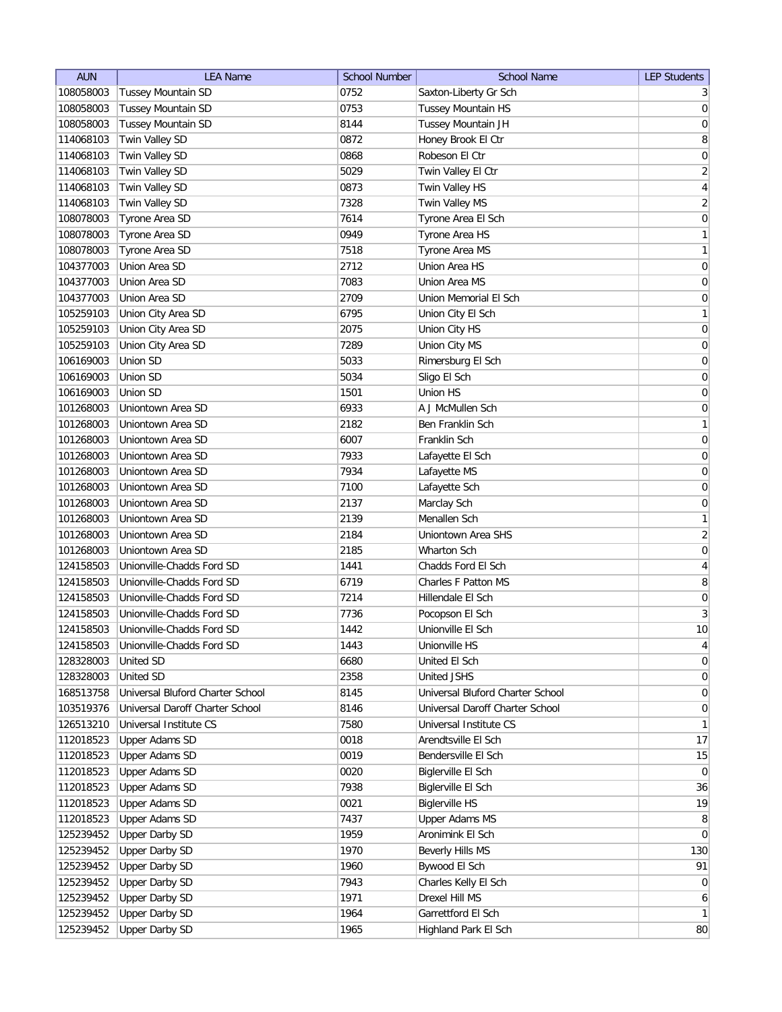| <b>AUN</b> | <b>LEA Name</b>                  | <b>School Number</b> | <b>School Name</b>               | <b>LEP Students</b> |
|------------|----------------------------------|----------------------|----------------------------------|---------------------|
| 108058003  | <b>Tussey Mountain SD</b>        | 0752                 | Saxton-Liberty Gr Sch            | 3                   |
| 108058003  | Tussey Mountain SD               | 0753                 | Tussey Mountain HS               | $\overline{0}$      |
| 108058003  | <b>Tussey Mountain SD</b>        | 8144                 | Tussey Mountain JH               | $\boldsymbol{0}$    |
| 114068103  | Twin Valley SD                   | 0872                 | Honey Brook El Ctr               | 8                   |
| 114068103  | Twin Valley SD                   | 0868                 | Robeson El Ctr                   | $\boldsymbol{0}$    |
| 114068103  | Twin Valley SD                   | 5029                 | Twin Valley El Ctr               | $\overline{2}$      |
| 114068103  | Twin Valley SD                   | 0873                 | Twin Valley HS                   | $\vert 4 \vert$     |
| 114068103  | Twin Valley SD                   | 7328                 | Twin Valley MS                   | $\overline{2}$      |
| 108078003  | Tyrone Area SD                   | 7614                 | Tyrone Area El Sch               | $\overline{0}$      |
| 108078003  | Tyrone Area SD                   | 0949                 | Tyrone Area HS                   | $\mathbf{1}$        |
| 108078003  | Tyrone Area SD                   | 7518                 | Tyrone Area MS                   | $\mathbf{1}$        |
| 104377003  | Union Area SD                    | 2712                 | Union Area HS                    | 0                   |
| 104377003  | Union Area SD                    | 7083                 | Union Area MS                    | 0                   |
| 104377003  | Union Area SD                    | 2709                 | Union Memorial El Sch            | 0                   |
| 105259103  | Union City Area SD               | 6795                 | Union City El Sch                | $\mathbf{1}$        |
| 105259103  | Union City Area SD               | 2075                 | Union City HS                    | $\overline{0}$      |
| 105259103  | Union City Area SD               | 7289                 | Union City MS                    | $\boldsymbol{0}$    |
| 106169003  | Union SD                         | 5033                 | Rimersburg El Sch                | 0                   |
|            |                                  |                      |                                  |                     |
| 106169003  | Union SD                         | 5034                 | Sligo El Sch                     | $\vert 0 \vert$     |
| 106169003  | Union SD                         | 1501                 | Union HS                         | $\boldsymbol{0}$    |
| 101268003  | Uniontown Area SD                | 6933                 | A J McMullen Sch                 | 0                   |
| 101268003  | Uniontown Area SD                | 2182                 | <b>Ben Franklin Sch</b>          | $\mathbf{1}$        |
| 101268003  | Uniontown Area SD                | 6007                 | Franklin Sch                     | $\boldsymbol{0}$    |
| 101268003  | Uniontown Area SD                | 7933                 | Lafayette El Sch                 | $\boldsymbol{0}$    |
| 101268003  | Uniontown Area SD                | 7934                 | Lafayette MS                     | $\boldsymbol{0}$    |
| 101268003  | Uniontown Area SD                | 7100                 | Lafayette Sch                    | $\overline{0}$      |
| 101268003  | Uniontown Area SD                | 2137                 | Marclay Sch                      | 0                   |
| 101268003  | Uniontown Area SD                | 2139                 | Menallen Sch                     | 1                   |
| 101268003  | Uniontown Area SD                | 2184                 | Uniontown Area SHS               | $\overline{2}$      |
| 101268003  | Uniontown Area SD                | 2185                 | Wharton Sch                      | 0                   |
| 124158503  | Unionville-Chadds Ford SD        | 1441                 | Chadds Ford El Sch               | 4                   |
| 124158503  | Unionville-Chadds Ford SD        | 6719                 | Charles F Patton MS              | 8                   |
| 124158503  | Unionville-Chadds Ford SD        | 7214                 | Hillendale El Sch                | 0                   |
| 124158503  | Unionville-Chadds Ford SD        | 7736                 | Pocopson El Sch                  | $\mathbf{3}$        |
| 124158503  | Unionville-Chadds Ford SD        | 1442                 | Unionville El Sch                | 10                  |
| 124158503  | Unionville-Chadds Ford SD        | 1443                 | Unionville HS                    | $\vert 4 \vert$     |
| 128328003  | United SD                        | 6680                 | United El Sch                    | 0                   |
| 128328003  | <b>United SD</b>                 | 2358                 | United JSHS                      | 0                   |
| 168513758  | Universal Bluford Charter School | 8145                 | Universal Bluford Charter School | $\overline{0}$      |
| 103519376  | Universal Daroff Charter School  | 8146                 | Universal Daroff Charter School  | $\overline{0}$      |
| 126513210  | Universal Institute CS           | 7580                 | Universal Institute CS           | $\mathbf{1}$        |
| 112018523  | Upper Adams SD                   | 0018                 | Arendtsville El Sch              | 17                  |
| 112018523  | <b>Upper Adams SD</b>            | 0019                 | Bendersville El Sch              | 15                  |
| 112018523  | <b>Upper Adams SD</b>            | 0020                 | Biglerville El Sch               | $\overline{0}$      |
| 112018523  | <b>Upper Adams SD</b>            | 7938                 | Biglerville El Sch               | 36                  |
| 112018523  | <b>Upper Adams SD</b>            | 0021                 | <b>Biglerville HS</b>            | 19                  |
| 112018523  | <b>Upper Adams SD</b>            | 7437                 | <b>Upper Adams MS</b>            | 8                   |
| 125239452  | <b>Upper Darby SD</b>            | 1959                 | Aronimink El Sch                 | 0                   |
| 125239452  | <b>Upper Darby SD</b>            | 1970                 | Beverly Hills MS                 | 130                 |
| 125239452  | <b>Upper Darby SD</b>            | 1960                 | Bywood El Sch                    | 91                  |
| 125239452  | <b>Upper Darby SD</b>            | 7943                 | Charles Kelly El Sch             | $\overline{0}$      |
| 125239452  | <b>Upper Darby SD</b>            | 1971                 | Drexel Hill MS                   | 6                   |
| 125239452  | <b>Upper Darby SD</b>            | 1964                 | Garrettford El Sch               | $\mathbf{1}$        |
| 125239452  | <b>Upper Darby SD</b>            | 1965                 | Highland Park El Sch             | 80                  |
|            |                                  |                      |                                  |                     |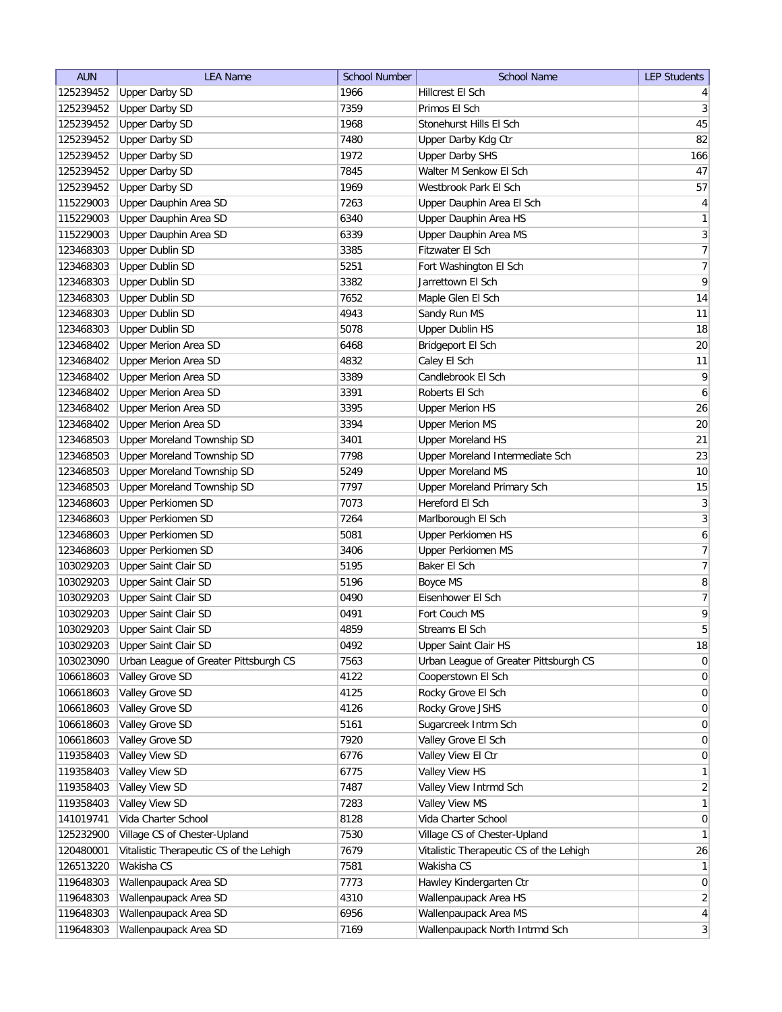| <b>AUN</b> | <b>LEA Name</b>                         | <b>School Number</b> | <b>School Name</b>                      | <b>LEP Students</b>     |
|------------|-----------------------------------------|----------------------|-----------------------------------------|-------------------------|
| 125239452  | <b>Upper Darby SD</b>                   | 1966                 | Hillcrest El Sch                        | $\vert 4 \vert$         |
| 125239452  | <b>Upper Darby SD</b>                   | 7359                 | Primos El Sch                           | $\vert 3 \vert$         |
| 125239452  | <b>Upper Darby SD</b>                   | 1968                 | Stonehurst Hills El Sch                 | 45                      |
| 125239452  | <b>Upper Darby SD</b>                   | 7480                 | Upper Darby Kdg Ctr                     | 82                      |
| 125239452  | <b>Upper Darby SD</b>                   | 1972                 | <b>Upper Darby SHS</b>                  | 166                     |
| 125239452  | <b>Upper Darby SD</b>                   | 7845                 | Walter M Senkow El Sch                  | 47                      |
| 125239452  | <b>Upper Darby SD</b>                   | 1969                 | Westbrook Park El Sch                   | 57                      |
| 115229003  | Upper Dauphin Area SD                   | 7263                 | Upper Dauphin Area El Sch               | $\vert 4 \vert$         |
| 115229003  | Upper Dauphin Area SD                   | 6340                 | Upper Dauphin Area HS                   | 1                       |
| 115229003  | Upper Dauphin Area SD                   | 6339                 | Upper Dauphin Area MS                   | $\overline{\mathbf{3}}$ |
| 123468303  | <b>Upper Dublin SD</b>                  | 3385                 | Fitzwater El Sch                        | $\overline{7}$          |
| 123468303  | <b>Upper Dublin SD</b>                  | 5251                 | Fort Washington El Sch                  | 7                       |
| 123468303  | <b>Upper Dublin SD</b>                  | 3382                 | Jarrettown El Sch                       | $\vert 9 \vert$         |
| 123468303  | <b>Upper Dublin SD</b>                  | 7652                 | Maple Glen El Sch                       | 14                      |
| 123468303  | <b>Upper Dublin SD</b>                  | 4943                 | Sandy Run MS                            | 11                      |
| 123468303  | <b>Upper Dublin SD</b>                  | 5078                 | <b>Upper Dublin HS</b>                  | 18                      |
| 123468402  | Upper Merion Area SD                    | 6468                 | Bridgeport El Sch                       | $20\,$                  |
| 123468402  | <b>Upper Merion Area SD</b>             | 4832                 | Caley El Sch                            | 11                      |
| 123468402  | <b>Upper Merion Area SD</b>             | 3389                 | Candlebrook El Sch                      | $\mathsf{q}$            |
| 123468402  | Upper Merion Area SD                    | 3391                 | Roberts El Sch                          | $\boldsymbol{6}$        |
| 123468402  | Upper Merion Area SD                    | 3395                 | <b>Upper Merion HS</b>                  | 26                      |
| 123468402  | <b>Upper Merion Area SD</b>             | 3394                 | <b>Upper Merion MS</b>                  | 20                      |
| 123468503  | Upper Moreland Township SD              | 3401                 | <b>Upper Moreland HS</b>                | 21                      |
| 123468503  | Upper Moreland Township SD              | 7798                 | Upper Moreland Intermediate Sch         | 23                      |
| 123468503  | Upper Moreland Township SD              | 5249                 | <b>Upper Moreland MS</b>                | 10                      |
| 123468503  | Upper Moreland Township SD              | 7797                 | Upper Moreland Primary Sch              | 15                      |
| 123468603  | <b>Upper Perkiomen SD</b>               | 7073                 | Hereford El Sch                         | $\overline{3}$          |
| 123468603  | Upper Perkiomen SD                      | 7264                 | Marlborough El Sch                      | $\overline{3}$          |
| 123468603  | <b>Upper Perkiomen SD</b>               | 5081                 | Upper Perkiomen HS                      | 6                       |
| 123468603  | <b>Upper Perkiomen SD</b>               | 3406                 | Upper Perkiomen MS                      | $\overline{7}$          |
| 103029203  | Upper Saint Clair SD                    | 5195                 | Baker El Sch                            | $\overline{7}$          |
| 103029203  | Upper Saint Clair SD                    | 5196                 | Boyce MS                                | 8                       |
| 103029203  | Upper Saint Clair SD                    | 0490                 | Eisenhower El Sch                       | $\overline{7}$          |
| 103029203  | Upper Saint Clair SD                    | 0491                 | Fort Couch MS                           | $\overline{9}$          |
| 103029203  | Upper Saint Clair SD                    | 4859                 | Streams El Sch                          | 5                       |
| 103029203  | Upper Saint Clair SD                    | 0492                 | Upper Saint Clair HS                    | 18                      |
| 103023090  | Urban League of Greater Pittsburgh CS   | 7563                 | Urban League of Greater Pittsburgh CS   | 0                       |
| 106618603  | Valley Grove SD                         | 4122                 | Cooperstown El Sch                      | 0                       |
| 106618603  | Valley Grove SD                         | 4125                 | Rocky Grove El Sch                      | 0                       |
| 106618603  | Valley Grove SD                         | 4126                 | Rocky Grove JSHS                        | $\overline{0}$          |
| 106618603  | Valley Grove SD                         | 5161                 | Sugarcreek Intrm Sch                    | $\overline{0}$          |
| 106618603  | Valley Grove SD                         | 7920                 | Valley Grove El Sch                     | $\overline{0}$          |
| 119358403  | Valley View SD                          | 6776                 | Valley View El Ctr                      | 0                       |
| 119358403  | Valley View SD                          | 6775                 | Valley View HS                          | 1                       |
| 119358403  | Valley View SD                          | 7487                 | Valley View Intrmd Sch                  | $\overline{2}$          |
| 119358403  | Valley View SD                          | 7283                 | Valley View MS                          | $\mathbf{1}$            |
| 141019741  | Vida Charter School                     | 8128                 | Vida Charter School                     | $\overline{0}$          |
| 125232900  | Village CS of Chester-Upland            | 7530                 | Village CS of Chester-Upland            | 1                       |
| 120480001  | Vitalistic Therapeutic CS of the Lehigh | 7679                 | Vitalistic Therapeutic CS of the Lehigh | 26                      |
| 126513220  | Wakisha CS                              | 7581                 | Wakisha CS                              | 1                       |
| 119648303  | Wallenpaupack Area SD                   | 7773                 | Hawley Kindergarten Ctr                 | $\overline{0}$          |
| 119648303  | Wallenpaupack Area SD                   | 4310                 | Wallenpaupack Area HS                   | $\overline{2}$          |
| 119648303  | Wallenpaupack Area SD                   | 6956                 | Wallenpaupack Area MS                   | $\vert 4 \vert$         |
| 119648303  | Wallenpaupack Area SD                   | 7169                 | Wallenpaupack North Intrmd Sch          | $\vert 3 \vert$         |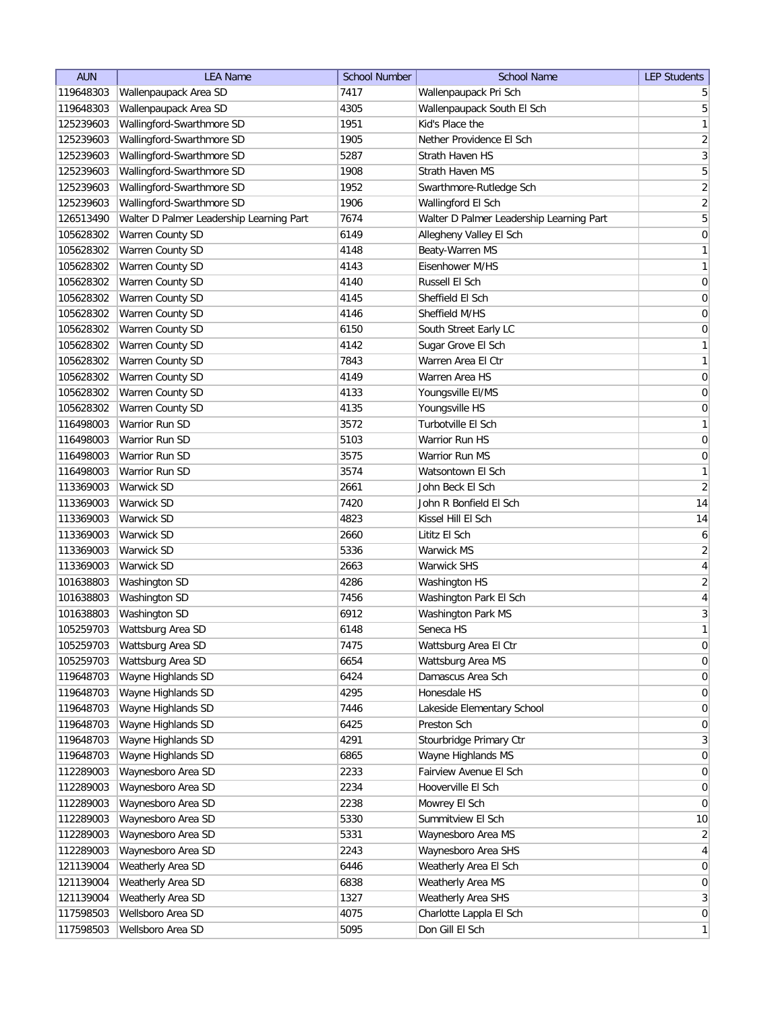| <b>AUN</b> | <b>LEA Name</b>                          | <b>School Number</b> | <b>School Name</b>                       | <b>LEP Students</b> |
|------------|------------------------------------------|----------------------|------------------------------------------|---------------------|
| 119648303  | Wallenpaupack Area SD                    | 7417                 | Wallenpaupack Pri Sch                    | 5                   |
| 119648303  | Wallenpaupack Area SD                    | 4305                 | Wallenpaupack South El Sch               | $\overline{5}$      |
| 125239603  | Wallingford-Swarthmore SD                | 1951                 | Kid's Place the                          | $\mathbf{1}$        |
| 125239603  | Wallingford-Swarthmore SD                | 1905                 | Nether Providence El Sch                 | $\sqrt{2}$          |
| 125239603  | Wallingford-Swarthmore SD                | 5287                 | Strath Haven HS                          | $\overline{3}$      |
| 125239603  | Wallingford-Swarthmore SD                | 1908                 | Strath Haven MS                          | 5                   |
| 125239603  | Wallingford-Swarthmore SD                | 1952                 | Swarthmore-Rutledge Sch                  | $\overline{2}$      |
| 125239603  | Wallingford-Swarthmore SD                | 1906                 | Wallingford El Sch                       | $\overline{2}$      |
| 126513490  | Walter D Palmer Leadership Learning Part | 7674                 | Walter D Palmer Leadership Learning Part | $\sqrt{5}$          |
| 105628302  | Warren County SD                         | 6149                 | Allegheny Valley El Sch                  | $\boldsymbol{0}$    |
| 105628302  | Warren County SD                         | 4148                 | Beaty-Warren MS                          | $\mathbf{1}$        |
| 105628302  | Warren County SD                         | 4143                 | Eisenhower M/HS                          | $\mathbf{1}$        |
| 105628302  | <b>Warren County SD</b>                  | 4140                 | Russell El Sch                           | 0                   |
| 105628302  | Warren County SD                         | 4145                 | Sheffield El Sch                         | 0                   |
| 105628302  | Warren County SD                         | 4146                 | Sheffield M/HS                           | 0                   |
| 105628302  | Warren County SD                         | 6150                 | South Street Early LC                    | 0                   |
| 105628302  | Warren County SD                         | 4142                 | Sugar Grove El Sch                       | $\mathbf{1}$        |
| 105628302  | Warren County SD                         | 7843                 | Warren Area El Ctr                       | $\mathbf{1}$        |
| 105628302  | Warren County SD                         | 4149                 | Warren Area HS                           | $\mathsf{O}\xspace$ |
| 105628302  | Warren County SD                         | 4133                 | Youngsville EI/MS                        | $\mathsf{O}\xspace$ |
| 105628302  | Warren County SD                         | 4135                 | Youngsville HS                           | $\mathsf{O}\xspace$ |
| 116498003  | <b>Warrior Run SD</b>                    | 3572                 | Turbotville El Sch                       | $\mathbf{1}$        |
| 116498003  | Warrior Run SD                           | 5103                 | Warrior Run HS                           | $\mathsf{O}\xspace$ |
| 116498003  | Warrior Run SD                           | 3575                 | Warrior Run MS                           | $\boldsymbol{0}$    |
| 116498003  | Warrior Run SD                           | 3574                 | Watsontown El Sch                        | $\mathbf{1}$        |
| 113369003  | Warwick SD                               | 2661                 | John Beck El Sch                         | $\overline{2}$      |
| 113369003  | Warwick SD                               | 7420                 | John R Bonfield El Sch                   | 14                  |
| 113369003  | Warwick SD                               | 4823                 | Kissel Hill El Sch                       | 14                  |
| 113369003  | Warwick SD                               | 2660                 | Lititz El Sch                            | 6                   |
| 113369003  | Warwick SD                               | 5336                 | Warwick MS                               | $\overline{2}$      |
| 113369003  | Warwick SD                               | 2663                 | <b>Warwick SHS</b>                       | $\overline{4}$      |
| 101638803  | Washington SD                            | 4286                 | Washington HS                            | $\overline{2}$      |
| 101638803  | Washington SD                            | 7456                 | Washington Park El Sch                   | $\overline{4}$      |
| 101638803  | Washington SD                            | 6912                 | Washington Park MS                       | $\mathbf{3}$        |
| 105259703  | Wattsburg Area SD                        | 6148                 | Seneca HS                                | $\mathbf{1}$        |
| 105259703  | Wattsburg Area SD                        | 7475                 | Wattsburg Area El Ctr                    | $\pmb{0}$           |
| 105259703  | Wattsburg Area SD                        | 6654                 | Wattsburg Area MS                        | $\boldsymbol{0}$    |
| 119648703  | Wayne Highlands SD                       | 6424                 | Damascus Area Sch                        | $\boldsymbol{0}$    |
| 119648703  | Wayne Highlands SD                       | 4295                 | Honesdale HS                             | $\boldsymbol{0}$    |
| 119648703  | Wayne Highlands SD                       | 7446                 | Lakeside Elementary School               | $\boldsymbol{0}$    |
| 119648703  | Wayne Highlands SD                       | 6425                 | Preston Sch                              | $\boldsymbol{0}$    |
| 119648703  | Wayne Highlands SD                       | 4291                 | Stourbridge Primary Ctr                  | $\mathbf{3}$        |
| 119648703  | Wayne Highlands SD                       | 6865                 | Wayne Highlands MS                       | $\boldsymbol{0}$    |
| 112289003  | Waynesboro Area SD                       | 2233                 | Fairview Avenue El Sch                   | $\overline{0}$      |
| 112289003  | Waynesboro Area SD                       | 2234                 | Hooverville El Sch                       | $\overline{0}$      |
| 112289003  | Waynesboro Area SD                       | 2238                 | Mowrey El Sch                            | $\overline{0}$      |
| 112289003  | Waynesboro Area SD                       | 5330                 | Summitview El Sch                        | 10                  |
| 112289003  | Waynesboro Area SD                       | 5331                 | Waynesboro Area MS                       | $\overline{2}$      |
| 112289003  | Waynesboro Area SD                       | 2243                 | Waynesboro Area SHS                      | $\overline{4}$      |
| 121139004  | Weatherly Area SD                        | 6446                 | Weatherly Area El Sch                    | $\boldsymbol{0}$    |
| 121139004  | Weatherly Area SD                        | 6838                 | Weatherly Area MS                        | $\boldsymbol{0}$    |
| 121139004  | Weatherly Area SD                        | 1327                 | Weatherly Area SHS                       | $\mathbf{3}$        |
| 117598503  | Wellsboro Area SD                        | 4075                 | Charlotte Lappla El Sch                  | $\overline{0}$      |
| 117598503  | Wellsboro Area SD                        | 5095                 | Don Gill El Sch                          | $\mathbf{1}$        |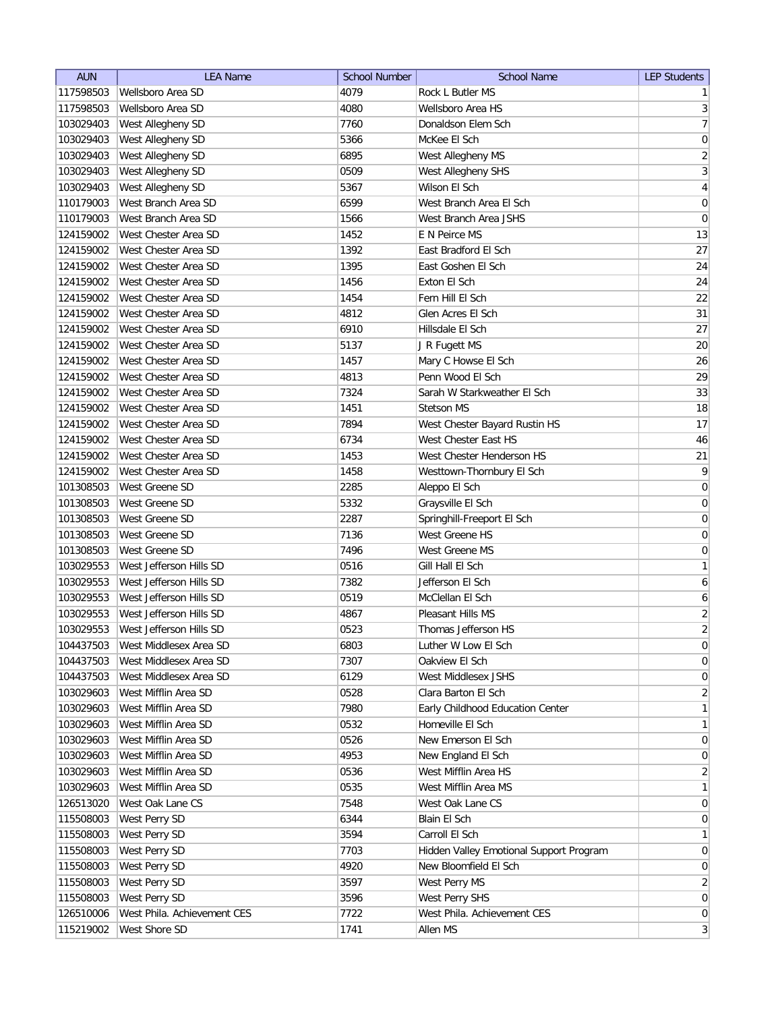| <b>AUN</b> | <b>LEA Name</b>             | School Number | <b>School Name</b>                      | <b>LEP Students</b> |
|------------|-----------------------------|---------------|-----------------------------------------|---------------------|
| 117598503  | Wellsboro Area SD           | 4079          | Rock L Butler MS                        | 1 <sup>1</sup>      |
| 117598503  | Wellsboro Area SD           | 4080          | Wellsboro Area HS                       | $\vert 3 \vert$     |
| 103029403  | West Allegheny SD           | 7760          | Donaldson Elem Sch                      | $\overline{7}$      |
| 103029403  | West Allegheny SD           | 5366          | McKee El Sch                            | 0                   |
| 103029403  | West Allegheny SD           | 6895          | West Allegheny MS                       | $\overline{2}$      |
| 103029403  | West Allegheny SD           | 0509          | West Allegheny SHS                      | $\overline{3}$      |
| 103029403  | West Allegheny SD           | 5367          | Wilson El Sch                           | $\overline{4}$      |
| 110179003  | West Branch Area SD         | 6599          | West Branch Area El Sch                 | $\boldsymbol{0}$    |
| 110179003  | West Branch Area SD         | 1566          | West Branch Area JSHS                   | $\boldsymbol{0}$    |
| 124159002  | West Chester Area SD        | 1452          | E N Peirce MS                           | 13                  |
| 124159002  | West Chester Area SD        | 1392          | East Bradford El Sch                    | 27                  |
| 124159002  | West Chester Area SD        | 1395          | East Goshen El Sch                      | 24                  |
| 124159002  | West Chester Area SD        | 1456          | Exton El Sch                            | 24                  |
| 124159002  | West Chester Area SD        | 1454          | Fern Hill El Sch                        | 22                  |
| 124159002  | West Chester Area SD        | 4812          | Glen Acres El Sch                       | 31                  |
| 124159002  | West Chester Area SD        | 6910          | Hillsdale El Sch                        | 27                  |
| 124159002  | West Chester Area SD        | 5137          | J R Fugett MS                           | 20                  |
| 124159002  | West Chester Area SD        | 1457          | Mary C Howse El Sch                     | 26                  |
| 124159002  | West Chester Area SD        | 4813          | Penn Wood El Sch                        | 29                  |
| 124159002  | West Chester Area SD        | 7324          | Sarah W Starkweather El Sch             | 33                  |
| 124159002  | West Chester Area SD        | 1451          | <b>Stetson MS</b>                       | 18                  |
| 124159002  | West Chester Area SD        | 7894          | West Chester Bayard Rustin HS           | 17                  |
| 124159002  | West Chester Area SD        | 6734          | West Chester East HS                    | 46                  |
| 124159002  | West Chester Area SD        | 1453          | West Chester Henderson HS               | 21                  |
| 124159002  | West Chester Area SD        | 1458          | Westtown-Thornbury El Sch               | $\overline{9}$      |
| 101308503  | West Greene SD              | 2285          | Aleppo El Sch                           | $\boldsymbol{0}$    |
| 101308503  | West Greene SD              | 5332          | Graysville El Sch                       | $\boldsymbol{0}$    |
| 101308503  | West Greene SD              | 2287          | Springhill-Freeport El Sch              | $\boldsymbol{0}$    |
| 101308503  | West Greene SD              | 7136          | West Greene HS                          | 0                   |
| 101308503  | West Greene SD              | 7496          | West Greene MS                          | 0                   |
| 103029553  | West Jefferson Hills SD     | 0516          | Gill Hall El Sch                        | 1                   |
| 103029553  | West Jefferson Hills SD     | 7382          | Jefferson El Sch                        | 6                   |
| 103029553  | West Jefferson Hills SD     | 0519          | McClellan El Sch                        | 6                   |
| 103029553  | West Jefferson Hills SD     | 4867          | Pleasant Hills MS                       | $\overline{2}$      |
| 103029553  | West Jefferson Hills SD     | 0523          | Thomas Jefferson HS                     | $\overline{2}$      |
| 104437503  | West Middlesex Area SD      | 6803          | Luther W Low El Sch                     | 0                   |
| 104437503  | West Middlesex Area SD      | 7307          | Oakview El Sch                          | 0                   |
| 104437503  | West Middlesex Area SD      | 6129          | West Middlesex JSHS                     | $\vert 0 \vert$     |
| 103029603  | West Mifflin Area SD        | 0528          | Clara Barton El Sch                     | $\overline{2}$      |
| 103029603  | West Mifflin Area SD        | 7980          | Early Childhood Education Center        | $\mathbf{1}$        |
| 103029603  | West Mifflin Area SD        | 0532          | Homeville El Sch                        | $\mathbf{1}$        |
| 103029603  | West Mifflin Area SD        | 0526          | New Emerson El Sch                      | 0                   |
| 103029603  | West Mifflin Area SD        | 4953          | New England El Sch                      | $\vert 0 \vert$     |
| 103029603  | West Mifflin Area SD        | 0536          | West Mifflin Area HS                    | $\overline{2}$      |
| 103029603  | West Mifflin Area SD        | 0535          | West Mifflin Area MS                    | $\mathbf{1}$        |
| 126513020  | West Oak Lane CS            | 7548          | West Oak Lane CS                        | $\overline{0}$      |
| 115508003  | West Perry SD               | 6344          | Blain El Sch                            | $\overline{0}$      |
| 115508003  | West Perry SD               | 3594          | Carroll El Sch                          | 1                   |
| 115508003  | West Perry SD               | 7703          | Hidden Valley Emotional Support Program | $\overline{0}$      |
| 115508003  | West Perry SD               | 4920          | New Bloomfield El Sch                   | $\overline{0}$      |
| 115508003  | West Perry SD               | 3597          | West Perry MS                           | 2 <sup>2</sup>      |
| 115508003  | West Perry SD               | 3596          | West Perry SHS                          | $\overline{0}$      |
| 126510006  | West Phila. Achievement CES | 7722          | West Phila. Achievement CES             | $\overline{0}$      |
| 115219002  | West Shore SD               | 1741          | Allen MS                                | 3                   |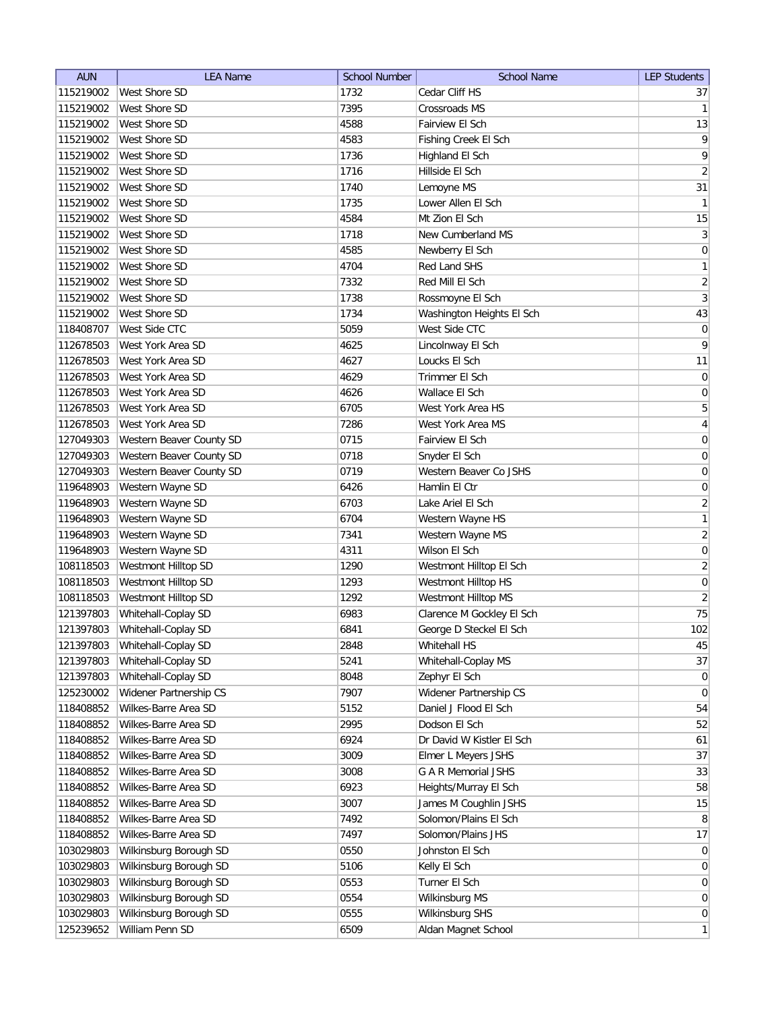| <b>AUN</b> | <b>LEA Name</b>          | <b>School Number</b> | <b>School Name</b>        | <b>LEP Students</b> |
|------------|--------------------------|----------------------|---------------------------|---------------------|
| 115219002  | West Shore SD            | 1732                 | Cedar Cliff HS            | 37                  |
| 115219002  | West Shore SD            | 7395                 | <b>Crossroads MS</b>      | 1                   |
| 115219002  | West Shore SD            | 4588                 | Fairview El Sch           | 13                  |
| 115219002  | West Shore SD            | 4583                 | Fishing Creek El Sch      | $\overline{9}$      |
| 115219002  | West Shore SD            | 1736                 | Highland El Sch           | 9                   |
| 115219002  | West Shore SD            | 1716                 | Hillside El Sch           | $\left  \right $    |
| 115219002  | West Shore SD            | 1740                 | Lemoyne MS                | 31                  |
| 115219002  | West Shore SD            | 1735                 | Lower Allen El Sch        | $\mathbf{1}$        |
| 115219002  | West Shore SD            | 4584                 | Mt Zion El Sch            | 15                  |
| 115219002  | <b>West Shore SD</b>     | 1718                 | New Cumberland MS         | $\overline{3}$      |
| 115219002  | <b>West Shore SD</b>     | 4585                 | Newberry El Sch           | $\boldsymbol{0}$    |
| 115219002  | West Shore SD            | 4704                 | Red Land SHS              | $\mathbf{1}$        |
| 115219002  | <b>West Shore SD</b>     | 7332                 | Red Mill El Sch           | $\overline{2}$      |
| 115219002  | <b>West Shore SD</b>     | 1738                 | Rossmoyne El Sch          | $\overline{3}$      |
| 115219002  | West Shore SD            | 1734                 | Washington Heights El Sch | 43                  |
| 118408707  | West Side CTC            | 5059                 | West Side CTC             | $\overline{0}$      |
| 112678503  | West York Area SD        | 4625                 | Lincolnway El Sch         | 9                   |
| 112678503  | West York Area SD        | 4627                 | Loucks El Sch             | 11                  |
| 112678503  | West York Area SD        | 4629                 | Trimmer El Sch            | 0                   |
| 112678503  | West York Area SD        | 4626                 | Wallace El Sch            | $\vert 0 \vert$     |
| 112678503  | West York Area SD        | 6705                 | West York Area HS         | $\overline{5}$      |
| 112678503  | West York Area SD        | 7286                 | West York Area MS         | $\vert 4 \vert$     |
| 127049303  | Western Beaver County SD | 0715                 | Fairview El Sch           | 0                   |
| 127049303  | Western Beaver County SD | 0718                 | Snyder El Sch             | $\boldsymbol{0}$    |
| 127049303  | Western Beaver County SD | 0719                 | Western Beaver Co JSHS    | $\boldsymbol{0}$    |
| 119648903  | Western Wayne SD         | 6426                 | Hamlin El Ctr             | $\boldsymbol{0}$    |
| 119648903  | Western Wayne SD         | 6703                 | Lake Ariel El Sch         | $\overline{2}$      |
| 119648903  | Western Wayne SD         | 6704                 | Western Wayne HS          | 1                   |
| 119648903  | Western Wayne SD         | 7341                 | Western Wayne MS          | $\overline{2}$      |
| 119648903  | Western Wayne SD         | 4311                 | Wilson El Sch             | $\boldsymbol{0}$    |
| 108118503  | Westmont Hilltop SD      | 1290                 | Westmont Hilltop El Sch   | $\overline{2}$      |
| 108118503  | Westmont Hilltop SD      | 1293                 | Westmont Hilltop HS       | 0                   |
| 108118503  | Westmont Hilltop SD      | 1292                 | Westmont Hilltop MS       | $\left  \right $    |
| 121397803  | Whitehall-Coplay SD      | 6983                 | Clarence M Gockley El Sch | 75                  |
| 121397803  | Whitehall-Coplay SD      | 6841                 | George D Steckel El Sch   | 102                 |
| 121397803  | Whitehall-Coplay SD      | 2848                 | Whitehall HS              | 45                  |
| 121397803  | Whitehall-Coplay SD      | 5241                 | Whitehall-Coplay MS       | 37                  |
| 121397803  | Whitehall-Coplay SD      | 8048                 | Zephyr El Sch             | 0                   |
| 125230002  | Widener Partnership CS   | 7907                 | Widener Partnership CS    | $\overline{0}$      |
| 118408852  | Wilkes-Barre Area SD     | 5152                 | Daniel J Flood El Sch     | 54                  |
| 118408852  | Wilkes-Barre Area SD     | 2995                 | Dodson El Sch             | 52                  |
| 118408852  | Wilkes-Barre Area SD     | 6924                 | Dr David W Kistler El Sch | 61                  |
| 118408852  | Wilkes-Barre Area SD     | 3009                 | Elmer L Meyers JSHS       | 37                  |
| 118408852  | Wilkes-Barre Area SD     | 3008                 | G A R Memorial JSHS       | 33                  |
| 118408852  | Wilkes-Barre Area SD     | 6923                 | Heights/Murray El Sch     | 58                  |
| 118408852  | Wilkes-Barre Area SD     | 3007                 | James M Coughlin JSHS     | 15                  |
| 118408852  | Wilkes-Barre Area SD     | 7492                 | Solomon/Plains El Sch     | 8                   |
| 118408852  | Wilkes-Barre Area SD     | 7497                 | Solomon/Plains JHS        | 17                  |
| 103029803  | Wilkinsburg Borough SD   | 0550                 | Johnston El Sch           | 0                   |
| 103029803  | Wilkinsburg Borough SD   | 5106                 | Kelly El Sch              | $\overline{0}$      |
| 103029803  | Wilkinsburg Borough SD   | 0553                 | Turner El Sch             | $\overline{0}$      |
| 103029803  | Wilkinsburg Borough SD   | 0554                 | Wilkinsburg MS            | $\overline{0}$      |
| 103029803  | Wilkinsburg Borough SD   | 0555                 | Wilkinsburg SHS           | $\overline{0}$      |
| 125239652  | William Penn SD          | 6509                 | Aldan Magnet School       | 1                   |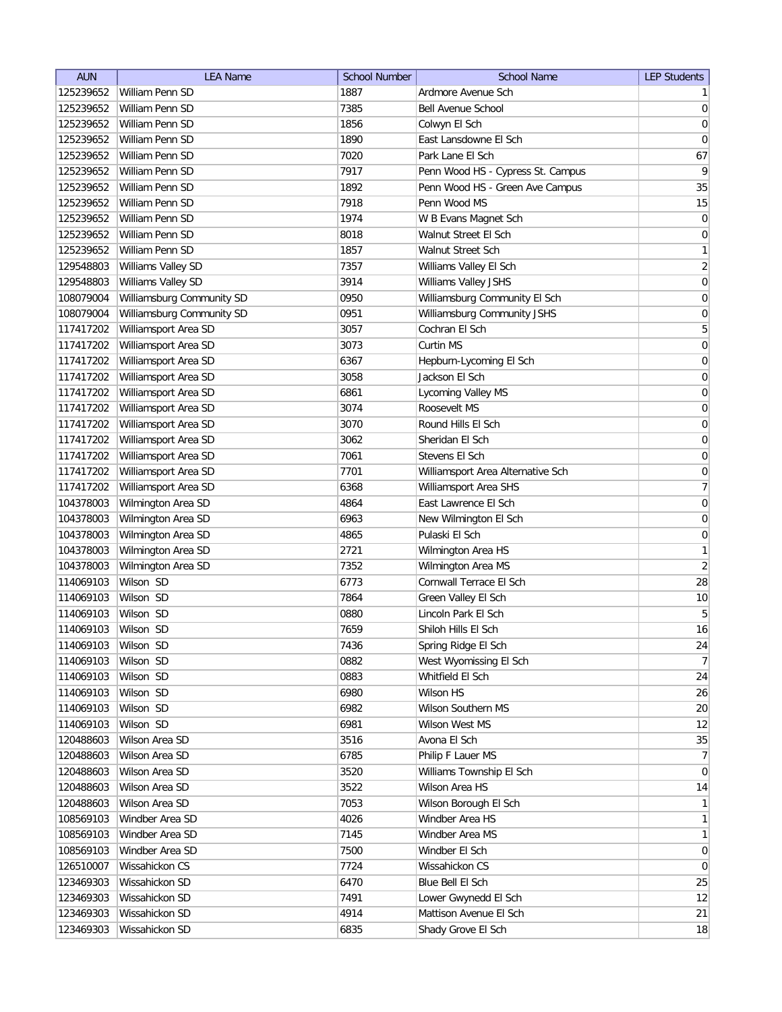| <b>AUN</b> | <b>LEA Name</b>           | <b>School Number</b> | <b>School Name</b>                | <b>LEP Students</b> |
|------------|---------------------------|----------------------|-----------------------------------|---------------------|
| 125239652  | William Penn SD           | 1887                 | Ardmore Avenue Sch                | 1                   |
| 125239652  | William Penn SD           | 7385                 | <b>Bell Avenue School</b>         | 0                   |
| 125239652  | William Penn SD           | 1856                 | Colwyn El Sch                     | 0                   |
| 125239652  | William Penn SD           | 1890                 | East Lansdowne El Sch             | $\boldsymbol{0}$    |
| 125239652  | William Penn SD           | 7020                 | Park Lane El Sch                  | 67                  |
| 125239652  | William Penn SD           | 7917                 | Penn Wood HS - Cypress St. Campus | $\vert 9 \vert$     |
| 125239652  | William Penn SD           | 1892                 | Penn Wood HS - Green Ave Campus   | 35                  |
| 125239652  | William Penn SD           | 7918                 | Penn Wood MS                      | 15                  |
| 125239652  | William Penn SD           | 1974                 | W B Evans Magnet Sch              | $\boldsymbol{0}$    |
| 125239652  | William Penn SD           | 8018                 | Walnut Street El Sch              | $\boldsymbol{0}$    |
| 125239652  | William Penn SD           | 1857                 | Walnut Street Sch                 | $\mathbf{1}$        |
| 129548803  | Williams Valley SD        | 7357                 | Williams Valley El Sch            | $\overline{2}$      |
| 129548803  | Williams Valley SD        | 3914                 | Williams Valley JSHS              | $\boldsymbol{0}$    |
| 108079004  | Williamsburg Community SD | 0950                 | Williamsburg Community El Sch     | 0                   |
| 108079004  | Williamsburg Community SD | 0951                 | Williamsburg Community JSHS       | 0                   |
| 117417202  | Williamsport Area SD      | 3057                 | Cochran El Sch                    | 5                   |
| 117417202  | Williamsport Area SD      | 3073                 | Curtin MS                         | $\boldsymbol{0}$    |
| 117417202  | Williamsport Area SD      | 6367                 | Hepburn-Lycoming El Sch           | $\boldsymbol{0}$    |
| 117417202  | Williamsport Area SD      | 3058                 | Jackson El Sch                    | 0                   |
| 117417202  | Williamsport Area SD      | 6861                 | Lycoming Valley MS                | $\vert 0 \vert$     |
| 117417202  | Williamsport Area SD      | 3074                 | Roosevelt MS                      | $\boldsymbol{0}$    |
| 117417202  | Williamsport Area SD      | 3070                 | Round Hills El Sch                | $\boldsymbol{0}$    |
| 117417202  | Williamsport Area SD      | 3062                 | Sheridan El Sch                   | $\boldsymbol{0}$    |
| 117417202  | Williamsport Area SD      | 7061                 | Stevens El Sch                    | $\boldsymbol{0}$    |
| 117417202  | Williamsport Area SD      | 7701                 | Williamsport Area Alternative Sch | $\boldsymbol{0}$    |
| 117417202  | Williamsport Area SD      | 6368                 | Williamsport Area SHS             | 7                   |
| 104378003  | Wilmington Area SD        | 4864                 | East Lawrence El Sch              | $\boldsymbol{0}$    |
| 104378003  | Wilmington Area SD        | 6963                 | New Wilmington El Sch             | $\boldsymbol{0}$    |
| 104378003  | Wilmington Area SD        | 4865                 | Pulaski El Sch                    | 0                   |
| 104378003  | Wilmington Area SD        | 2721                 | Wilmington Area HS                | $\mathbf{1}$        |
| 104378003  | Wilmington Area SD        | 7352                 | Wilmington Area MS                | $\overline{2}$      |
| 114069103  | Wilson SD                 | 6773                 | Cornwall Terrace El Sch           | 28                  |
| 114069103  | Wilson SD                 | 7864                 | Green Valley El Sch               | 10                  |
| 114069103  | Wilson SD                 | 0880                 | Lincoln Park El Sch               | $\overline{5}$      |
| 114069103  | Wilson SD                 | 7659                 | Shiloh Hills El Sch               | 16                  |
| 114069103  | Wilson SD                 | 7436                 | Spring Ridge El Sch               | 24                  |
| 114069103  | Wilson SD                 | 0882                 | West Wyomissing El Sch            | 7                   |
| 114069103  | Wilson SD                 | 0883                 | Whitfield El Sch                  | 24                  |
| 114069103  | Wilson SD                 | 6980                 | Wilson HS                         | 26                  |
| 114069103  | Wilson SD                 | 6982                 | Wilson Southern MS                | 20                  |
| 114069103  | Wilson SD                 | 6981                 | <b>Wilson West MS</b>             | 12                  |
| 120488603  | Wilson Area SD            | 3516                 | Avona El Sch                      | 35                  |
| 120488603  | Wilson Area SD            | 6785                 | Philip F Lauer MS                 | 7                   |
| 120488603  | Wilson Area SD            | 3520                 | Williams Township El Sch          | $\overline{0}$      |
| 120488603  | Wilson Area SD            | 3522                 | Wilson Area HS                    | 14                  |
| 120488603  | Wilson Area SD            | 7053                 | Wilson Borough El Sch             | 1                   |
| 108569103  | Windber Area SD           | 4026                 | Windber Area HS                   | 1                   |
| 108569103  | Windber Area SD           | 7145                 | Windber Area MS                   | $\mathbf{1}$        |
| 108569103  | Windber Area SD           | 7500                 | Windber El Sch                    | 0                   |
| 126510007  | Wissahickon CS            | 7724                 | Wissahickon CS                    | $\overline{0}$      |
| 123469303  | Wissahickon SD            | 6470                 | Blue Bell El Sch                  | 25                  |
| 123469303  | Wissahickon SD            | 7491                 | Lower Gwynedd El Sch              | 12                  |
| 123469303  | Wissahickon SD            | 4914                 | Mattison Avenue El Sch            | 21                  |
| 123469303  | Wissahickon SD            | 6835                 |                                   | 18                  |
|            |                           |                      | Shady Grove El Sch                |                     |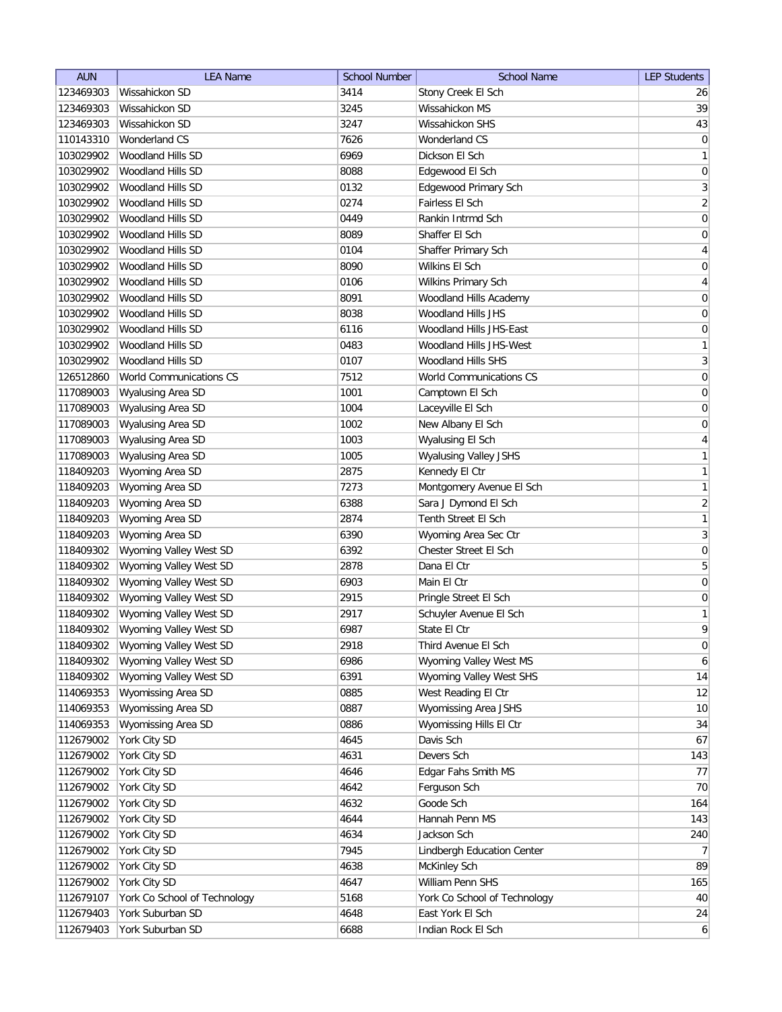| <b>AUN</b> | <b>LEA Name</b>              | <b>School Number</b> | <b>School Name</b>           | <b>LEP Students</b> |
|------------|------------------------------|----------------------|------------------------------|---------------------|
| 123469303  | Wissahickon SD               | 3414                 | Stony Creek El Sch           | 26                  |
| 123469303  | Wissahickon SD               | 3245                 | Wissahickon MS               | 39                  |
| 123469303  | Wissahickon SD               | 3247                 | Wissahickon SHS              | 43                  |
| 110143310  | Wonderland CS                | 7626                 | Wonderland CS                | 0                   |
| 103029902  | Woodland Hills SD            | 6969                 | Dickson El Sch               | $\mathbf{1}$        |
| 103029902  | Woodland Hills SD            | 8088                 | Edgewood El Sch              | 0                   |
| 103029902  | Woodland Hills SD            | 0132                 | Edgewood Primary Sch         | $\mathbf{3}$        |
| 103029902  | Woodland Hills SD            | 0274                 | Fairless El Sch              | $\overline{2}$      |
| 103029902  | Woodland Hills SD            | 0449                 | Rankin Intrmd Sch            | $\boldsymbol{0}$    |
| 103029902  | <b>Woodland Hills SD</b>     | 8089                 | Shaffer El Sch               | $\boldsymbol{0}$    |
| 103029902  | <b>Woodland Hills SD</b>     | 0104                 | Shaffer Primary Sch          | 4                   |
| 103029902  | Woodland Hills SD            | 8090                 | Wilkins El Sch               | 0                   |
| 103029902  | Woodland Hills SD            | 0106                 | Wilkins Primary Sch          | 4                   |
| 103029902  | <b>Woodland Hills SD</b>     | 8091                 | Woodland Hills Academy       | 0                   |
| 103029902  | Woodland Hills SD            | 8038                 | Woodland Hills JHS           | 0                   |
| 103029902  | Woodland Hills SD            | 6116                 | Woodland Hills JHS-East      | 0                   |
| 103029902  | Woodland Hills SD            | 0483                 | Woodland Hills JHS-West      | $\mathbf{1}$        |
| 103029902  | <b>Woodland Hills SD</b>     | 0107                 | <b>Woodland Hills SHS</b>    | $\overline{3}$      |
| 126512860  | World Communications CS      | 7512                 | World Communications CS      | 0                   |
| 117089003  | Wyalusing Area SD            | 1001                 | Camptown El Sch              | $\vert 0 \vert$     |
| 117089003  | Wyalusing Area SD            | 1004                 | Laceyville El Sch            | $\boldsymbol{0}$    |
| 117089003  | Wyalusing Area SD            | 1002                 | New Albany El Sch            | $\boldsymbol{0}$    |
| 117089003  | Wyalusing Area SD            | 1003                 | Wyalusing El Sch             | $\overline{4}$      |
| 117089003  | Wyalusing Area SD            | 1005                 | <b>Wyalusing Valley JSHS</b> | 1                   |
| 118409203  | Wyoming Area SD              | 2875                 | Kennedy El Ctr               | 1                   |
| 118409203  | Wyoming Area SD              | 7273                 | Montgomery Avenue El Sch     | 1                   |
| 118409203  | Wyoming Area SD              | 6388                 | Sara J Dymond El Sch         | $\overline{2}$      |
| 118409203  | Wyoming Area SD              | 2874                 | Tenth Street El Sch          | 1                   |
| 118409203  | Wyoming Area SD              | 6390                 | Wyoming Area Sec Ctr         | $\overline{3}$      |
| 118409302  | Wyoming Valley West SD       | 6392                 | Chester Street El Sch        | $\boldsymbol{0}$    |
| 118409302  | Wyoming Valley West SD       | 2878                 | Dana El Ctr                  | 5                   |
| 118409302  | Wyoming Valley West SD       | 6903                 | Main El Ctr                  | 0                   |
| 118409302  | Wyoming Valley West SD       | 2915                 | Pringle Street El Sch        | 0                   |
| 118409302  | Wyoming Valley West SD       | 2917                 | Schuyler Avenue El Sch       | 1                   |
| 118409302  | Wyoming Valley West SD       | 6987                 | State El Ctr                 | 9                   |
| 118409302  | Wyoming Valley West SD       | 2918                 | Third Avenue El Sch          | 0                   |
| 118409302  | Wyoming Valley West SD       | 6986                 | Wyoming Valley West MS       | $\boldsymbol{6}$    |
| 118409302  | Wyoming Valley West SD       | 6391                 | Wyoming Valley West SHS      | 14                  |
| 114069353  | Wyomissing Area SD           | 0885                 | West Reading El Ctr          | 12                  |
| 114069353  | Wyomissing Area SD           | 0887                 | Wyomissing Area JSHS         | 10                  |
| 114069353  | Wyomissing Area SD           | 0886                 | Wyomissing Hills El Ctr      | 34                  |
| 112679002  | York City SD                 | 4645                 | Davis Sch                    | 67                  |
| 112679002  | York City SD                 | 4631                 | Devers Sch                   | 143                 |
| 112679002  | York City SD                 | 4646                 | Edgar Fahs Smith MS          | 77                  |
| 112679002  | York City SD                 | 4642                 | Ferguson Sch                 | 70                  |
| 112679002  | York City SD                 | 4632                 | Goode Sch                    | 164                 |
| 112679002  | York City SD                 | 4644                 | Hannah Penn MS               | 143                 |
| 112679002  | York City SD                 | 4634                 | Jackson Sch                  | 240                 |
| 112679002  | York City SD                 | 7945                 | Lindbergh Education Center   | 7 <sup>1</sup>      |
| 112679002  | York City SD                 | 4638                 | McKinley Sch                 | 89                  |
| 112679002  | York City SD                 | 4647                 | William Penn SHS             | 165                 |
| 112679107  | York Co School of Technology | 5168                 | York Co School of Technology | 40                  |
| 112679403  | York Suburban SD             | 4648                 | East York El Sch             | 24                  |
| 112679403  | York Suburban SD             | 6688                 | Indian Rock El Sch           | $6 \mid$            |